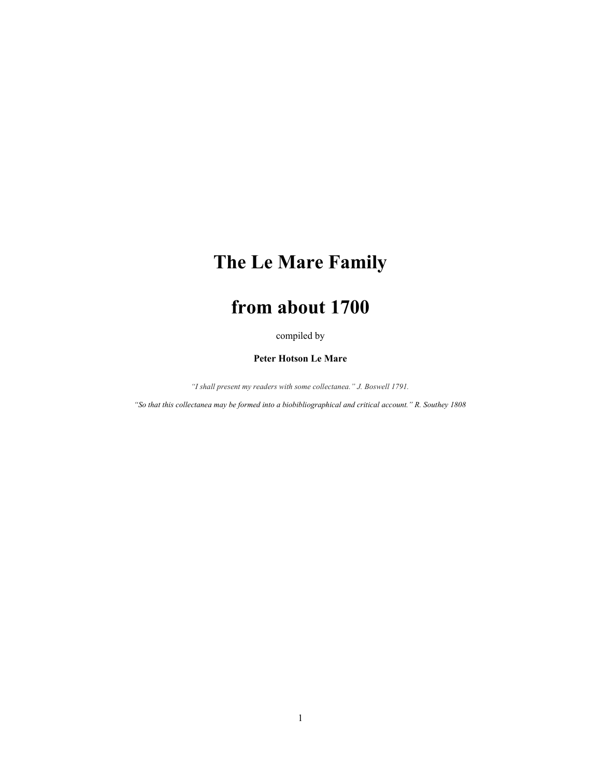# **The Le Mare Family**

# **from about 1700**

compiled by

# **Peter Hotson Le Mare**

*"I shall present my readers with some collectanea." J. Boswell 1791.*

*"So that this collectanea may be formed into a biobibliographical and critical account." R. Southey 1808*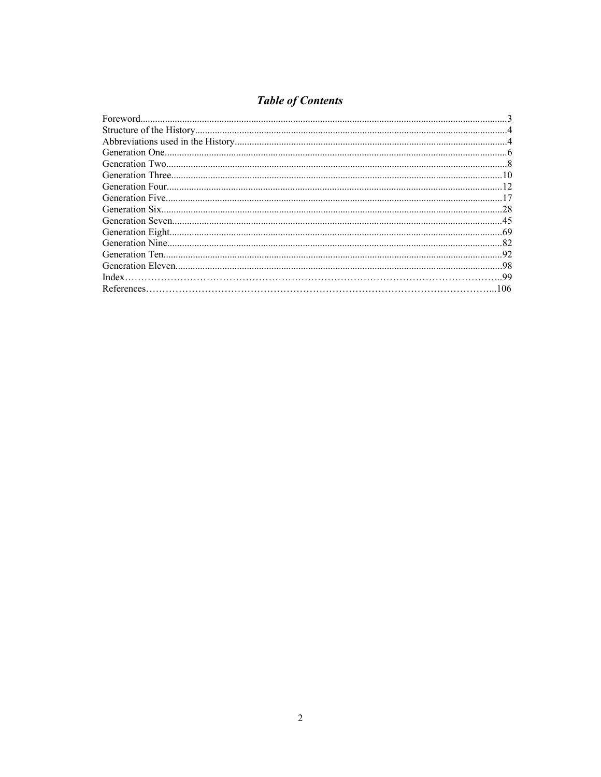# **Table of Contents**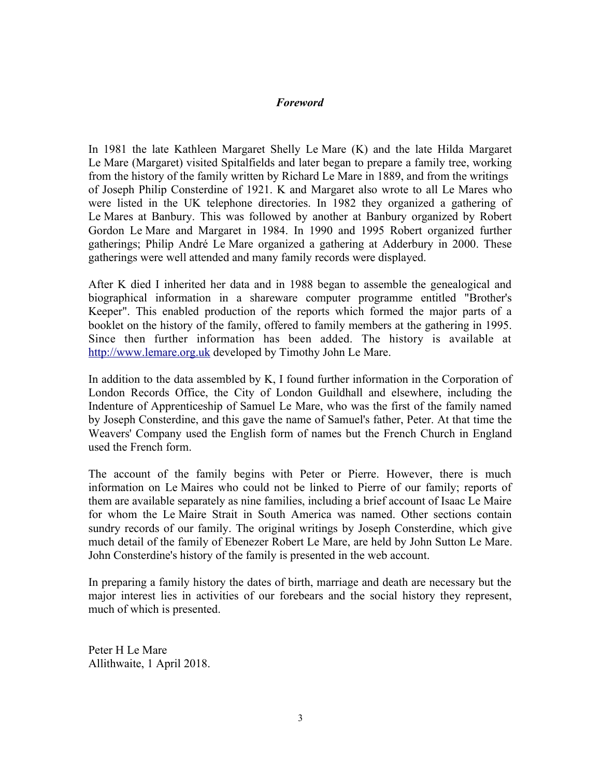# *Foreword*

In 1981 the late Kathleen Margaret Shelly Le Mare (K) and the late Hilda Margaret Le Mare (Margaret) visited Spitalfields and later began to prepare a family tree, working from the history of the family written by Richard Le Mare in 1889, and from the writings of Joseph Philip Consterdine of 1921. K and Margaret also wrote to all Le Mares who were listed in the UK telephone directories. In 1982 they organized a gathering of Le Mares at Banbury. This was followed by another at Banbury organized by Robert Gordon Le Mare and Margaret in 1984. In 1990 and 1995 Robert organized further gatherings; Philip André Le Mare organized a gathering at Adderbury in 2000. These gatherings were well attended and many family records were displayed.

After K died I inherited her data and in 1988 began to assemble the genealogical and biographical information in a shareware computer programme entitled "Brother's Keeper". This enabled production of the reports which formed the major parts of a booklet on the history of the family, offered to family members at the gathering in 1995. Since then further information has been added. The history is available at [http://www.lemare.org.uk](http://www.lemare.org.uk/) developed by Timothy John Le Mare.

In addition to the data assembled by K, I found further information in the Corporation of London Records Office, the City of London Guildhall and elsewhere, including the Indenture of Apprenticeship of Samuel Le Mare, who was the first of the family named by Joseph Consterdine, and this gave the name of Samuel's father, Peter. At that time the Weavers' Company used the English form of names but the French Church in England used the French form.

The account of the family begins with Peter or Pierre. However, there is much information on Le Maires who could not be linked to Pierre of our family; reports of them are available separately as nine families, including a brief account of Isaac Le Maire for whom the Le Maire Strait in South America was named. Other sections contain sundry records of our family. The original writings by Joseph Consterdine, which give much detail of the family of Ebenezer Robert Le Mare, are held by John Sutton Le Mare. John Consterdine's history of the family is presented in the web account.

In preparing a family history the dates of birth, marriage and death are necessary but the major interest lies in activities of our forebears and the social history they represent, much of which is presented.

Peter H Le Mare Allithwaite, 1 April 2018.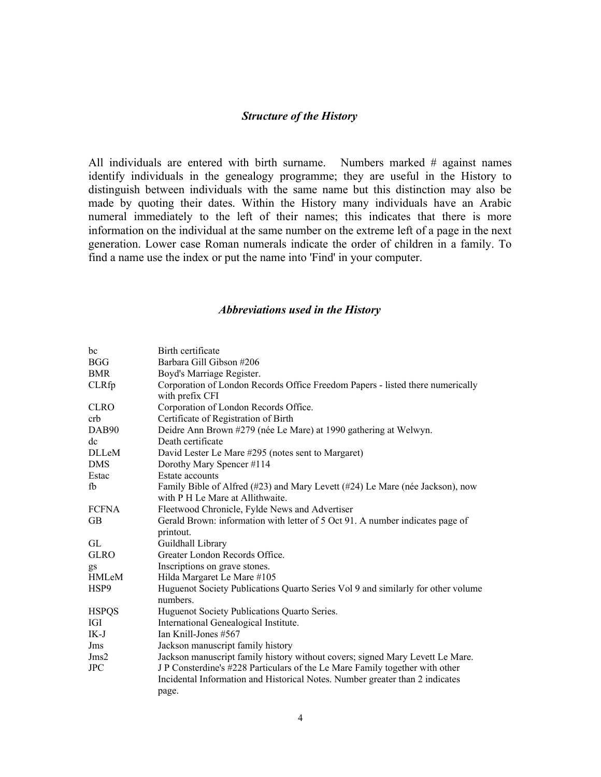# *Structure of the History*

All individuals are entered with birth surname. Numbers marked # against names identify individuals in the genealogy programme; they are useful in the History to distinguish between individuals with the same name but this distinction may also be made by quoting their dates. Within the History many individuals have an Arabic numeral immediately to the left of their names; this indicates that there is more information on the individual at the same number on the extreme left of a page in the next generation. Lower case Roman numerals indicate the order of children in a family. To find a name use the index or put the name into 'Find' in your computer.

# *Abbreviations used in the History*

| bc               | Birth certificate                                                                                                                                            |  |  |  |  |
|------------------|--------------------------------------------------------------------------------------------------------------------------------------------------------------|--|--|--|--|
| <b>BGG</b>       | Barbara Gill Gibson #206                                                                                                                                     |  |  |  |  |
| BMR              | Boyd's Marriage Register.                                                                                                                                    |  |  |  |  |
| <b>CLRfp</b>     | Corporation of London Records Office Freedom Papers - listed there numerically<br>with prefix CFI                                                            |  |  |  |  |
| <b>CLRO</b>      | Corporation of London Records Office.                                                                                                                        |  |  |  |  |
| crb              | Certificate of Registration of Birth                                                                                                                         |  |  |  |  |
| DAB90            | Deidre Ann Brown #279 (née Le Mare) at 1990 gathering at Welwyn.                                                                                             |  |  |  |  |
| dc               | Death certificate                                                                                                                                            |  |  |  |  |
| <b>DLLeM</b>     | David Lester Le Mare #295 (notes sent to Margaret)                                                                                                           |  |  |  |  |
| DMS              | Dorothy Mary Spencer #114                                                                                                                                    |  |  |  |  |
| Estac            | Estate accounts                                                                                                                                              |  |  |  |  |
| fb               | Family Bible of Alfred (#23) and Mary Levett (#24) Le Mare (née Jackson), now<br>with P H Le Mare at Allithwaite.                                            |  |  |  |  |
| <b>FCFNA</b>     | Fleetwood Chronicle, Fylde News and Advertiser                                                                                                               |  |  |  |  |
| <b>GB</b>        | Gerald Brown: information with letter of 5 Oct 91. A number indicates page of<br>printout.                                                                   |  |  |  |  |
| GL               | Guildhall Library                                                                                                                                            |  |  |  |  |
| <b>GLRO</b>      | Greater London Records Office.                                                                                                                               |  |  |  |  |
| gs               | Inscriptions on grave stones.                                                                                                                                |  |  |  |  |
| <b>HMLeM</b>     | Hilda Margaret Le Mare #105                                                                                                                                  |  |  |  |  |
| HSP <sub>9</sub> | Huguenot Society Publications Quarto Series Vol 9 and similarly for other volume<br>numbers.                                                                 |  |  |  |  |
| <b>HSPQS</b>     | Huguenot Society Publications Quarto Series.                                                                                                                 |  |  |  |  |
| IGI              | International Genealogical Institute.                                                                                                                        |  |  |  |  |
| IK-J             | Ian Knill-Jones #567                                                                                                                                         |  |  |  |  |
| Jms              | Jackson manuscript family history                                                                                                                            |  |  |  |  |
| Jms2             | Jackson manuscript family history without covers; signed Mary Levett Le Mare.                                                                                |  |  |  |  |
| <b>JPC</b>       | J P Consterdine's #228 Particulars of the Le Mare Family together with other<br>Incidental Information and Historical Notes. Number greater than 2 indicates |  |  |  |  |
|                  | page.                                                                                                                                                        |  |  |  |  |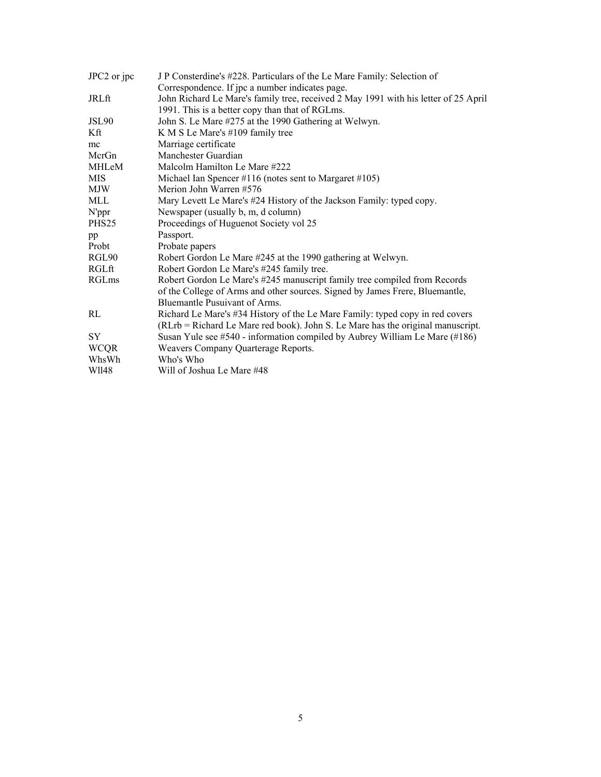| JPC2 or jpc       | J P Consterdine's #228. Particulars of the Le Mare Family: Selection of             |  |  |  |  |
|-------------------|-------------------------------------------------------------------------------------|--|--|--|--|
|                   | Correspondence. If jpc a number indicates page.                                     |  |  |  |  |
| JRLft             | John Richard Le Mare's family tree, received 2 May 1991 with his letter of 25 April |  |  |  |  |
|                   | 1991. This is a better copy than that of RGLms.                                     |  |  |  |  |
| JSL90             | John S. Le Mare #275 at the 1990 Gathering at Welwyn.                               |  |  |  |  |
| Kft               | K M S Le Mare's #109 family tree                                                    |  |  |  |  |
| mc                | Marriage certificate                                                                |  |  |  |  |
| McrGn             | Manchester Guardian                                                                 |  |  |  |  |
| MHLeM             | Malcolm Hamilton Le Mare #222                                                       |  |  |  |  |
| MIS               | Michael Ian Spencer #116 (notes sent to Margaret #105)                              |  |  |  |  |
| MJW               | Merion John Warren #576                                                             |  |  |  |  |
| MLL               | Mary Levett Le Mare's #24 History of the Jackson Family: typed copy.                |  |  |  |  |
| N'ppr             | Newspaper (usually b, m, d column)                                                  |  |  |  |  |
| PHS <sub>25</sub> | Proceedings of Huguenot Society vol 25                                              |  |  |  |  |
| pp                | Passport.                                                                           |  |  |  |  |
| Probt             | Probate papers                                                                      |  |  |  |  |
| RGL90             | Robert Gordon Le Mare #245 at the 1990 gathering at Welwyn.                         |  |  |  |  |
| RGLft             | Robert Gordon Le Mare's #245 family tree.                                           |  |  |  |  |
| RGLms             | Robert Gordon Le Mare's #245 manuscript family tree compiled from Records           |  |  |  |  |
|                   | of the College of Arms and other sources. Signed by James Frere, Bluemantle,        |  |  |  |  |
|                   | Bluemantle Pusuivant of Arms.                                                       |  |  |  |  |
| RL                | Richard Le Mare's #34 History of the Le Mare Family: typed copy in red covers       |  |  |  |  |
|                   | (RLrb = Richard Le Mare red book). John S. Le Mare has the original manuscript.     |  |  |  |  |
| SY                | Susan Yule see $#540$ - information compiled by Aubrey William Le Mare $(H186)$     |  |  |  |  |
| <b>WCQR</b>       | Weavers Company Quarterage Reports.                                                 |  |  |  |  |
| WhsWh             | Who's Who                                                                           |  |  |  |  |
| W1148             | Will of Joshua Le Mare #48                                                          |  |  |  |  |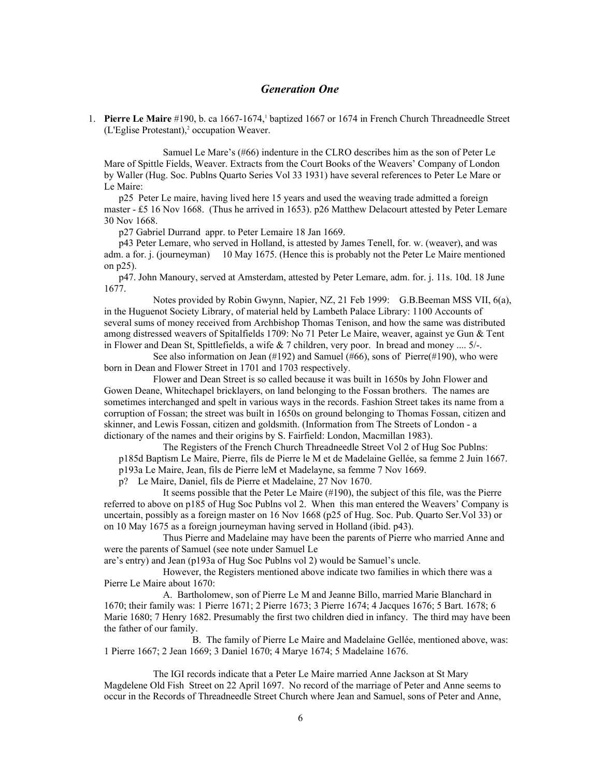# *Generation One*

[1](#page-105-0). Pierre Le Maire #190, b. ca 1667-1674,<sup>1</sup> baptized 1667 or 1674 in French Church Threadneedle Street (L'Eglise Protestant),<sup>[2](#page-105-1)</sup> occupation Weaver.

 Samuel Le Mare's (#66) indenture in the CLRO describes him as the son of Peter Le Mare of Spittle Fields, Weaver. Extracts from the Court Books of the Weavers' Company of London by Waller (Hug. Soc. Publns Quarto Series Vol 33 1931) have several references to Peter Le Mare or Le Maire:

p25 Peter Le maire, having lived here 15 years and used the weaving trade admitted a foreign master - £5 16 Nov 1668. (Thus he arrived in 1653). p26 Matthew Delacourt attested by Peter Lemare 30 Nov 1668.

p27 Gabriel Durrand appr. to Peter Lemaire 18 Jan 1669.

p43 Peter Lemare, who served in Holland, is attested by James Tenell, for. w. (weaver), and was adm. a for. j. (journeyman) 10 May 1675. (Hence this is probably not the Peter Le Maire mentioned on p25).

p47. John Manoury, served at Amsterdam, attested by Peter Lemare, adm. for. j. 11s. 10d. 18 June 1677.

Notes provided by Robin Gwynn, Napier, NZ, 21 Feb 1999: G.B.Beeman MSS VII, 6(a), in the Huguenot Society Library, of material held by Lambeth Palace Library: 1100 Accounts of several sums of money received from Archbishop Thomas Tenison, and how the same was distributed among distressed weavers of Spitalfields 1709: No 71 Peter Le Maire, weaver, against ye Gun & Tent in Flower and Dean St, Spittlefields, a wife & 7 children, very poor. In bread and money .... 5/-.

See also information on Jean (#192) and Samuel (#66), sons of Pierre(#190), who were born in Dean and Flower Street in 1701 and 1703 respectively.

Flower and Dean Street is so called because it was built in 1650s by John Flower and Gowen Deane, Whitechapel bricklayers, on land belonging to the Fossan brothers. The names are sometimes interchanged and spelt in various ways in the records. Fashion Street takes its name from a corruption of Fossan; the street was built in 1650s on ground belonging to Thomas Fossan, citizen and skinner, and Lewis Fossan, citizen and goldsmith. (Information from The Streets of London - a dictionary of the names and their origins by S. Fairfield: London, Macmillan 1983).

 The Registers of the French Church Threadneedle Street Vol 2 of Hug Soc Publns: p185d Baptism Le Maire, Pierre, fils de Pierre le M et de Madelaine Gellée, sa femme 2 Juin 1667. p193a Le Maire, Jean, fils de Pierre leM et Madelayne, sa femme 7 Nov 1669.

p? Le Maire, Daniel, fils de Pierre et Madelaine, 27 Nov 1670.

 It seems possible that the Peter Le Maire (#190), the subject of this file, was the Pierre referred to above on p185 of Hug Soc Publns vol 2. When this man entered the Weavers' Company is uncertain, possibly as a foreign master on 16 Nov 1668 (p25 of Hug. Soc. Pub. Quarto Ser.Vol 33) or on 10 May 1675 as a foreign journeyman having served in Holland (ibid. p43).

 Thus Pierre and Madelaine may have been the parents of Pierre who married Anne and were the parents of Samuel (see note under Samuel Le

are's entry) and Jean (p193a of Hug Soc Publns vol 2) would be Samuel's uncle.

 However, the Registers mentioned above indicate two families in which there was a Pierre Le Maire about 1670:

 A. Bartholomew, son of Pierre Le M and Jeanne Billo, married Marie Blanchard in 1670; their family was: 1 Pierre 1671; 2 Pierre 1673; 3 Pierre 1674; 4 Jacques 1676; 5 Bart. 1678; 6 Marie 1680; 7 Henry 1682. Presumably the first two children died in infancy. The third may have been the father of our family.

 B. The family of Pierre Le Maire and Madelaine Gellée, mentioned above, was: 1 Pierre 1667; 2 Jean 1669; 3 Daniel 1670; 4 Marye 1674; 5 Madelaine 1676.

The IGI records indicate that a Peter Le Maire married Anne Jackson at St Mary Magdelene Old Fish Street on 22 April 1697. No record of the marriage of Peter and Anne seems to occur in the Records of Threadneedle Street Church where Jean and Samuel, sons of Peter and Anne,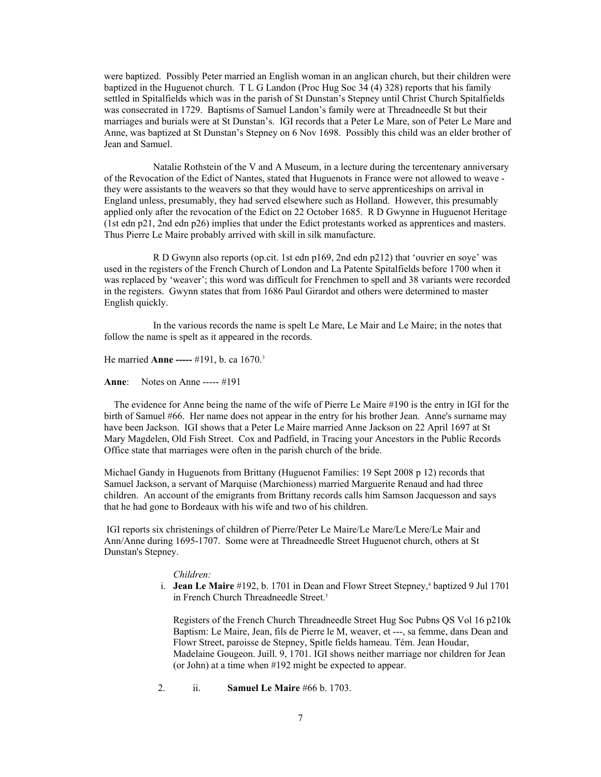were baptized. Possibly Peter married an English woman in an anglican church, but their children were baptized in the Huguenot church. T L G Landon (Proc Hug Soc 34 (4) 328) reports that his family settled in Spitalfields which was in the parish of St Dunstan's Stepney until Christ Church Spitalfields was consecrated in 1729. Baptisms of Samuel Landon's family were at Threadneedle St but their marriages and burials were at St Dunstan's. IGI records that a Peter Le Mare, son of Peter Le Mare and Anne, was baptized at St Dunstan's Stepney on 6 Nov 1698. Possibly this child was an elder brother of Jean and Samuel.

Natalie Rothstein of the V and A Museum, in a lecture during the tercentenary anniversary of the Revocation of the Edict of Nantes, stated that Huguenots in France were not allowed to weave they were assistants to the weavers so that they would have to serve apprenticeships on arrival in England unless, presumably, they had served elsewhere such as Holland. However, this presumably applied only after the revocation of the Edict on 22 October 1685. R D Gwynne in Huguenot Heritage (1st edn p21, 2nd edn p26) implies that under the Edict protestants worked as apprentices and masters. Thus Pierre Le Maire probably arrived with skill in silk manufacture.

R D Gwynn also reports (op.cit. 1st edn p169, 2nd edn p212) that 'ouvrier en soye' was used in the registers of the French Church of London and La Patente Spitalfields before 1700 when it was replaced by 'weaver'; this word was difficult for Frenchmen to spell and 38 variants were recorded in the registers. Gwynn states that from 1686 Paul Girardot and others were determined to master English quickly.

In the various records the name is spelt Le Mare, Le Mair and Le Maire; in the notes that follow the name is spelt as it appeared in the records.

He married **Anne -----** #191, b. ca 1670.[3](#page-105-2)

**Anne**: Notes on Anne ----- #191

 The evidence for Anne being the name of the wife of Pierre Le Maire #190 is the entry in IGI for the birth of Samuel #66. Her name does not appear in the entry for his brother Jean. Anne's surname may have been Jackson. IGI shows that a Peter Le Maire married Anne Jackson on 22 April 1697 at St Mary Magdelen, Old Fish Street. Cox and Padfield, in Tracing your Ancestors in the Public Records Office state that marriages were often in the parish church of the bride.

Michael Gandy in Huguenots from Brittany (Huguenot Families: 19 Sept 2008 p 12) records that Samuel Jackson, a servant of Marquise (Marchioness) married Marguerite Renaud and had three children. An account of the emigrants from Brittany records calls him Samson Jacquesson and says that he had gone to Bordeaux with his wife and two of his children.

 IGI reports six christenings of children of Pierre/Peter Le Maire/Le Mare/Le Mere/Le Mair and Ann/Anne during 1695-1707. Some were at Threadneedle Street Huguenot church, others at St Dunstan's Stepney.

#### *Children:*

i. **Jean Le Maire** #192, b. 1701 in Dean and Flowr Street Stepney,<sup>[4](#page-105-3)</sup> baptized 9 Jul 1701 in French Church Threadneedle Street.<sup>[5](#page-105-4)</sup>

> Registers of the French Church Threadneedle Street Hug Soc Pubns QS Vol 16 p210k Baptism: Le Maire, Jean, fils de Pierre le M, weaver, et ---, sa femme, dans Dean and Flowr Street, paroisse de Stepney, Spitle fields hameau. Tém. Jean Houdar, Madelaine Gougeon. Juill. 9, 1701. IGI shows neither marriage nor children for Jean (or John) at a time when #192 might be expected to appear.

# 2. ii. **Samuel Le Maire** #66 b. 1703.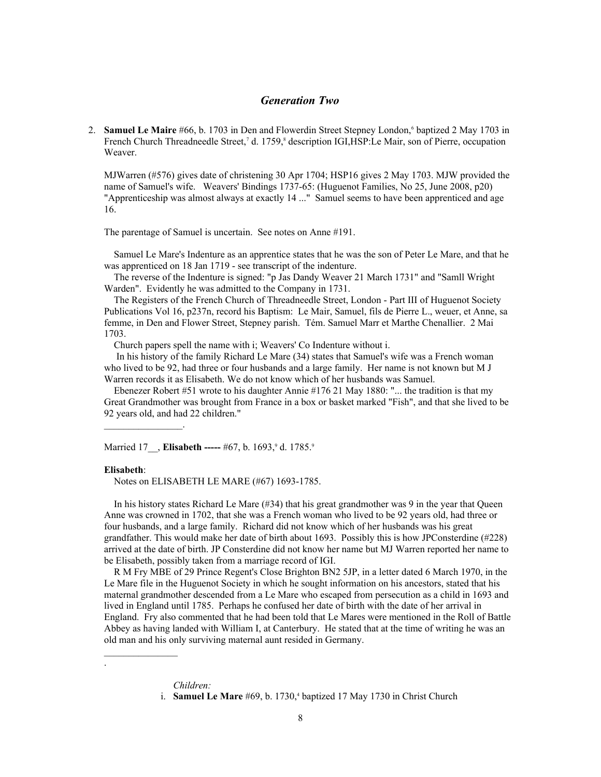## *Generation Two*

2. **Samuel Le Maire** #[6](#page-105-5)6, b. 1703 in Den and Flowerdin Street Stepney London,<sup>6</sup> baptized 2 May 1703 in French Church Threadneedle Street,<sup>[7](#page-105-6)</sup> d. 1759,<sup>[8](#page-105-7)</sup> description IGI,HSP:Le Mair, son of Pierre, occupation Weaver.

MJWarren (#576) gives date of christening 30 Apr 1704; HSP16 gives 2 May 1703. MJW provided the name of Samuel's wife. Weavers' Bindings 1737-65: (Huguenot Families, No 25, June 2008, p20) "Apprenticeship was almost always at exactly 14 ..." Samuel seems to have been apprenticed and age 16.

The parentage of Samuel is uncertain. See notes on Anne #191.

 Samuel Le Mare's Indenture as an apprentice states that he was the son of Peter Le Mare, and that he was apprenticed on 18 Jan 1719 - see transcript of the indenture.

 The reverse of the Indenture is signed: "p Jas Dandy Weaver 21 March 1731" and "Samll Wright Warden". Evidently he was admitted to the Company in 1731.

 The Registers of the French Church of Threadneedle Street, London - Part III of Huguenot Society Publications Vol 16, p237n, record his Baptism: Le Mair, Samuel, fils de Pierre L., weuer, et Anne, sa femme, in Den and Flower Street, Stepney parish. Tém. Samuel Marr et Marthe Chenallier. 2 Mai 1703.

Church papers spell the name with i; Weavers' Co Indenture without i.

 In his history of the family Richard Le Mare (34) states that Samuel's wife was a French woman who lived to be 92, had three or four husbands and a large family. Her name is not known but M J Warren records it as Elisabeth. We do not know which of her husbands was Samuel.

 Ebenezer Robert #51 wrote to his daughter Annie #176 21 May 1880: "... the tradition is that my Great Grandmother was brought from France in a box or basket marked "Fish", and that she lived to be 92 years old, and had 22 children."

Married 17, **Elisabeth -----** #67, b. 16[9](#page-105-8)3,<sup>9</sup> d. 1785.9

#### **Elisabeth**:

 $\mathcal{L}=\mathcal{L}^{\mathcal{L}}$ 

 $\mathcal{L}=\mathcal{L}^{\mathcal{L}}$ 

.

Notes on ELISABETH LE MARE (#67) 1693-1785.

 In his history states Richard Le Mare (#34) that his great grandmother was 9 in the year that Queen Anne was crowned in 1702, that she was a French woman who lived to be 92 years old, had three or four husbands, and a large family. Richard did not know which of her husbands was his great grandfather. This would make her date of birth about 1693. Possibly this is how JPConsterdine (#228) arrived at the date of birth. JP Consterdine did not know her name but MJ Warren reported her name to be Elisabeth, possibly taken from a marriage record of IGI.

 R M Fry MBE of 29 Prince Regent's Close Brighton BN2 5JP, in a letter dated 6 March 1970, in the Le Mare file in the Huguenot Society in which he sought information on his ancestors, stated that his maternal grandmother descended from a Le Mare who escaped from persecution as a child in 1693 and lived in England until 1785. Perhaps he confused her date of birth with the date of her arrival in England. Fry also commented that he had been told that Le Mares were mentioned in the Roll of Battle Abbey as having landed with William I, at Canterbury. He stated that at the time of writing he was an old man and his only surviving maternal aunt resided in Germany.

*Children:*

i. **Samuel Le Mare** #69, b. 1730,<sup>4</sup> baptized 17 May 1730 in Christ Church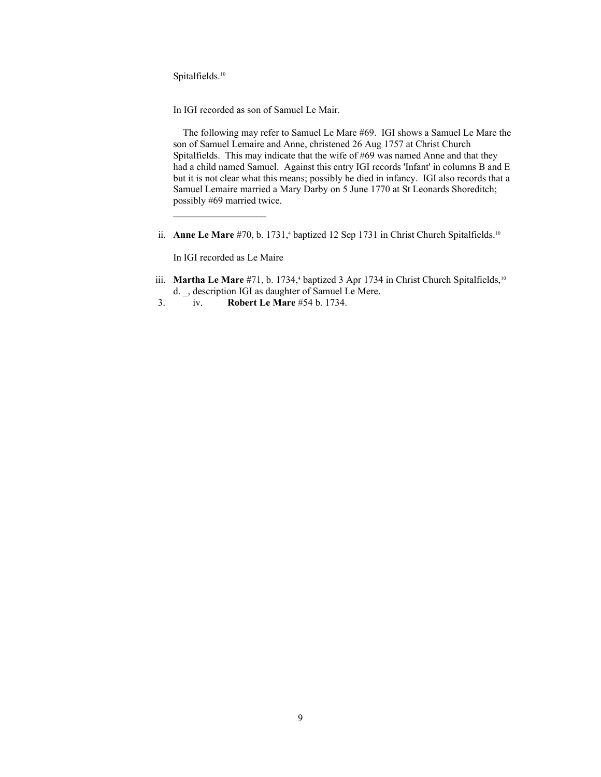Spitalfields.<sup>[10](#page-105-9)</sup>

In IGI recorded as son of Samuel Le Mair.

 The following may refer to Samuel Le Mare #69. IGI shows a Samuel Le Mare the son of Samuel Lemaire and Anne, christened 26 Aug 1757 at Christ Church Spitalfields. This may indicate that the wife of #69 was named Anne and that they had a child named Samuel. Against this entry IGI records 'Infant' in columns B and E but it is not clear what this means; possibly he died in infancy. IGI also records that a Samuel Lemaire married a Mary Darby on 5 June 1770 at St Leonards Shoreditch; possibly #69 married twice.

ii. **Anne Le Mare**  $#70$ , b. 1731,<sup>4</sup> baptized 12 Sep 1731 in Christ Church Spitalfields.<sup>10</sup>

In IGI recorded as Le Maire

- iii. **Martha Le Mare** #71, b. 1734,<sup>4</sup> baptized 3 Apr 1734 in Christ Church Spitalfields,<sup>10</sup> d. \_, description IGI as daughter of Samuel Le Mere.
	- 3. iv. **Robert Le Mare** #54 b. 1734.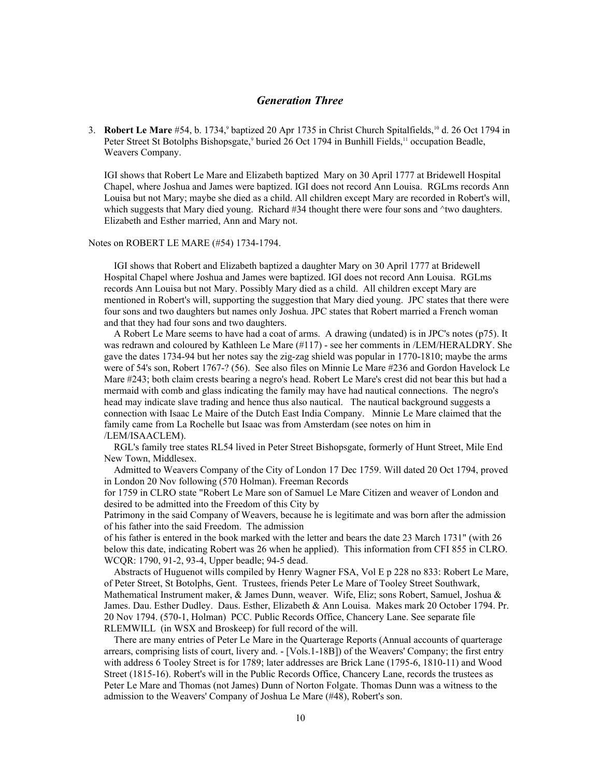## *Generation Three*

3. **Robert Le Mare** #54, b. 1734,<sup>9</sup> baptized 20 Apr 1735 in Christ Church Spitalfields,<sup>10</sup> d. 26 Oct 1794 in Peter Street St Botolphs Bishopsgate,<sup>9</sup> buried 26 Oct 1794 in Bunhill Fields,<sup>[11](#page-105-10)</sup> occupation Beadle, Weavers Company.

IGI shows that Robert Le Mare and Elizabeth baptized Mary on 30 April 1777 at Bridewell Hospital Chapel, where Joshua and James were baptized. IGI does not record Ann Louisa. RGLms records Ann Louisa but not Mary; maybe she died as a child. All children except Mary are recorded in Robert's will, which suggests that Mary died young. Richard #34 thought there were four sons and ^two daughters. Elizabeth and Esther married, Ann and Mary not.

### Notes on ROBERT LE MARE (#54) 1734-1794.

 IGI shows that Robert and Elizabeth baptized a daughter Mary on 30 April 1777 at Bridewell Hospital Chapel where Joshua and James were baptized. IGI does not record Ann Louisa. RGLms records Ann Louisa but not Mary. Possibly Mary died as a child. All children except Mary are mentioned in Robert's will, supporting the suggestion that Mary died young. JPC states that there were four sons and two daughters but names only Joshua. JPC states that Robert married a French woman and that they had four sons and two daughters.

 A Robert Le Mare seems to have had a coat of arms. A drawing (undated) is in JPC's notes (p75). It was redrawn and coloured by Kathleen Le Mare (#117) - see her comments in /LEM/HERALDRY. She gave the dates 1734-94 but her notes say the zig-zag shield was popular in 1770-1810; maybe the arms were of 54's son, Robert 1767-? (56). See also files on Minnie Le Mare #236 and Gordon Havelock Le Mare #243; both claim crests bearing a negro's head. Robert Le Mare's crest did not bear this but had a mermaid with comb and glass indicating the family may have had nautical connections. The negro's head may indicate slave trading and hence thus also nautical. The nautical background suggests a connection with Isaac Le Maire of the Dutch East India Company. Minnie Le Mare claimed that the family came from La Rochelle but Isaac was from Amsterdam (see notes on him in /LEM/ISAACLEM).

 RGL's family tree states RL54 lived in Peter Street Bishopsgate, formerly of Hunt Street, Mile End New Town, Middlesex.

 Admitted to Weavers Company of the City of London 17 Dec 1759. Will dated 20 Oct 1794, proved in London 20 Nov following (570 Holman). Freeman Records

for 1759 in CLRO state "Robert Le Mare son of Samuel Le Mare Citizen and weaver of London and desired to be admitted into the Freedom of this City by

Patrimony in the said Company of Weavers, because he is legitimate and was born after the admission of his father into the said Freedom. The admission

of his father is entered in the book marked with the letter and bears the date 23 March 1731" (with 26 below this date, indicating Robert was 26 when he applied). This information from CFI 855 in CLRO. WCQR: 1790, 91-2, 93-4, Upper beadle; 94-5 dead.

 Abstracts of Huguenot wills compiled by Henry Wagner FSA, Vol E p 228 no 833: Robert Le Mare, of Peter Street, St Botolphs, Gent. Trustees, friends Peter Le Mare of Tooley Street Southwark, Mathematical Instrument maker, & James Dunn, weaver. Wife, Eliz; sons Robert, Samuel, Joshua & James. Dau. Esther Dudley. Daus. Esther, Elizabeth & Ann Louisa. Makes mark 20 October 1794. Pr. 20 Nov 1794. (570-1, Holman) PCC. Public Records Office, Chancery Lane. See separate file RLEMWILL (in WSX and Broskeep) for full record of the will.

 There are many entries of Peter Le Mare in the Quarterage Reports (Annual accounts of quarterage arrears, comprising lists of court, livery and. - [Vols.1-18B]) of the Weavers' Company; the first entry with address 6 Tooley Street is for 1789; later addresses are Brick Lane (1795-6, 1810-11) and Wood Street (1815-16). Robert's will in the Public Records Office, Chancery Lane, records the trustees as Peter Le Mare and Thomas (not James) Dunn of Norton Folgate. Thomas Dunn was a witness to the admission to the Weavers' Company of Joshua Le Mare (#48), Robert's son.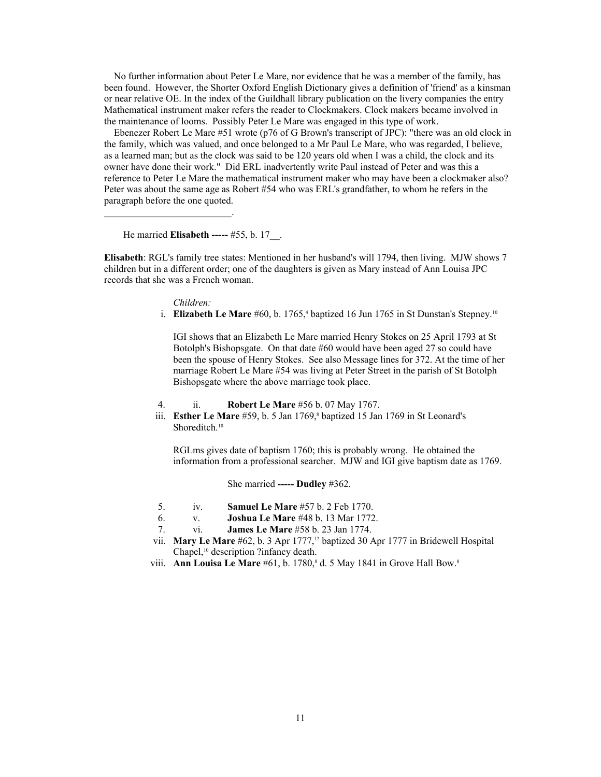No further information about Peter Le Mare, nor evidence that he was a member of the family, has been found. However, the Shorter Oxford English Dictionary gives a definition of 'friend' as a kinsman or near relative OE. In the index of the Guildhall library publication on the livery companies the entry Mathematical instrument maker refers the reader to Clockmakers. Clock makers became involved in the maintenance of looms. Possibly Peter Le Mare was engaged in this type of work.

 Ebenezer Robert Le Mare #51 wrote (p76 of G Brown's transcript of JPC): "there was an old clock in the family, which was valued, and once belonged to a Mr Paul Le Mare, who was regarded, I believe, as a learned man; but as the clock was said to be 120 years old when I was a child, the clock and its owner have done their work." Did ERL inadvertently write Paul instead of Peter and was this a reference to Peter Le Mare the mathematical instrument maker who may have been a clockmaker also? Peter was about the same age as Robert #54 who was ERL's grandfather, to whom he refers in the paragraph before the one quoted.

He married **Elisabeth -----** #55, b. 17\_\_.

 $\mathcal{L}=\mathcal{L}^{\mathcal{L}}$  , where  $\mathcal{L}^{\mathcal{L}}$  , we have the set of the set of the set of the set of the set of the set of the set of the set of the set of the set of the set of the set of the set of the set of the set of

**Elisabeth**: RGL's family tree states: Mentioned in her husband's will 1794, then living. MJW shows 7 children but in a different order; one of the daughters is given as Mary instead of Ann Louisa JPC records that she was a French woman.

*Children:*

i. **Elizabeth Le Mare** #60, b. 1765,<sup>4</sup> baptized 16 Jun 1765 in St Dunstan's Stepney.<sup>10</sup>

IGI shows that an Elizabeth Le Mare married Henry Stokes on 25 April 1793 at St Botolph's Bishopsgate. On that date #60 would have been aged 27 so could have been the spouse of Henry Stokes. See also Message lines for 372. At the time of her marriage Robert Le Mare #54 was living at Peter Street in the parish of St Botolph Bishopsgate where the above marriage took place.

- 4. ii. **Robert Le Mare** #56 b. 07 May 1767.
- iii. **Esther Le Mare** #59, b. 5 Jan 1769,<sup>8</sup> baptized 15 Jan 1769 in St Leonard's Shoreditch.<sup>10</sup>

RGLms gives date of baptism 1760; this is probably wrong. He obtained the information from a professional searcher. MJW and IGI give baptism date as 1769.

She married **----- Dudley** #362.

- 5. iv. **Samuel Le Mare** #57 b. 2 Feb 1770.
- 6. v. **Joshua Le Mare** #48 b. 13 Mar 1772.
- 7. vi. **James Le Mare** #58 b. 23 Jan 1774.
- vii. **Mary Le Mare** #62, b. 3 Apr 1777,[12](#page-105-11) baptized 30 Apr 1777 in Bridewell Hospital Chapel,<sup>10</sup> description ?infancy death.
- viii. **Ann Louisa Le Mare** #61, b. 1780,<sup>8</sup> d. 5 May 1841 in Grove Hall Bow.<sup>8</sup>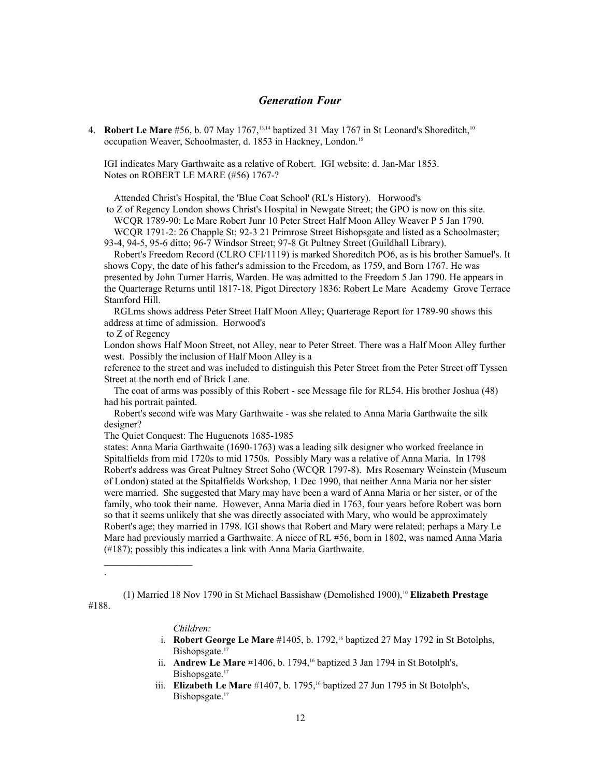# *Generation Four*

4. **Robert Le Mare** #56, b. 07 May 1767,<sup>[13,](#page-105-12)[14](#page-105-13)</sup> baptized 31 May 1767 in St Leonard's Shoreditch,<sup>10</sup> occupation Weaver, Schoolmaster, d. 1853 in Hackney, London.[15](#page-105-14)

IGI indicates Mary Garthwaite as a relative of Robert. IGI website: d. Jan-Mar 1853. Notes on ROBERT LE MARE (#56) 1767-?

Attended Christ's Hospital, the 'Blue Coat School' (RL's History). Horwood's

 to Z of Regency London shows Christ's Hospital in Newgate Street; the GPO is now on this site. WCQR 1789-90: Le Mare Robert Junr 10 Peter Street Half Moon Alley Weaver P 5 Jan 1790.

 WCQR 1791-2: 26 Chapple St; 92-3 21 Primrose Street Bishopsgate and listed as a Schoolmaster; 93-4, 94-5, 95-6 ditto; 96-7 Windsor Street; 97-8 Gt Pultney Street (Guildhall Library).

 Robert's Freedom Record (CLRO CFI/1119) is marked Shoreditch PO6, as is his brother Samuel's. It shows Copy, the date of his father's admission to the Freedom, as 1759, and Born 1767. He was presented by John Turner Harris, Warden. He was admitted to the Freedom 5 Jan 1790. He appears in the Quarterage Returns until 1817-18. Pigot Directory 1836: Robert Le Mare Academy Grove Terrace Stamford Hill.

 RGLms shows address Peter Street Half Moon Alley; Quarterage Report for 1789-90 shows this address at time of admission. Horwood's

to Z of Regency

London shows Half Moon Street, not Alley, near to Peter Street. There was a Half Moon Alley further west. Possibly the inclusion of Half Moon Alley is a

reference to the street and was included to distinguish this Peter Street from the Peter Street off Tyssen Street at the north end of Brick Lane.

 The coat of arms was possibly of this Robert - see Message file for RL54. His brother Joshua (48) had his portrait painted.

 Robert's second wife was Mary Garthwaite - was she related to Anna Maria Garthwaite the silk designer?

The Quiet Conquest: The Huguenots 1685-1985

states: Anna Maria Garthwaite (1690-1763) was a leading silk designer who worked freelance in Spitalfields from mid 1720s to mid 1750s. Possibly Mary was a relative of Anna Maria. In 1798 Robert's address was Great Pultney Street Soho (WCQR 1797-8). Mrs Rosemary Weinstein (Museum of London) stated at the Spitalfields Workshop, 1 Dec 1990, that neither Anna Maria nor her sister were married. She suggested that Mary may have been a ward of Anna Maria or her sister, or of the family, who took their name. However, Anna Maria died in 1763, four years before Robert was born so that it seems unlikely that she was directly associated with Mary, who would be approximately Robert's age; they married in 1798. IGI shows that Robert and Mary were related; perhaps a Mary Le Mare had previously married a Garthwaite. A niece of RL #56, born in 1802, was named Anna Maria (#187); possibly this indicates a link with Anna Maria Garthwaite.

(1) Married 18 Nov 1790 in St Michael Bassishaw (Demolished 1900),<sup>10</sup> **Elizabeth Prestage**

#188.

.

### *Children:*

 $\mathcal{L}_\text{max}$ 

- i. **Robert George Le Mare** #1405, b. 1792,[16](#page-105-15) baptized 27 May 1792 in St Botolphs, Bishopsgate.<sup>[17](#page-105-16)</sup>
- ii. **Andrew Le Mare** #1406, b. 1794,<sup>16</sup> baptized 3 Jan 1794 in St Botolph's, Bishopsgate.<sup>17</sup>
- iii. **Elizabeth Le Mare** #1407, b. 1795,<sup>16</sup> baptized 27 Jun 1795 in St Botolph's, Bishopsgate.<sup>17</sup>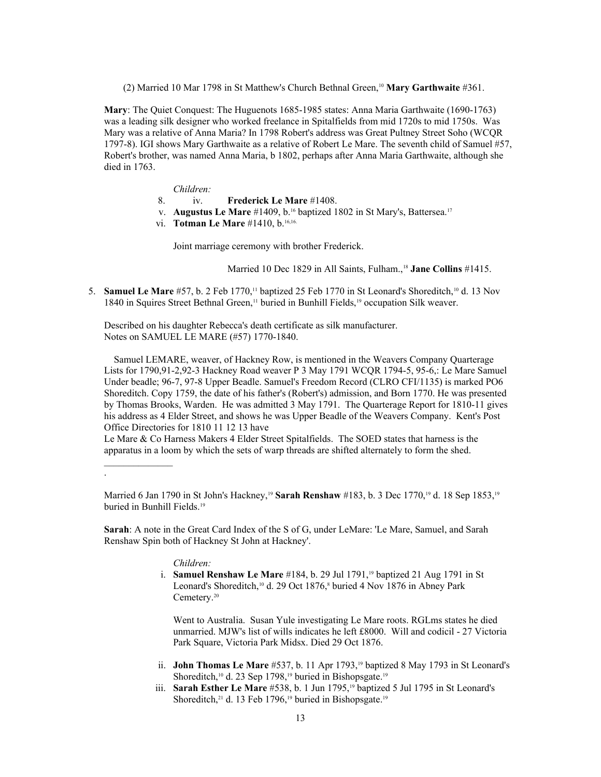(2) Married 10 Mar 1798 in St Matthew's Church Bethnal Green,<sup>10</sup> **Mary Garthwaite** #361.

**Mary**: The Quiet Conquest: The Huguenots 1685-1985 states: Anna Maria Garthwaite (1690-1763) was a leading silk designer who worked freelance in Spitalfields from mid 1720s to mid 1750s. Was Mary was a relative of Anna Maria? In 1798 Robert's address was Great Pultney Street Soho (WCQR 1797-8). IGI shows Mary Garthwaite as a relative of Robert Le Mare. The seventh child of Samuel #57, Robert's brother, was named Anna Maria, b 1802, perhaps after Anna Maria Garthwaite, although she died in 1763.

- *Children:*
- 8. iv. **Frederick Le Mare** #1408.
- v. **Augustus Le Mare** #1409, b.16 baptized 1802 in St Mary's, Battersea.<sup>17</sup>
- vi. **Totman Le Mare** #1410, b.<sup>16,16.</sup>

Joint marriage ceremony with brother Frederick.

Married 10 Dec [18](#page-105-17)29 in All Saints, Fulham.,<sup>18</sup> Jane Collins #1415.

5. **Samuel Le Mare** #57, b. 2 Feb 1770,<sup>11</sup> baptized 25 Feb 1770 in St Leonard's Shoreditch,<sup>10</sup> d. 13 Nov 1840 in Squires Street Bethnal Green,<sup>11</sup> buried in Bunhill Fields,<sup>[19](#page-105-18)</sup> occupation Silk weaver.

Described on his daughter Rebecca's death certificate as silk manufacturer. Notes on SAMUEL LE MARE (#57) 1770-1840.

 Samuel LEMARE, weaver, of Hackney Row, is mentioned in the Weavers Company Quarterage Lists for 1790,91-2,92-3 Hackney Road weaver P 3 May 1791 WCQR 1794-5, 95-6,: Le Mare Samuel Under beadle; 96-7, 97-8 Upper Beadle. Samuel's Freedom Record (CLRO CFI/1135) is marked PO6 Shoreditch. Copy 1759, the date of his father's (Robert's) admission, and Born 1770. He was presented by Thomas Brooks, Warden. He was admitted 3 May 1791. The Quarterage Report for 1810-11 gives his address as 4 Elder Street, and shows he was Upper Beadle of the Weavers Company. Kent's Post Office Directories for 1810 11 12 13 have

Le Mare & Co Harness Makers 4 Elder Street Spitalfields. The SOED states that harness is the apparatus in a loom by which the sets of warp threads are shifted alternately to form the shed.

### *Children:*

 $\frac{1}{2}$ 

.

 i. **Samuel Renshaw Le Mare** #184, b. 29 Jul 1791,19 baptized 21 Aug 1791 in St Leonard's Shoreditch,<sup>10</sup> d. 29 Oct 1876,<sup>8</sup> buried 4 Nov 1876 in Abney Park Cemetery.<sup>[20](#page-105-19)</sup>

Went to Australia. Susan Yule investigating Le Mare roots. RGLms states he died unmarried. MJW's list of wills indicates he left £8000. Will and codicil - 27 Victoria Park Square, Victoria Park Midsx. Died 29 Oct 1876.

- ii. **John Thomas Le Mare** #537, b. 11 Apr 1793,19 baptized 8 May 1793 in St Leonard's Shoreditch,<sup>10</sup> d. 23 Sep 1798,<sup>19</sup> buried in Bishopsgate.<sup>19</sup>
- iii. **Sarah Esther Le Mare** #538, b. 1 Jun 1795,<sup>19</sup> baptized 5 Jul 1795 in St Leonard's Shoreditch,<sup>[21](#page-105-20)</sup> d. 13 Feb 1796,<sup>19</sup> buried in Bishopsgate.<sup>19</sup>

Married 6 Jan 1790 in St John's Hackney,<sup>19</sup> Sarah Renshaw #183, b. 3 Dec 1770,<sup>19</sup> d. 18 Sep 1853,<sup>19</sup> buried in Bunhill Fields.<sup>19</sup>

**Sarah**: A note in the Great Card Index of the S of G, under LeMare: 'Le Mare, Samuel, and Sarah Renshaw Spin both of Hackney St John at Hackney'.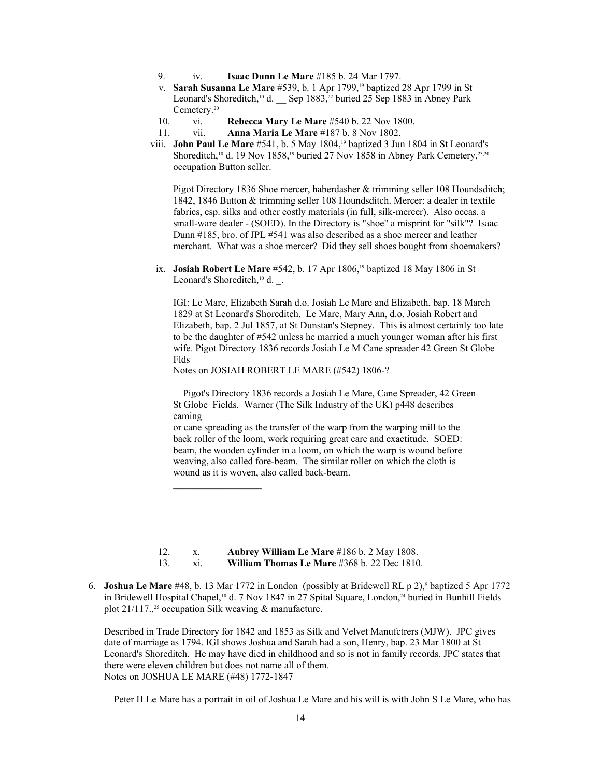- 9. iv. **Isaac Dunn Le Mare** #185 b. 24 Mar 1797.
- v. **Sarah Susanna Le Mare** #539, b. 1 Apr 1799,19 baptized 28 Apr 1799 in St Leonard's Shoreditch,<sup>10</sup> d. \_\_ Sep 1883,<sup>[22](#page-105-21)</sup> buried 25 Sep 1883 in Abney Park Cemetery.<sup>20</sup>
- 10. vi. **Rebecca Mary Le Mare** #540 b. 22 Nov 1800.
- 11. vii. **Anna Maria Le Mare** #187 b. 8 Nov 1802.
- viii. **John Paul Le Mare** #541, b. 5 May 1804,19 baptized 3 Jun 1804 in St Leonard's Shoreditch,<sup>10</sup> d. 19 Nov 1858,<sup>19</sup> buried 27 Nov 1858 in Abney Park Cemetery,<sup>[23,](#page-105-22)20</sup> occupation Button seller.

Pigot Directory 1836 Shoe mercer, haberdasher & trimming seller 108 Houndsditch; 1842, 1846 Button & trimming seller 108 Houndsditch. Mercer: a dealer in textile fabrics, esp. silks and other costly materials (in full, silk-mercer). Also occas. a small-ware dealer - (SOED). In the Directory is "shoe" a misprint for "silk"? Isaac Dunn #185, bro. of JPL #541 was also described as a shoe mercer and leather merchant. What was a shoe mercer? Did they sell shoes bought from shoemakers?

ix. **Josiah Robert Le Mare** #542, b. 17 Apr 1806,<sup>19</sup> baptized 18 May 1806 in St Leonard's Shoreditch,<sup>10</sup> d. .

IGI: Le Mare, Elizabeth Sarah d.o. Josiah Le Mare and Elizabeth, bap. 18 March 1829 at St Leonard's Shoreditch. Le Mare, Mary Ann, d.o. Josiah Robert and Elizabeth, bap. 2 Jul 1857, at St Dunstan's Stepney. This is almost certainly too late to be the daughter of #542 unless he married a much younger woman after his first wife. Pigot Directory 1836 records Josiah Le M Cane spreader 42 Green St Globe Flds

Notes on JOSIAH ROBERT LE MARE (#542) 1806-?

 Pigot's Directory 1836 records a Josiah Le Mare, Cane Spreader, 42 Green St Globe Fields. Warner (The Silk Industry of the UK) p448 describes eaming

or cane spreading as the transfer of the warp from the warping mill to the back roller of the loom, work requiring great care and exactitude. SOED: beam, the wooden cylinder in a loom, on which the warp is wound before weaving, also called fore-beam. The similar roller on which the cloth is wound as it is woven, also called back-beam.

12. x. **Aubrey William Le Mare** #186 b. 2 May 1808.

13. xi. **William Thomas Le Mare** #368 b. 22 Dec 1810.

 $\mathcal{L}_\text{max}$ 

6. **Joshua Le Mare** #48, b. 13 Mar 1772 in London (possibly at Bridewell RL p 2),<sup>9</sup> baptized 5 Apr 1772 in Bridewell Hospital Chapel,<sup>10</sup> d. 7 Nov 1847 in 27 Spital Square, London,<sup>[24](#page-105-23)</sup> buried in Bunhill Fields plot  $21/117$ <sup>[25](#page-105-24)</sup> occupation Silk weaving & manufacture.

Described in Trade Directory for 1842 and 1853 as Silk and Velvet Manufctrers (MJW). JPC gives date of marriage as 1794. IGI shows Joshua and Sarah had a son, Henry, bap. 23 Mar 1800 at St Leonard's Shoreditch. He may have died in childhood and so is not in family records. JPC states that there were eleven children but does not name all of them. Notes on JOSHUA LE MARE (#48) 1772-1847

Peter H Le Mare has a portrait in oil of Joshua Le Mare and his will is with John S Le Mare, who has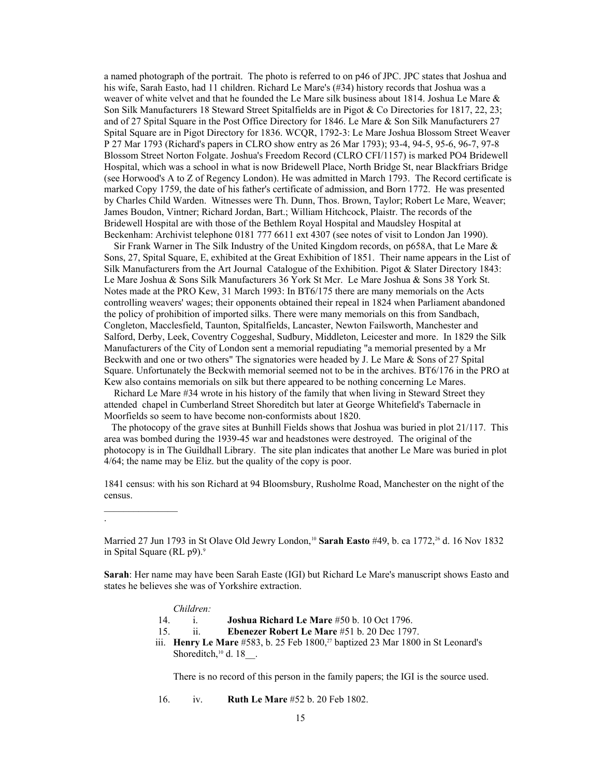a named photograph of the portrait. The photo is referred to on p46 of JPC. JPC states that Joshua and his wife, Sarah Easto, had 11 children. Richard Le Mare's (#34) history records that Joshua was a weaver of white velvet and that he founded the Le Mare silk business about 1814. Joshua Le Mare & Son Silk Manufacturers 18 Steward Street Spitalfields are in Pigot & Co Directories for 1817, 22, 23; and of 27 Spital Square in the Post Office Directory for 1846. Le Mare & Son Silk Manufacturers 27 Spital Square are in Pigot Directory for 1836. WCQR, 1792-3: Le Mare Joshua Blossom Street Weaver P 27 Mar 1793 (Richard's papers in CLRO show entry as 26 Mar 1793); 93-4, 94-5, 95-6, 96-7, 97-8 Blossom Street Norton Folgate. Joshua's Freedom Record (CLRO CFI/1157) is marked PO4 Bridewell Hospital, which was a school in what is now Bridewell Place, North Bridge St, near Blackfriars Bridge (see Horwood's A to Z of Regency London). He was admitted in March 1793. The Record certificate is marked Copy 1759, the date of his father's certificate of admission, and Born 1772. He was presented by Charles Child Warden. Witnesses were Th. Dunn, Thos. Brown, Taylor; Robert Le Mare, Weaver; James Boudon, Vintner; Richard Jordan, Bart.; William Hitchcock, Plaistr. The records of the Bridewell Hospital are with those of the Bethlem Royal Hospital and Maudsley Hospital at Beckenham: Archivist telephone 0181 777 6611 ext 4307 (see notes of visit to London Jan 1990).

 Sir Frank Warner in The Silk Industry of the United Kingdom records, on p658A, that Le Mare & Sons, 27, Spital Square, E, exhibited at the Great Exhibition of 1851. Their name appears in the List of Silk Manufacturers from the Art Journal Catalogue of the Exhibition. Pigot & Slater Directory 1843: Le Mare Joshua & Sons Silk Manufacturers 36 York St Mcr. Le Mare Joshua & Sons 38 York St. Notes made at the PRO Kew, 31 March 1993: In BT6/175 there are many memorials on the Acts controlling weavers' wages; their opponents obtained their repeal in 1824 when Parliament abandoned the policy of prohibition of imported silks. There were many memorials on this from Sandbach, Congleton, Macclesfield, Taunton, Spitalfields, Lancaster, Newton Failsworth, Manchester and Salford, Derby, Leek, Coventry Coggeshal, Sudbury, Middleton, Leicester and more. In 1829 the Silk Manufacturers of the City of London sent a memorial repudiating "a memorial presented by a Mr Beckwith and one or two others" The signatories were headed by J. Le Mare & Sons of 27 Spital Square. Unfortunately the Beckwith memorial seemed not to be in the archives. BT6/176 in the PRO at Kew also contains memorials on silk but there appeared to be nothing concerning Le Mares.

 Richard Le Mare #34 wrote in his history of the family that when living in Steward Street they attended chapel in Cumberland Street Shoreditch but later at George Whitefield's Tabernacle in Moorfields so seem to have become non-conformists about 1820.

 The photocopy of the grave sites at Bunhill Fields shows that Joshua was buried in plot 21/117. This area was bombed during the 1939-45 war and headstones were destroyed. The original of the photocopy is in The Guildhall Library. The site plan indicates that another Le Mare was buried in plot 4/64; the name may be Eliz. but the quality of the copy is poor.

1841 census: with his son Richard at 94 Bloomsbury, Rusholme Road, Manchester on the night of the census.

**Sarah**: Her name may have been Sarah Easte (IGI) but Richard Le Mare's manuscript shows Easto and states he believes she was of Yorkshire extraction.

#### *Children:*

 $\mathcal{L}=\mathcal{L}^{\mathcal{L}}$ 

.

- 14. i. **Joshua Richard Le Mare** #50 b. 10 Oct 1796.
- 15. ii. **Ebenezer Robert Le Mare** #51 b. 20 Dec 1797.
- iii. **Henry Le Mare** #583, b. 25 Feb 1800,<sup>[27](#page-105-26)</sup> baptized 23 Mar 1800 in St Leonard's Shoreditch,<sup>10</sup> d. 18<sup>.</sup>.

There is no record of this person in the family papers; the IGI is the source used.

16. iv. **Ruth Le Mare** #52 b. 20 Feb 1802.

Married 27 Jun 1793 in St Olave Old Jewry London,<sup>10</sup> Sarah Easto #49, b. ca 1772.<sup>[26](#page-105-25)</sup> d. 16 Nov 1832 in Spital Square (RL p9).<sup>9</sup>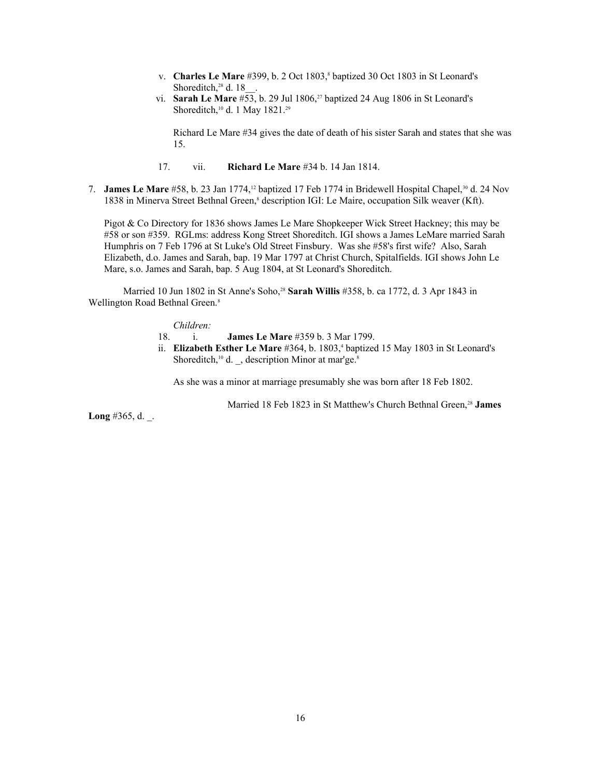- v. **Charles Le Mare** #399, b. 2 Oct 1803,<sup>8</sup> baptized 30 Oct 1803 in St Leonard's Shoreditch,<sup>[28](#page-105-27)</sup> d. 18
	- vi. **Sarah Le Mare** #53, b. 29 Jul 1806,<sup>27</sup> baptized 24 Aug 1806 in St Leonard's Shoreditch,<sup>10</sup> d. 1 May 1821.<sup>[29](#page-105-28)</sup>

Richard Le Mare #34 gives the date of death of his sister Sarah and states that she was 15.

- 17. vii. **Richard Le Mare** #34 b. 14 Jan 1814.
- 7. **James Le Mare** #58, b. 23 Jan 1774,<sup>12</sup> baptized 17 Feb 1774 in Bridewell Hospital Chapel,<sup>[30](#page-105-29)</sup> d. 24 Nov 1838 in Minerva Street Bethnal Green,<sup>8</sup> description IGI: Le Maire, occupation Silk weaver (Kft).

Pigot & Co Directory for 1836 shows James Le Mare Shopkeeper Wick Street Hackney; this may be #58 or son #359. RGLms: address Kong Street Shoreditch. IGI shows a James LeMare married Sarah Humphris on 7 Feb 1796 at St Luke's Old Street Finsbury. Was she #58's first wife? Also, Sarah Elizabeth, d.o. James and Sarah, bap. 19 Mar 1797 at Christ Church, Spitalfields. IGI shows John Le Mare, s.o. James and Sarah, bap. 5 Aug 1804, at St Leonard's Shoreditch.

Married 10 Jun 1802 in St Anne's Soho,<sup>28</sup> Sarah Willis #358, b. ca 1772, d. 3 Apr 1843 in Wellington Road Bethnal Green.<sup>8</sup>

### *Children:*

- 18. i. **James Le Mare** #359 b. 3 Mar 1799.
- ii. **Elizabeth Esther Le Mare** #364, b. 1803,<sup>4</sup> baptized 15 May 1803 in St Leonard's Shoreditch,<sup>10</sup> d. , description Minor at mar'ge.<sup>8</sup>

As she was a minor at marriage presumably she was born after 18 Feb 1802.

Married 18 Feb 1823 in St Matthew's Church Bethnal Green,<sup>28</sup> James

**Long** #365, d. \_.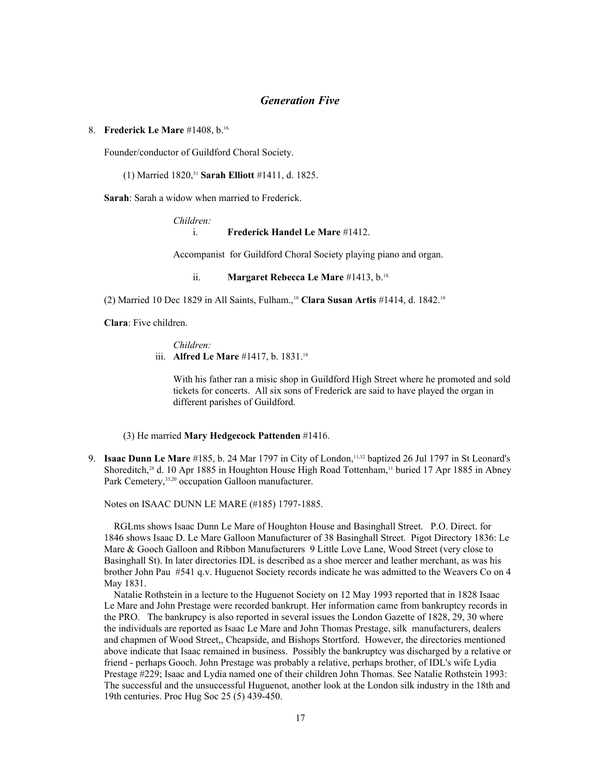# *Generation Five*

### 8. **Frederick Le Mare** #1408, b.16.

Founder/conductor of Guildford Choral Society.

# (1) Married 1820,[31](#page-105-30) **Sarah Elliott** #1411, d. 1825.

**Sarah**: Sarah a widow when married to Frederick.

### *Children:*

### i. **Frederick Handel Le Mare** #1412.

Accompanist for Guildford Choral Society playing piano and organ.

ii. **Margaret Rebecca Le Mare** #1413, b.<sup>18.</sup>

(2) Married 10 Dec 1829 in All Saints, Fulham.,<sup>18</sup> **Clara Susan Artis** #1414, d. 1842.<sup>18</sup>

**Clara**: Five children.

# *Children:* iii. **Alfred Le Mare** #1417, b. 1831.<sup>18</sup>

With his father ran a misic shop in Guildford High Street where he promoted and sold tickets for concerts. All six sons of Frederick are said to have played the organ in different parishes of Guildford.

# (3) He married **Mary Hedgecock Pattenden** #1416.

9. **Isaac Dunn Le Mare** #185, b. 24 Mar 1797 in City of London,<sup>11[,32](#page-105-31)</sup> baptized 26 Jul 1797 in St Leonard's Shoreditch,<sup>28</sup> d. 10 Apr 1885 in Houghton House High Road Tottenham,<sup>11</sup> buried 17 Apr 1885 in Abney Park Cemetery, [33,](#page-105-32)20 occupation Galloon manufacturer.

Notes on ISAAC DUNN LE MARE (#185) 1797-1885.

 RGLms shows Isaac Dunn Le Mare of Houghton House and Basinghall Street. P.O. Direct. for 1846 shows Isaac D. Le Mare Galloon Manufacturer of 38 Basinghall Street. Pigot Directory 1836: Le Mare & Gooch Galloon and Ribbon Manufacturers 9 Little Love Lane, Wood Street (very close to Basinghall St). In later directories IDL is described as a shoe mercer and leather merchant, as was his brother John Pau #541 q.v. Huguenot Society records indicate he was admitted to the Weavers Co on 4 May 1831.

 Natalie Rothstein in a lecture to the Huguenot Society on 12 May 1993 reported that in 1828 Isaac Le Mare and John Prestage were recorded bankrupt. Her information came from bankruptcy records in the PRO. The bankrupcy is also reported in several issues the London Gazette of 1828, 29, 30 where the individuals are reported as Isaac Le Mare and John Thomas Prestage, silk manufacturers, dealers and chapmen of Wood Street,, Cheapside, and Bishops Stortford. However, the directories mentioned above indicate that Isaac remained in business. Possibly the bankruptcy was discharged by a relative or friend - perhaps Gooch. John Prestage was probably a relative, perhaps brother, of IDL's wife Lydia Prestage #229; Isaac and Lydia named one of their children John Thomas. See Natalie Rothstein 1993: The successful and the unsuccessful Huguenot, another look at the London silk industry in the 18th and 19th centuries. Proc Hug Soc 25 (5) 439-450.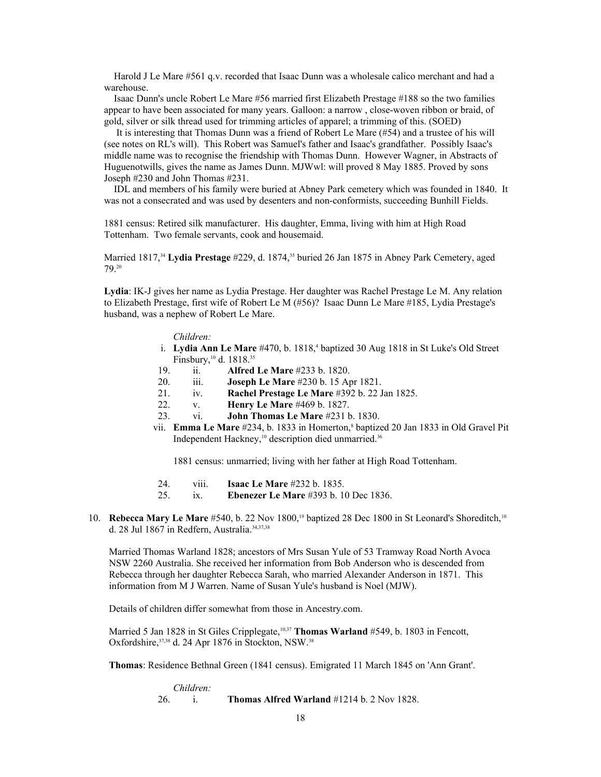Harold J Le Mare #561 q.v. recorded that Isaac Dunn was a wholesale calico merchant and had a warehouse.

 Isaac Dunn's uncle Robert Le Mare #56 married first Elizabeth Prestage #188 so the two families appear to have been associated for many years. Galloon: a narrow , close-woven ribbon or braid, of gold, silver or silk thread used for trimming articles of apparel; a trimming of this. (SOED)

 It is interesting that Thomas Dunn was a friend of Robert Le Mare (#54) and a trustee of his will (see notes on RL's will). This Robert was Samuel's father and Isaac's grandfather. Possibly Isaac's middle name was to recognise the friendship with Thomas Dunn. However Wagner, in Abstracts of Huguenotwills, gives the name as James Dunn. MJWwl: will proved 8 May 1885. Proved by sons Joseph #230 and John Thomas #231.

 IDL and members of his family were buried at Abney Park cemetery which was founded in 1840. It was not a consecrated and was used by desenters and non-conformists, succeeding Bunhill Fields.

1881 census: Retired silk manufacturer. His daughter, Emma, living with him at High Road Tottenham. Two female servants, cook and housemaid.

Married 1817,<sup>[34](#page-105-33)</sup> Lydia Prestage #229, d. 1874,<sup>[35](#page-105-34)</sup> buried 26 Jan 1875 in Abney Park Cemetery, aged 79.<sup>20</sup>

**Lydia**: IK-J gives her name as Lydia Prestage. Her daughter was Rachel Prestage Le M. Any relation to Elizabeth Prestage, first wife of Robert Le M (#56)? Isaac Dunn Le Mare #185, Lydia Prestage's husband, was a nephew of Robert Le Mare.

### *Children:*

- i. Lydia Ann Le Mare #470, b. 1818,<sup>4</sup> baptized 30 Aug 1818 in St Luke's Old Street Finsbury,<sup>10</sup> d. 1818.<sup>35</sup>
	- 19. ii. **Alfred Le Mare** #233 b. 1820.
	- 20. iii. **Joseph Le Mare** #230 b. 15 Apr 1821.
	- 21. iv. **Rachel Prestage Le Mare** #392 b. 22 Jan 1825.
	- 22. v. **Henry Le Mare** #469 b. 1827.
	- 23. vi. **John Thomas Le Mare** #231 b. 1830.
- vii. **Emma Le Mare** #234, b. 1833 in Homerton,<sup>8</sup> baptized 20 Jan 1833 in Old Gravel Pit Independent Hackney,<sup>10</sup> description died unmarried.<sup>[36](#page-105-35)</sup>

1881 census: unmarried; living with her father at High Road Tottenham.

- 24. viii. **Isaac Le Mare** #232 b. 1835.
- 25. ix. **Ebenezer Le Mare** #393 b. 10 Dec 1836.
- 10. **Rebecca Mary Le Mare** #540, b. 22 Nov 1800,<sup>19</sup> baptized 28 Dec 1800 in St Leonard's Shoreditch,<sup>10</sup> d. 28 Jul 1867 in Redfern, Australia.<sup>34[,37](#page-105-36)[,38](#page-105-37)</sup>

Married Thomas Warland 1828; ancestors of Mrs Susan Yule of 53 Tramway Road North Avoca NSW 2260 Australia. She received her information from Bob Anderson who is descended from Rebecca through her daughter Rebecca Sarah, who married Alexander Anderson in 1871. This information from M J Warren. Name of Susan Yule's husband is Noel (MJW).

Details of children differ somewhat from those in Ancestry.com.

Married 5 Jan 1828 in St Giles Cripplegate,<sup>10,37</sup> **Thomas Warland** #549, b. 1803 in Fencott, Oxfordshire, 37,38 d. 24 Apr 1876 in Stockton, NSW.<sup>38</sup>

**Thomas**: Residence Bethnal Green (1841 census). Emigrated 11 March 1845 on 'Ann Grant'.

*Children:* 26. i. **Thomas Alfred Warland** #1214 b. 2 Nov 1828.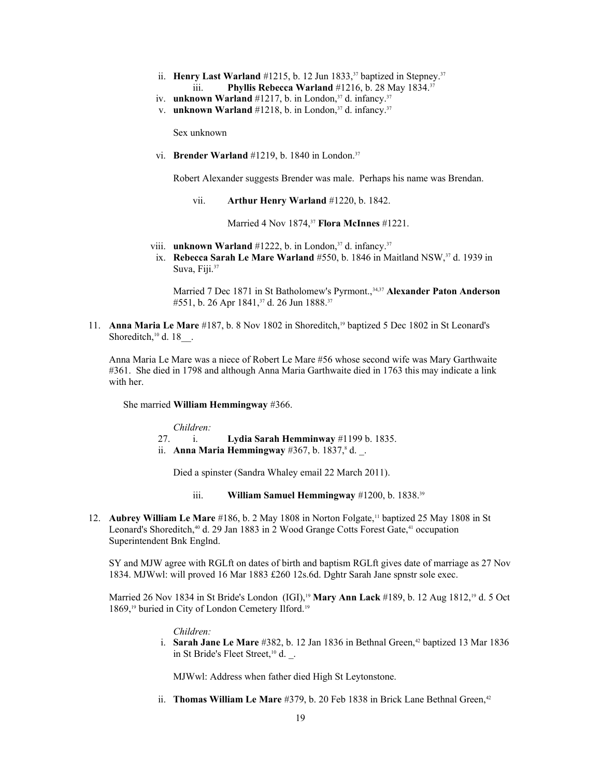- ii. **Henry Last Warland** #1215, b. 12 Jun 1833,<sup>37</sup> baptized in Stepney.<sup>37</sup> iii. **Phyllis Rebecca Warland** #1216, b. 28 May 1834.<sup>37</sup>
- iv. **unknown Warland** #1217, b. in London,<sup>37</sup> d. infancy.<sup>37</sup>
- v. **unknown Warland** #1218, b. in London,<sup>37</sup> d. infancy.<sup>37</sup>

Sex unknown

vi. **Brender Warland** #1219, b. 1840 in London.<sup>37</sup>

Robert Alexander suggests Brender was male. Perhaps his name was Brendan.

vii. **Arthur Henry Warland** #1220, b. 1842.

Married 4 Nov 1874,<sup>37</sup> **Flora McInnes** #1221.

- viii. **unknown Warland**  $\#1222$ , b. in London,<sup>37</sup> d. infancy.<sup>37</sup>
- ix. **Rebecca Sarah Le Mare Warland** #550, b. 1846 in Maitland NSW,<sup>37</sup> d. 1939 in Suva, Fiji.<sup>37</sup>

Married 7 Dec 1871 in St Batholomew's Pyrmont.,<sup>34,37</sup> Alexander Paton Anderson #551, b. 26 Apr 1841,<sup>37</sup> d. 26 Jun 1888.<sup>37</sup>

11. **Anna Maria Le Mare** #187, b. 8 Nov 1802 in Shoreditch,19 baptized 5 Dec 1802 in St Leonard's Shoreditch, $10$  d. 18 $\ldots$ 

Anna Maria Le Mare was a niece of Robert Le Mare #56 whose second wife was Mary Garthwaite #361. She died in 1798 and although Anna Maria Garthwaite died in 1763 this may indicate a link with her.

She married **William Hemmingway** #366.

*Children:*

- 27. i. **Lydia Sarah Hemminway** #1199 b. 1835.
- ii. **Anna Maria Hemmingway** #367, b. 1837, <sup>8</sup> d.

Died a spinster (Sandra Whaley email 22 March 2011).

- iii. **William Samuel Hemmingway** #1200, b. 1838.<sup>[39](#page-105-38)</sup>
- 12. **Aubrey William Le Mare** #186, b. 2 May 1808 in Norton Folgate,<sup>11</sup> baptized 25 May 1808 in St Leonard's Shoreditch,<sup>[40](#page-105-39)</sup> d. 29 Jan 1883 in 2 Wood Grange Cotts Forest Gate,<sup>[41](#page-105-40)</sup> occupation Superintendent Bnk Englnd.

SY and MJW agree with RGLft on dates of birth and baptism RGLft gives date of marriage as 27 Nov 1834. MJWwl: will proved 16 Mar 1883 £260 12s.6d. Dghtr Sarah Jane spnstr sole exec.

Married 26 Nov 1834 in St Bride's London (IGI),<sup>19</sup> **Mary Ann Lack** #189, b. 12 Aug 1812,<sup>19</sup> d. 5 Oct 1869,<sup>19</sup> buried in City of London Cemetery Ilford.<sup>19</sup>

*Children:*

i. **Sarah Jane Le Mare** #382, b. 12 Jan 1836 in Bethnal Green,<sup>[42](#page-105-41)</sup> baptized 13 Mar 1836 in St Bride's Fleet Street,<sup>10</sup> d. .

MJWwl: Address when father died High St Leytonstone.

ii. **Thomas William Le Mare** #379, b. 20 Feb 1838 in Brick Lane Bethnal Green,<sup>42</sup>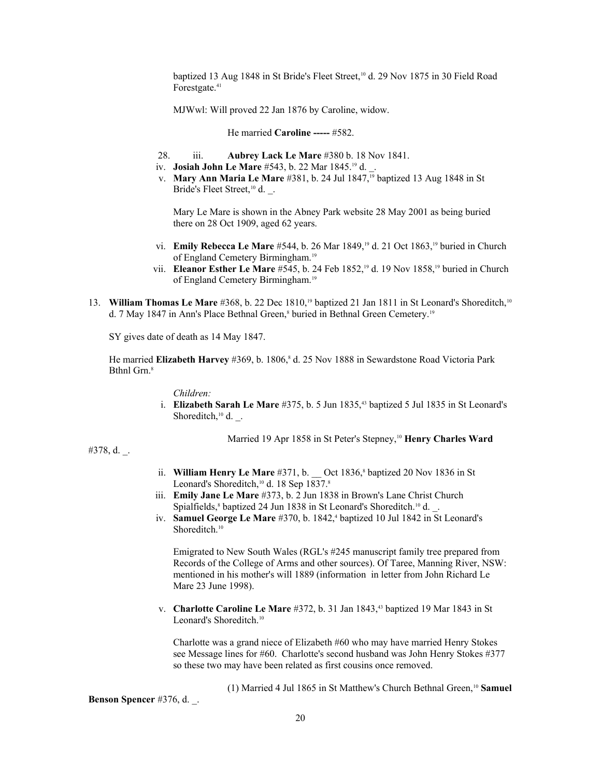baptized 13 Aug 1848 in St Bride's Fleet Street,<sup>10</sup> d. 29 Nov 1875 in 30 Field Road Forestgate.<sup>41</sup>

MJWwl: Will proved 22 Jan 1876 by Caroline, widow.

He married **Caroline -----** #582.

- 28. iii. **Aubrey Lack Le Mare** #380 b. 18 Nov 1841.
- iv. **Josiah John Le Mare** #543, b. 22 Mar 1845.19 d. \_.
- v. **Mary Ann Maria Le Mare** #381, b. 24 Jul 1847,<sup>19</sup> baptized 13 Aug 1848 in St Bride's Fleet Street,<sup>10</sup> d. .

Mary Le Mare is shown in the Abney Park website 28 May 2001 as being buried there on 28 Oct 1909, aged 62 years.

- vi. **Emily Rebecca Le Mare** #544, b. 26 Mar 1849,19 d. 21 Oct 1863,19 buried in Church of England Cemetery Birmingham.<sup>19</sup>
- vii. **Eleanor Esther Le Mare** #545, b. 24 Feb 1852,19 d. 19 Nov 1858,19 buried in Church of England Cemetery Birmingham.<sup>19</sup>
- 13. **William Thomas Le Mare** #368, b. 22 Dec 1810,19 baptized 21 Jan 1811 in St Leonard's Shoreditch,<sup>10</sup> d. 7 May 1847 in Ann's Place Bethnal Green,<sup>8</sup> buried in Bethnal Green Cemetery.<sup>19</sup>

SY gives date of death as 14 May 1847.

He married Elizabeth Harvey #369, b. 1806,<sup>8</sup> d. 25 Nov 1888 in Sewardstone Road Victoria Park Bthnl Grn.<sup>8</sup>

*Children:*

i. **Elizabeth Sarah Le Mare** #375, b. 5 Jun 1835,<sup>[43](#page-105-42)</sup> baptized 5 Jul 1835 in St Leonard's Shoreditch,<sup>10</sup> d. .

Married 19 Apr 1858 in St Peter's Stepney,<sup>10</sup> Henry Charles Ward

#378, d. \_.

- ii. **William Henry Le Mare** #371, b.  $\qquad$  Oct 1836,<sup>8</sup> baptized 20 Nov 1836 in St Leonard's Shoreditch,<sup>10</sup> d. 18 Sep 1837.<sup>8</sup>
	- iii. **Emily Jane Le Mare** #373, b. 2 Jun 1838 in Brown's Lane Christ Church Spialfields,<sup>8</sup> baptized 24 Jun 1838 in St Leonard's Shoreditch.<sup>10</sup> d.
- iv. **Samuel George Le Mare** #370, b. 1842,<sup>4</sup> baptized 10 Jul 1842 in St Leonard's Shoreditch.<sup>10</sup>

Emigrated to New South Wales (RGL's #245 manuscript family tree prepared from Records of the College of Arms and other sources). Of Taree, Manning River, NSW: mentioned in his mother's will 1889 (information in letter from John Richard Le Mare 23 June 1998).

v. **Charlotte Caroline Le Mare** #372, b. 31 Jan 1843,<sup>43</sup> baptized 19 Mar 1843 in St Leonard's Shoreditch.<sup>10</sup>

Charlotte was a grand niece of Elizabeth #60 who may have married Henry Stokes see Message lines for #60. Charlotte's second husband was John Henry Stokes #377 so these two may have been related as first cousins once removed.

(1) Married 4 Jul 1865 in St Matthew's Church Bethnal Green,<sup>10</sup> **Samuel**

**Benson Spencer** #376, d. \_.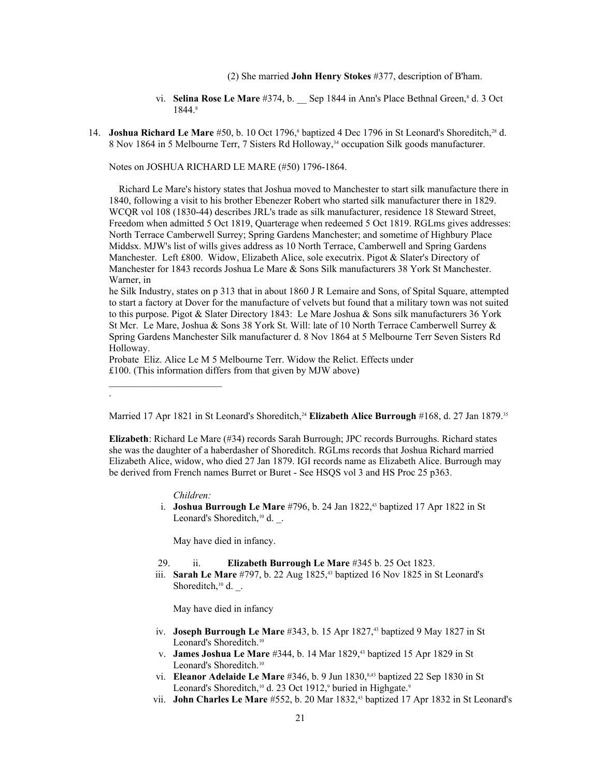(2) She married **John Henry Stokes** #377, description of B'ham.

- vi. **Selina Rose Le Mare** #374, b. Sep 1844 in Ann's Place Bethnal Green,<sup>8</sup> d. 3 Oct 1844.8
- 14. **Joshua Richard Le Mare** #50, b. 10 Oct 1796,<sup>8</sup> baptized 4 Dec 1796 in St Leonard's Shoreditch,<sup>28</sup> d. 8 Nov 1864 in 5 Melbourne Terr, 7 Sisters Rd Holloway,<sup>34</sup> occupation Silk goods manufacturer.

Notes on JOSHUA RICHARD LE MARE (#50) 1796-1864.

 Richard Le Mare's history states that Joshua moved to Manchester to start silk manufacture there in 1840, following a visit to his brother Ebenezer Robert who started silk manufacturer there in 1829. WCQR vol 108 (1830-44) describes JRL's trade as silk manufacturer, residence 18 Steward Street, Freedom when admitted 5 Oct 1819, Quarterage when redeemed 5 Oct 1819. RGLms gives addresses: North Terrace Camberwell Surrey; Spring Gardens Manchester; and sometime of Highbury Place Middsx. MJW's list of wills gives address as 10 North Terrace, Camberwell and Spring Gardens Manchester. Left £800. Widow, Elizabeth Alice, sole executrix. Pigot & Slater's Directory of Manchester for 1843 records Joshua Le Mare & Sons Silk manufacturers 38 York St Manchester. Warner, in

he Silk Industry, states on p 313 that in about 1860 J R Lemaire and Sons, of Spital Square, attempted to start a factory at Dover for the manufacture of velvets but found that a military town was not suited to this purpose. Pigot & Slater Directory 1843: Le Mare Joshua & Sons silk manufacturers 36 York St Mcr. Le Mare, Joshua & Sons 38 York St. Will: late of 10 North Terrace Camberwell Surrey & Spring Gardens Manchester Silk manufacturer d. 8 Nov 1864 at 5 Melbourne Terr Seven Sisters Rd Holloway.

Probate Eliz. Alice Le M 5 Melbourne Terr. Widow the Relict. Effects under £100. (This information differs from that given by MJW above)

Married 17 Apr 1821 in St Leonard's Shoreditch,<sup>24</sup> Elizabeth Alice Burrough #168, d. 27 Jan 1879.<sup>35</sup>

**Elizabeth**: Richard Le Mare (#34) records Sarah Burrough; JPC records Burroughs. Richard states she was the daughter of a haberdasher of Shoreditch. RGLms records that Joshua Richard married Elizabeth Alice, widow, who died 27 Jan 1879. IGI records name as Elizabeth Alice. Burrough may be derived from French names Burret or Buret - See HSQS vol 3 and HS Proc 25 p363.

#### *Children:*

.

i. **Joshua Burrough Le Mare** #796, b. 24 Jan 1822,<sup>43</sup> baptized 17 Apr 1822 in St Leonard's Shoreditch,<sup>10</sup> d. \_.

May have died in infancy.

29. ii. **Elizabeth Burrough Le Mare** #345 b. 25 Oct 1823.

 iii. **Sarah Le Mare** #797, b. 22 Aug 1825,43 baptized 16 Nov 1825 in St Leonard's Shoreditch, $10 d$ ...

May have died in infancy

- iv. **Joseph Burrough Le Mare** #343, b. 15 Apr 1827,<sup>43</sup> baptized 9 May 1827 in St Leonard's Shoreditch.<sup>10</sup>
- v. **James Joshua Le Mare** #344, b. 14 Mar 1829,43 baptized 15 Apr 1829 in St Leonard's Shoreditch.<sup>10</sup>
- vi. **Eleanor Adelaide Le Mare** #346, b. 9 Jun 1830,8,43 baptized 22 Sep 1830 in St Leonard's Shoreditch,<sup>10</sup> d. 23 Oct 1912,<sup>9</sup> buried in Highgate.<sup>9</sup>
- vii. **John Charles Le Mare** #552, b. 20 Mar 1832,<sup>43</sup> baptized 17 Apr 1832 in St Leonard's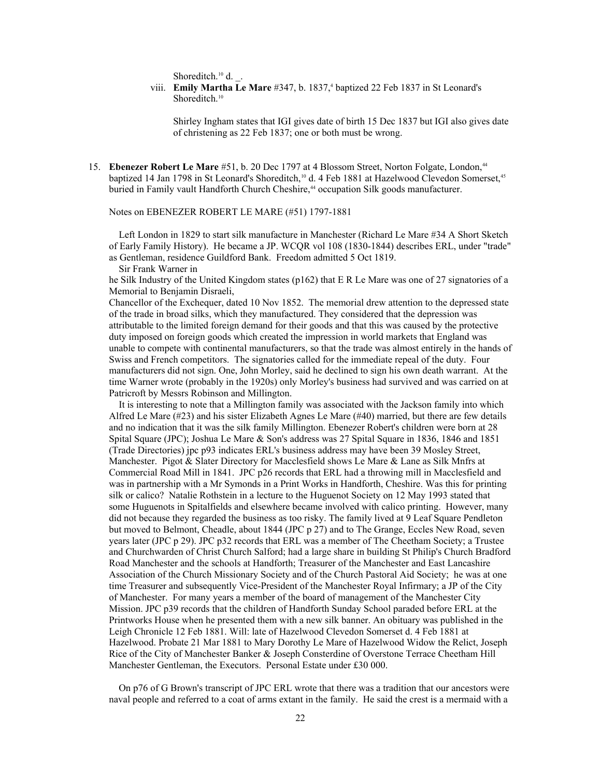Shoreditch.<sup>10</sup> d. .

viii. **Emily Martha Le Mare** #347, b. 1837,<sup>4</sup> baptized 22 Feb 1837 in St Leonard's Shoreditch.<sup>10</sup>

> Shirley Ingham states that IGI gives date of birth 15 Dec 1837 but IGI also gives date of christening as 22 Feb 1837; one or both must be wrong.

15. **Ebenezer Robert Le Mare** #51, b. 20 Dec 1797 at 4 Blossom Street, Norton Folgate, London,<sup>[44](#page-105-43)</sup> baptized 14 Jan 1798 in St Leonard's Shoreditch,<sup>10</sup> d. 4 Feb 1881 at Hazelwood Clevedon Somerset,<sup>[45](#page-105-44)</sup> buried in Family vault Handforth Church Cheshire,<sup>44</sup> occupation Silk goods manufacturer.

### Notes on EBENEZER ROBERT LE MARE (#51) 1797-1881

 Left London in 1829 to start silk manufacture in Manchester (Richard Le Mare #34 A Short Sketch of Early Family History). He became a JP. WCQR vol 108 (1830-1844) describes ERL, under "trade" as Gentleman, residence Guildford Bank. Freedom admitted 5 Oct 1819.

Sir Frank Warner in

he Silk Industry of the United Kingdom states (p162) that E R Le Mare was one of 27 signatories of a Memorial to Benjamin Disraeli,

Chancellor of the Exchequer, dated 10 Nov 1852. The memorial drew attention to the depressed state of the trade in broad silks, which they manufactured. They considered that the depression was attributable to the limited foreign demand for their goods and that this was caused by the protective duty imposed on foreign goods which created the impression in world markets that England was unable to compete with continental manufacturers, so that the trade was almost entirely in the hands of Swiss and French competitors. The signatories called for the immediate repeal of the duty. Four manufacturers did not sign. One, John Morley, said he declined to sign his own death warrant. At the time Warner wrote (probably in the 1920s) only Morley's business had survived and was carried on at Patricroft by Messrs Robinson and Millington.

 It is interesting to note that a Millington family was associated with the Jackson family into which Alfred Le Mare (#23) and his sister Elizabeth Agnes Le Mare (#40) married, but there are few details and no indication that it was the silk family Millington. Ebenezer Robert's children were born at 28 Spital Square (JPC); Joshua Le Mare & Son's address was 27 Spital Square in 1836, 1846 and 1851 (Trade Directories) jpc p93 indicates ERL's business address may have been 39 Mosley Street, Manchester. Pigot & Slater Directory for Macclesfield shows Le Mare & Lane as Silk Mnfrs at Commercial Road Mill in 1841. JPC p26 records that ERL had a throwing mill in Macclesfield and was in partnership with a Mr Symonds in a Print Works in Handforth, Cheshire. Was this for printing silk or calico? Natalie Rothstein in a lecture to the Huguenot Society on 12 May 1993 stated that some Huguenots in Spitalfields and elsewhere became involved with calico printing. However, many did not because they regarded the business as too risky. The family lived at 9 Leaf Square Pendleton but moved to Belmont, Cheadle, about 1844 (JPC p 27) and to The Grange, Eccles New Road, seven years later (JPC p 29). JPC p32 records that ERL was a member of The Cheetham Society; a Trustee and Churchwarden of Christ Church Salford; had a large share in building St Philip's Church Bradford Road Manchester and the schools at Handforth; Treasurer of the Manchester and East Lancashire Association of the Church Missionary Society and of the Church Pastoral Aid Society; he was at one time Treasurer and subsequently Vice-President of the Manchester Royal Infirmary; a JP of the City of Manchester. For many years a member of the board of management of the Manchester City Mission. JPC p39 records that the children of Handforth Sunday School paraded before ERL at the Printworks House when he presented them with a new silk banner. An obituary was published in the Leigh Chronicle 12 Feb 1881. Will: late of Hazelwood Clevedon Somerset d. 4 Feb 1881 at Hazelwood. Probate 21 Mar 1881 to Mary Dorothy Le Mare of Hazelwood Widow the Relict, Joseph Rice of the City of Manchester Banker & Joseph Consterdine of Overstone Terrace Cheetham Hill Manchester Gentleman, the Executors. Personal Estate under £30 000.

 On p76 of G Brown's transcript of JPC ERL wrote that there was a tradition that our ancestors were naval people and referred to a coat of arms extant in the family. He said the crest is a mermaid with a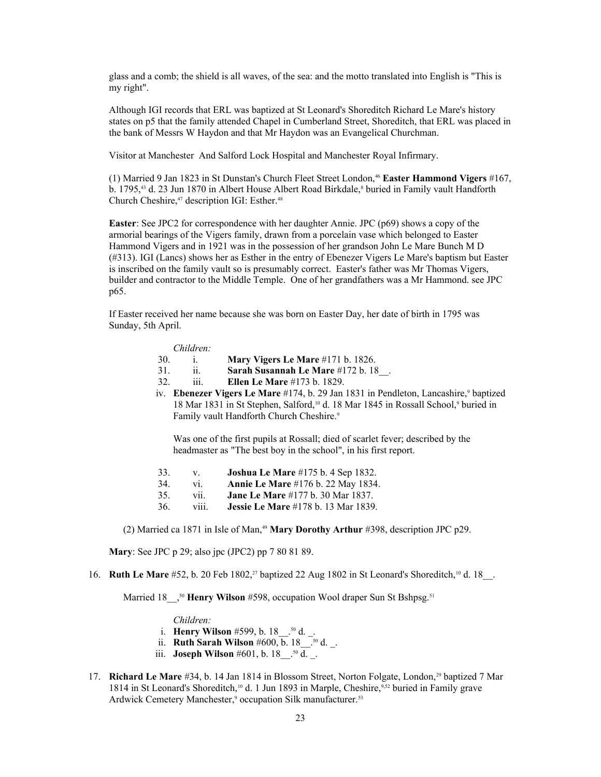glass and a comb; the shield is all waves, of the sea: and the motto translated into English is "This is my right".

Although IGI records that ERL was baptized at St Leonard's Shoreditch Richard Le Mare's history states on p5 that the family attended Chapel in Cumberland Street, Shoreditch, that ERL was placed in the bank of Messrs W Haydon and that Mr Haydon was an Evangelical Churchman.

Visitor at Manchester And Salford Lock Hospital and Manchester Royal Infirmary.

(1) Married 9 Jan 1823 in St Dunstan's Church Fleet Street London,[46](#page-105-45) **Easter Hammond Vigers** #167, b. 1795,<sup>43</sup> d. 23 Jun 1870 in Albert House Albert Road Birkdale,<sup>8</sup> buried in Family vault Handforth Church Cheshire, <sup>[47](#page-105-46)</sup> description IGI: Esther.<sup>[48](#page-105-47)</sup>

**Easter**: See JPC2 for correspondence with her daughter Annie. JPC (p69) shows a copy of the armorial bearings of the Vigers family, drawn from a porcelain vase which belonged to Easter Hammond Vigers and in 1921 was in the possession of her grandson John Le Mare Bunch M D (#313). IGI (Lancs) shows her as Esther in the entry of Ebenezer Vigers Le Mare's baptism but Easter is inscribed on the family vault so is presumably correct. Easter's father was Mr Thomas Vigers, builder and contractor to the Middle Temple. One of her grandfathers was a Mr Hammond. see JPC p65.

If Easter received her name because she was born on Easter Day, her date of birth in 1795 was Sunday, 5th April.

#### *Children:*

- 30. i. **Mary Vigers Le Mare** #171 b. 1826.
- 31. ii. **Sarah Susannah Le Mare** #172 b. 18\_\_.
- 32. iii. **Ellen Le Mare** #173 b. 1829.
- iv. **Ebenezer Vigers Le Mare** #174, b. 29 Jan 1831 in Pendleton, Lancashire,<sup>9</sup> baptized 18 Mar 1831 in St Stephen, Salford,<sup>10</sup> d. 18 Mar 1845 in Rossall School,<sup>9</sup> buried in Family vault Handforth Church Cheshire.<sup>9</sup>

Was one of the first pupils at Rossall; died of scarlet fever; described by the headmaster as "The best boy in the school", in his first report.

- 33. v. **Joshua Le Mare** #175 b. 4 Sep 1832.
- 34. vi. **Annie Le Mare** #176 b. 22 May 1834.
- 35. vii. **Jane Le Mare** #177 b. 30 Mar 1837.
- 36. viii. **Jessie Le Mare** #178 b. 13 Mar 1839.

(2) Married ca 1871 in Isle of Man,[49](#page-105-48) **Mary Dorothy Arthur** #398, description JPC p29.

**Mary**: See JPC p 29; also jpc (JPC2) pp 7 80 81 89.

16. **Ruth Le Mare** #52, b. 20 Feb 1802,<sup>27</sup> baptized 22 Aug 1802 in St Leonard's Shoreditch,<sup>10</sup> d. 18<sup>1</sup>.

Married 18<sup>nd</sup>,<sup>[50](#page-105-49)</sup> **Henry Wilson** #598, occupation Wool draper Sun St Bshpsg.<sup>[51](#page-105-50)</sup>

### *Children:*

- i. **Henry Wilson** #599, b. 18\_\_.50 d. \_.
- ii. **Ruth Sarah Wilson** #600, b. 18\_\_.50 d. \_.
	- iii. **Joseph Wilson** #601, b. 18 .<sup>50</sup> d. .
- 17. **Richard Le Mare** #34, b. 14 Jan 1814 in Blossom Street, Norton Folgate, London,<sup>29</sup> baptized 7 Mar 1814 in St Leonard's Shoreditch,10 d. 1 Jun 1893 in Marple, Cheshire,9[,52](#page-105-51) buried in Family grave Ardwick Cemetery Manchester,<sup>9</sup> occupation Silk manufacturer.<sup>[53](#page-105-52)</sup>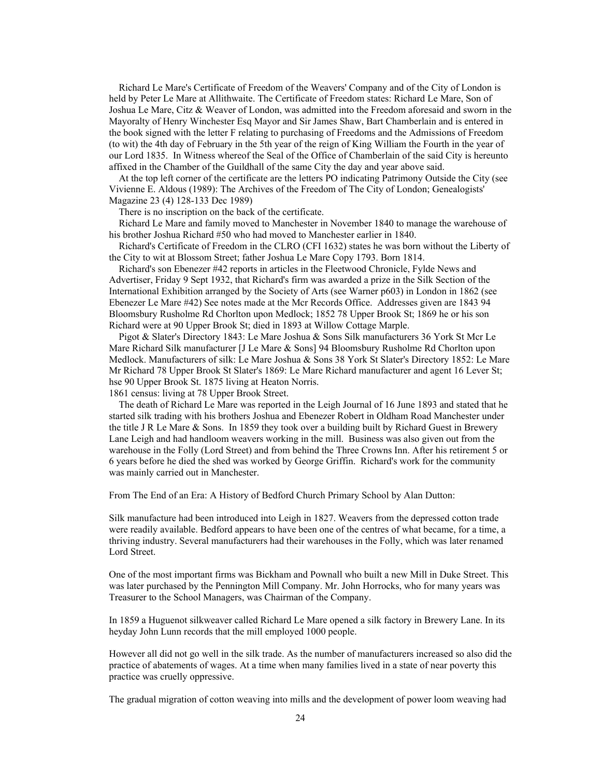Richard Le Mare's Certificate of Freedom of the Weavers' Company and of the City of London is held by Peter Le Mare at Allithwaite. The Certificate of Freedom states: Richard Le Mare, Son of Joshua Le Mare, Citz & Weaver of London, was admitted into the Freedom aforesaid and sworn in the Mayoralty of Henry Winchester Esq Mayor and Sir James Shaw, Bart Chamberlain and is entered in the book signed with the letter F relating to purchasing of Freedoms and the Admissions of Freedom (to wit) the 4th day of February in the 5th year of the reign of King William the Fourth in the year of our Lord 1835. In Witness whereof the Seal of the Office of Chamberlain of the said City is hereunto affixed in the Chamber of the Guildhall of the same City the day and year above said.

 At the top left corner of the certificate are the letters PO indicating Patrimony Outside the City (see Vivienne E. Aldous (1989): The Archives of the Freedom of The City of London; Genealogists' Magazine 23 (4) 128-133 Dec 1989)

There is no inscription on the back of the certificate.

 Richard Le Mare and family moved to Manchester in November 1840 to manage the warehouse of his brother Joshua Richard #50 who had moved to Manchester earlier in 1840.

 Richard's Certificate of Freedom in the CLRO (CFI 1632) states he was born without the Liberty of the City to wit at Blossom Street; father Joshua Le Mare Copy 1793. Born 1814.

 Richard's son Ebenezer #42 reports in articles in the Fleetwood Chronicle, Fylde News and Advertiser, Friday 9 Sept 1932, that Richard's firm was awarded a prize in the Silk Section of the International Exhibition arranged by the Society of Arts (see Warner p603) in London in 1862 (see Ebenezer Le Mare #42) See notes made at the Mcr Records Office. Addresses given are 1843 94 Bloomsbury Rusholme Rd Chorlton upon Medlock; 1852 78 Upper Brook St; 1869 he or his son Richard were at 90 Upper Brook St; died in 1893 at Willow Cottage Marple.

 Pigot & Slater's Directory 1843: Le Mare Joshua & Sons Silk manufacturers 36 York St Mcr Le Mare Richard Silk manufacturer [J Le Mare & Sons] 94 Bloomsbury Rusholme Rd Chorlton upon Medlock. Manufacturers of silk: Le Mare Joshua & Sons 38 York St Slater's Directory 1852: Le Mare Mr Richard 78 Upper Brook St Slater's 1869: Le Mare Richard manufacturer and agent 16 Lever St; hse 90 Upper Brook St. 1875 living at Heaton Norris.

1861 census: living at 78 Upper Brook Street.

 The death of Richard Le Mare was reported in the Leigh Journal of 16 June 1893 and stated that he started silk trading with his brothers Joshua and Ebenezer Robert in Oldham Road Manchester under the title J R Le Mare & Sons. In 1859 they took over a building built by Richard Guest in Brewery Lane Leigh and had handloom weavers working in the mill. Business was also given out from the warehouse in the Folly (Lord Street) and from behind the Three Crowns Inn. After his retirement 5 or 6 years before he died the shed was worked by George Griffin. Richard's work for the community was mainly carried out in Manchester.

From The End of an Era: A History of Bedford Church Primary School by Alan Dutton:

Silk manufacture had been introduced into Leigh in 1827. Weavers from the depressed cotton trade were readily available. Bedford appears to have been one of the centres of what became, for a time, a thriving industry. Several manufacturers had their warehouses in the Folly, which was later renamed Lord Street.

One of the most important firms was Bickham and Pownall who built a new Mill in Duke Street. This was later purchased by the Pennington Mill Company. Mr. John Horrocks, who for many years was Treasurer to the School Managers, was Chairman of the Company.

In 1859 a Huguenot silkweaver called Richard Le Mare opened a silk factory in Brewery Lane. In its heyday John Lunn records that the mill employed 1000 people.

However all did not go well in the silk trade. As the number of manufacturers increased so also did the practice of abatements of wages. At a time when many families lived in a state of near poverty this practice was cruelly oppressive.

The gradual migration of cotton weaving into mills and the development of power loom weaving had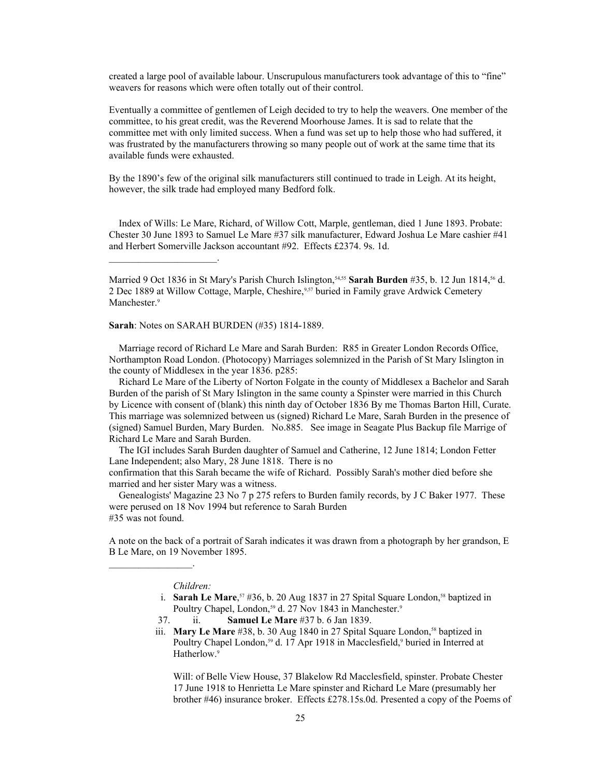created a large pool of available labour. Unscrupulous manufacturers took advantage of this to "fine" weavers for reasons which were often totally out of their control.

Eventually a committee of gentlemen of Leigh decided to try to help the weavers. One member of the committee, to his great credit, was the Reverend Moorhouse James. It is sad to relate that the committee met with only limited success. When a fund was set up to help those who had suffered, it was frustrated by the manufacturers throwing so many people out of work at the same time that its available funds were exhausted.

By the 1890's few of the original silk manufacturers still continued to trade in Leigh. At its height, however, the silk trade had employed many Bedford folk.

 Index of Wills: Le Mare, Richard, of Willow Cott, Marple, gentleman, died 1 June 1893. Probate: Chester 30 June 1893 to Samuel Le Mare #37 silk manufacturer, Edward Joshua Le Mare cashier #41 and Herbert Somerville Jackson accountant #92. Effects £2374. 9s. 1d.

Married 9 Oct 1836 in St Mary's Parish Church Islington,<sup>[54](#page-105-53)[,55](#page-105-54)</sup> Sarah Burden #35, b. 12 Jun 1814,<sup>[56](#page-105-55)</sup> d. 2 Dec 1889 at Willow Cottage, Marple, Cheshire, 9[,57](#page-106-0) buried in Family grave Ardwick Cemetery Manchester.<sup>9</sup>

**Sarah**: Notes on SARAH BURDEN (#35) 1814-1889.

 $\mathcal{L}_\text{max}$  and  $\mathcal{L}_\text{max}$  and  $\mathcal{L}_\text{max}$ 

 Marriage record of Richard Le Mare and Sarah Burden: R85 in Greater London Records Office, Northampton Road London. (Photocopy) Marriages solemnized in the Parish of St Mary Islington in the county of Middlesex in the year 1836. p285:

 Richard Le Mare of the Liberty of Norton Folgate in the county of Middlesex a Bachelor and Sarah Burden of the parish of St Mary Islington in the same county a Spinster were married in this Church by Licence with consent of (blank) this ninth day of October 1836 By me Thomas Barton Hill, Curate. This marriage was solemnized between us (signed) Richard Le Mare, Sarah Burden in the presence of (signed) Samuel Burden, Mary Burden. No.885. See image in Seagate Plus Backup file Marrige of Richard Le Mare and Sarah Burden.

 The IGI includes Sarah Burden daughter of Samuel and Catherine, 12 June 1814; London Fetter Lane Independent; also Mary, 28 June 1818. There is no

confirmation that this Sarah became the wife of Richard. Possibly Sarah's mother died before she married and her sister Mary was a witness.

 Genealogists' Magazine 23 No 7 p 275 refers to Burden family records, by J C Baker 1977. These were perused on 18 Nov 1994 but reference to Sarah Burden #35 was not found.

A note on the back of a portrait of Sarah indicates it was drawn from a photograph by her grandson, E B Le Mare, on 19 November 1895.

#### *Children:*

 $\mathcal{L}_\text{max}$  and  $\mathcal{L}_\text{max}$  and  $\mathcal{L}_\text{max}$ 

- i. **Sarah Le Mare**,<sup> $57$ </sup> #36, b. 20 Aug 1837 in 27 Spital Square London, $^{58}$  $^{58}$  $^{58}$  baptized in Poultry Chapel, London,<sup>[59](#page-106-2)</sup> d. 27 Nov 1843 in Manchester.<sup>9</sup>
	- 37. ii. **Samuel Le Mare** #37 b. 6 Jan 1839.
	- iii. **Mary Le Mare** #38, b. 30 Aug 1840 in 27 Spital Square London,<sup>58</sup> baptized in Poultry Chapel London,<sup>59</sup> d. 17 Apr 1918 in Macclesfield,<sup>9</sup> buried in Interred at Hatherlow.<sup>9</sup>

Will: of Belle View House, 37 Blakelow Rd Macclesfield, spinster. Probate Chester 17 June 1918 to Henrietta Le Mare spinster and Richard Le Mare (presumably her brother #46) insurance broker. Effects £278.15s.0d. Presented a copy of the Poems of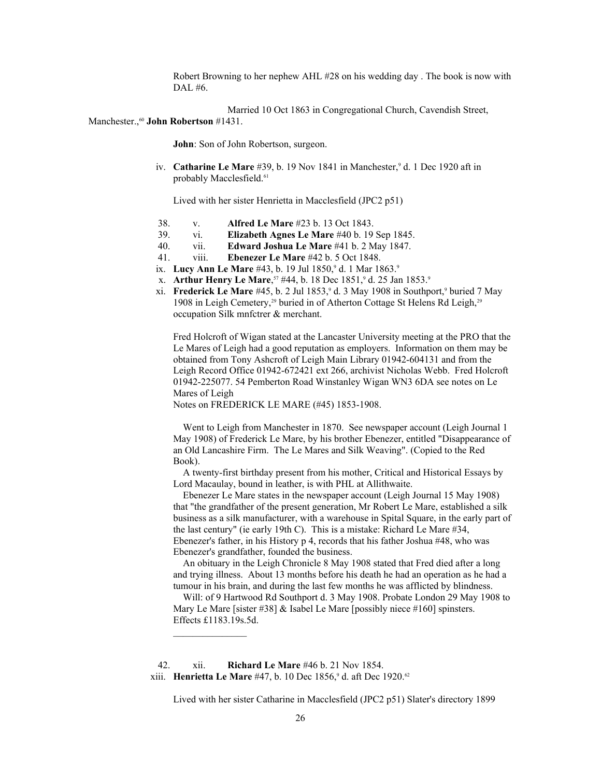Robert Browning to her nephew AHL #28 on his wedding day . The book is now with DAL #6.

Married 10 Oct 1863 in Congregational Church, Cavendish Street, Manchester.,<sup>[60](#page-106-3)</sup> John Robertson #1431.

**John**: Son of John Robertson, surgeon.

iv. **Catharine Le Mare** #39, b. 19 Nov 1841 in Manchester,<sup>9</sup> d. 1 Dec 1920 aft in probably Macclesfield.<sup>[61](#page-106-4)</sup>

Lived with her sister Henrietta in Macclesfield (JPC2 p51)

- 38. v. **Alfred Le Mare** #23 b. 13 Oct 1843.
- 39. vi. **Elizabeth Agnes Le Mare** #40 b. 19 Sep 1845.
- 40. vii. **Edward Joshua Le Mare** #41 b. 2 May 1847.
- 41. viii. **Ebenezer Le Mare** #42 b. 5 Oct 1848.
- ix. Lucy Ann Le Mare #43, b. 19 Jul 1850,<sup>9</sup> d. 1 Mar 1863.<sup>9</sup>
- x. **Arthur Henry Le Mare**,<sup>57</sup> #44, b. 18 Dec 1851,<sup>9</sup> d. 25 Jan 1853.<sup>9</sup>
- xi. **Frederick Le Mare** #45, b. 2 Jul 1853, <sup>9</sup> d. 3 May 1908 in Southport, <sup>9</sup> buried 7 May 1908 in Leigh Cemetery,<sup>29</sup> buried in of Atherton Cottage St Helens Rd Leigh,<sup>29</sup> occupation Silk mnfctrer & merchant.

Fred Holcroft of Wigan stated at the Lancaster University meeting at the PRO that the Le Mares of Leigh had a good reputation as employers. Information on them may be obtained from Tony Ashcroft of Leigh Main Library 01942-604131 and from the Leigh Record Office 01942-672421 ext 266, archivist Nicholas Webb. Fred Holcroft 01942-225077. 54 Pemberton Road Winstanley Wigan WN3 6DA see notes on Le Mares of Leigh

Notes on FREDERICK LE MARE (#45) 1853-1908.

 Went to Leigh from Manchester in 1870. See newspaper account (Leigh Journal 1 May 1908) of Frederick Le Mare, by his brother Ebenezer, entitled "Disappearance of an Old Lancashire Firm. The Le Mares and Silk Weaving". (Copied to the Red Book).

 A twenty-first birthday present from his mother, Critical and Historical Essays by Lord Macaulay, bound in leather, is with PHL at Allithwaite.

 Ebenezer Le Mare states in the newspaper account (Leigh Journal 15 May 1908) that "the grandfather of the present generation, Mr Robert Le Mare, established a silk business as a silk manufacturer, with a warehouse in Spital Square, in the early part of the last century" (ie early 19th C). This is a mistake: Richard Le Mare #34, Ebenezer's father, in his History p 4, records that his father Joshua #48, who was Ebenezer's grandfather, founded the business.

 An obituary in the Leigh Chronicle 8 May 1908 stated that Fred died after a long and trying illness. About 13 months before his death he had an operation as he had a tumour in his brain, and during the last few months he was afflicted by blindness.

 Will: of 9 Hartwood Rd Southport d. 3 May 1908. Probate London 29 May 1908 to Mary Le Mare [sister #38]  $\&$  Isabel Le Mare [possibly niece #160] spinsters. Effects £1183.19s.5d.

 42. xii. **Richard Le Mare** #46 b. 21 Nov 1854. xiii. **Henrietta Le Mare** #47, b. 10 Dec 1856,<sup>9</sup> d. aft Dec 1920.<sup>[62](#page-106-5)</sup>

Lived with her sister Catharine in Macclesfield (JPC2 p51) Slater's directory 1899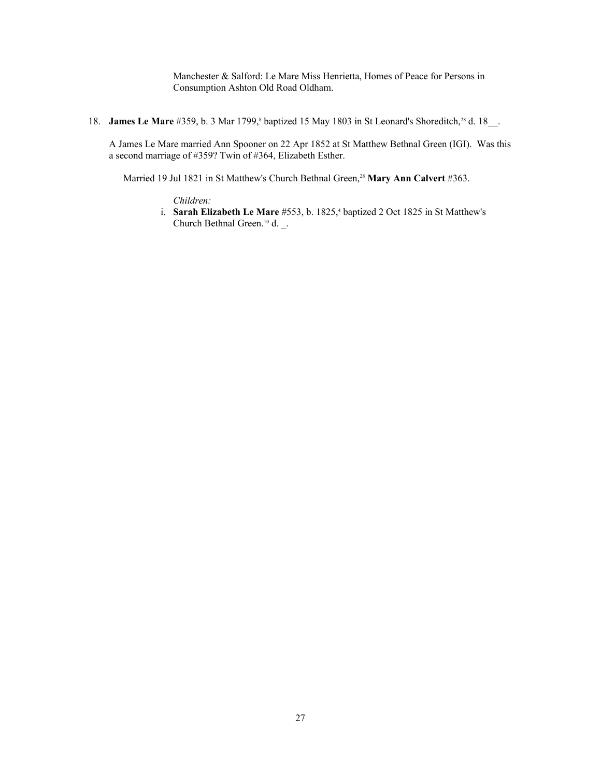Manchester & Salford: Le Mare Miss Henrietta, Homes of Peace for Persons in Consumption Ashton Old Road Oldham.

18. **James Le Mare** #359, b. 3 Mar 1799,<sup>8</sup> baptized 15 May 1803 in St Leonard's Shoreditch,<sup>28</sup> d. 18<sub>\_\_</sub>.

A James Le Mare married Ann Spooner on 22 Apr 1852 at St Matthew Bethnal Green (IGI). Was this a second marriage of #359? Twin of #364, Elizabeth Esther.

Married 19 Jul 1821 in St Matthew's Church Bethnal Green,<sup>28</sup> Mary Ann Calvert #363.

*Children:*

i. **Sarah Elizabeth Le Mare** #553, b. 1825,<sup>4</sup> baptized 2 Oct 1825 in St Matthew's Church Bethnal Green.<sup>10</sup> d. \_.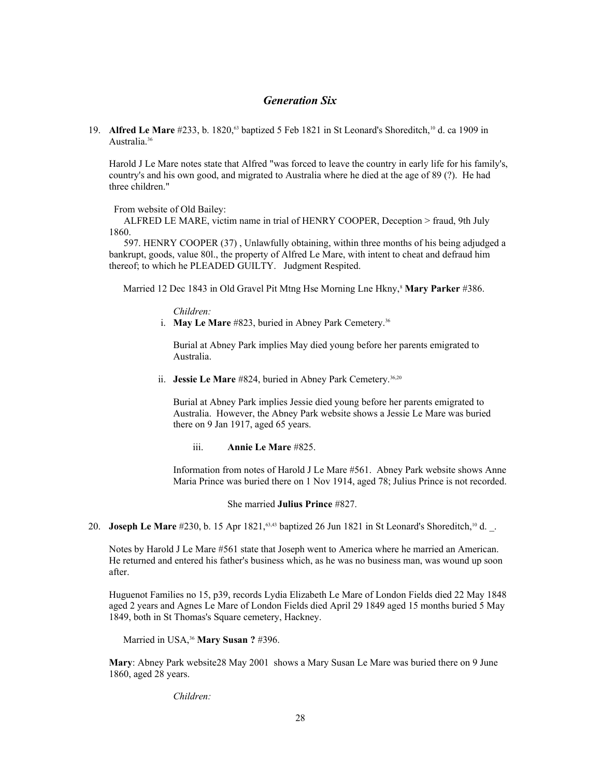# *Generation Six*

19. **Alfred Le Mare** #233, b. 1820,<sup>[63](#page-106-6)</sup> baptized 5 Feb 1821 in St Leonard's Shoreditch,<sup>10</sup> d. ca 1909 in Australia.<sup>36</sup>

Harold J Le Mare notes state that Alfred "was forced to leave the country in early life for his family's, country's and his own good, and migrated to Australia where he died at the age of 89 (?). He had three children."

From website of Old Bailey:

 ALFRED LE MARE, victim name in trial of HENRY COOPER, Deception > fraud, 9th July 1860.

 597. HENRY COOPER (37) , Unlawfully obtaining, within three months of his being adjudged a bankrupt, goods, value 80l., the property of Alfred Le Mare, with intent to cheat and defraud him thereof; to which he PLEADED GUILTY. Judgment Respited.

Married 12 Dec 1843 in Old Gravel Pit Mtng Hse Morning Lne Hkny,<sup>8</sup> Mary Parker #386.

*Children:*

i. **May Le Mare** #823, buried in Abney Park Cemetery.<sup>36</sup>

Burial at Abney Park implies May died young before her parents emigrated to Australia.

ii. **Jessie Le Mare** #824, buried in Abney Park Cemetery.<sup>36,20</sup>

Burial at Abney Park implies Jessie died young before her parents emigrated to Australia. However, the Abney Park website shows a Jessie Le Mare was buried there on 9 Jan 1917, aged 65 years.

iii. **Annie Le Mare** #825.

Information from notes of Harold J Le Mare #561. Abney Park website shows Anne Maria Prince was buried there on 1 Nov 1914, aged 78; Julius Prince is not recorded.

She married **Julius Prince** #827.

20. **Joseph Le Mare** #230, b. 15 Apr 1821,<sup>63,43</sup> baptized 26 Jun 1821 in St Leonard's Shoreditch,<sup>10</sup> d. .

Notes by Harold J Le Mare #561 state that Joseph went to America where he married an American. He returned and entered his father's business which, as he was no business man, was wound up soon after.

Huguenot Families no 15, p39, records Lydia Elizabeth Le Mare of London Fields died 22 May 1848 aged 2 years and Agnes Le Mare of London Fields died April 29 1849 aged 15 months buried 5 May 1849, both in St Thomas's Square cemetery, Hackney.

Married in USA,<sup>36</sup> **Mary Susan ?** #396.

**Mary**: Abney Park website28 May 2001 shows a Mary Susan Le Mare was buried there on 9 June 1860, aged 28 years.

*Children:*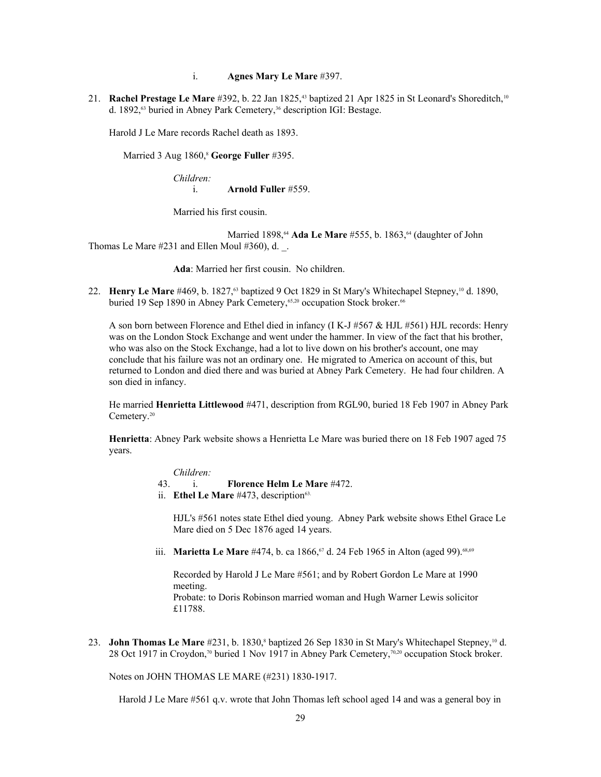## i. **Agnes Mary Le Mare** #397.

21. **Rachel Prestage Le Mare** #392, b. 22 Jan 1825,<sup>43</sup> baptized 21 Apr 1825 in St Leonard's Shoreditch,<sup>10</sup> d. 1892,<sup>63</sup> buried in Abney Park Cemetery,<sup>36</sup> description IGI: Bestage.

Harold J Le Mare records Rachel death as 1893.

Married 3 Aug 1860,<sup>8</sup> George Fuller #395.

*Children:* i. **Arnold Fuller** #559.

Married his first cousin.

Married 1898,<sup>[64](#page-106-7)</sup> Ada Le Mare #555, b. 1863,<sup>64</sup> (daughter of John Thomas Le Mare #231 and Ellen Moul #360), d. \_.

**Ada**: Married her first cousin. No children.

22. **Henry Le Mare** #469, b. 1827,<sup>63</sup> baptized 9 Oct 1829 in St Mary's Whitechapel Stepney,<sup>10</sup> d. 1890, buried 19 Sep 1890 in Abney Park Cemetery,<sup>[65,](#page-106-8)20</sup> occupation Stock broker.<sup>[66](#page-106-9)</sup>

A son born between Florence and Ethel died in infancy (I K-J #567 & HJL #561) HJL records: Henry was on the London Stock Exchange and went under the hammer. In view of the fact that his brother, who was also on the Stock Exchange, had a lot to live down on his brother's account, one may conclude that his failure was not an ordinary one. He migrated to America on account of this, but returned to London and died there and was buried at Abney Park Cemetery. He had four children. A son died in infancy.

He married **Henrietta Littlewood** #471, description from RGL90, buried 18 Feb 1907 in Abney Park Cemetery.<sup>20</sup>

**Henrietta**: Abney Park website shows a Henrietta Le Mare was buried there on 18 Feb 1907 aged 75 years.

*Children:*

- 43. i. **Florence Helm Le Mare** #472.
- ii. **Ethel Le Mare** #473, description<sup>63.</sup>

HJL's #561 notes state Ethel died young. Abney Park website shows Ethel Grace Le Mare died on 5 Dec 1876 aged 14 years.

iii. **Marietta Le Mare** #474, b. ca 1866,<sup>[67](#page-106-10)</sup> d. 24 Feb 1965 in Alton (aged 99).<sup>[68](#page-106-11)[,69](#page-106-12)</sup>

Recorded by Harold J Le Mare #561; and by Robert Gordon Le Mare at 1990 meeting. Probate: to Doris Robinson married woman and Hugh Warner Lewis solicitor £11788.

23. **John Thomas Le Mare** #231, b. 1830,<sup>8</sup> baptized 26 Sep 1830 in St Mary's Whitechapel Stepney,<sup>10</sup> d. 28 Oct 1917 in Croydon,<sup>[70](#page-106-13)</sup> buried 1 Nov 1917 in Abney Park Cemetery,<sup>70,20</sup> occupation Stock broker.

Notes on JOHN THOMAS LE MARE (#231) 1830-1917.

Harold J Le Mare #561 q.v. wrote that John Thomas left school aged 14 and was a general boy in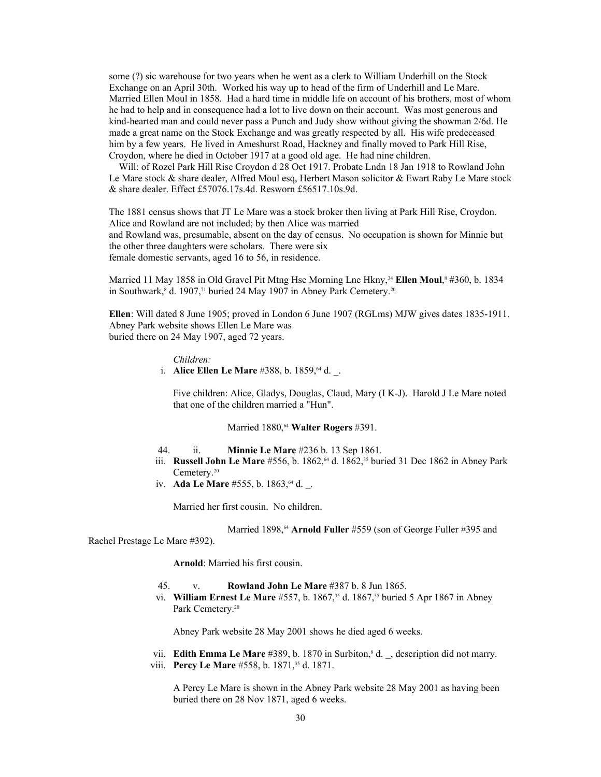some (?) sic warehouse for two years when he went as a clerk to William Underhill on the Stock Exchange on an April 30th. Worked his way up to head of the firm of Underhill and Le Mare. Married Ellen Moul in 1858. Had a hard time in middle life on account of his brothers, most of whom he had to help and in consequence had a lot to live down on their account. Was most generous and kind-hearted man and could never pass a Punch and Judy show without giving the showman 2/6d. He made a great name on the Stock Exchange and was greatly respected by all. His wife predeceased him by a few years. He lived in Ameshurst Road, Hackney and finally moved to Park Hill Rise, Croydon, where he died in October 1917 at a good old age. He had nine children.

 Will: of Rozel Park Hill Rise Croydon d 28 Oct 1917. Probate Lndn 18 Jan 1918 to Rowland John Le Mare stock & share dealer, Alfred Moul esq, Herbert Mason solicitor & Ewart Raby Le Mare stock & share dealer. Effect £57076.17s.4d. Resworn £56517.10s.9d.

The 1881 census shows that JT Le Mare was a stock broker then living at Park Hill Rise, Croydon. Alice and Rowland are not included; by then Alice was married and Rowland was, presumable, absent on the day of census. No occupation is shown for Minnie but the other three daughters were scholars. There were six female domestic servants, aged 16 to 56, in residence.

Married 11 May 1858 in Old Gravel Pit Mtng Hse Morning Lne Hkny,<sup>34</sup> Ellen Moul,<sup>8</sup> #360, b. 1834 in Southwark,<sup>8</sup> d. 1907,<sup>[71](#page-106-14)</sup> buried 24 May 1907 in Abney Park Cemetery.<sup>20</sup>

**Ellen**: Will dated 8 June 1905; proved in London 6 June 1907 (RGLms) MJW gives dates 1835-1911. Abney Park website shows Ellen Le Mare was buried there on 24 May 1907, aged 72 years.

#### *Children:*

i. **Alice Ellen Le Mare** #388, b. 1859,<sup>64</sup> d. \_.

Five children: Alice, Gladys, Douglas, Claud, Mary (I K-J). Harold J Le Mare noted that one of the children married a "Hun".

Married 1880,<sup>64</sup> Walter Rogers #391.

- 44. ii. **Minnie Le Mare** #236 b. 13 Sep 1861.
- iii. **Russell John Le Mare** #556, b. 1862,<sup>64</sup> d. 1862,<sup>35</sup> buried 31 Dec 1862 in Abney Park Cemetery.<sup>20</sup>
- iv. **Ada Le Mare** #555, b. 1863, <sup>64</sup> d. .

Married her first cousin. No children.

Married 1898,<sup>64</sup> Arnold Fuller #559 (son of George Fuller #395 and

Rachel Prestage Le Mare #392).

**Arnold**: Married his first cousin.

### 45. v. **Rowland John Le Mare** #387 b. 8 Jun 1865.

 vi. **William Ernest Le Mare** #557, b. 1867,35 d. 1867,35 buried 5 Apr 1867 in Abney Park Cemetery.<sup>20</sup>

Abney Park website 28 May 2001 shows he died aged 6 weeks.

vii. **Edith Emma Le Mare** #389, b. 1870 in Surbiton,<sup>8</sup> d., description did not marry. viii. **Percy Le Mare** #558, b. 1871,<sup>35</sup> d. 1871.

> A Percy Le Mare is shown in the Abney Park website 28 May 2001 as having been buried there on 28 Nov 1871, aged 6 weeks.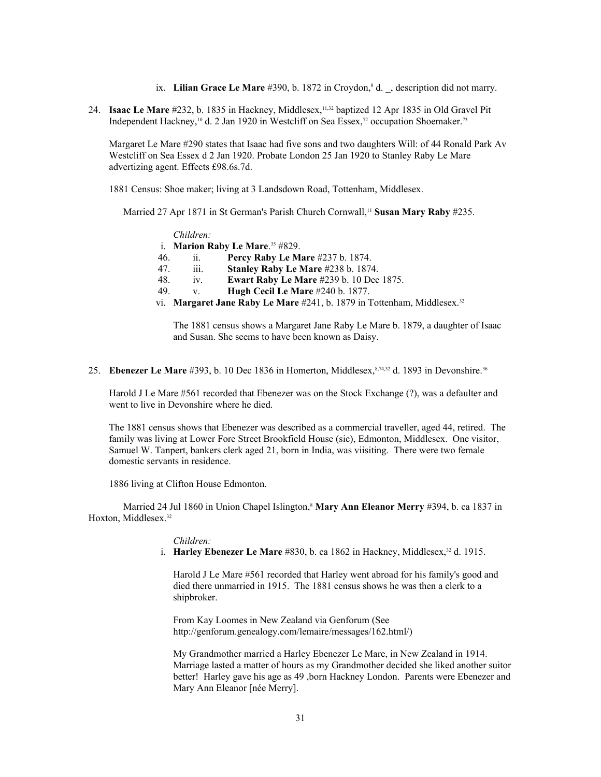- ix. **Lilian Grace Le Mare** #390, b. 1872 in Croydon,<sup>8</sup> d., description did not marry.
- 24. **Isaac Le Mare** #232, b. 1835 in Hackney, Middlesex,11,32 baptized 12 Apr 1835 in Old Gravel Pit Independent Hackney,<sup>10</sup> d. 2 Jan 1920 in Westcliff on Sea Essex,<sup>[72](#page-106-15)</sup> occupation Shoemaker.<sup>[73](#page-106-16)</sup>

Margaret Le Mare #290 states that Isaac had five sons and two daughters Will: of 44 Ronald Park Av Westcliff on Sea Essex d 2 Jan 1920. Probate London 25 Jan 1920 to Stanley Raby Le Mare advertizing agent. Effects £98.6s.7d.

1881 Census: Shoe maker; living at 3 Landsdown Road, Tottenham, Middlesex.

Married 27 Apr 1871 in St German's Parish Church Cornwall,<sup>11</sup> Susan Mary Raby #235.

| 46. | й.                 | <b>Percy Raby Le Mare #237 b. 1874.</b>        |
|-----|--------------------|------------------------------------------------|
| 47. | $\overline{111}$ . | Stanley Raby Le Mare #238 b. 1874.             |
| 48. | $iv_{-}$           | <b>Ewart Raby Le Mare #239 b. 10 Dec 1875.</b> |
| 49  | V.                 | <b>Hugh Cecil Le Mare #240 b. 1877.</b>        |

The 1881 census shows a Margaret Jane Raby Le Mare b. 1879, a daughter of Isaac and Susan. She seems to have been known as Daisy.

25. **Ebenezer Le Mare** #393, b. 10 Dec 1836 in Homerton, Middlesex, 8[,74,](#page-106-17)32 d. 1893 in Devonshire.<sup>36</sup>

Harold J Le Mare #561 recorded that Ebenezer was on the Stock Exchange (?), was a defaulter and went to live in Devonshire where he died.

The 1881 census shows that Ebenezer was described as a commercial traveller, aged 44, retired. The family was living at Lower Fore Street Brookfield House (sic), Edmonton, Middlesex. One visitor, Samuel W. Tanpert, bankers clerk aged 21, born in India, was viisiting. There were two female domestic servants in residence.

1886 living at Clifton House Edmonton.

Married 24 Jul 1860 in Union Chapel Islington,<sup>8</sup> **Mary Ann Eleanor Merry** #394, b. ca 1837 in Hoxton, Middlesex.<sup>32</sup>

### *Children:*

i. **Harley Ebenezer Le Mare** #830, b. ca 1862 in Hackney, Middlesex,<sup>32</sup> d. 1915.

Harold J Le Mare #561 recorded that Harley went abroad for his family's good and died there unmarried in 1915. The 1881 census shows he was then a clerk to a shipbroker.

From Kay Loomes in New Zealand via Genforum (See http://genforum.genealogy.com/lemaire/messages/162.html/)

My Grandmother married a Harley Ebenezer Le Mare, in New Zealand in 1914. Marriage lasted a matter of hours as my Grandmother decided she liked another suitor better! Harley gave his age as 49 ,born Hackney London. Parents were Ebenezer and Mary Ann Eleanor [née Merry].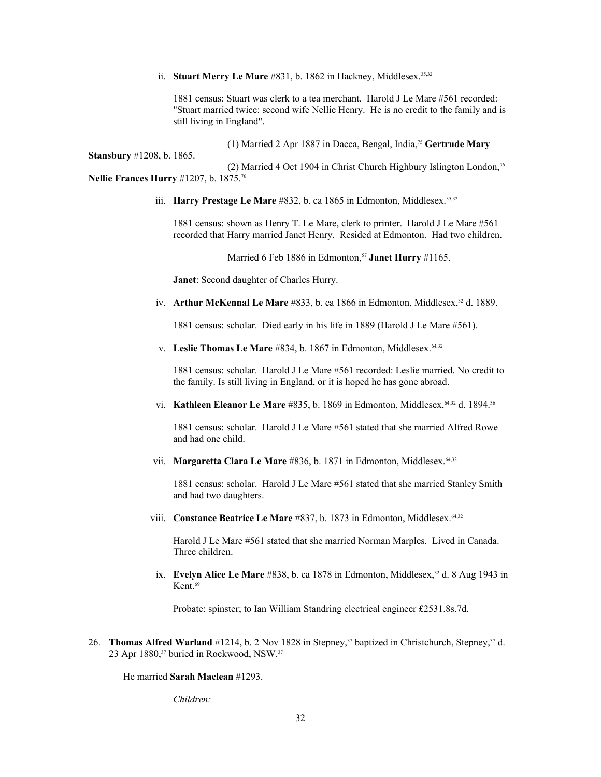# ii. **Stuart Merry Le Mare** #831, b. 1862 in Hackney, Middlesex.<sup>35,32</sup>

1881 census: Stuart was clerk to a tea merchant. Harold J Le Mare #561 recorded: "Stuart married twice: second wife Nellie Henry. He is no credit to the family and is still living in England".

(1) Married 2 Apr 1887 in Dacca, Bengal, India,[75](#page-106-18) **Gertrude Mary** 

(2) Married 4 Oct 1904 in Christ Church Highbury Islington London,<sup>[76](#page-106-19)</sup> **Nellie Frances Hurry** #1207, b. 1875.<sup>76</sup>

iii. **Harry Prestage Le Mare** #832, b. ca 1865 in Edmonton, Middlesex.<sup>35,32</sup>

1881 census: shown as Henry T. Le Mare, clerk to printer. Harold J Le Mare #561 recorded that Harry married Janet Henry. Resided at Edmonton. Had two children.

Married 6 Feb 1886 in Edmonton,<sup>57</sup> Janet Hurry #1165.

**Janet**: Second daughter of Charles Hurry.

**Stansbury** #1208, b. 1865.

iv. **Arthur McKennal Le Mare** #833, b. ca 1866 in Edmonton, Middlesex,<sup>32</sup> d. 1889.

1881 census: scholar. Died early in his life in 1889 (Harold J Le Mare #561).

v. Leslie Thomas Le Mare #834, b. 1867 in Edmonton, Middlesex.<sup>64,32</sup>

1881 census: scholar. Harold J Le Mare #561 recorded: Leslie married. No credit to the family. Is still living in England, or it is hoped he has gone abroad.

vi. **Kathleen Eleanor Le Mare** #835, b. 1869 in Edmonton, Middlesex, 64,32 d. 1894.<sup>36</sup>

1881 census: scholar. Harold J Le Mare #561 stated that she married Alfred Rowe and had one child.

vii. **Margaretta Clara Le Mare** #836, b. 1871 in Edmonton, Middlesex.<sup>64,32</sup>

1881 census: scholar. Harold J Le Mare #561 stated that she married Stanley Smith and had two daughters.

viii. **Constance Beatrice Le Mare** #837, b. 1873 in Edmonton, Middlesex.<sup>64,32</sup>

Harold J Le Mare #561 stated that she married Norman Marples. Lived in Canada. Three children.

ix. **Evelyn Alice Le Mare** #838, b. ca 1878 in Edmonton, Middlesex,<sup>32</sup> d. 8 Aug 1943 in Kent $69$ 

Probate: spinster; to Ian William Standring electrical engineer £2531.8s.7d.

26. **Thomas Alfred Warland** #1214, b. 2 Nov 1828 in Stepney,<sup>37</sup> baptized in Christchurch, Stepney,<sup>37</sup> d. 23 Apr 1880,<sup>37</sup> buried in Rockwood, NSW.<sup>37</sup>

He married **Sarah Maclean** #1293.

*Children:*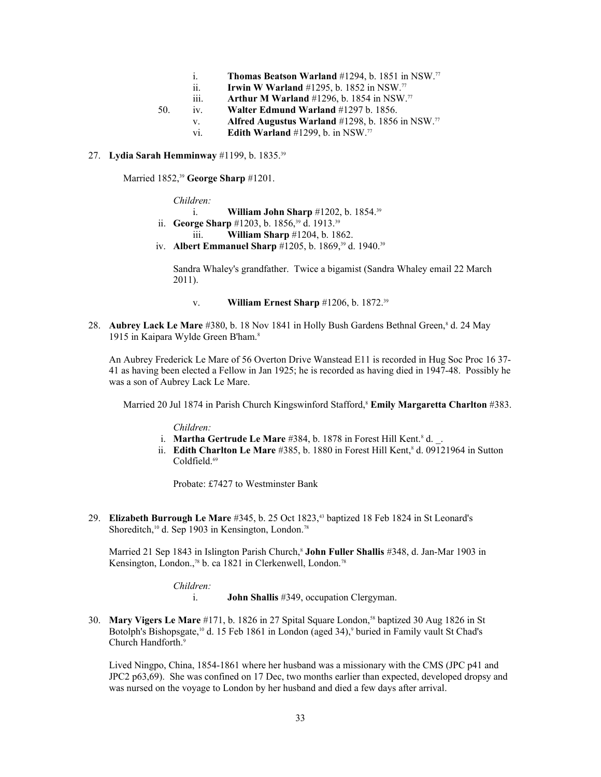- i. **Thomas Beatson Warland** #1294, b. 1851 in NSW.[77](#page-106-20)
- ii. **Irwin W Warland** #1295, b. 1852 in NSW.<sup>77</sup>
- iii. **Arthur M Warland** #1296, b. 1854 in NSW.<sup>77</sup>
- 50. iv. **Walter Edmund Warland** #1297 b. 1856.
	- v. **Alfred Augustus Warland** #1298, b. 1856 in NSW.<sup>77</sup>
	- vi. **Edith Warland** #1299, b. in NSW.<sup>77</sup>

# 27. **Lydia Sarah Hemminway** #1199, b. 1835.<sup>39</sup>

Married 1852,<sup>39</sup> **George Sharp** #1201.

*Children:*

- i. **William John Sharp** #1202, b. 1854.<sup>39</sup>
- ii. **George Sharp** #1203, b. 1856,<sup>39</sup> d. 1913.<sup>39</sup>
	- iii. **William Sharp** #1204, b. 1862.
- iv. **Albert Emmanuel Sharp** #1205, b. 1869,<sup>39</sup> d. 1940.<sup>39</sup>

Sandra Whaley's grandfather. Twice a bigamist (Sandra Whaley email 22 March 2011).

- v. **William Ernest Sharp** #1206, b. 1872.<sup>39</sup>
- 28. Aubrey Lack Le Mare #380, b. 18 Nov 1841 in Holly Bush Gardens Bethnal Green,<sup>8</sup> d. 24 May 1915 in Kaipara Wylde Green B'ham.<sup>8</sup>

An Aubrey Frederick Le Mare of 56 Overton Drive Wanstead E11 is recorded in Hug Soc Proc 16 37- 41 as having been elected a Fellow in Jan 1925; he is recorded as having died in 1947-48. Possibly he was a son of Aubrey Lack Le Mare.

Married 20 Jul 1874 in Parish Church Kingswinford Stafford,<sup>8</sup> **Emily Margaretta Charlton** #383.

*Children:*

- i. **Martha Gertrude Le Mare** #384, b. 1878 in Forest Hill Kent.<sup>8</sup> d.
- ii. **Edith Charlton Le Mare** #385, b. 1880 in Forest Hill Kent,<sup>8</sup> d. 09121964 in Sutton Coldfield.<sup>69</sup>

Probate: £7427 to Westminster Bank

29. **Elizabeth Burrough Le Mare** #345, b. 25 Oct 1823,43 baptized 18 Feb 1824 in St Leonard's Shoreditch,<sup>10</sup> d. Sep 1903 in Kensington, London.<sup>[78](#page-106-21)</sup>

Married 21 Sep 1843 in Islington Parish Church,<sup>8</sup> **John Fuller Shallis** #348, d. Jan-Mar 1903 in Kensington, London.,<sup>78</sup> b. ca 1821 in Clerkenwell, London.<sup>78</sup>

*Children:*

i. **John Shallis** #349, occupation Clergyman.

30. **Mary Vigers Le Mare** #171, b. 1826 in 27 Spital Square London,58 baptized 30 Aug 1826 in St Botolph's Bishopsgate,<sup>10</sup> d. 15 Feb 1861 in London (aged 34),<sup>9</sup> buried in Family vault St Chad's Church Handforth.<sup>9</sup>

Lived Ningpo, China, 1854-1861 where her husband was a missionary with the CMS (JPC p41 and JPC2 p63,69). She was confined on 17 Dec, two months earlier than expected, developed dropsy and was nursed on the voyage to London by her husband and died a few days after arrival.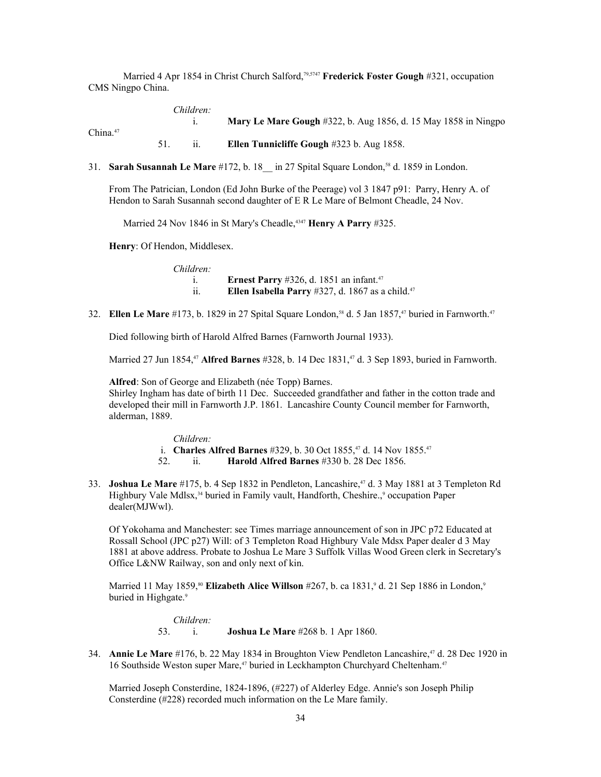Married 4 Apr 1854 in Christ Church Salford,<sup>[79,](#page-106-22)5747</sup> Frederick Foster Gough #321, occupation CMS Ningpo China.

|             | Children: |                                                                       |
|-------------|-----------|-----------------------------------------------------------------------|
| China. $47$ |           | <b>Mary Le Mare Gough</b> #322, b. Aug 1856, d. 15 May 1858 in Ningpo |
|             |           |                                                                       |
|             |           | <b>Ellen Tunnicliffe Gough <math>\#323</math> b. Aug 1858.</b>        |

31. **Sarah Susannah Le Mare** #172, b. 18\_\_ in 27 Spital Square London,58 d. 1859 in London.

From The Patrician, London (Ed John Burke of the Peerage) vol 3 1847 p91: Parry, Henry A. of Hendon to Sarah Susannah second daughter of E R Le Mare of Belmont Cheadle, 24 Nov.

Married 24 Nov 1846 in St Mary's Cheadle,<sup>4347</sup> Henry A Parry #325.

**Henry**: Of Hendon, Middlesex.

| Children:                   |                                                                     |
|-----------------------------|---------------------------------------------------------------------|
|                             | <b>Ernest Parry</b> #326, d. 1851 an infant. <sup>47</sup>          |
| $\ddot{\phantom{a}}$<br>11. | <b>Ellen Isabella Parry</b> #327, d. 1867 as a child. <sup>47</sup> |

32. **Ellen Le Mare** #173, b. 1829 in 27 Spital Square London,<sup>58</sup> d. 5 Jan 1857,<sup>47</sup> buried in Farnworth.<sup>47</sup>

Died following birth of Harold Alfred Barnes (Farnworth Journal 1933).

Married 27 Jun 1854,<sup>47</sup> **Alfred Barnes** #328, b. 14 Dec 1831,47 d. 3 Sep 1893, buried in Farnworth.

**Alfred**: Son of George and Elizabeth (née Topp) Barnes. Shirley Ingham has date of birth 11 Dec. Succeeded grandfather and father in the cotton trade and developed their mill in Farnworth J.P. 1861. Lancashire County Council member for Farnworth, alderman, 1889.

> *Children:* i. **Charles Alfred Barnes** #329, b. 30 Oct 1855,47 d. 14 Nov 1855.<sup>47</sup> 52. ii. **Harold Alfred Barnes** #330 b. 28 Dec 1856.

33. **Joshua Le Mare** #175, b. 4 Sep 1832 in Pendleton, Lancashire,47 d. 3 May 1881 at 3 Templeton Rd Highbury Vale Mdlsx,<sup>34</sup> buried in Family vault, Handforth, Cheshire.,<sup>9</sup> occupation Paper dealer(MJWwl).

Of Yokohama and Manchester: see Times marriage announcement of son in JPC p72 Educated at Rossall School (JPC p27) Will: of 3 Templeton Road Highbury Vale Mdsx Paper dealer d 3 May 1881 at above address. Probate to Joshua Le Mare 3 Suffolk Villas Wood Green clerk in Secretary's Office L&NW Railway, son and only next of kin.

Married 11 May 1859,<sup>[80](#page-106-23)</sup> Elizabeth Alice Willson #267, b. ca 1831,<sup>9</sup> d. 21 Sep 1886 in London,<sup>9</sup> buried in Highgate.<sup>9</sup>

*Children:*

53. i. **Joshua Le Mare** #268 b. 1 Apr 1860.

34. **Annie Le Mare** #176, b. 22 May 1834 in Broughton View Pendleton Lancashire,47 d. 28 Dec 1920 in 16 Southside Weston super Mare,<sup>47</sup> buried in Leckhampton Churchyard Cheltenham.<sup>47</sup>

Married Joseph Consterdine, 1824-1896, (#227) of Alderley Edge. Annie's son Joseph Philip Consterdine (#228) recorded much information on the Le Mare family.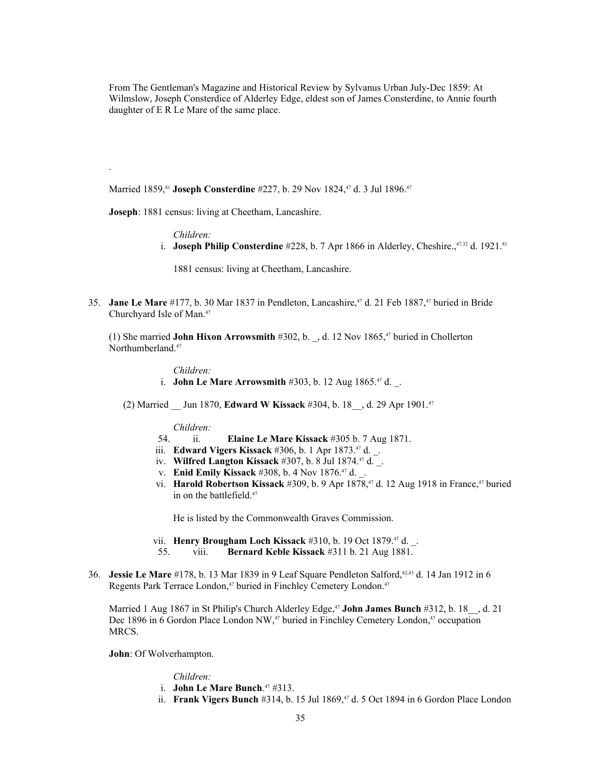From The Gentleman's Magazine and Historical Review by Sylvanus Urban July-Dec 1859: At Wilmslow, Joseph Consterdice of Alderley Edge, eldest son of James Consterdine, to Annie fourth daughter of E R Le Mare of the same place.

Married 1859,<sup>[81](#page-106-24)</sup> Joseph Consterdine #227, b. 29 Nov 1824,<sup>47</sup> d. 3 Jul 1896.<sup>47</sup>

**Joseph**: 1881 census: living at Cheetham, Lancashire.

*Children:*

.

i. **Joseph Philip Consterdine** #228, b. 7 Apr 1866 in Alderley, Cheshire., $47,32$  d. 1921.<sup>81</sup>

1881 census: living at Cheetham, Lancashire.

35. **Jane Le Mare** #177, b. 30 Mar 1837 in Pendleton, Lancashire,<sup>47</sup> d. 21 Feb 1887,<sup>47</sup> buried in Bride Churchyard Isle of Man.<sup>47</sup>

(1) She married **John Hixon Arrowsmith** #302, b. \_, d. 12 Nov 1865,47 buried in Chollerton Northumberland.<sup>47</sup>

*Children:*

i. **John Le Mare Arrowsmith** #303, b. 12 Aug 1865.<sup>47</sup> d.

(2) Married \_\_ Jun 1870, **Edward W Kissack** #304, b. 18\_\_, d. 29 Apr 1901.<sup>47</sup>

*Children:*

- 54. ii. **Elaine Le Mare Kissack** #305 b. 7 Aug 1871.
- iii. **Edward Vigers Kissack** #306, b. 1 Apr 1873.<sup>47</sup> d. \_.
- iv. **Wilfred Langton Kissack** #307, b. 8 Jul 1874.<sup>47</sup> d. .
- v. **Enid Emily Kissack** #308, b. 4 Nov 1876.<sup>47</sup> d.
- vi. **Harold Robertson Kissack** #309, b. 9 Apr 1878,<sup>47</sup> d. 12 Aug 1918 in France,<sup>47</sup> buried in on the battlefield.<sup>47</sup>

He is listed by the Commonwealth Graves Commission.

- vii. **Henry Brougham Loch Kissack** #310, b. 19 Oct 1879.47 d. \_.
- 55. viii. **Bernard Keble Kissack** #311 b. 21 Aug 1881.
- 36. **Jessie Le Mare** #178, b. 13 Mar 1839 in 9 Leaf Square Pendleton Salford,[82,](#page-106-25)43 d. 14 Jan 1912 in 6 Regents Park Terrace London,<sup>47</sup> buried in Finchley Cemetery London.<sup>47</sup>

Married 1 Aug 1867 in St Philip's Church Alderley Edge,<sup>47</sup> John James Bunch #312, b. 18<sub>\_,</sub> d. 21 Dec 1896 in 6 Gordon Place London NW,<sup>47</sup> buried in Finchley Cemetery London,<sup>47</sup> occupation MRCS.

**John**: Of Wolverhampton.

### *Children:*

- i. **John Le Mare Bunch**. <sup>47</sup> #313.
	- ii. **Frank Vigers Bunch** #314, b. 15 Jul 1869,<sup>47</sup> d. 5 Oct 1894 in 6 Gordon Place London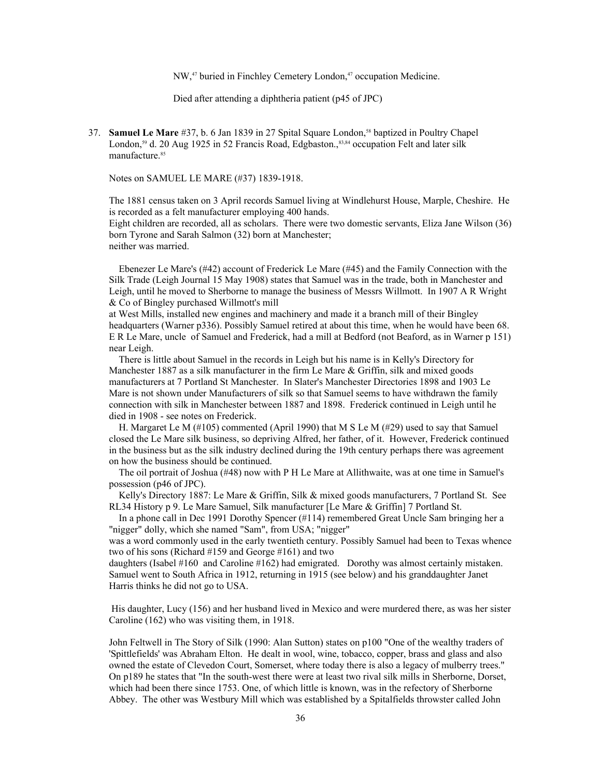NW,<sup>47</sup> buried in Finchley Cemetery London,<sup>47</sup> occupation Medicine.

Died after attending a diphtheria patient (p45 of JPC)

37. **Samuel Le Mare** #37, b. 6 Jan 1839 in 27 Spital Square London,58 baptized in Poultry Chapel London,<sup>59</sup> d. 20 Aug 1925 in 52 Francis Road, Edgbaston.,<sup>[83](#page-106-26)[,84](#page-106-27)</sup> occupation Felt and later silk manufacture.<sup>[85](#page-106-28)</sup>

Notes on SAMUEL LE MARE (#37) 1839-1918.

The 1881 census taken on 3 April records Samuel living at Windlehurst House, Marple, Cheshire. He is recorded as a felt manufacturer employing 400 hands.

Eight children are recorded, all as scholars. There were two domestic servants, Eliza Jane Wilson (36) born Tyrone and Sarah Salmon (32) born at Manchester; neither was married.

 Ebenezer Le Mare's (#42) account of Frederick Le Mare (#45) and the Family Connection with the Silk Trade (Leigh Journal 15 May 1908) states that Samuel was in the trade, both in Manchester and Leigh, until he moved to Sherborne to manage the business of Messrs Willmott. In 1907 A R Wright & Co of Bingley purchased Willmott's mill

at West Mills, installed new engines and machinery and made it a branch mill of their Bingley headquarters (Warner p336). Possibly Samuel retired at about this time, when he would have been 68. E R Le Mare, uncle of Samuel and Frederick, had a mill at Bedford (not Beaford, as in Warner p 151) near Leigh.

 There is little about Samuel in the records in Leigh but his name is in Kelly's Directory for Manchester 1887 as a silk manufacturer in the firm Le Mare & Griffin, silk and mixed goods manufacturers at 7 Portland St Manchester. In Slater's Manchester Directories 1898 and 1903 Le Mare is not shown under Manufacturers of silk so that Samuel seems to have withdrawn the family connection with silk in Manchester between 1887 and 1898. Frederick continued in Leigh until he died in 1908 - see notes on Frederick.

 H. Margaret Le M (#105) commented (April 1990) that M S Le M (#29) used to say that Samuel closed the Le Mare silk business, so depriving Alfred, her father, of it. However, Frederick continued in the business but as the silk industry declined during the 19th century perhaps there was agreement on how the business should be continued.

 The oil portrait of Joshua (#48) now with P H Le Mare at Allithwaite, was at one time in Samuel's possession (p46 of JPC).

 Kelly's Directory 1887: Le Mare & Griffin, Silk & mixed goods manufacturers, 7 Portland St. See RL34 History p 9. Le Mare Samuel, Silk manufacturer [Le Mare & Griffin] 7 Portland St.

 In a phone call in Dec 1991 Dorothy Spencer (#114) remembered Great Uncle Sam bringing her a "nigger" dolly, which she named "Sam", from USA; "nigger"

was a word commonly used in the early twentieth century. Possibly Samuel had been to Texas whence two of his sons (Richard #159 and George #161) and two

daughters (Isabel #160 and Caroline #162) had emigrated. Dorothy was almost certainly mistaken. Samuel went to South Africa in 1912, returning in 1915 (see below) and his granddaughter Janet Harris thinks he did not go to USA.

 His daughter, Lucy (156) and her husband lived in Mexico and were murdered there, as was her sister Caroline (162) who was visiting them, in 1918.

John Feltwell in The Story of Silk (1990: Alan Sutton) states on p100 "One of the wealthy traders of 'Spittlefields' was Abraham Elton. He dealt in wool, wine, tobacco, copper, brass and glass and also owned the estate of Clevedon Court, Somerset, where today there is also a legacy of mulberry trees." On p189 he states that "In the south-west there were at least two rival silk mills in Sherborne, Dorset, which had been there since 1753. One, of which little is known, was in the refectory of Sherborne Abbey. The other was Westbury Mill which was established by a Spitalfields throwster called John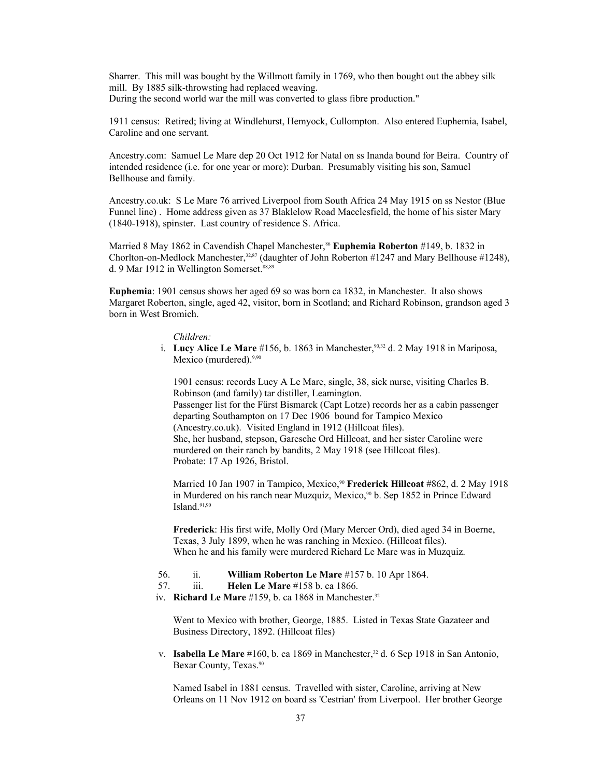Sharrer. This mill was bought by the Willmott family in 1769, who then bought out the abbey silk mill. By 1885 silk-throwsting had replaced weaving. During the second world war the mill was converted to glass fibre production."

1911 census: Retired; living at Windlehurst, Hemyock, Cullompton. Also entered Euphemia, Isabel, Caroline and one servant.

Ancestry.com: Samuel Le Mare dep 20 Oct 1912 for Natal on ss Inanda bound for Beira. Country of intended residence (i.e. for one year or more): Durban. Presumably visiting his son, Samuel Bellhouse and family.

Ancestry.co.uk: S Le Mare 76 arrived Liverpool from South Africa 24 May 1915 on ss Nestor (Blue Funnel line) . Home address given as 37 Blaklelow Road Macclesfield, the home of his sister Mary (1840-1918), spinster. Last country of residence S. Africa.

Married 8 May 1[86](#page-106-0)2 in Cavendish Chapel Manchester,<sup>86</sup> **Euphemia Roberton** #149, b. 1832 in Chorlton-on-Medlock Manchester,  $32,87$  $32,87$  (daughter of John Roberton #1247 and Mary Bellhouse #1248), d. 9 Mar 1912 in Wellington Somerset.<sup>[88,](#page-106-2)[89](#page-106-3)</sup>

**Euphemia**: 1901 census shows her aged 69 so was born ca 1832, in Manchester. It also shows Margaret Roberton, single, aged 42, visitor, born in Scotland; and Richard Robinson, grandson aged 3 born in West Bromich.

*Children:*

i. **Lucy Alice Le Mare** #156, b. 1863 in Manchester,<sup>[90,](#page-106-4)32</sup> d. 2 May 1918 in Mariposa, Mexico (murdered).<sup>9,90</sup>

1901 census: records Lucy A Le Mare, single, 38, sick nurse, visiting Charles B. Robinson (and family) tar distiller, Leamington. Passenger list for the Fürst Bismarck (Capt Lotze) records her as a cabin passenger departing Southampton on 17 Dec 1906 bound for Tampico Mexico

(Ancestry.co.uk). Visited England in 1912 (Hillcoat files). She, her husband, stepson, Garesche Ord Hillcoat, and her sister Caroline were murdered on their ranch by bandits, 2 May 1918 (see Hillcoat files). Probate: 17 Ap 1926, Bristol.

Married 10 Jan 1907 in Tampico, Mexico,<sup>90</sup> **Frederick Hillcoat** #862, d. 2 May 1918 in Murdered on his ranch near Muzquiz, Mexico,<sup>90</sup> b. Sep 1852 in Prince Edward Island. $91,90$  $91,90$ 

**Frederick**: His first wife, Molly Ord (Mary Mercer Ord), died aged 34 in Boerne, Texas, 3 July 1899, when he was ranching in Mexico. (Hillcoat files). When he and his family were murdered Richard Le Mare was in Muzquiz.

#### 56. ii. **William Roberton Le Mare** #157 b. 10 Apr 1864.

57. iii. **Helen Le Mare** #158 b. ca 1866.

iv. **Richard Le Mare** #159, b. ca 1868 in Manchester.<sup>32</sup>

Went to Mexico with brother, George, 1885. Listed in Texas State Gazateer and Business Directory, 1892. (Hillcoat files)

v. **Isabella Le Mare** #160, b. ca 1869 in Manchester,<sup>32</sup> d. 6 Sep 1918 in San Antonio, Bexar County, Texas.<sup>90</sup>

Named Isabel in 1881 census. Travelled with sister, Caroline, arriving at New Orleans on 11 Nov 1912 on board ss 'Cestrian' from Liverpool. Her brother George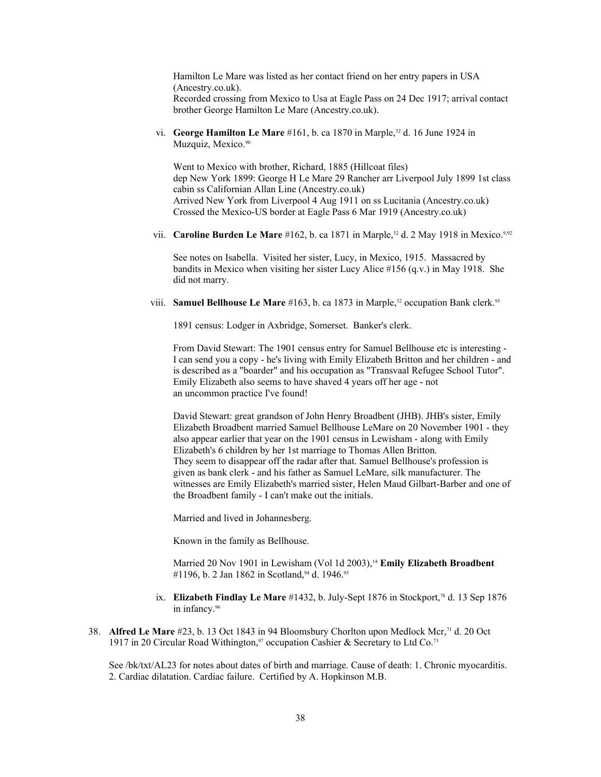Hamilton Le Mare was listed as her contact friend on her entry papers in USA (Ancestry.co.uk). Recorded crossing from Mexico to Usa at Eagle Pass on 24 Dec 1917; arrival contact brother George Hamilton Le Mare (Ancestry.co.uk).

vi. **George Hamilton Le Mare** #161, b. ca 1870 in Marple,<sup>32</sup> d. 16 June 1924 in Muzquiz, Mexico.<sup>90</sup>

Went to Mexico with brother, Richard, 1885 (Hillcoat files) dep New York 1899: George H Le Mare 29 Rancher arr Liverpool July 1899 1st class cabin ss Californian Allan Line (Ancestry.co.uk) Arrived New York from Liverpool 4 Aug 1911 on ss Lucitania (Ancestry.co.uk) Crossed the Mexico-US border at Eagle Pass 6 Mar 1919 (Ancestry.co.uk)

vii. **Caroline Burden Le Mare** #162, b. ca 1871 in Marple,<sup>32</sup> d. 2 May 1918 in Mexico.<sup>9[,92](#page-106-6)</sup>

See notes on Isabella. Visited her sister, Lucy, in Mexico, 1915. Massacred by bandits in Mexico when visiting her sister Lucy Alice #156 (q.v.) in May 1918. She did not marry.

viii. **Samuel Bellhouse Le Mare** #163, b. ca 1873 in Marple,<sup>32</sup> occupation Bank clerk.<sup>[93](#page-106-7)</sup>

1891 census: Lodger in Axbridge, Somerset. Banker's clerk.

From David Stewart: The 1901 census entry for Samuel Bellhouse etc is interesting - I can send you a copy - he's living with Emily Elizabeth Britton and her children - and is described as a "boarder" and his occupation as "Transvaal Refugee School Tutor". Emily Elizabeth also seems to have shaved 4 years off her age - not an uncommon practice I've found!

David Stewart: great grandson of John Henry Broadbent (JHB). JHB's sister, Emily Elizabeth Broadbent married Samuel Bellhouse LeMare on 20 November 1901 - they also appear earlier that year on the 1901 census in Lewisham - along with Emily Elizabeth's 6 children by her 1st marriage to Thomas Allen Britton. They seem to disappear off the radar after that. Samuel Bellhouse's profession is given as bank clerk - and his father as Samuel LeMare, silk manufacturer. The witnesses are Emily Elizabeth's married sister, Helen Maud Gilbart-Barber and one of the Broadbent family - I can't make out the initials.

Married and lived in Johannesberg.

Known in the family as Bellhouse.

Married 20 Nov 1901 in Lewisham (Vol 1d 2003),<sup>14</sup> **Emily Elizabeth Broadbent** #1196, b. 2 Jan 1862 in Scotland,<sup>[94](#page-106-8)</sup> d. 1946.<sup>[95](#page-106-9)</sup>

- ix. **Elizabeth Findlay Le Mare** #1432, b. July-Sept 1876 in Stockport,78 d. 13 Sep 1876 in infancy.[96](#page-106-10)
- 38. **Alfred Le Mare** #23, b. 13 Oct 1843 in 94 Bloomsbury Chorlton upon Medlock Mcr,<sup>71</sup> d. 20 Oct 1917 in 20 Circular Road Withington,<sup>[97](#page-106-11)</sup> occupation Cashier & Secretary to Ltd Co.<sup>73</sup>

See /bk/txt/AL23 for notes about dates of birth and marriage. Cause of death: 1. Chronic myocarditis. 2. Cardiac dilatation. Cardiac failure. Certified by A. Hopkinson M.B.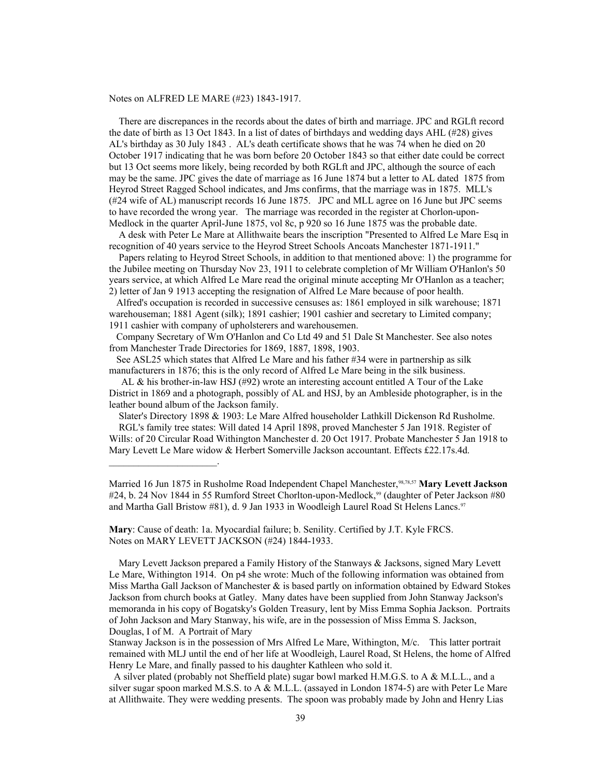#### Notes on ALFRED LE MARE (#23) 1843-1917.

 $\mathcal{L}_\text{max}$  and  $\mathcal{L}_\text{max}$  and  $\mathcal{L}_\text{max}$ 

 There are discrepances in the records about the dates of birth and marriage. JPC and RGLft record the date of birth as 13 Oct 1843. In a list of dates of birthdays and wedding days AHL (#28) gives AL's birthday as 30 July 1843 . AL's death certificate shows that he was 74 when he died on 20 October 1917 indicating that he was born before 20 October 1843 so that either date could be correct but 13 Oct seems more likely, being recorded by both RGLft and JPC, although the source of each may be the same. JPC gives the date of marriage as 16 June 1874 but a letter to AL dated 1875 from Heyrod Street Ragged School indicates, and Jms confirms, that the marriage was in 1875. MLL's (#24 wife of AL) manuscript records 16 June 1875. JPC and MLL agree on 16 June but JPC seems to have recorded the wrong year. The marriage was recorded in the register at Chorlon-upon-Medlock in the quarter April-June 1875, vol 8c, p 920 so 16 June 1875 was the probable date.

 A desk with Peter Le Mare at Allithwaite bears the inscription "Presented to Alfred Le Mare Esq in recognition of 40 years service to the Heyrod Street Schools Ancoats Manchester 1871-1911."

 Papers relating to Heyrod Street Schools, in addition to that mentioned above: 1) the programme for the Jubilee meeting on Thursday Nov 23, 1911 to celebrate completion of Mr William O'Hanlon's 50 years service, at which Alfred Le Mare read the original minute accepting Mr O'Hanlon as a teacher; 2) letter of Jan 9 1913 accepting the resignation of Alfred Le Mare because of poor health.

 Alfred's occupation is recorded in successive censuses as: 1861 employed in silk warehouse; 1871 warehouseman; 1881 Agent (silk); 1891 cashier; 1901 cashier and secretary to Limited company; 1911 cashier with company of upholsterers and warehousemen.

 Company Secretary of Wm O'Hanlon and Co Ltd 49 and 51 Dale St Manchester. See also notes from Manchester Trade Directories for 1869, 1887, 1898, 1903.

 See ASL25 which states that Alfred Le Mare and his father #34 were in partnership as silk manufacturers in 1876; this is the only record of Alfred Le Mare being in the silk business.

 AL & his brother-in-law HSJ (#92) wrote an interesting account entitled A Tour of the Lake District in 1869 and a photograph, possibly of AL and HSJ, by an Ambleside photographer, is in the leather bound album of the Jackson family.

 Slater's Directory 1898 & 1903: Le Mare Alfred householder Lathkill Dickenson Rd Rusholme. RGL's family tree states: Will dated 14 April 1898, proved Manchester 5 Jan 1918. Register of Wills: of 20 Circular Road Withington Manchester d. 20 Oct 1917. Probate Manchester 5 Jan 1918 to Mary Levett Le Mare widow & Herbert Somerville Jackson accountant. Effects £22.17s.4d.

Married 16 Jun 1875 in Rusholme Road Independent Chapel Manchester,[98,](#page-106-12)78,57 **Mary Levett Jackson** #24, b. 24 Nov 1844 in 55 Rumford Street Chorlton-upon-Medlock,<sup>[99](#page-106-13)</sup> (daughter of Peter Jackson #80 and Martha Gall Bristow #81), d. 9 Jan 1933 in Woodleigh Laurel Road St Helens Lancs.<sup>97</sup>

**Mary**: Cause of death: 1a. Myocardial failure; b. Senility. Certified by J.T. Kyle FRCS. Notes on MARY LEVETT JACKSON (#24) 1844-1933.

 Mary Levett Jackson prepared a Family History of the Stanways & Jacksons, signed Mary Levett Le Mare, Withington 1914. On p4 she wrote: Much of the following information was obtained from Miss Martha Gall Jackson of Manchester  $\&$  is based partly on information obtained by Edward Stokes Jackson from church books at Gatley. Many dates have been supplied from John Stanway Jackson's memoranda in his copy of Bogatsky's Golden Treasury, lent by Miss Emma Sophia Jackson. Portraits of John Jackson and Mary Stanway, his wife, are in the possession of Miss Emma S. Jackson, Douglas, I of M. A Portrait of Mary

Stanway Jackson is in the possession of Mrs Alfred Le Mare, Withington, M/c. This latter portrait remained with MLJ until the end of her life at Woodleigh, Laurel Road, St Helens, the home of Alfred Henry Le Mare, and finally passed to his daughter Kathleen who sold it.

 A silver plated (probably not Sheffield plate) sugar bowl marked H.M.G.S. to A & M.L.L., and a silver sugar spoon marked M.S.S. to A & M.L.L. (assayed in London 1874-5) are with Peter Le Mare at Allithwaite. They were wedding presents. The spoon was probably made by John and Henry Lias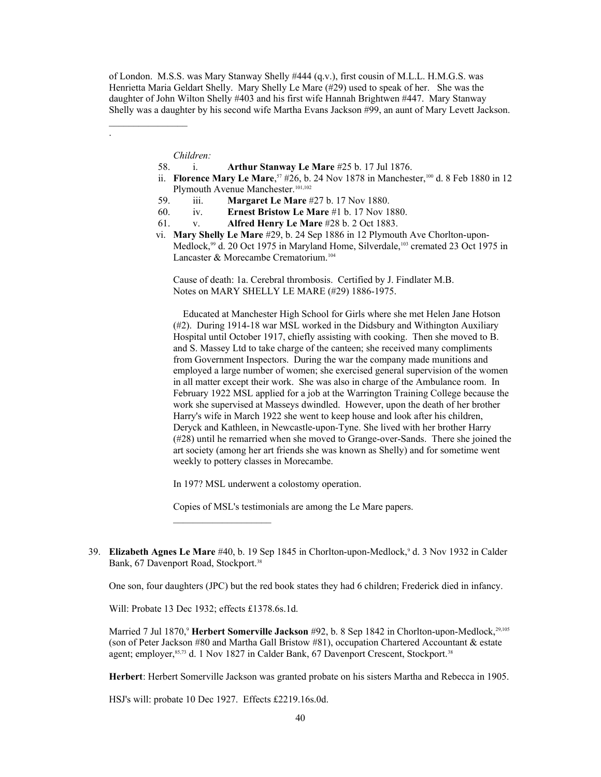of London. M.S.S. was Mary Stanway Shelly #444 (q.v.), first cousin of M.L.L. H.M.G.S. was Henrietta Maria Geldart Shelly. Mary Shelly Le Mare (#29) used to speak of her. She was the daughter of John Wilton Shelly #403 and his first wife Hannah Brightwen #447. Mary Stanway Shelly was a daughter by his second wife Martha Evans Jackson #99, an aunt of Mary Levett Jackson.

*Children:*

 $\mathcal{L}_\text{max}$  , where  $\mathcal{L}_\text{max}$ 

.

- 58. i. **Arthur Stanway Le Mare** #25 b. 17 Jul 1876.
- ii. **Florence Mary Le Mare**,<sup>57</sup> #26, b. 24 Nov 1878 in Manchester,<sup>[100](#page-106-14)</sup> d. 8 Feb 1880 in 12 Plymouth Avenue Manchester.<sup>[101](#page-106-15)[,102](#page-106-16)</sup>
	- 59. iii. **Margaret Le Mare** #27 b. 17 Nov 1880.
	- 60. iv. **Ernest Bristow Le Mare** #1 b. 17 Nov 1880.
	- 61. v. **Alfred Henry Le Mare** #28 b. 2 Oct 1883.
	- vi. **Mary Shelly Le Mare** #29, b. 24 Sep 1886 in 12 Plymouth Ave Chorlton-upon-Medlock,<sup>99</sup> d. 20 Oct 1975 in Maryland Home, Silverdale,<sup>[103](#page-106-17)</sup> cremated 23 Oct 1975 in Lancaster & Morecambe Crematorium.<sup>[104](#page-106-18)</sup>

Cause of death: 1a. Cerebral thrombosis. Certified by J. Findlater M.B. Notes on MARY SHELLY LE MARE (#29) 1886-1975.

 Educated at Manchester High School for Girls where she met Helen Jane Hotson (#2). During 1914-18 war MSL worked in the Didsbury and Withington Auxiliary Hospital until October 1917, chiefly assisting with cooking. Then she moved to B. and S. Massey Ltd to take charge of the canteen; she received many compliments from Government Inspectors. During the war the company made munitions and employed a large number of women; she exercised general supervision of the women in all matter except their work. She was also in charge of the Ambulance room. In February 1922 MSL applied for a job at the Warrington Training College because the work she supervised at Masseys dwindled. However, upon the death of her brother Harry's wife in March 1922 she went to keep house and look after his children, Deryck and Kathleen, in Newcastle-upon-Tyne. She lived with her brother Harry (#28) until he remarried when she moved to Grange-over-Sands. There she joined the art society (among her art friends she was known as Shelly) and for sometime went weekly to pottery classes in Morecambe.

In 197? MSL underwent a colostomy operation.

Copies of MSL's testimonials are among the Le Mare papers.

One son, four daughters (JPC) but the red book states they had 6 children; Frederick died in infancy.

Will: Probate 13 Dec 1932; effects £1378.6s.1d.

Married 7 Jul 1870,<sup>9</sup> **Herbert Somerville Jackson** #92, b. 8 Sep 1842 in Chorlton-upon-Medlock,<sup>29[,105](#page-106-19)</sup> (son of Peter Jackson #80 and Martha Gall Bristow #81), occupation Chartered Accountant & estate agent; employer, 85,73 d. 1 Nov 1827 in Calder Bank, 67 Davenport Crescent, Stockport.<sup>38</sup>

**Herbert**: Herbert Somerville Jackson was granted probate on his sisters Martha and Rebecca in 1905.

HSJ's will: probate 10 Dec 1927. Effects £2219.16s.0d.

<sup>39.</sup> Elizabeth Agnes Le Mare #40, b. 19 Sep 1845 in Chorlton-upon-Medlock,<sup>9</sup> d. 3 Nov 1932 in Calder Bank, 67 Davenport Road, Stockport.<sup>38</sup>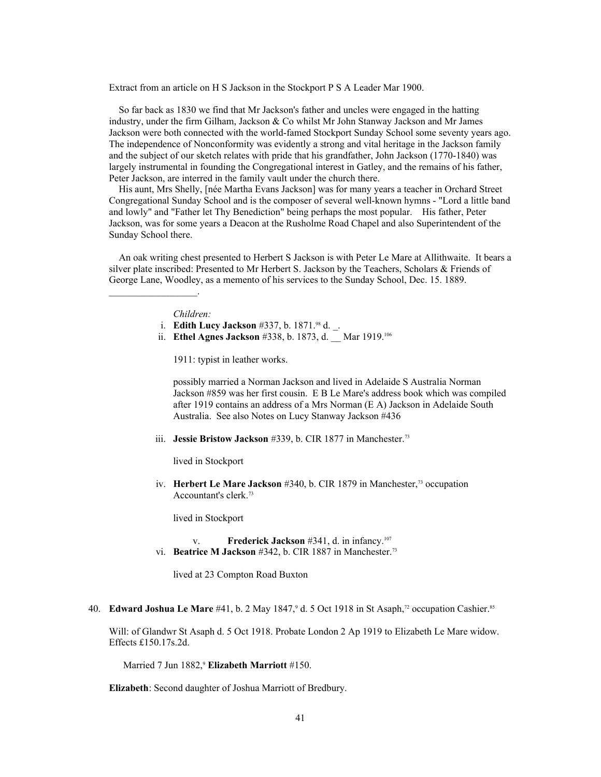Extract from an article on H S Jackson in the Stockport P S A Leader Mar 1900.

 So far back as 1830 we find that Mr Jackson's father and uncles were engaged in the hatting industry, under the firm Gilham, Jackson & Co whilst Mr John Stanway Jackson and Mr James Jackson were both connected with the world-famed Stockport Sunday School some seventy years ago. The independence of Nonconformity was evidently a strong and vital heritage in the Jackson family and the subject of our sketch relates with pride that his grandfather, John Jackson (1770-1840) was largely instrumental in founding the Congregational interest in Gatley, and the remains of his father, Peter Jackson, are interred in the family vault under the church there.

 His aunt, Mrs Shelly, [née Martha Evans Jackson] was for many years a teacher in Orchard Street Congregational Sunday School and is the composer of several well-known hymns - "Lord a little band and lowly" and "Father let Thy Benediction" being perhaps the most popular. His father, Peter Jackson, was for some years a Deacon at the Rusholme Road Chapel and also Superintendent of the Sunday School there.

 An oak writing chest presented to Herbert S Jackson is with Peter Le Mare at Allithwaite. It bears a silver plate inscribed: Presented to Mr Herbert S. Jackson by the Teachers, Scholars & Friends of George Lane, Woodley, as a memento of his services to the Sunday School, Dec. 15. 1889.

### *Children:*

 $\mathcal{L}_\text{max}$  and  $\mathcal{L}_\text{max}$  and  $\mathcal{L}_\text{max}$ 

- i. **Edith Lucy Jackson** #337, b. 1871.98 d. \_.
- ii. **Ethel Agnes Jackson** #338, b. 1873, d. \_ Mar 1919.<sup>[106](#page-106-20)</sup>

1911: typist in leather works.

possibly married a Norman Jackson and lived in Adelaide S Australia Norman Jackson #859 was her first cousin. E B Le Mare's address book which was compiled after 1919 contains an address of a Mrs Norman (E A) Jackson in Adelaide South Australia. See also Notes on Lucy Stanway Jackson #436

iii. **Jessie Bristow Jackson** #339, b. CIR 1877 in Manchester.<sup>73</sup>

lived in Stockport

iv. **Herbert Le Mare Jackson** #340, b. CIR 1879 in Manchester,<sup>73</sup> occupation Accountant's clerk.<sup>73</sup>

lived in Stockport

 v. **Frederick Jackson** #341, d. in infancy.[107](#page-106-21) vi. **Beatrice M Jackson** #342, b. CIR 1887 in Manchester.<sup>73</sup>

lived at 23 Compton Road Buxton

40. **Edward Joshua Le Mare** #41, b. 2 May 1847,<sup>9</sup> d. 5 Oct 1918 in St Asaph,<sup>72</sup> occupation Cashier.<sup>85</sup>

Will: of Glandwr St Asaph d. 5 Oct 1918. Probate London 2 Ap 1919 to Elizabeth Le Mare widow. Effects £150.17s.2d.

Married 7 Jun 1882,<sup>9</sup> **Elizabeth Marriott** #150.

**Elizabeth**: Second daughter of Joshua Marriott of Bredbury.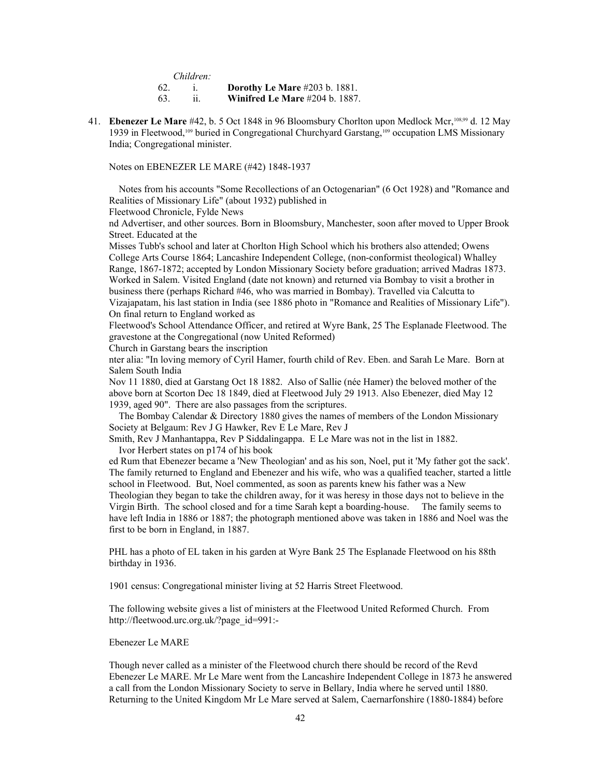*Children:*

62. i. **Dorothy Le Mare** #203 b. 1881.

63. ii. **Winifred Le Mare** #204 b. 1887.

41. **Ebenezer Le Mare** #42, b. 5 Oct 1848 in 96 Bloomsbury Chorlton upon Medlock Mcr,[108,](#page-106-22)99 d. 12 May 1939 in Fleetwood,[109](#page-106-23) buried in Congregational Churchyard Garstang,109 occupation LMS Missionary India; Congregational minister.

Notes on EBENEZER LE MARE (#42) 1848-1937

 Notes from his accounts "Some Recollections of an Octogenarian" (6 Oct 1928) and "Romance and Realities of Missionary Life" (about 1932) published in

Fleetwood Chronicle, Fylde News

nd Advertiser, and other sources. Born in Bloomsbury, Manchester, soon after moved to Upper Brook Street. Educated at the

Misses Tubb's school and later at Chorlton High School which his brothers also attended; Owens College Arts Course 1864; Lancashire Independent College, (non-conformist theological) Whalley Range, 1867-1872; accepted by London Missionary Society before graduation; arrived Madras 1873. Worked in Salem. Visited England (date not known) and returned via Bombay to visit a brother in business there (perhaps Richard #46, who was married in Bombay). Travelled via Calcutta to Vizajapatam, his last station in India (see 1886 photo in "Romance and Realities of Missionary Life"). On final return to England worked as

Fleetwood's School Attendance Officer, and retired at Wyre Bank, 25 The Esplanade Fleetwood. The gravestone at the Congregational (now United Reformed)

Church in Garstang bears the inscription

nter alia: "In loving memory of Cyril Hamer, fourth child of Rev. Eben. and Sarah Le Mare. Born at Salem South India

Nov 11 1880, died at Garstang Oct 18 1882. Also of Sallie (née Hamer) the beloved mother of the above born at Scorton Dec 18 1849, died at Fleetwood July 29 1913. Also Ebenezer, died May 12 1939, aged 90". There are also passages from the scriptures.

 The Bombay Calendar & Directory 1880 gives the names of members of the London Missionary Society at Belgaum: Rev J G Hawker, Rev E Le Mare, Rev J

Smith, Rev J Manhantappa, Rev P Siddalingappa. E Le Mare was not in the list in 1882. Ivor Herbert states on p174 of his book

ed Rum that Ebenezer became a 'New Theologian' and as his son, Noel, put it 'My father got the sack'. The family returned to England and Ebenezer and his wife, who was a qualified teacher, started a little school in Fleetwood. But, Noel commented, as soon as parents knew his father was a New Theologian they began to take the children away, for it was heresy in those days not to believe in the Virgin Birth. The school closed and for a time Sarah kept a boarding-house. The family seems to have left India in 1886 or 1887; the photograph mentioned above was taken in 1886 and Noel was the first to be born in England, in 1887.

PHL has a photo of EL taken in his garden at Wyre Bank 25 The Esplanade Fleetwood on his 88th birthday in 1936.

1901 census: Congregational minister living at 52 Harris Street Fleetwood.

The following website gives a list of ministers at the Fleetwood United Reformed Church. From http://fleetwood.urc.org.uk/?page\_id=991:-

Ebenezer Le MARE

Though never called as a minister of the Fleetwood church there should be record of the Revd Ebenezer Le MARE. Mr Le Mare went from the Lancashire Independent College in 1873 he answered a call from the London Missionary Society to serve in Bellary, India where he served until 1880. Returning to the United Kingdom Mr Le Mare served at Salem, Caernarfonshire (1880-1884) before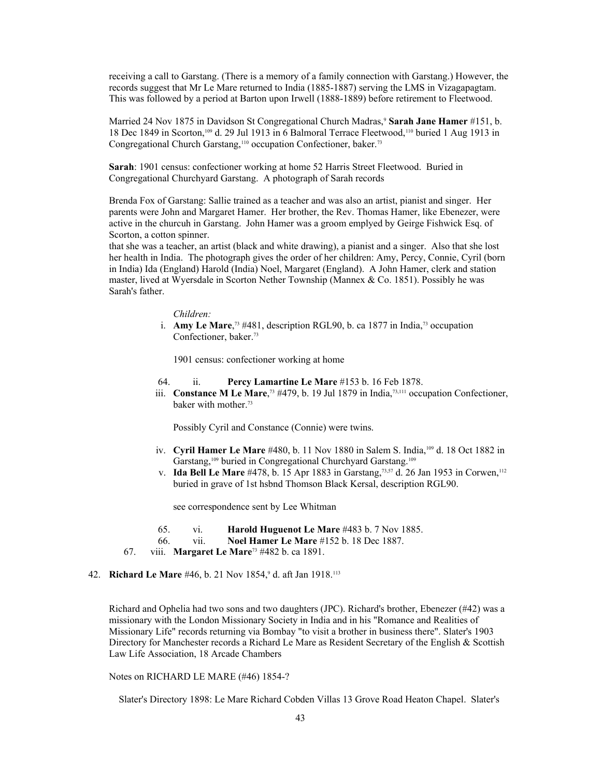receiving a call to Garstang. (There is a memory of a family connection with Garstang.) However, the records suggest that Mr Le Mare returned to India (1885-1887) serving the LMS in Vizagapagtam. This was followed by a period at Barton upon Irwell (1888-1889) before retirement to Fleetwood.

Married 24 Nov 1875 in Davidson St Congregational Church Madras,<sup>9</sup> **Sarah Jane Hamer** #151, b. 18 Dec 1849 in Scorton,109 d. 29 Jul 1913 in 6 Balmoral Terrace Fleetwood,[110](#page-106-24) buried 1 Aug 1913 in Congregational Church Garstang,<sup>110</sup> occupation Confectioner, baker.<sup>73</sup>

**Sarah**: 1901 census: confectioner working at home 52 Harris Street Fleetwood. Buried in Congregational Churchyard Garstang. A photograph of Sarah records

Brenda Fox of Garstang: Sallie trained as a teacher and was also an artist, pianist and singer. Her parents were John and Margaret Hamer. Her brother, the Rev. Thomas Hamer, like Ebenezer, were active in the churcuh in Garstang. John Hamer was a groom emplyed by Geirge Fishwick Esq. of Scorton, a cotton spinner.

that she was a teacher, an artist (black and white drawing), a pianist and a singer. Also that she lost her health in India. The photograph gives the order of her children: Amy, Percy, Connie, Cyril (born in India) Ida (England) Harold (India) Noel, Margaret (England). A John Hamer, clerk and station master, lived at Wyersdale in Scorton Nether Township (Mannex & Co. 1851). Possibly he was Sarah's father.

#### *Children:*

i. **Amy Le Mare**,<sup>73</sup> #481, description RGL90, b. ca 1877 in India,<sup>73</sup> occupation Confectioner, baker.<sup>73</sup>

1901 census: confectioner working at home

- 64. ii. **Percy Lamartine Le Mare** #153 b. 16 Feb 1878.
- iii. **Constance M Le Mare**,<sup> $73$ </sup> #479, b. 19 Jul 1879 in India,<sup> $73,111$  $73,111$ </sup> occupation Confectioner, baker with mother.<sup>73</sup>

Possibly Cyril and Constance (Connie) were twins.

- iv. **Cyril Hamer Le Mare** #480, b. 11 Nov 1880 in Salem S. India,109 d. 18 Oct 1882 in Garstang,109 buried in Congregational Churchyard Garstang.<sup>109</sup>
- v. **Ida Bell Le Mare** #478, b. 15 Apr 1883 in Garstang,<sup>73,57</sup> d. 26 Jan 1953 in Corwen,<sup>[112](#page-106-26)</sup> buried in grave of 1st hsbnd Thomson Black Kersal, description RGL90.

see correspondence sent by Lee Whitman

- 65. vi. **Harold Huguenot Le Mare** #483 b. 7 Nov 1885.
- 66. vii. **Noel Hamer Le Mare** #152 b. 18 Dec 1887.
- 67. viii. **Margaret Le Mare**73 #482 b. ca 1891.

#### 42. **Richard Le Mare** #46, b. 21 Nov 1854,<sup>9</sup> d. aft Jan 1918.<sup>[113](#page-106-27)</sup>

Richard and Ophelia had two sons and two daughters (JPC). Richard's brother, Ebenezer (#42) was a missionary with the London Missionary Society in India and in his "Romance and Realities of Missionary Life" records returning via Bombay "to visit a brother in business there". Slater's 1903 Directory for Manchester records a Richard Le Mare as Resident Secretary of the English & Scottish Law Life Association, 18 Arcade Chambers

Notes on RICHARD LE MARE (#46) 1854-?

Slater's Directory 1898: Le Mare Richard Cobden Villas 13 Grove Road Heaton Chapel. Slater's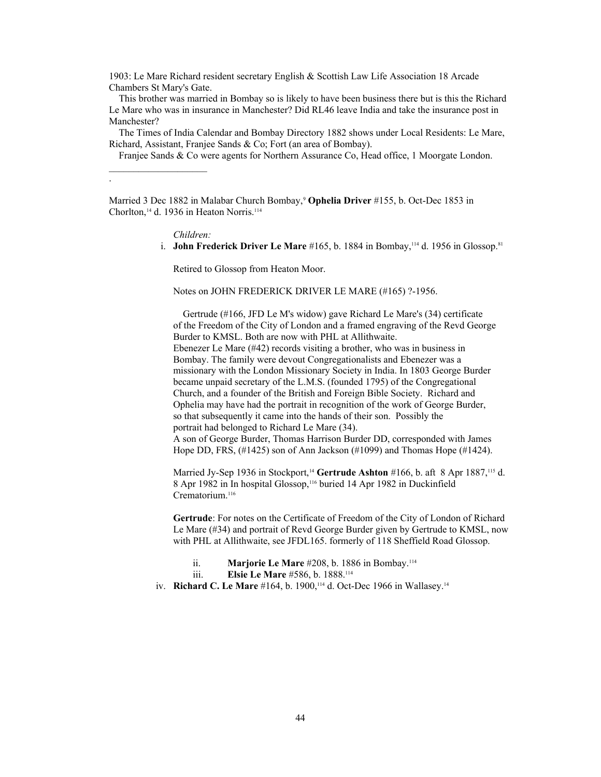1903: Le Mare Richard resident secretary English & Scottish Law Life Association 18 Arcade Chambers St Mary's Gate.

 This brother was married in Bombay so is likely to have been business there but is this the Richard Le Mare who was in insurance in Manchester? Did RL46 leave India and take the insurance post in Manchester?

 The Times of India Calendar and Bombay Directory 1882 shows under Local Residents: Le Mare, Richard, Assistant, Franjee Sands & Co; Fort (an area of Bombay).

Franjee Sands & Co were agents for Northern Assurance Co, Head office, 1 Moorgate London.

Married 3 Dec 1882 in Malabar Church Bombay,<sup>9</sup> **Ophelia Driver** #155, b. Oct-Dec 1853 in Chorlton,<sup>14</sup> d. 1936 in Heaton Norris.<sup>[114](#page-106-28)</sup>

*Children:*

 $\mathcal{L}_\text{max}$  , where  $\mathcal{L}_\text{max}$  , we have

.

i. **John Frederick Driver Le Mare** #165, b. 1884 in Bombay,<sup>114</sup> d. 1956 in Glossop.<sup>81</sup>

Retired to Glossop from Heaton Moor.

Notes on JOHN FREDERICK DRIVER LE MARE (#165) ?-1956.

 Gertrude (#166, JFD Le M's widow) gave Richard Le Mare's (34) certificate of the Freedom of the City of London and a framed engraving of the Revd George Burder to KMSL. Both are now with PHL at Allithwaite. Ebenezer Le Mare (#42) records visiting a brother, who was in business in Bombay. The family were devout Congregationalists and Ebenezer was a missionary with the London Missionary Society in India. In 1803 George Burder became unpaid secretary of the L.M.S. (founded 1795) of the Congregational Church, and a founder of the British and Foreign Bible Society. Richard and Ophelia may have had the portrait in recognition of the work of George Burder, so that subsequently it came into the hands of their son. Possibly the portrait had belonged to Richard Le Mare (34).

A son of George Burder, Thomas Harrison Burder DD, corresponded with James Hope DD, FRS, (#1425) son of Ann Jackson (#1099) and Thomas Hope (#1424).

Married Jy-Sep 1936 in Stockport,<sup>14</sup> Gertrude Ashton #166, b. aft 8 Apr 1887,<sup>[115](#page-106-29)</sup> d. 8 Apr 1982 in In hospital Glossop,[116](#page-106-30) buried 14 Apr 1982 in Duckinfield Crematorium.<sup>116</sup>

**Gertrude**: For notes on the Certificate of Freedom of the City of London of Richard Le Mare (#34) and portrait of Revd George Burder given by Gertrude to KMSL, now with PHL at Allithwaite, see JFDL165. formerly of 118 Sheffield Road Glossop.

ii. **Marjorie Le Mare** #208, b. 1886 in Bombay.<sup>114</sup>

iii. **Elsie Le Mare** #586, b. 1888.<sup>114</sup>

iv. **Richard C. Le Mare** #164, b. 1900,<sup>114</sup> d. Oct-Dec 1966 in Wallasey.<sup>14</sup>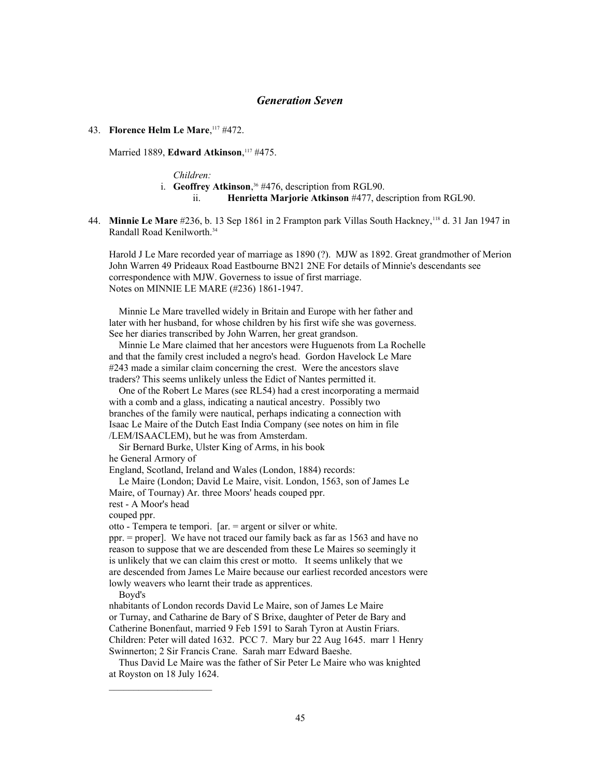### *Generation Seven*

#### 43. **Florence Helm Le Mare**, [117](#page-106-31) #472.

Married 1889, **Edward Atkinson**, <sup>117</sup> #475.

*Children:* i. **Geoffrey Atkinson**, <sup>36</sup> #476, description from RGL90. ii. **Henrietta Marjorie Atkinson** #477, description from RGL90.

44. **Minnie Le Mare** #236, b. 13 Sep 1861 in 2 Frampton park Villas South Hackney,[118](#page-107-0) d. 31 Jan 1947 in Randall Road Kenilworth.<sup>34</sup>

Harold J Le Mare recorded year of marriage as 1890 (?). MJW as 1892. Great grandmother of Merion John Warren 49 Prideaux Road Eastbourne BN21 2NE For details of Minnie's descendants see correspondence with MJW. Governess to issue of first marriage. Notes on MINNIE LE MARE (#236) 1861-1947.

 Minnie Le Mare travelled widely in Britain and Europe with her father and later with her husband, for whose children by his first wife she was governess. See her diaries transcribed by John Warren, her great grandson.

 Minnie Le Mare claimed that her ancestors were Huguenots from La Rochelle and that the family crest included a negro's head. Gordon Havelock Le Mare #243 made a similar claim concerning the crest. Were the ancestors slave traders? This seems unlikely unless the Edict of Nantes permitted it.

 One of the Robert Le Mares (see RL54) had a crest incorporating a mermaid with a comb and a glass, indicating a nautical ancestry. Possibly two branches of the family were nautical, perhaps indicating a connection with Isaac Le Maire of the Dutch East India Company (see notes on him in file /LEM/ISAACLEM), but he was from Amsterdam.

 Sir Bernard Burke, Ulster King of Arms, in his book he General Armory of

England, Scotland, Ireland and Wales (London, 1884) records:

Le Maire (London; David Le Maire, visit. London, 1563, son of James Le

Maire, of Tournay) Ar. three Moors' heads couped ppr.

rest - A Moor's head

couped ppr.

otto - Tempera te tempori. [ar. = argent or silver or white.

ppr. = proper]. We have not traced our family back as far as 1563 and have no reason to suppose that we are descended from these Le Maires so seemingly it is unlikely that we can claim this crest or motto. It seems unlikely that we are descended from James Le Maire because our earliest recorded ancestors were lowly weavers who learnt their trade as apprentices.

#### Boyd's

nhabitants of London records David Le Maire, son of James Le Maire or Turnay, and Catharine de Bary of S Brixe, daughter of Peter de Bary and Catherine Bonenfaut, married 9 Feb 1591 to Sarah Tyron at Austin Friars. Children: Peter will dated 1632. PCC 7. Mary bur 22 Aug 1645. marr 1 Henry Swinnerton; 2 Sir Francis Crane. Sarah marr Edward Baeshe.

 Thus David Le Maire was the father of Sir Peter Le Maire who was knighted at Royston on 18 July 1624.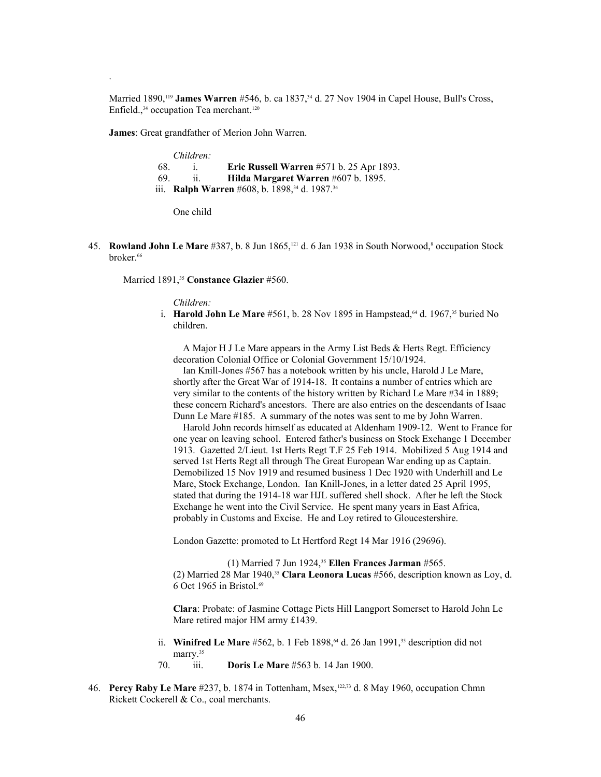Married 1890,<sup>[119](#page-107-1)</sup> **James Warren** #546, b. ca 1837,<sup>34</sup> d. 27 Nov 1904 in Capel House, Bull's Cross, Enfield.,<sup>34</sup> occupation Tea merchant.<sup>[120](#page-107-2)</sup>

**James**: Great grandfather of Merion John Warren.

.

|     | Children:             |                                                                              |
|-----|-----------------------|------------------------------------------------------------------------------|
| 68. |                       | Eric Russell Warren #571 b. 25 Apr 1893.                                     |
| 69. | $\ddot{\mathbf{u}}$ . | Hilda Margaret Warren #607 b. 1895.                                          |
|     |                       | iii. <b>Ralph Warren</b> #608, b. 1898, <sup>34</sup> d. 1987. <sup>34</sup> |

One child

45. **Rowland John Le Mare** #387, b. 8 Jun 1865,<sup>[121](#page-107-3)</sup> d. 6 Jan 1938 in South Norwood,<sup>8</sup> occupation Stock broker.<sup>66</sup>

Married 1891,<sup>35</sup> Constance Glazier #560.

*Children:*

i. **Harold John Le Mare** #561, b. 28 Nov 1895 in Hampstead, <sup>64</sup> d. 1967, <sup>35</sup> buried No children.

 A Major H J Le Mare appears in the Army List Beds & Herts Regt. Efficiency decoration Colonial Office or Colonial Government 15/10/1924.

 Ian Knill-Jones #567 has a notebook written by his uncle, Harold J Le Mare, shortly after the Great War of 1914-18. It contains a number of entries which are very similar to the contents of the history written by Richard Le Mare #34 in 1889; these concern Richard's ancestors. There are also entries on the descendants of Isaac Dunn Le Mare #185. A summary of the notes was sent to me by John Warren.

 Harold John records himself as educated at Aldenham 1909-12. Went to France for one year on leaving school. Entered father's business on Stock Exchange 1 December 1913. Gazetted 2/Lieut. 1st Herts Regt T.F 25 Feb 1914. Mobilized 5 Aug 1914 and served 1st Herts Regt all through The Great European War ending up as Captain. Demobilized 15 Nov 1919 and resumed business 1 Dec 1920 with Underhill and Le Mare, Stock Exchange, London. Ian Knill-Jones, in a letter dated 25 April 1995, stated that during the 1914-18 war HJL suffered shell shock. After he left the Stock Exchange he went into the Civil Service. He spent many years in East Africa, probably in Customs and Excise. He and Loy retired to Gloucestershire.

London Gazette: promoted to Lt Hertford Regt 14 Mar 1916 (29696).

(1) Married 7 Jun 1924,<sup>35</sup> **Ellen Frances Jarman** #565. (2) Married 28 Mar 1940,<sup>35</sup> **Clara Leonora Lucas** #566, description known as Loy, d. 6 Oct 1965 in Bristol. $69$ 

**Clara**: Probate: of Jasmine Cottage Picts Hill Langport Somerset to Harold John Le Mare retired major HM army £1439.

- ii. **Winifred Le Mare** #562, b. 1 Feb 1898,<sup>64</sup> d. 26 Jan 1991,<sup>35</sup> description did not marry.<sup>35</sup>
- 70. iii. **Doris Le Mare** #563 b. 14 Jan 1900.
- 46. **Percy Raby Le Mare** #237, b. 1874 in Tottenham, Msex,[122,](#page-107-4)73 d. 8 May 1960, occupation Chmn Rickett Cockerell & Co., coal merchants.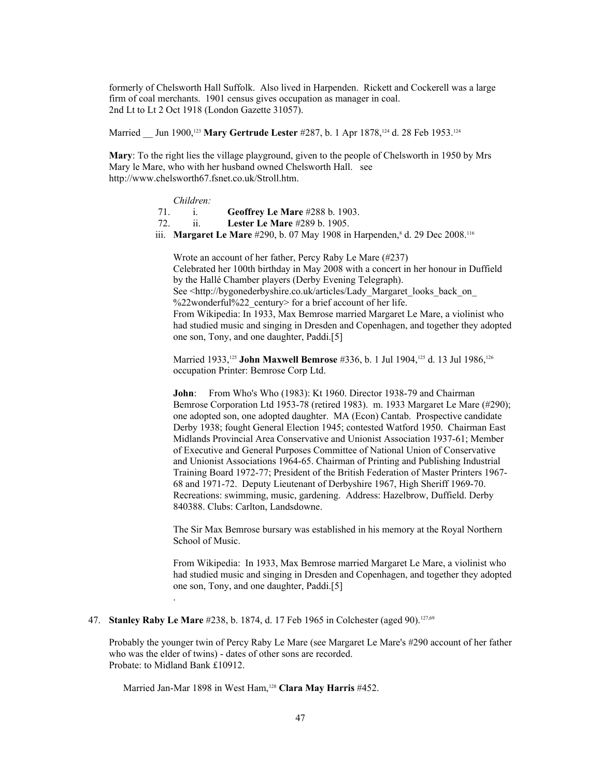formerly of Chelsworth Hall Suffolk. Also lived in Harpenden. Rickett and Cockerell was a large firm of coal merchants. 1901 census gives occupation as manager in coal. 2nd Lt to Lt 2 Oct 1918 (London Gazette 31057).

Married Jun 1900,<sup>[123](#page-107-5)</sup> Mary Gertrude Lester #287, b. 1 Apr 1878,<sup>[124](#page-107-6)</sup> d. 28 Feb 1953.<sup>124</sup>

**Mary**: To the right lies the village playground, given to the people of Chelsworth in 1950 by Mrs Mary le Mare, who with her husband owned Chelsworth Hall. see http://www.chelsworth67.fsnet.co.uk/Stroll.htm.

*Children:*

- 71. i. **Geoffrey Le Mare** #288 b. 1903.
- 72. ii. **Lester Le Mare** #289 b. 1905.
- iii. **Margaret Le Mare** #290, b. 07 May 1908 in Harpenden,<sup>8</sup> d. 29 Dec 2008.<sup>116</sup>

Wrote an account of her father, Percy Raby Le Mare (#237) Celebrated her 100th birthday in May 2008 with a concert in her honour in Duffield by the Hallé Chamber players (Derby Evening Telegraph). See <http://bygonederbyshire.co.uk/articles/Lady\_Margaret\_looks\_back\_on %22wonderful%22 century> for a brief account of her life. From Wikipedia: In 1933, Max Bemrose married Margaret Le Mare, a violinist who had studied music and singing in Dresden and Copenhagen, and together they adopted one son, Tony, and one daughter, Paddi.[5]

Married 1933,<sup>[125](#page-107-7)</sup> **John Maxwell Bemrose** #336, b. 1 Jul 1904,<sup>125</sup> d. 13 Jul 1986,<sup>[126](#page-107-8)</sup> occupation Printer: Bemrose Corp Ltd.

**John**: From Who's Who (1983): Kt 1960. Director 1938-79 and Chairman Bemrose Corporation Ltd 1953-78 (retired 1983). m. 1933 Margaret Le Mare (#290); one adopted son, one adopted daughter. MA (Econ) Cantab. Prospective candidate Derby 1938; fought General Election 1945; contested Watford 1950. Chairman East Midlands Provincial Area Conservative and Unionist Association 1937-61; Member of Executive and General Purposes Committee of National Union of Conservative and Unionist Associations 1964-65. Chairman of Printing and Publishing Industrial Training Board 1972-77; President of the British Federation of Master Printers 1967- 68 and 1971-72. Deputy Lieutenant of Derbyshire 1967, High Sheriff 1969-70. Recreations: swimming, music, gardening. Address: Hazelbrow, Duffield. Derby 840388. Clubs: Carlton, Landsdowne.

The Sir Max Bemrose bursary was established in his memory at the Royal Northern School of Music.

From Wikipedia: In 1933, Max Bemrose married Margaret Le Mare, a violinist who had studied music and singing in Dresden and Copenhagen, and together they adopted one son, Tony, and one daughter, Paddi.[5]

47. **Stanley Raby Le Mare** #238, b. 1874, d. 17 Feb 1965 in Colchester (aged 90).<sup>[127,](#page-107-9)69</sup>

.

Probably the younger twin of Percy Raby Le Mare (see Margaret Le Mare's #290 account of her father who was the elder of twins) - dates of other sons are recorded. Probate: to Midland Bank £10912.

Married Jan-Mar 1898 in West Ham,[128](#page-107-10) **Clara May Harris** #452.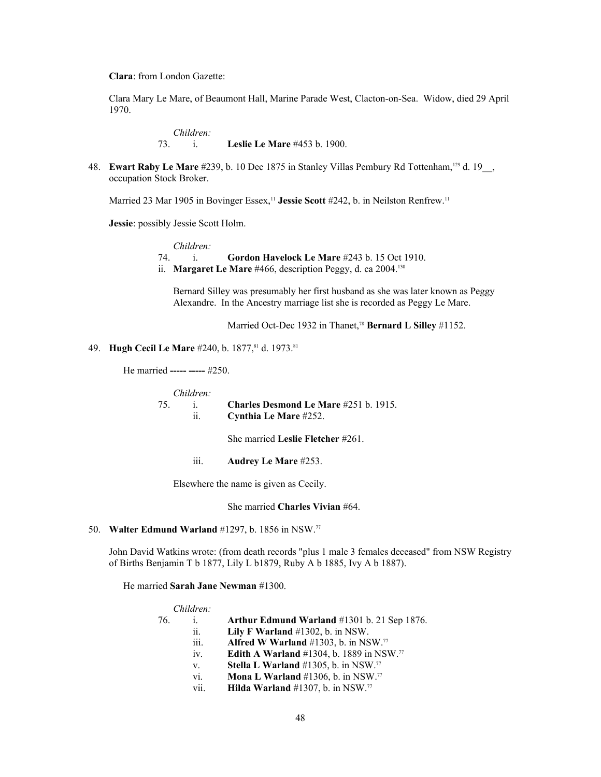**Clara**: from London Gazette:

Clara Mary Le Mare, of Beaumont Hall, Marine Parade West, Clacton-on-Sea. Widow, died 29 April 1970.

> *Children:*<br>73. *i.* **Leslie Le Mare** #453 b. 1900.

48. **Ewart Raby Le Mare** #239, b. 10 Dec 1875 in Stanley Villas Pembury Rd Tottenham,<sup>[129](#page-107-11)</sup> d. 19<sub>\_\_</sub>, occupation Stock Broker.

Married 23 Mar 1905 in Bovinger Essex,<sup>11</sup> Jessie Scott #242, b. in Neilston Renfrew.<sup>11</sup>

**Jessie**: possibly Jessie Scott Holm.

*Children:* 74. i. **Gordon Havelock Le Mare** #243 b. 15 Oct 1910. ii. **Margaret Le Mare** #466, description Peggy, d. ca 2004.<sup>[130](#page-107-12)</sup>

Bernard Silley was presumably her first husband as she was later known as Peggy Alexandre. In the Ancestry marriage list she is recorded as Peggy Le Mare.

Married Oct-Dec 1932 in Thanet,<sup>78</sup> Bernard L Silley #1152.

# 49. **Hugh Cecil Le Mare** #240, b. 1877, <sup>81</sup> d. 1973. <sup>81</sup>

He married **----- -----** #250.

|    | Children: |                                              |
|----|-----------|----------------------------------------------|
| 75 |           | <b>Charles Desmond Le Mare #251 b. 1915.</b> |
|    | 11.       | Cynthia Le Mare #252.                        |
|    |           | She married Leslie Fletcher $\#261$ .        |
|    | 111.      | <b>Audrey Le Mare #253.</b>                  |

Elsewhere the name is given as Cecily.

She married **Charles Vivian** #64.

## 50. **Walter Edmund Warland** #1297, b. 1856 in NSW.<sup>77</sup>

John David Watkins wrote: (from death records "plus 1 male 3 females deceased" from NSW Registry of Births Benjamin T b 1877, Lily L b1879, Ruby A b 1885, Ivy A b 1887).

He married **Sarah Jane Newman** #1300.

|      | Arthur Edmund Warland #1301 b. 21 Sep 1876.           |
|------|-------------------------------------------------------|
| ii.  | Lily F Warland $#1302$ , b. in NSW.                   |
| iii. | Alfred W Warland $#1303$ , b. in NSW. <sup>77</sup>   |
| iv.  | Edith A Warland #1304, b. 1889 in NSW. <sup>77</sup>  |
| V.   | Stella L Warland #1305, b. in NSW.77                  |
| vi.  | <b>Mona L Warland</b> #1306, b. in NSW. <sup>77</sup> |
| vii. | <b>Hilda Warland</b> #1307, b. in NSW. <sup>77</sup>  |
|      | Children:                                             |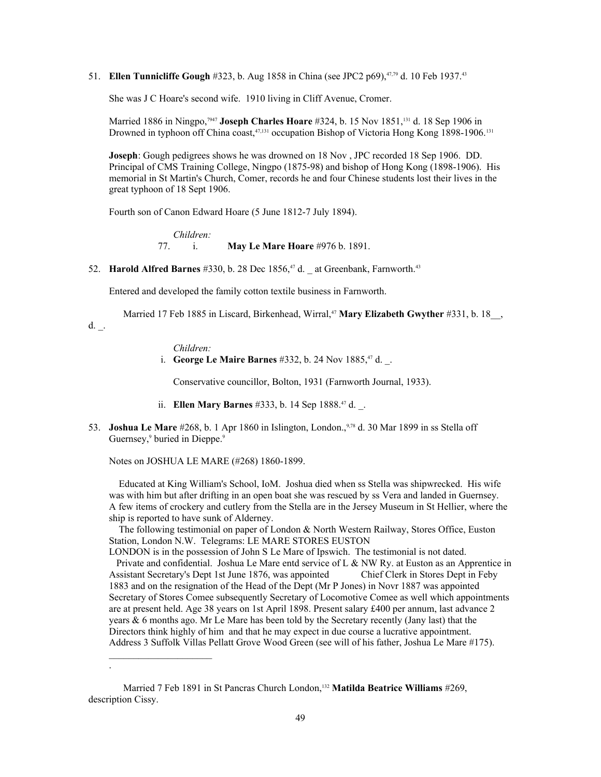51. **Ellen Tunnicliffe Gough** #323, b. Aug 1858 in China (see JPC2 p69),<sup>47,79</sup> d. 10 Feb 1937.<sup>43</sup>

She was J C Hoare's second wife. 1910 living in Cliff Avenue, Cromer.

Married 1886 in Ningpo,<sup>7947</sup> **Joseph Charles Hoare** #324, b. 15 Nov 1851,[131](#page-107-13) d. 18 Sep 1906 in Drowned in typhoon off China coast,<sup>47,131</sup> occupation Bishop of Victoria Hong Kong 1898-1906.<sup>131</sup>

**Joseph**: Gough pedigrees shows he was drowned on 18 Nov , JPC recorded 18 Sep 1906. DD. Principal of CMS Training College, Ningpo (1875-98) and bishop of Hong Kong (1898-1906). His memorial in St Martin's Church, Comer, records he and four Chinese students lost their lives in the great typhoon of 18 Sept 1906.

Fourth son of Canon Edward Hoare (5 June 1812-7 July 1894).

*Children:* 77. i. **May Le Mare Hoare** #976 b. 1891.

52. **Harold Alfred Barnes** #330, b. 28 Dec 1856,<sup>47</sup> d. \_ at Greenbank, Farnworth.<sup>43</sup>

Entered and developed the family cotton textile business in Farnworth.

Married 17 Feb 1885 in Liscard, Birkenhead, Wirral,<sup>47</sup> Mary Elizabeth Gwyther #331, b. 18<sup>1</sup>,

d.  $\overline{\phantom{a}}$ .

*Children:*

i. **George Le Maire Barnes** #332, b. 24 Nov 1885, <sup>47</sup> d.

Conservative councillor, Bolton, 1931 (Farnworth Journal, 1933).

- ii. **Ellen Mary Barnes** #333, b. 14 Sep 1888.47 d. \_.
- 53. **Joshua Le Mare** #268, b. 1 Apr 1860 in Islington, London.,9,78 d. 30 Mar 1899 in ss Stella off Guernsey,<sup>9</sup> buried in Dieppe.<sup>9</sup>

Notes on JOSHUA LE MARE (#268) 1860-1899.

 $\mathcal{L}_\text{max}$ 

.

 Educated at King William's School, IoM. Joshua died when ss Stella was shipwrecked. His wife was with him but after drifting in an open boat she was rescued by ss Vera and landed in Guernsey. A few items of crockery and cutlery from the Stella are in the Jersey Museum in St Hellier, where the ship is reported to have sunk of Alderney.

 The following testimonial on paper of London & North Western Railway, Stores Office, Euston Station, London N.W. Telegrams: LE MARE STORES EUSTON

LONDON is in the possession of John S Le Mare of Ipswich. The testimonial is not dated. Private and confidential. Joshua Le Mare entd service of L & NW Ry. at Euston as an Apprentice in Assistant Secretary's Dept 1st June 1876, was appointed Chief Clerk in Stores Dept in Feby 1883 and on the resignation of the Head of the Dept (Mr P Jones) in Novr 1887 was appointed Secretary of Stores Comee subsequently Secretary of Locomotive Comee as well which appointments are at present held. Age 38 years on 1st April 1898. Present salary £400 per annum, last advance 2 years & 6 months ago. Mr Le Mare has been told by the Secretary recently (Jany last) that the Directors think highly of him and that he may expect in due course a lucrative appointment. Address 3 Suffolk Villas Pellatt Grove Wood Green (see will of his father, Joshua Le Mare #175).

Married 7 Feb 1891 in St Pancras Church London,[132](#page-107-14) **Matilda Beatrice Williams** #269, description Cissy.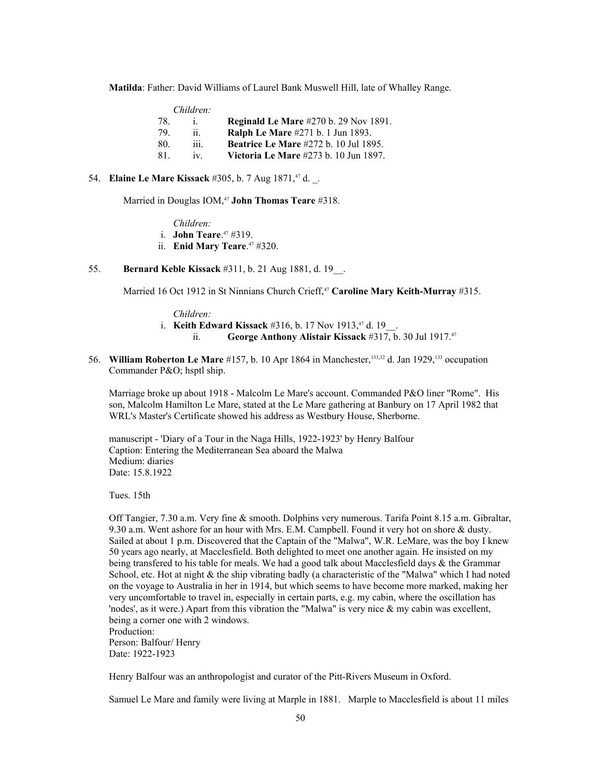**Matilda**: Father: David Williams of Laurel Bank Muswell Hill, late of Whalley Range.

|     | Children: |                                              |
|-----|-----------|----------------------------------------------|
| 78. |           | <b>Reginald Le Mare #270 b. 29 Nov 1891.</b> |
| 79  | ii.       | <b>Ralph Le Mare</b> #271 b. 1 Jun 1893.     |
| 80. | iii.      | <b>Beatrice Le Mare #272 b. 10 Jul 1895.</b> |
| 81. | 1V        | Victoria Le Mare #273 b. 10 Jun 1897.        |

54. **Elaine Le Mare Kissack** #305, b. 7 Aug 1871, <sup>47</sup> d.

Married in Douglas IOM,<sup>47</sup> **John Thomas Teare** #318.

*Children:*

i. **John Teare**. <sup>47</sup> #319.

ii. **Enid Mary Teare**. <sup>47</sup> #320.

# 55. **Bernard Keble Kissack** #311, b. 21 Aug 1881, d. 19\_\_.

Married 16 Oct 1912 in St Ninnians Church Crieff,<sup>47</sup> Caroline Mary Keith-Murray #315.

*Children:*

- i. **Keith Edward Kissack** #316, b. 17 Nov 1913,<sup>47</sup> d. 19
	- ii. **George Anthony Alistair Kissack** #317, b. 30 Jul 1917.<sup>47</sup>
- 56. **William Roberton Le Mare** #157, b. 10 Apr 1864 in Manchester,[133,](#page-107-15)32 d. Jan 1929,133 occupation Commander P&O; hsptl ship.

Marriage broke up about 1918 - Malcolm Le Mare's account. Commanded P&O liner "Rome". His son, Malcolm Hamilton Le Mare, stated at the Le Mare gathering at Banbury on 17 April 1982 that WRL's Master's Certificate showed his address as Westbury House, Sherborne.

manuscript - 'Diary of a Tour in the Naga Hills, 1922-1923' by Henry Balfour Caption: Entering the Mediterranean Sea aboard the Malwa Medium: diaries Date: 15.8.1922

Tues. 15th

Off Tangier, 7.30 a.m. Very fine & smooth. Dolphins very numerous. Tarifa Point 8.15 a.m. Gibraltar, 9.30 a.m. Went ashore for an hour with Mrs. E.M. Campbell. Found it very hot on shore & dusty. Sailed at about 1 p.m. Discovered that the Captain of the "Malwa", W.R. LeMare, was the boy I knew 50 years ago nearly, at Macclesfield. Both delighted to meet one another again. He insisted on my being transfered to his table for meals. We had a good talk about Macclesfield days & the Grammar School, etc. Hot at night & the ship vibrating badly (a characteristic of the "Malwa" which I had noted on the voyage to Australia in her in 1914, but which seems to have become more marked, making her very uncomfortable to travel in, especially in certain parts, e.g. my cabin, where the oscillation has 'nodes', as it were.) Apart from this vibration the "Malwa" is very nice & my cabin was excellent, being a corner one with 2 windows. Production:

Person: Balfour/ Henry Date: 1922-1923

Henry Balfour was an anthropologist and curator of the Pitt-Rivers Museum in Oxford.

Samuel Le Mare and family were living at Marple in 1881. Marple to Macclesfield is about 11 miles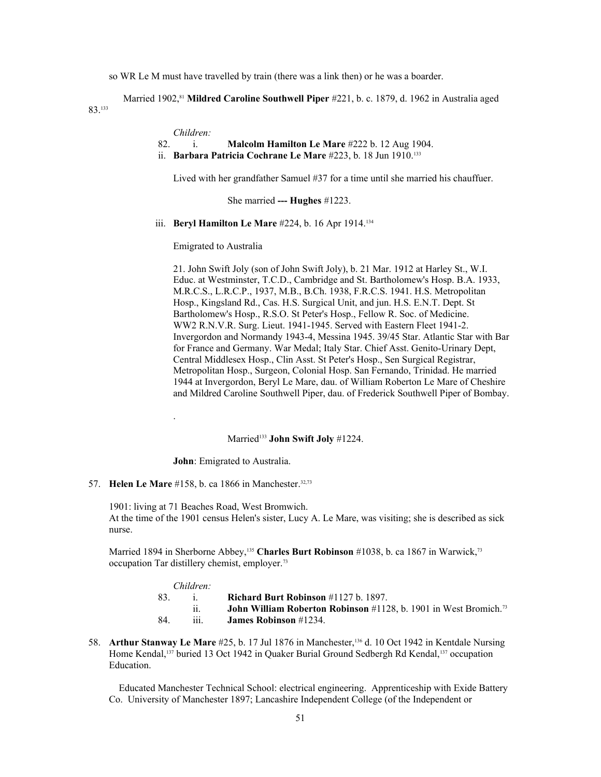so WR Le M must have travelled by train (there was a link then) or he was a boarder.

Married 1902,<sup>81</sup> Mildred Caroline Southwell Piper #221, b. c. 1879, d. 1962 in Australia aged

83.<sup>133</sup>

*Children:*

- 82. i. **Malcolm Hamilton Le Mare** #222 b. 12 Aug 1904.
- ii. **Barbara Patricia Cochrane Le Mare** #223, b. 18 Jun 1910.<sup>133</sup>

Lived with her grandfather Samuel #37 for a time until she married his chauffuer.

She married **--- Hughes** #1223.

iii. **Beryl Hamilton Le Mare** #224, b. 16 Apr 1914.[134](#page-107-16)

Emigrated to Australia

21. John Swift Joly (son of John Swift Joly), b. 21 Mar. 1912 at Harley St., W.I. Educ. at Westminster, T.C.D., Cambridge and St. Bartholomew's Hosp. B.A. 1933, M.R.C.S., L.R.C.P., 1937, M.B., B.Ch. 1938, F.R.C.S. 1941. H.S. Metropolitan Hosp., Kingsland Rd., Cas. H.S. Surgical Unit, and jun. H.S. E.N.T. Dept. St Bartholomew's Hosp., R.S.O. St Peter's Hosp., Fellow R. Soc. of Medicine. WW2 R.N.V.R. Surg. Lieut. 1941-1945. Served with Eastern Fleet 1941-2. Invergordon and Normandy 1943-4, Messina 1945. 39/45 Star. Atlantic Star with Bar for France and Germany. War Medal; Italy Star. Chief Asst. Genito-Urinary Dept, Central Middlesex Hosp., Clin Asst. St Peter's Hosp., Sen Surgical Registrar, Metropolitan Hosp., Surgeon, Colonial Hosp. San Fernando, Trinidad. He married 1944 at Invergordon, Beryl Le Mare, dau. of William Roberton Le Mare of Cheshire and Mildred Caroline Southwell Piper, dau. of Frederick Southwell Piper of Bombay.

# Married<sup>133</sup> John Swift Joly #1224.

**John**: Emigrated to Australia.

57. **Helen Le Mare** #158, b. ca 1866 in Manchester.<sup>32,73</sup>

.

1901: living at 71 Beaches Road, West Bromwich. At the time of the 1901 census Helen's sister, Lucy A. Le Mare, was visiting; she is described as sick nurse.

Married 1894 in Sherborne Abbey,<sup>[135](#page-107-17)</sup> Charles Burt Robinson #1038, b. ca 1867 in Warwick,<sup>73</sup> occupation Tar distillery chemist, employer.<sup>73</sup>

| Children |      |                                                                                         |
|----------|------|-----------------------------------------------------------------------------------------|
| 83.      |      | Richard Burt Robinson $\#1127$ b. 1897.                                                 |
|          |      | <b>John William Roberton Robinson</b> $\#1128$ , b. 1901 in West Bromich. <sup>73</sup> |
| 84.      | 111. | <b>James Robinson</b> #1234.                                                            |

58. **Arthur Stanway Le Mare** #25, b. 17 Jul 1876 in Manchester,<sup>[136](#page-107-18)</sup> d. 10 Oct 1942 in Kentdale Nursing Home Kendal,<sup>[137](#page-107-19)</sup> buried 13 Oct 1942 in Quaker Burial Ground Sedbergh Rd Kendal,<sup>137</sup> occupation Education.

 Educated Manchester Technical School: electrical engineering. Apprenticeship with Exide Battery Co. University of Manchester 1897; Lancashire Independent College (of the Independent or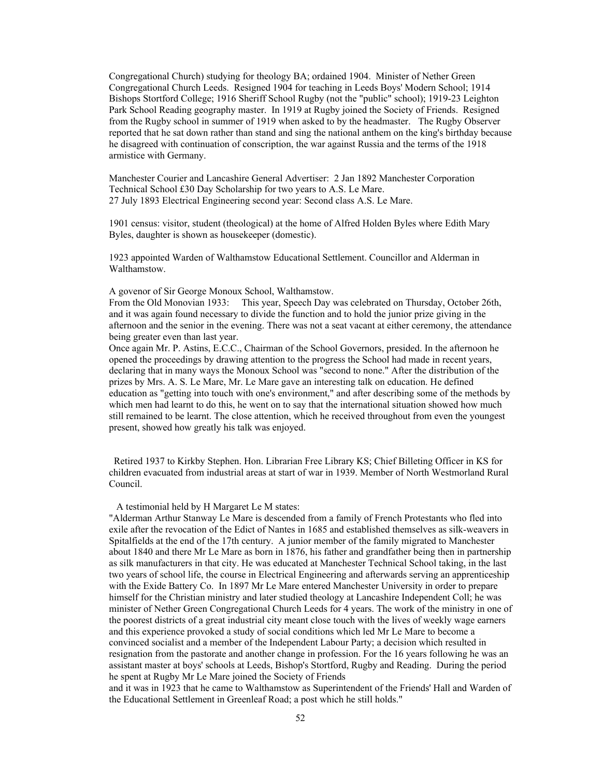Congregational Church) studying for theology BA; ordained 1904. Minister of Nether Green Congregational Church Leeds. Resigned 1904 for teaching in Leeds Boys' Modern School; 1914 Bishops Stortford College; 1916 Sheriff School Rugby (not the "public" school); 1919-23 Leighton Park School Reading geography master. In 1919 at Rugby joined the Society of Friends. Resigned from the Rugby school in summer of 1919 when asked to by the headmaster. The Rugby Observer reported that he sat down rather than stand and sing the national anthem on the king's birthday because he disagreed with continuation of conscription, the war against Russia and the terms of the 1918 armistice with Germany.

Manchester Courier and Lancashire General Advertiser: 2 Jan 1892 Manchester Corporation Technical School £30 Day Scholarship for two years to A.S. Le Mare. 27 July 1893 Electrical Engineering second year: Second class A.S. Le Mare.

1901 census: visitor, student (theological) at the home of Alfred Holden Byles where Edith Mary Byles, daughter is shown as housekeeper (domestic).

1923 appointed Warden of Walthamstow Educational Settlement. Councillor and Alderman in Walthamstow.

A govenor of Sir George Monoux School, Walthamstow.

From the Old Monovian 1933: This year, Speech Day was celebrated on Thursday, October 26th, and it was again found necessary to divide the function and to hold the junior prize giving in the afternoon and the senior in the evening. There was not a seat vacant at either ceremony, the attendance being greater even than last year.

Once again Mr. P. Astins, E.C.C., Chairman of the School Governors, presided. In the afternoon he opened the proceedings by drawing attention to the progress the School had made in recent years, declaring that in many ways the Monoux School was "second to none." After the distribution of the prizes by Mrs. A. S. Le Mare, Mr. Le Mare gave an interesting talk on education. He defined education as "getting into touch with one's environment," and after describing some of the methods by which men had learnt to do this, he went on to say that the international situation showed how much still remained to be learnt. The close attention, which he received throughout from even the youngest present, showed how greatly his talk was enjoyed.

 Retired 1937 to Kirkby Stephen. Hon. Librarian Free Library KS; Chief Billeting Officer in KS for children evacuated from industrial areas at start of war in 1939. Member of North Westmorland Rural Council.

### A testimonial held by H Margaret Le M states:

"Alderman Arthur Stanway Le Mare is descended from a family of French Protestants who fled into exile after the revocation of the Edict of Nantes in 1685 and established themselves as silk-weavers in Spitalfields at the end of the 17th century. A junior member of the family migrated to Manchester about 1840 and there Mr Le Mare as born in 1876, his father and grandfather being then in partnership as silk manufacturers in that city. He was educated at Manchester Technical School taking, in the last two years of school life, the course in Electrical Engineering and afterwards serving an apprenticeship with the Exide Battery Co. In 1897 Mr Le Mare entered Manchester University in order to prepare himself for the Christian ministry and later studied theology at Lancashire Independent Coll; he was minister of Nether Green Congregational Church Leeds for 4 years. The work of the ministry in one of the poorest districts of a great industrial city meant close touch with the lives of weekly wage earners and this experience provoked a study of social conditions which led Mr Le Mare to become a convinced socialist and a member of the Independent Labour Party; a decision which resulted in resignation from the pastorate and another change in profession. For the 16 years following he was an assistant master at boys' schools at Leeds, Bishop's Stortford, Rugby and Reading. During the period he spent at Rugby Mr Le Mare joined the Society of Friends

and it was in 1923 that he came to Walthamstow as Superintendent of the Friends' Hall and Warden of the Educational Settlement in Greenleaf Road; a post which he still holds."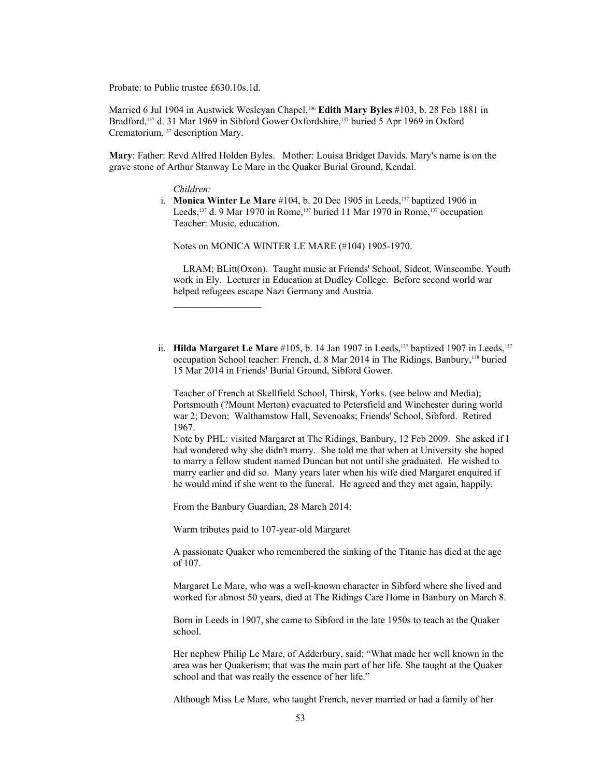Probate: to Public trustee £630.10s.1d.

Married 6 Jul 1904 in Austwick Wesleyan Chapel,<sup>106</sup> **Edith Mary Byles** #103, b. 28 Feb 1881 in Bradford,137 d. 31 Mar 1969 in Sibford Gower Oxfordshire,137 buried 5 Apr 1969 in Oxford Crematorium,<sup>137</sup> description Mary.

**Mary**: Father: Revd Alfred Holden Byles. Mother: Louisa Bridget Davids. Mary's name is on the grave stone of Arthur Stanway Le Mare in the Quaker Burial Ground, Kendal.

*Children:*

 i. **Monica Winter Le Mare** #104, b. 20 Dec 1905 in Leeds,137 baptized 1906 in Leeds,<sup>137</sup> d. 9 Mar 1970 in Rome,<sup>137</sup> buried 11 Mar 1970 in Rome,<sup>137</sup> occupation Teacher: Music, education.

Notes on MONICA WINTER LE MARE (#104) 1905-1970.

 LRAM; BLitt(Oxon). Taught music at Friends' School, Sidcot, Winscombe. Youth work in Ely. Lecturer in Education at Dudley College. Before second world war helped refugees escape Nazi Germany and Austria.

ii. **Hilda Margaret Le Mare**  $#105$ , b. 14 Jan 1907 in Leeds,<sup>137</sup> baptized 1907 in Leeds,<sup>137</sup> occupation School teacher: French, d. 8 Mar 2014 in The Ridings, Banbury,[138](#page-107-20) buried 15 Mar 2014 in Friends' Burial Ground, Sibford Gower.

Teacher of French at Skellfield School, Thirsk, Yorks. (see below and Media); Portsmouth (?Mount Merton) evacuated to Petersfield and Winchester during world war 2; Devon; Walthamstow Hall, Sevenoaks; Friends' School, Sibford. Retired 1967.

Note by PHL: visited Margaret at The Ridings, Banbury, 12 Feb 2009. She asked if I had wondered why she didn't marry. She told me that when at University she hoped to marry a fellow student named Duncan but not until she graduated. He wished to marry earlier and did so. Many years later when his wife died Margaret enquired if he would mind if she went to the funeral. He agreed and they met again, happily.

From the Banbury Guardian, 28 March 2014:

Warm tributes paid to 107-year-old Margaret

A passionate Quaker who remembered the sinking of the Titanic has died at the age of 107.

Margaret Le Mare, who was a well-known character in Sibford where she lived and worked for almost 50 years, died at The Ridings Care Home in Banbury on March 8.

Born in Leeds in 1907, she came to Sibford in the late 1950s to teach at the Quaker school.

Her nephew Philip Le Mare, of Adderbury, said: "What made her well known in the area was her Quakerism; that was the main part of her life. She taught at the Quaker school and that was really the essence of her life."

Although Miss Le Mare, who taught French, never married or had a family of her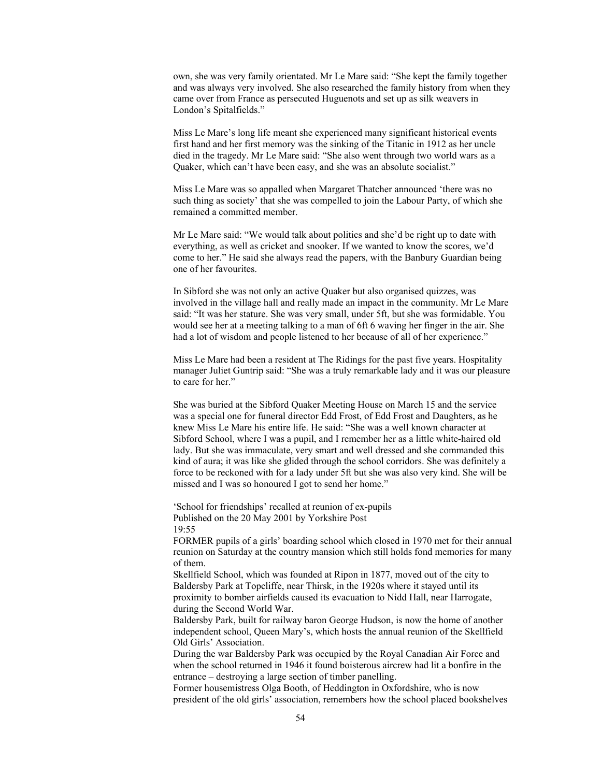own, she was very family orientated. Mr Le Mare said: "She kept the family together and was always very involved. She also researched the family history from when they came over from France as persecuted Huguenots and set up as silk weavers in London's Spitalfields."

Miss Le Mare's long life meant she experienced many significant historical events first hand and her first memory was the sinking of the Titanic in 1912 as her uncle died in the tragedy. Mr Le Mare said: "She also went through two world wars as a Quaker, which can't have been easy, and she was an absolute socialist."

Miss Le Mare was so appalled when Margaret Thatcher announced 'there was no such thing as society' that she was compelled to join the Labour Party, of which she remained a committed member.

Mr Le Mare said: "We would talk about politics and she'd be right up to date with everything, as well as cricket and snooker. If we wanted to know the scores, we'd come to her." He said she always read the papers, with the Banbury Guardian being one of her favourites.

In Sibford she was not only an active Quaker but also organised quizzes, was involved in the village hall and really made an impact in the community. Mr Le Mare said: "It was her stature. She was very small, under 5ft, but she was formidable. You would see her at a meeting talking to a man of 6ft 6 waving her finger in the air. She had a lot of wisdom and people listened to her because of all of her experience."

Miss Le Mare had been a resident at The Ridings for the past five years. Hospitality manager Juliet Guntrip said: "She was a truly remarkable lady and it was our pleasure to care for her."

She was buried at the Sibford Quaker Meeting House on March 15 and the service was a special one for funeral director Edd Frost, of Edd Frost and Daughters, as he knew Miss Le Mare his entire life. He said: "She was a well known character at Sibford School, where I was a pupil, and I remember her as a little white-haired old lady. But she was immaculate, very smart and well dressed and she commanded this kind of aura; it was like she glided through the school corridors. She was definitely a force to be reckoned with for a lady under 5ft but she was also very kind. She will be missed and I was so honoured I got to send her home."

'School for friendships' recalled at reunion of ex-pupils Published on the 20 May 2001 by Yorkshire Post 19:55

FORMER pupils of a girls' boarding school which closed in 1970 met for their annual reunion on Saturday at the country mansion which still holds fond memories for many of them.

Skellfield School, which was founded at Ripon in 1877, moved out of the city to Baldersby Park at Topcliffe, near Thirsk, in the 1920s where it stayed until its proximity to bomber airfields caused its evacuation to Nidd Hall, near Harrogate, during the Second World War.

Baldersby Park, built for railway baron George Hudson, is now the home of another independent school, Queen Mary's, which hosts the annual reunion of the Skellfield Old Girls' Association.

During the war Baldersby Park was occupied by the Royal Canadian Air Force and when the school returned in 1946 it found boisterous aircrew had lit a bonfire in the entrance – destroying a large section of timber panelling.

Former housemistress Olga Booth, of Heddington in Oxfordshire, who is now president of the old girls' association, remembers how the school placed bookshelves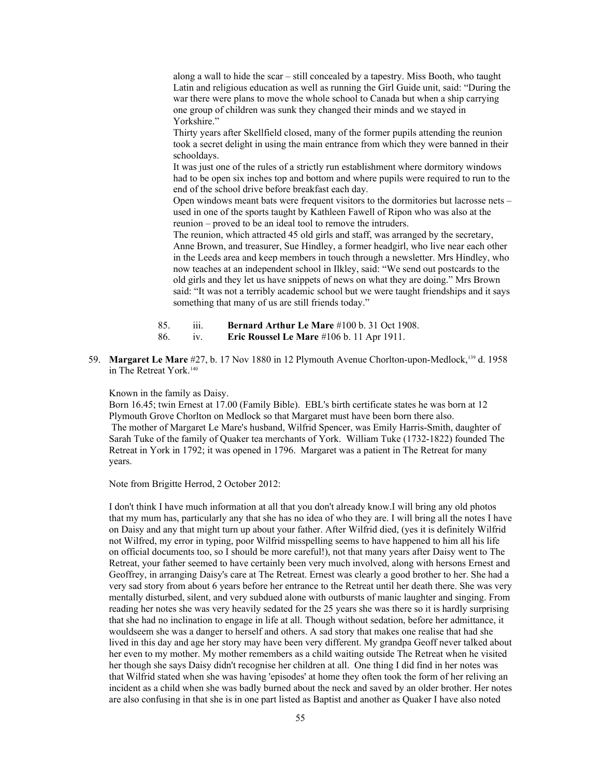along a wall to hide the scar – still concealed by a tapestry. Miss Booth, who taught Latin and religious education as well as running the Girl Guide unit, said: "During the war there were plans to move the whole school to Canada but when a ship carrying one group of children was sunk they changed their minds and we stayed in Yorkshire."

Thirty years after Skellfield closed, many of the former pupils attending the reunion took a secret delight in using the main entrance from which they were banned in their schooldays.

It was just one of the rules of a strictly run establishment where dormitory windows had to be open six inches top and bottom and where pupils were required to run to the end of the school drive before breakfast each day.

Open windows meant bats were frequent visitors to the dormitories but lacrosse nets – used in one of the sports taught by Kathleen Fawell of Ripon who was also at the reunion – proved to be an ideal tool to remove the intruders.

The reunion, which attracted 45 old girls and staff, was arranged by the secretary, Anne Brown, and treasurer, Sue Hindley, a former headgirl, who live near each other in the Leeds area and keep members in touch through a newsletter. Mrs Hindley, who now teaches at an independent school in Ilkley, said: "We send out postcards to the old girls and they let us have snippets of news on what they are doing." Mrs Brown said: "It was not a terribly academic school but we were taught friendships and it says something that many of us are still friends today."

- 85. iii. **Bernard Arthur Le Mare** #100 b. 31 Oct 1908.
- 86. iv. **Eric Roussel Le Mare** #106 b. 11 Apr 1911.
- 59. **Margaret Le Mare** #27, b. 17 Nov 1880 in 12 Plymouth Avenue Chorlton-upon-Medlock,[139](#page-107-21) d. 1958 in The Retreat York.[140](#page-107-22)

Known in the family as Daisy.

Born 16.45; twin Ernest at 17.00 (Family Bible). EBL's birth certificate states he was born at 12 Plymouth Grove Chorlton on Medlock so that Margaret must have been born there also. The mother of Margaret Le Mare's husband, Wilfrid Spencer, was Emily Harris-Smith, daughter of Sarah Tuke of the family of Quaker tea merchants of York. William Tuke (1732-1822) founded The Retreat in York in 1792; it was opened in 1796. Margaret was a patient in The Retreat for many years.

Note from Brigitte Herrod, 2 October 2012:

I don't think I have much information at all that you don't already know.I will bring any old photos that my mum has, particularly any that she has no idea of who they are. I will bring all the notes I have on Daisy and any that might turn up about your father. After Wilfrid died, (yes it is definitely Wilfrid not Wilfred, my error in typing, poor Wilfrid misspelling seems to have happened to him all his life on official documents too, so I should be more careful!), not that many years after Daisy went to The Retreat, your father seemed to have certainly been very much involved, along with hersons Ernest and Geoffrey, in arranging Daisy's care at The Retreat. Ernest was clearly a good brother to her. She had a very sad story from about 6 years before her entrance to the Retreat until her death there. She was very mentally disturbed, silent, and very subdued alone with outbursts of manic laughter and singing. From reading her notes she was very heavily sedated for the 25 years she was there so it is hardly surprising that she had no inclination to engage in life at all. Though without sedation, before her admittance, it wouldseem she was a danger to herself and others. A sad story that makes one realise that had she lived in this day and age her story may have been very different. My grandpa Geoff never talked about her even to my mother. My mother remembers as a child waiting outside The Retreat when he visited her though she says Daisy didn't recognise her children at all. One thing I did find in her notes was that Wilfrid stated when she was having 'episodes' at home they often took the form of her reliving an incident as a child when she was badly burned about the neck and saved by an older brother. Her notes are also confusing in that she is in one part listed as Baptist and another as Quaker I have also noted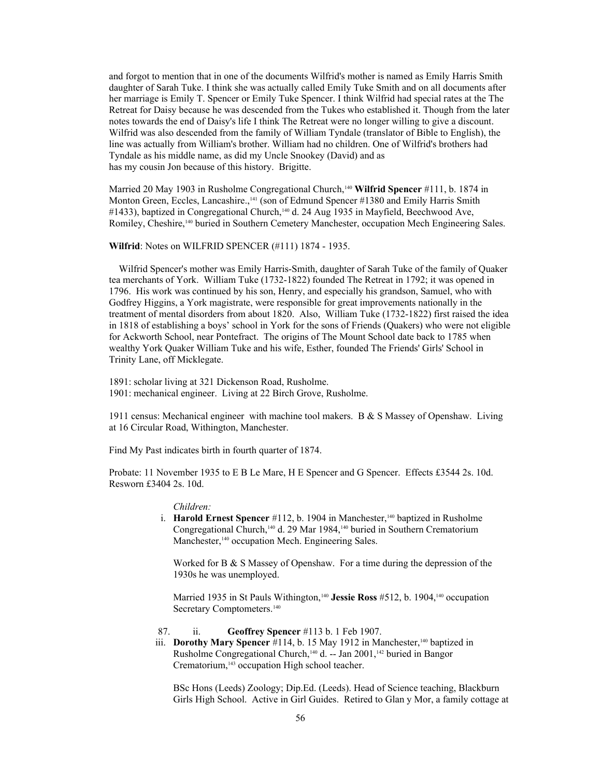and forgot to mention that in one of the documents Wilfrid's mother is named as Emily Harris Smith daughter of Sarah Tuke. I think she was actually called Emily Tuke Smith and on all documents after her marriage is Emily T. Spencer or Emily Tuke Spencer. I think Wilfrid had special rates at the The Retreat for Daisy because he was descended from the Tukes who established it. Though from the later notes towards the end of Daisy's life I think The Retreat were no longer willing to give a discount. Wilfrid was also descended from the family of William Tyndale (translator of Bible to English), the line was actually from William's brother. William had no children. One of Wilfrid's brothers had Tyndale as his middle name, as did my Uncle Snookey (David) and as has my cousin Jon because of this history. Brigitte.

Married 20 May 1903 in Rusholme Congregational Church,<sup>140</sup> Wilfrid Spencer #111, b. 1874 in Monton Green, Eccles, Lancashire.,<sup>[141](#page-107-23)</sup> (son of Edmund Spencer #1380 and Emily Harris Smith #1433), baptized in Congregational Church,<sup>140</sup> d. 24 Aug 1935 in Mayfield, Beechwood Ave, Romiley, Cheshire,140 buried in Southern Cemetery Manchester, occupation Mech Engineering Sales.

#### **Wilfrid**: Notes on WILFRID SPENCER (#111) 1874 - 1935.

 Wilfrid Spencer's mother was Emily Harris-Smith, daughter of Sarah Tuke of the family of Quaker tea merchants of York. William Tuke (1732-1822) founded The Retreat in 1792; it was opened in 1796. His work was continued by his son, Henry, and especially his grandson, Samuel, who with Godfrey Higgins, a York magistrate, were responsible for great improvements nationally in the treatment of mental disorders from about 1820. Also, William Tuke (1732-1822) first raised the idea in 1818 of establishing a boys' school in York for the sons of Friends (Quakers) who were not eligible for Ackworth School, near Pontefract. The origins of The Mount School date back to 1785 when wealthy York Quaker William Tuke and his wife, Esther, founded The Friends' Girls' School in Trinity Lane, off Micklegate.

1891: scholar living at 321 Dickenson Road, Rusholme. 1901: mechanical engineer. Living at 22 Birch Grove, Rusholme.

1911 census: Mechanical engineer with machine tool makers. B & S Massey of Openshaw. Living at 16 Circular Road, Withington, Manchester.

Find My Past indicates birth in fourth quarter of 1874.

Probate: 11 November 1935 to E B Le Mare, H E Spencer and G Spencer. Effects £3544 2s. 10d. Resworn £3404 2s. 10d.

### *Children:*

i. **Harold Ernest Spencer** #112, b. 1904 in Manchester,<sup>140</sup> baptized in Rusholme Congregational Church,<sup>140</sup> d. 29 Mar 1984,<sup>140</sup> buried in Southern Crematorium Manchester,<sup>140</sup> occupation Mech. Engineering Sales.

Worked for  $B \& S$  Massey of Openshaw. For a time during the depression of the 1930s he was unemployed.

Married 1935 in St Pauls Withington,<sup>140</sup> Jessie Ross #512, b. 1904,<sup>140</sup> occupation Secretary Comptometers.<sup>140</sup>

- 87. ii. **Geoffrey Spencer** #113 b. 1 Feb 1907.
- iii. **Dorothy Mary Spencer** #114, b. 15 May 1912 in Manchester,<sup>140</sup> baptized in Rusholme Congregational Church,<sup>140</sup> d. -- Jan 2001,<sup>[142](#page-107-24)</sup> buried in Bangor Crematorium,[143](#page-107-25) occupation High school teacher.

BSc Hons (Leeds) Zoology; Dip.Ed. (Leeds). Head of Science teaching, Blackburn Girls High School. Active in Girl Guides. Retired to Glan y Mor, a family cottage at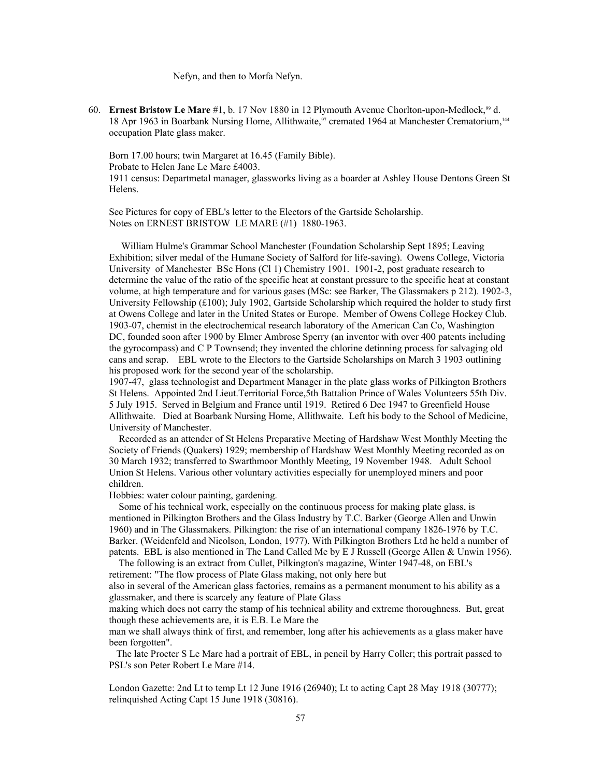Nefyn, and then to Morfa Nefyn.

60. **Ernest Bristow Le Mare** #1, b. 17 Nov 1880 in 12 Plymouth Avenue Chorlton-upon-Medlock,<sup>99</sup> d. 18 Apr 1963 in Boarbank Nursing Home, Allithwaite,<sup>97</sup> cremated 1964 at Manchester Crematorium,<sup>[144](#page-107-26)</sup> occupation Plate glass maker.

Born 17.00 hours; twin Margaret at 16.45 (Family Bible). Probate to Helen Jane Le Mare £4003.

1911 census: Departmetal manager, glassworks living as a boarder at Ashley House Dentons Green St Helens.

See Pictures for copy of EBL's letter to the Electors of the Gartside Scholarship. Notes on ERNEST BRISTOW LE MARE (#1) 1880-1963.

 William Hulme's Grammar School Manchester (Foundation Scholarship Sept 1895; Leaving Exhibition; silver medal of the Humane Society of Salford for life-saving). Owens College, Victoria University of Manchester BSc Hons (Cl 1) Chemistry 1901. 1901-2, post graduate research to determine the value of the ratio of the specific heat at constant pressure to the specific heat at constant volume, at high temperature and for various gases (MSc: see Barker, The Glassmakers p 212). 1902-3, University Fellowship (£100); July 1902, Gartside Scholarship which required the holder to study first at Owens College and later in the United States or Europe. Member of Owens College Hockey Club. 1903-07, chemist in the electrochemical research laboratory of the American Can Co, Washington DC, founded soon after 1900 by Elmer Ambrose Sperry (an inventor with over 400 patents including the gyrocompass) and C P Townsend; they invented the chlorine detinning process for salvaging old cans and scrap. EBL wrote to the Electors to the Gartside Scholarships on March 3 1903 outlining his proposed work for the second year of the scholarship.

1907-47, glass technologist and Department Manager in the plate glass works of Pilkington Brothers St Helens. Appointed 2nd Lieut.Territorial Force,5th Battalion Prince of Wales Volunteers 55th Div. 5 July 1915. Served in Belgium and France until 1919. Retired 6 Dec 1947 to Greenfield House Allithwaite. Died at Boarbank Nursing Home, Allithwaite. Left his body to the School of Medicine, University of Manchester.

 Recorded as an attender of St Helens Preparative Meeting of Hardshaw West Monthly Meeting the Society of Friends (Quakers) 1929; membership of Hardshaw West Monthly Meeting recorded as on 30 March 1932; transferred to Swarthmoor Monthly Meeting, 19 November 1948. Adult School Union St Helens. Various other voluntary activities especially for unemployed miners and poor children.

Hobbies: water colour painting, gardening.

 Some of his technical work, especially on the continuous process for making plate glass, is mentioned in Pilkington Brothers and the Glass Industry by T.C. Barker (George Allen and Unwin 1960) and in The Glassmakers. Pilkington: the rise of an international company 1826-1976 by T.C. Barker. (Weidenfeld and Nicolson, London, 1977). With Pilkington Brothers Ltd he held a number of patents. EBL is also mentioned in The Land Called Me by E J Russell (George Allen & Unwin 1956).

 The following is an extract from Cullet, Pilkington's magazine, Winter 1947-48, on EBL's retirement: "The flow process of Plate Glass making, not only here but

also in several of the American glass factories, remains as a permanent monument to his ability as a glassmaker, and there is scarcely any feature of Plate Glass

making which does not carry the stamp of his technical ability and extreme thoroughness. But, great though these achievements are, it is E.B. Le Mare the

man we shall always think of first, and remember, long after his achievements as a glass maker have been forgotten".

 The late Procter S Le Mare had a portrait of EBL, in pencil by Harry Coller; this portrait passed to PSL's son Peter Robert Le Mare #14.

London Gazette: 2nd Lt to temp Lt 12 June 1916 (26940); Lt to acting Capt 28 May 1918 (30777); relinquished Acting Capt 15 June 1918 (30816).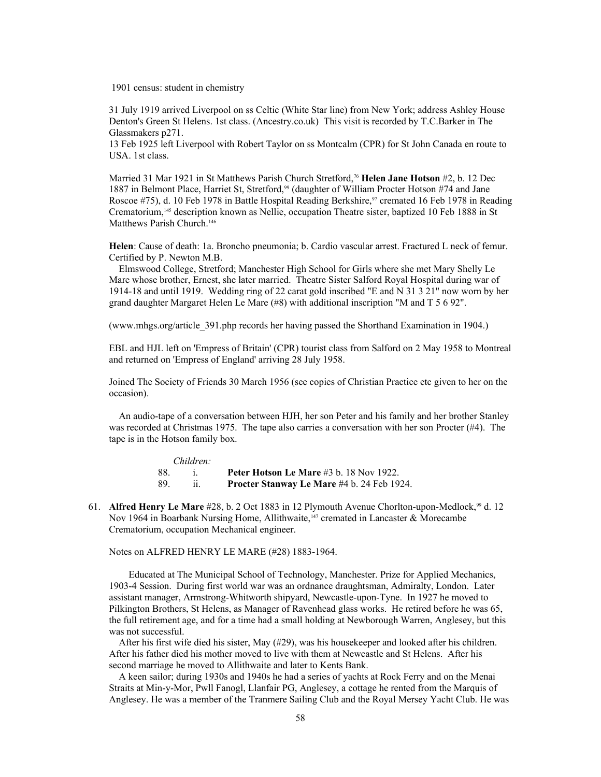1901 census: student in chemistry

31 July 1919 arrived Liverpool on ss Celtic (White Star line) from New York; address Ashley House Denton's Green St Helens. 1st class. (Ancestry.co.uk) This visit is recorded by T.C.Barker in The Glassmakers p271.

13 Feb 1925 left Liverpool with Robert Taylor on ss Montcalm (CPR) for St John Canada en route to USA. 1st class.

Married 31 Mar 1921 in St Matthews Parish Church Stretford,<sup>76</sup> **Helen Jane Hotson** #2, b. 12 Dec 1887 in Belmont Place, Harriet St, Stretford,<sup>99</sup> (daughter of William Procter Hotson #74 and Jane Roscoe #75), d. 10 Feb 1978 in Battle Hospital Reading Berkshire,<sup>97</sup> cremated 16 Feb 1978 in Reading Crematorium,[145](#page-107-27) description known as Nellie, occupation Theatre sister, baptized 10 Feb 1888 in St Matthews Parish Church.<sup>[146](#page-107-28)</sup>

**Helen**: Cause of death: 1a. Broncho pneumonia; b. Cardio vascular arrest. Fractured L neck of femur. Certified by P. Newton M.B.

 Elmswood College, Stretford; Manchester High School for Girls where she met Mary Shelly Le Mare whose brother, Ernest, she later married. Theatre Sister Salford Royal Hospital during war of 1914-18 and until 1919. Wedding ring of 22 carat gold inscribed "E and N 31 3 21" now worn by her grand daughter Margaret Helen Le Mare (#8) with additional inscription "M and T 5 6 92".

(www.mhgs.org/article\_391.php records her having passed the Shorthand Examination in 1904.)

EBL and HJL left on 'Empress of Britain' (CPR) tourist class from Salford on 2 May 1958 to Montreal and returned on 'Empress of England' arriving 28 July 1958.

Joined The Society of Friends 30 March 1956 (see copies of Christian Practice etc given to her on the occasion).

 An audio-tape of a conversation between HJH, her son Peter and his family and her brother Stanley was recorded at Christmas 1975. The tape also carries a conversation with her son Procter (#4). The tape is in the Hotson family box.

| Children: |  |                                                   |
|-----------|--|---------------------------------------------------|
|           |  | Peter Hotson Le Mare #3 b. 18 Nov 1922.           |
| 89        |  | <b>Procter Stanway Le Mare #4 b. 24 Feb 1924.</b> |

61. **Alfred Henry Le Mare** #28, b. 2 Oct 1883 in 12 Plymouth Avenue Chorlton-upon-Medlock,<sup>99</sup> d. 12 Nov 1964 in Boarbank Nursing Home, Allithwaite,<sup>[147](#page-107-29)</sup> cremated in Lancaster & Morecambe Crematorium, occupation Mechanical engineer.

Notes on ALFRED HENRY LE MARE (#28) 1883-1964.

 Educated at The Municipal School of Technology, Manchester. Prize for Applied Mechanics, 1903-4 Session. During first world war was an ordnance draughtsman, Admiralty, London. Later assistant manager, Armstrong-Whitworth shipyard, Newcastle-upon-Tyne. In 1927 he moved to Pilkington Brothers, St Helens, as Manager of Ravenhead glass works. He retired before he was 65, the full retirement age, and for a time had a small holding at Newborough Warren, Anglesey, but this was not successful.

 After his first wife died his sister, May (#29), was his housekeeper and looked after his children. After his father died his mother moved to live with them at Newcastle and St Helens. After his second marriage he moved to Allithwaite and later to Kents Bank.

 A keen sailor; during 1930s and 1940s he had a series of yachts at Rock Ferry and on the Menai Straits at Min-y-Mor, Pwll Fanogl, Llanfair PG, Anglesey, a cottage he rented from the Marquis of Anglesey. He was a member of the Tranmere Sailing Club and the Royal Mersey Yacht Club. He was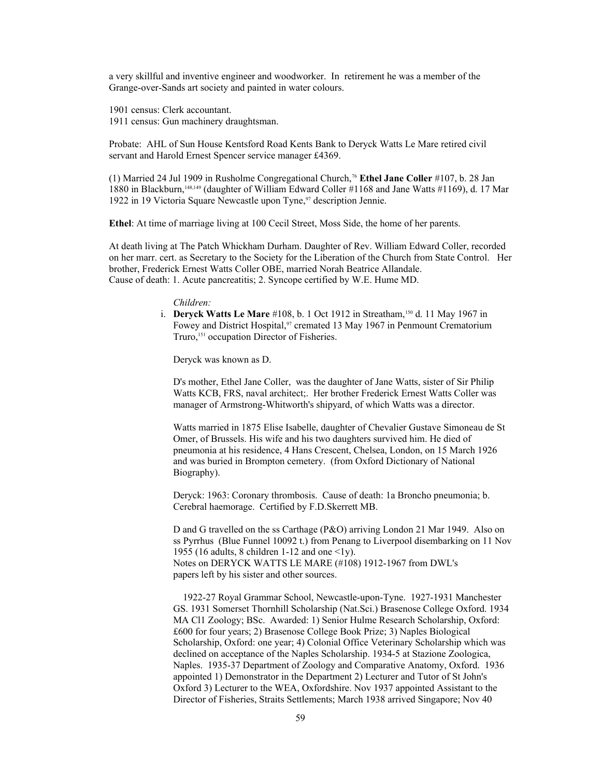a very skillful and inventive engineer and woodworker. In retirement he was a member of the Grange-over-Sands art society and painted in water colours.

1901 census: Clerk accountant.

1911 census: Gun machinery draughtsman.

Probate: AHL of Sun House Kentsford Road Kents Bank to Deryck Watts Le Mare retired civil servant and Harold Ernest Spencer service manager £4369.

(1) Married 24 Jul 1909 in Rusholme Congregational Church,<sup>76</sup> **Ethel Jane Coller** #107, b. 28 Jan 1880 in Blackburn,[148](#page-107-30)[,149](#page-107-31) (daughter of William Edward Coller #1168 and Jane Watts #1169), d. 17 Mar 1922 in 19 Victoria Square Newcastle upon Tyne,<sup>97</sup> description Jennie.

**Ethel**: At time of marriage living at 100 Cecil Street, Moss Side, the home of her parents.

At death living at The Patch Whickham Durham. Daughter of Rev. William Edward Coller, recorded on her marr. cert. as Secretary to the Society for the Liberation of the Church from State Control. Her brother, Frederick Ernest Watts Coller OBE, married Norah Beatrice Allandale. Cause of death: 1. Acute pancreatitis; 2. Syncope certified by W.E. Hume MD.

#### *Children:*

 i. **Deryck Watts Le Mare** #108, b. 1 Oct 1912 in Streatham,[150](#page-107-32) d. 11 May 1967 in Fowey and District Hospital,<sup>97</sup> cremated 13 May 1967 in Penmount Crematorium Truro,<sup>[151](#page-107-33)</sup> occupation Director of Fisheries.

Deryck was known as D.

D's mother, Ethel Jane Coller, was the daughter of Jane Watts, sister of Sir Philip Watts KCB, FRS, naval architect;. Her brother Frederick Ernest Watts Coller was manager of Armstrong-Whitworth's shipyard, of which Watts was a director.

Watts married in 1875 Elise Isabelle, daughter of Chevalier Gustave Simoneau de St Omer, of Brussels. His wife and his two daughters survived him. He died of pneumonia at his residence, 4 Hans Crescent, Chelsea, London, on 15 March 1926 and was buried in Brompton cemetery. (from Oxford Dictionary of National Biography).

Deryck: 1963: Coronary thrombosis. Cause of death: 1a Broncho pneumonia; b. Cerebral haemorage. Certified by F.D.Skerrett MB.

D and G travelled on the ss Carthage (P&O) arriving London 21 Mar 1949. Also on ss Pyrrhus (Blue Funnel 10092 t.) from Penang to Liverpool disembarking on 11 Nov 1955 (16 adults, 8 children 1-12 and one  $\langle 1y \rangle$ . Notes on DERYCK WATTS LE MARE (#108) 1912-1967 from DWL's papers left by his sister and other sources.

 1922-27 Royal Grammar School, Newcastle-upon-Tyne. 1927-1931 Manchester GS. 1931 Somerset Thornhill Scholarship (Nat.Sci.) Brasenose College Oxford. 1934 MA Cl1 Zoology; BSc. Awarded: 1) Senior Hulme Research Scholarship, Oxford: £600 for four years; 2) Brasenose College Book Prize; 3) Naples Biological Scholarship, Oxford: one year; 4) Colonial Office Veterinary Scholarship which was declined on acceptance of the Naples Scholarship. 1934-5 at Stazione Zoologica, Naples. 1935-37 Department of Zoology and Comparative Anatomy, Oxford. 1936 appointed 1) Demonstrator in the Department 2) Lecturer and Tutor of St John's Oxford 3) Lecturer to the WEA, Oxfordshire. Nov 1937 appointed Assistant to the Director of Fisheries, Straits Settlements; March 1938 arrived Singapore; Nov 40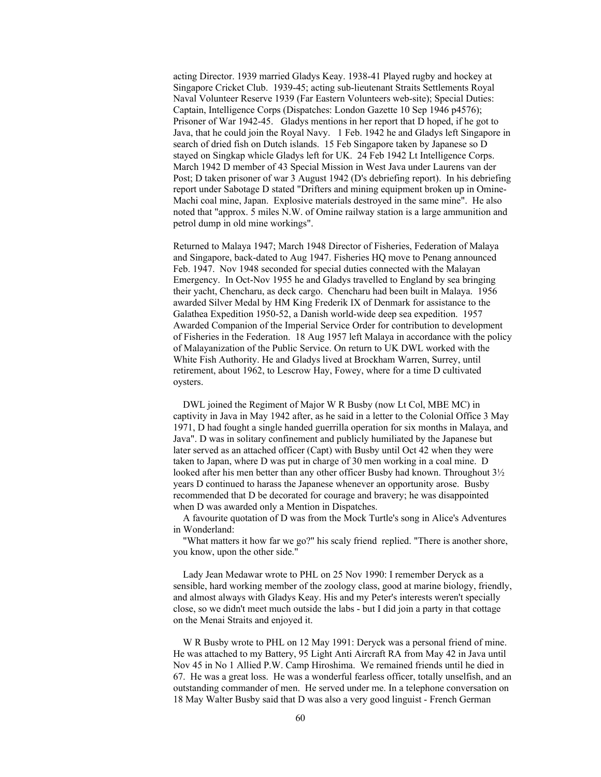acting Director. 1939 married Gladys Keay. 1938-41 Played rugby and hockey at Singapore Cricket Club. 1939-45; acting sub-lieutenant Straits Settlements Royal Naval Volunteer Reserve 1939 (Far Eastern Volunteers web-site); Special Duties: Captain, Intelligence Corps (Dispatches: London Gazette 10 Sep 1946 p4576); Prisoner of War 1942-45. Gladys mentions in her report that D hoped, if he got to Java, that he could join the Royal Navy. 1 Feb. 1942 he and Gladys left Singapore in search of dried fish on Dutch islands. 15 Feb Singapore taken by Japanese so D stayed on Singkap whicle Gladys left for UK. 24 Feb 1942 Lt Intelligence Corps. March 1942 D member of 43 Special Mission in West Java under Laurens van der Post; D taken prisoner of war 3 August 1942 (D's debriefing report). In his debriefing report under Sabotage D stated "Drifters and mining equipment broken up in Omine-Machi coal mine, Japan. Explosive materials destroyed in the same mine". He also noted that "approx. 5 miles N.W. of Omine railway station is a large ammunition and petrol dump in old mine workings".

Returned to Malaya 1947; March 1948 Director of Fisheries, Federation of Malaya and Singapore, back-dated to Aug 1947. Fisheries HQ move to Penang announced Feb. 1947. Nov 1948 seconded for special duties connected with the Malayan Emergency. In Oct-Nov 1955 he and Gladys travelled to England by sea bringing their yacht, Chencharu, as deck cargo. Chencharu had been built in Malaya. 1956 awarded Silver Medal by HM King Frederik IX of Denmark for assistance to the Galathea Expedition 1950-52, a Danish world-wide deep sea expedition. 1957 Awarded Companion of the Imperial Service Order for contribution to development of Fisheries in the Federation. 18 Aug 1957 left Malaya in accordance with the policy of Malayanization of the Public Service. On return to UK DWL worked with the White Fish Authority. He and Gladys lived at Brockham Warren, Surrey, until retirement, about 1962, to Lescrow Hay, Fowey, where for a time D cultivated oysters.

 DWL joined the Regiment of Major W R Busby (now Lt Col, MBE MC) in captivity in Java in May 1942 after, as he said in a letter to the Colonial Office 3 May 1971, D had fought a single handed guerrilla operation for six months in Malaya, and Java". D was in solitary confinement and publicly humiliated by the Japanese but later served as an attached officer (Capt) with Busby until Oct 42 when they were taken to Japan, where D was put in charge of 30 men working in a coal mine. D looked after his men better than any other officer Busby had known. Throughout 3½ years D continued to harass the Japanese whenever an opportunity arose. Busby recommended that D be decorated for courage and bravery; he was disappointed when D was awarded only a Mention in Dispatches.

 A favourite quotation of D was from the Mock Turtle's song in Alice's Adventures in Wonderland:

 "What matters it how far we go?" his scaly friend replied. "There is another shore, you know, upon the other side."

 Lady Jean Medawar wrote to PHL on 25 Nov 1990: I remember Deryck as a sensible, hard working member of the zoology class, good at marine biology, friendly, and almost always with Gladys Keay. His and my Peter's interests weren't specially close, so we didn't meet much outside the labs - but I did join a party in that cottage on the Menai Straits and enjoyed it.

 W R Busby wrote to PHL on 12 May 1991: Deryck was a personal friend of mine. He was attached to my Battery, 95 Light Anti Aircraft RA from May 42 in Java until Nov 45 in No 1 Allied P.W. Camp Hiroshima. We remained friends until he died in 67. He was a great loss. He was a wonderful fearless officer, totally unselfish, and an outstanding commander of men. He served under me. In a telephone conversation on 18 May Walter Busby said that D was also a very good linguist - French German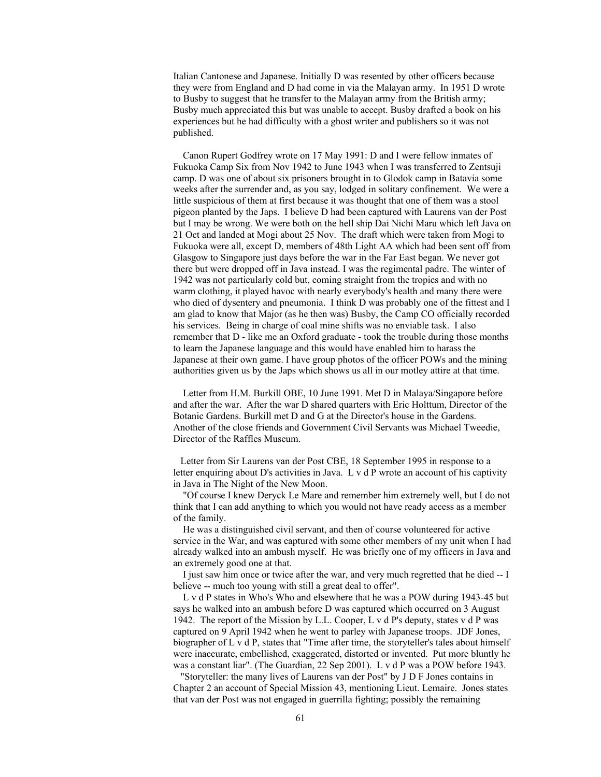Italian Cantonese and Japanese. Initially D was resented by other officers because they were from England and D had come in via the Malayan army. In 1951 D wrote to Busby to suggest that he transfer to the Malayan army from the British army; Busby much appreciated this but was unable to accept. Busby drafted a book on his experiences but he had difficulty with a ghost writer and publishers so it was not published.

 Canon Rupert Godfrey wrote on 17 May 1991: D and I were fellow inmates of Fukuoka Camp Six from Nov 1942 to June 1943 when I was transferred to Zentsuji camp. D was one of about six prisoners brought in to Glodok camp in Batavia some weeks after the surrender and, as you say, lodged in solitary confinement. We were a little suspicious of them at first because it was thought that one of them was a stool pigeon planted by the Japs. I believe D had been captured with Laurens van der Post but I may be wrong. We were both on the hell ship Dai Nichi Maru which left Java on 21 Oct and landed at Mogi about 25 Nov. The draft which were taken from Mogi to Fukuoka were all, except D, members of 48th Light AA which had been sent off from Glasgow to Singapore just days before the war in the Far East began. We never got there but were dropped off in Java instead. I was the regimental padre. The winter of 1942 was not particularly cold but, coming straight from the tropics and with no warm clothing, it played havoc with nearly everybody's health and many there were who died of dysentery and pneumonia. I think D was probably one of the fittest and I am glad to know that Major (as he then was) Busby, the Camp CO officially recorded his services. Being in charge of coal mine shifts was no enviable task. I also remember that D - like me an Oxford graduate - took the trouble during those months to learn the Japanese language and this would have enabled him to harass the Japanese at their own game. I have group photos of the officer POWs and the mining authorities given us by the Japs which shows us all in our motley attire at that time.

 Letter from H.M. Burkill OBE, 10 June 1991. Met D in Malaya/Singapore before and after the war. After the war D shared quarters with Eric Holttum, Director of the Botanic Gardens. Burkill met D and G at the Director's house in the Gardens. Another of the close friends and Government Civil Servants was Michael Tweedie, Director of the Raffles Museum.

 Letter from Sir Laurens van der Post CBE, 18 September 1995 in response to a letter enquiring about D's activities in Java. L v d P wrote an account of his captivity in Java in The Night of the New Moon.

 "Of course I knew Deryck Le Mare and remember him extremely well, but I do not think that I can add anything to which you would not have ready access as a member of the family.

 He was a distinguished civil servant, and then of course volunteered for active service in the War, and was captured with some other members of my unit when I had already walked into an ambush myself. He was briefly one of my officers in Java and an extremely good one at that.

 I just saw him once or twice after the war, and very much regretted that he died -- I believe -- much too young with still a great deal to offer".

 L v d P states in Who's Who and elsewhere that he was a POW during 1943-45 but says he walked into an ambush before D was captured which occurred on 3 August 1942. The report of the Mission by L.L. Cooper, L v d P's deputy, states v d P was captured on 9 April 1942 when he went to parley with Japanese troops. JDF Jones, biographer of L v d P, states that "Time after time, the storyteller's tales about himself were inaccurate, embellished, exaggerated, distorted or invented. Put more bluntly he was a constant liar". (The Guardian, 22 Sep 2001). L v d P was a POW before 1943.

 "Storyteller: the many lives of Laurens van der Post" by J D F Jones contains in Chapter 2 an account of Special Mission 43, mentioning Lieut. Lemaire. Jones states that van der Post was not engaged in guerrilla fighting; possibly the remaining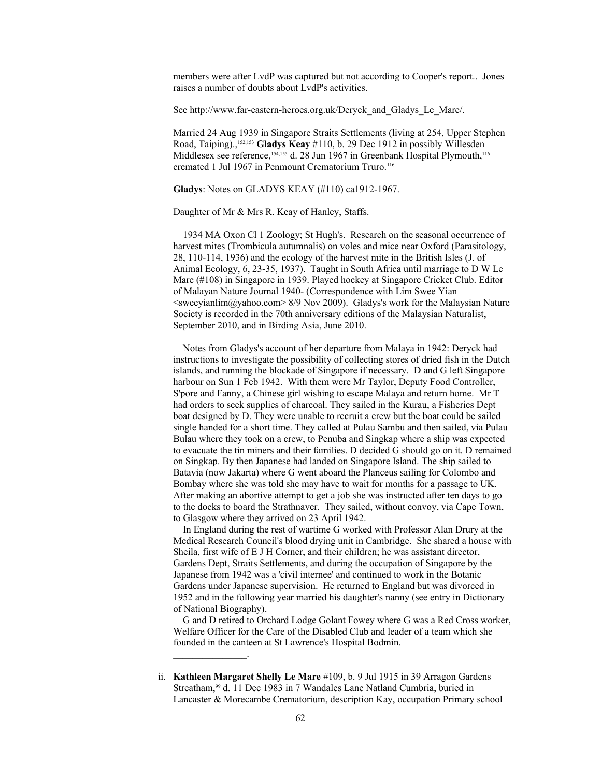members were after LvdP was captured but not according to Cooper's report.. Jones raises a number of doubts about LvdP's activities.

See http://www.far-eastern-heroes.org.uk/Deryck\_and\_Gladys\_Le\_Mare/.

Married 24 Aug 1939 in Singapore Straits Settlements (living at 254, Upper Stephen Road, Taiping).,[152](#page-107-34)[,153](#page-107-35) **Gladys Keay** #110, b. 29 Dec 1912 in possibly Willesden Middlesex see reference,<sup>[154](#page-107-36)[,155](#page-107-37)</sup> d. 28 Jun 1967 in Greenbank Hospital Plymouth,<sup>116</sup> cremated 1 Jul 1967 in Penmount Crematorium Truro.<sup>116</sup>

**Gladys**: Notes on GLADYS KEAY (#110) ca1912-1967.

Daughter of Mr & Mrs R. Keay of Hanley, Staffs.

 1934 MA Oxon Cl 1 Zoology; St Hugh's. Research on the seasonal occurrence of harvest mites (Trombicula autumnalis) on voles and mice near Oxford (Parasitology, 28, 110-114, 1936) and the ecology of the harvest mite in the British Isles (J. of Animal Ecology, 6, 23-35, 1937). Taught in South Africa until marriage to D W Le Mare (#108) in Singapore in 1939. Played hockey at Singapore Cricket Club. Editor of Malayan Nature Journal 1940- (Correspondence with Lim Swee Yian  $\leq$ sweeyianlim@yahoo.com> 8/9 Nov 2009). Gladys's work for the Malaysian Nature Society is recorded in the 70th anniversary editions of the Malaysian Naturalist, September 2010, and in Birding Asia, June 2010.

 Notes from Gladys's account of her departure from Malaya in 1942: Deryck had instructions to investigate the possibility of collecting stores of dried fish in the Dutch islands, and running the blockade of Singapore if necessary. D and G left Singapore harbour on Sun 1 Feb 1942. With them were Mr Taylor, Deputy Food Controller, S'pore and Fanny, a Chinese girl wishing to escape Malaya and return home. Mr T had orders to seek supplies of charcoal. They sailed in the Kurau, a Fisheries Dept boat designed by D. They were unable to recruit a crew but the boat could be sailed single handed for a short time. They called at Pulau Sambu and then sailed, via Pulau Bulau where they took on a crew, to Penuba and Singkap where a ship was expected to evacuate the tin miners and their families. D decided G should go on it. D remained on Singkap. By then Japanese had landed on Singapore Island. The ship sailed to Batavia (now Jakarta) where G went aboard the Planceus sailing for Colombo and Bombay where she was told she may have to wait for months for a passage to UK. After making an abortive attempt to get a job she was instructed after ten days to go to the docks to board the Strathnaver. They sailed, without convoy, via Cape Town, to Glasgow where they arrived on 23 April 1942.

 In England during the rest of wartime G worked with Professor Alan Drury at the Medical Research Council's blood drying unit in Cambridge. She shared a house with Sheila, first wife of E J H Corner, and their children; he was assistant director, Gardens Dept, Straits Settlements, and during the occupation of Singapore by the Japanese from 1942 was a 'civil internee' and continued to work in the Botanic Gardens under Japanese supervision. He returned to England but was divorced in 1952 and in the following year married his daughter's nanny (see entry in Dictionary of National Biography).

 G and D retired to Orchard Lodge Golant Fowey where G was a Red Cross worker, Welfare Officer for the Care of the Disabled Club and leader of a team which she founded in the canteen at St Lawrence's Hospital Bodmin.

 ii. **Kathleen Margaret Shelly Le Mare** #109, b. 9 Jul 1915 in 39 Arragon Gardens Streatham,<sup>99</sup> d. 11 Dec 1983 in 7 Wandales Lane Natland Cumbria, buried in Lancaster & Morecambe Crematorium, description Kay, occupation Primary school

 $\mathcal{L}_\text{max}$  and  $\mathcal{L}_\text{max}$  and  $\mathcal{L}_\text{max}$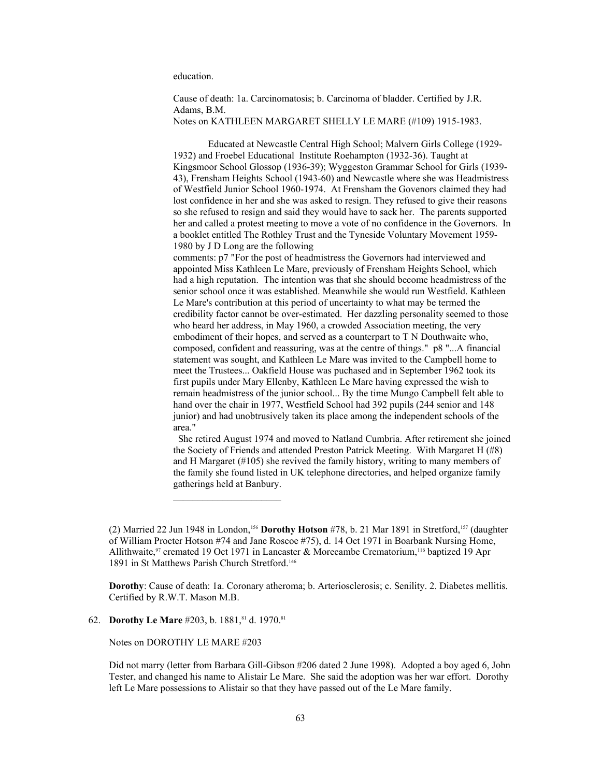education.

Cause of death: 1a. Carcinomatosis; b. Carcinoma of bladder. Certified by J.R. Adams, B.M. Notes on KATHLEEN MARGARET SHELLY LE MARE (#109) 1915-1983.

Educated at Newcastle Central High School; Malvern Girls College (1929- 1932) and Froebel Educational Institute Roehampton (1932-36). Taught at Kingsmoor School Glossop (1936-39); Wyggeston Grammar School for Girls (1939- 43), Frensham Heights School (1943-60) and Newcastle where she was Headmistress of Westfield Junior School 1960-1974. At Frensham the Govenors claimed they had lost confidence in her and she was asked to resign. They refused to give their reasons so she refused to resign and said they would have to sack her. The parents supported her and called a protest meeting to move a vote of no confidence in the Governors. In a booklet entitled The Rothley Trust and the Tyneside Voluntary Movement 1959- 1980 by J D Long are the following

comments: p7 "For the post of headmistress the Governors had interviewed and appointed Miss Kathleen Le Mare, previously of Frensham Heights School, which had a high reputation. The intention was that she should become headmistress of the senior school once it was established. Meanwhile she would run Westfield. Kathleen Le Mare's contribution at this period of uncertainty to what may be termed the credibility factor cannot be over-estimated. Her dazzling personality seemed to those who heard her address, in May 1960, a crowded Association meeting, the very embodiment of their hopes, and served as a counterpart to T N Douthwaite who, composed, confident and reassuring, was at the centre of things." p8 "...A financial statement was sought, and Kathleen Le Mare was invited to the Campbell home to meet the Trustees... Oakfield House was puchased and in September 1962 took its first pupils under Mary Ellenby, Kathleen Le Mare having expressed the wish to remain headmistress of the junior school... By the time Mungo Campbell felt able to hand over the chair in 1977, Westfield School had 392 pupils (244 senior and 148 junior) and had unobtrusively taken its place among the independent schools of the area."

 She retired August 1974 and moved to Natland Cumbria. After retirement she joined the Society of Friends and attended Preston Patrick Meeting. With Margaret H (#8) and H Margaret (#105) she revived the family history, writing to many members of the family she found listed in UK telephone directories, and helped organize family gatherings held at Banbury.

**Dorothy**: Cause of death: 1a. Coronary atheroma; b. Arteriosclerosis; c. Senility. 2. Diabetes mellitis. Certified by R.W.T. Mason M.B.

62. **Dorothy Le Mare** #203, b. 1881,<sup>81</sup> d. 1970.<sup>81</sup>

Notes on DOROTHY LE MARE #203

Did not marry (letter from Barbara Gill-Gibson #206 dated 2 June 1998). Adopted a boy aged 6, John Tester, and changed his name to Alistair Le Mare. She said the adoption was her war effort. Dorothy left Le Mare possessions to Alistair so that they have passed out of the Le Mare family.

<sup>(2)</sup> Married 22 Jun 1948 in London,[156](#page-107-38) **Dorothy Hotson** #78, b. 21 Mar 1891 in Stretford,[157](#page-107-39) (daughter of William Procter Hotson #74 and Jane Roscoe #75), d. 14 Oct 1971 in Boarbank Nursing Home, Allithwaite,<sup>97</sup> cremated 19 Oct 1971 in Lancaster & Morecambe Crematorium,<sup>116</sup> baptized 19 Apr 1891 in St Matthews Parish Church Stretford.<sup>146</sup>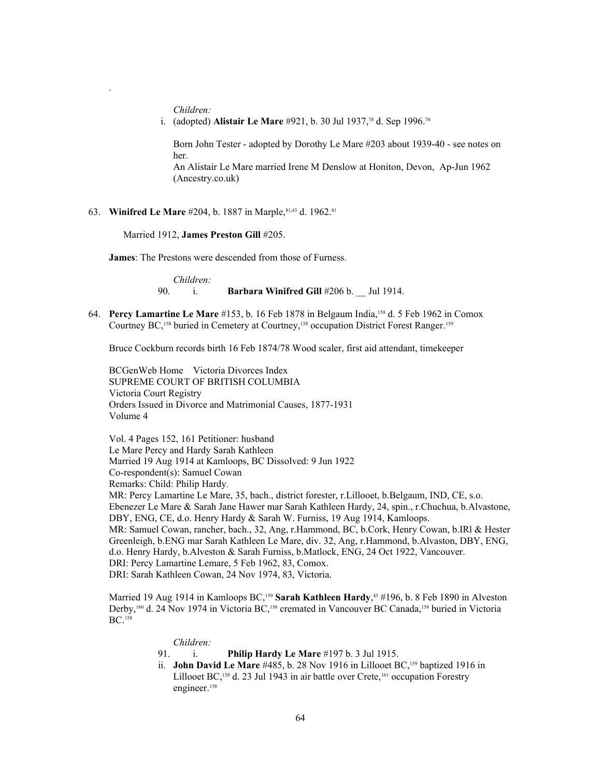*Children:*

.

i. (adopted) **Alistair Le Mare** #921, b. 30 Jul 1937,78 d. Sep 1996.<sup>78</sup>

Born John Tester - adopted by Dorothy Le Mare #203 about 1939-40 - see notes on her.

An Alistair Le Mare married Irene M Denslow at Honiton, Devon, Ap-Jun 1962 (Ancestry.co.uk)

63. **Winifred Le Mare** #204, b. 1887 in Marple, 81,43 d. 1962. 81

Married 1912, **James Preston Gill** #205.

**James**: The Prestons were descended from those of Furness.

*Children:* 90. i. **Barbara Winifred Gill** #206 b. \_\_ Jul 1914.

64. **Percy Lamartine Le Mare** #153, b. 16 Feb 1878 in Belgaum India,[158](#page-107-40) d. 5 Feb 1962 in Comox Courtney BC,<sup>158</sup> buried in Cemetery at Courtney,<sup>158</sup> occupation District Forest Ranger.<sup>[159](#page-107-41)</sup>

Bruce Cockburn records birth 16 Feb 1874/78 Wood scaler, first aid attendant, timekeeper

BCGenWeb Home Victoria Divorces Index SUPREME COURT OF BRITISH COLUMBIA Victoria Court Registry Orders Issued in Divorce and Matrimonial Causes, 1877-1931 Volume 4

Vol. 4 Pages 152, 161 Petitioner: husband Le Mare Percy and Hardy Sarah Kathleen Married 19 Aug 1914 at Kamloops, BC Dissolved: 9 Jun 1922 Co-respondent(s): Samuel Cowan Remarks: Child: Philip Hardy. MR: Percy Lamartine Le Mare, 35, bach., district forester, r.Lillooet, b.Belgaum, IND, CE, s.o. Ebenezer Le Mare & Sarah Jane Hawer mar Sarah Kathleen Hardy, 24, spin., r.Chuchua, b.Alvastone, DBY, ENG, CE, d.o. Henry Hardy & Sarah W. Furniss, 19 Aug 1914, Kamloops. MR: Samuel Cowan, rancher, bach., 32, Ang, r.Hammond, BC, b.Cork, Henry Cowan, b.IRl & Hester Greenleigh, b.ENG mar Sarah Kathleen Le Mare, div. 32, Ang, r.Hammond, b.Alvaston, DBY, ENG, d.o. Henry Hardy, b.Alveston & Sarah Furniss, b.Matlock, ENG, 24 Oct 1922, Vancouver. DRI: Percy Lamartine Lemare, 5 Feb 1962, 83, Comox. DRI: Sarah Kathleen Cowan, 24 Nov 1974, 83, Victoria.

Married 19 Aug 1914 in Kamloops BC,<sup>159</sup> **Sarah Kathleen Hardy**, <sup>43</sup> #196, b. 8 Feb 1890 in Alveston Derby,<sup>[160](#page-107-42)</sup> d. 24 Nov 1974 in Victoria BC,<sup>158</sup> cremated in Vancouver BC Canada,<sup>158</sup> buried in Victoria BC.<sup>158</sup>

### *Children:*

- 91. i. **Philip Hardy Le Mare** #197 b. 3 Jul 1915.
- ii. **John David Le Mare** #485, b. 28 Nov 1916 in Lillooet BC,<sup>159</sup> baptized 1916 in Lillooet BC,<sup>158</sup> d. 23 Jul 1943 in air battle over Crete,<sup>[161](#page-107-43)</sup> occupation Forestry engineer.<sup>158</sup>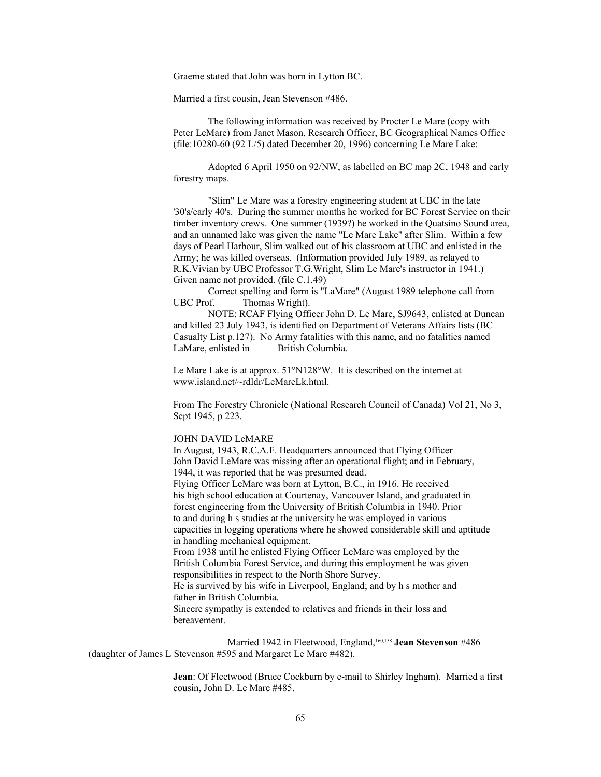Graeme stated that John was born in Lytton BC.

Married a first cousin, Jean Stevenson #486.

The following information was received by Procter Le Mare (copy with Peter LeMare) from Janet Mason, Research Officer, BC Geographical Names Office (file:10280-60 (92 L/5) dated December 20, 1996) concerning Le Mare Lake:

Adopted 6 April 1950 on 92/NW, as labelled on BC map 2C, 1948 and early forestry maps.

"Slim" Le Mare was a forestry engineering student at UBC in the late '30's/early 40's. During the summer months he worked for BC Forest Service on their timber inventory crews. One summer (1939?) he worked in the Quatsino Sound area, and an unnamed lake was given the name "Le Mare Lake" after Slim. Within a few days of Pearl Harbour, Slim walked out of his classroom at UBC and enlisted in the Army; he was killed overseas. (Information provided July 1989, as relayed to R.K.Vivian by UBC Professor T.G.Wright, Slim Le Mare's instructor in 1941.) Given name not provided. (file C.1.49)

Correct spelling and form is "LaMare" (August 1989 telephone call from UBC Prof. Thomas Wright).

NOTE: RCAF Flying Officer John D. Le Mare, SJ9643, enlisted at Duncan and killed 23 July 1943, is identified on Department of Veterans Affairs lists (BC Casualty List p.127). No Army fatalities with this name, and no fatalities named LaMare, enlisted in British Columbia.

Le Mare Lake is at approx. 51°N128°W. It is described on the internet at www.island.net/~rdldr/LeMareLk.html.

From The Forestry Chronicle (National Research Council of Canada) Vol 21, No 3, Sept 1945, p 223.

#### JOHN DAVID LeMARE

In August, 1943, R.C.A.F. Headquarters announced that Flying Officer John David LeMare was missing after an operational flight; and in February, 1944, it was reported that he was presumed dead. Flying Officer LeMare was born at Lytton, B.C., in 1916. He received his high school education at Courtenay, Vancouver Island, and graduated in forest engineering from the University of British Columbia in 1940. Prior to and during h s studies at the university he was employed in various capacities in logging operations where he showed considerable skill and aptitude in handling mechanical equipment. From 1938 until he enlisted Flying Officer LeMare was employed by the

British Columbia Forest Service, and during this employment he was given responsibilities in respect to the North Shore Survey.

He is survived by his wife in Liverpool, England; and by h s mother and father in British Columbia.

Sincere sympathy is extended to relatives and friends in their loss and bereavement.

Married 1942 in Fleetwood, England,<sup>160,158</sup> Jean Stevenson #486 (daughter of James L Stevenson #595 and Margaret Le Mare #482).

> **Jean**: Of Fleetwood (Bruce Cockburn by e-mail to Shirley Ingham). Married a first cousin, John D. Le Mare #485.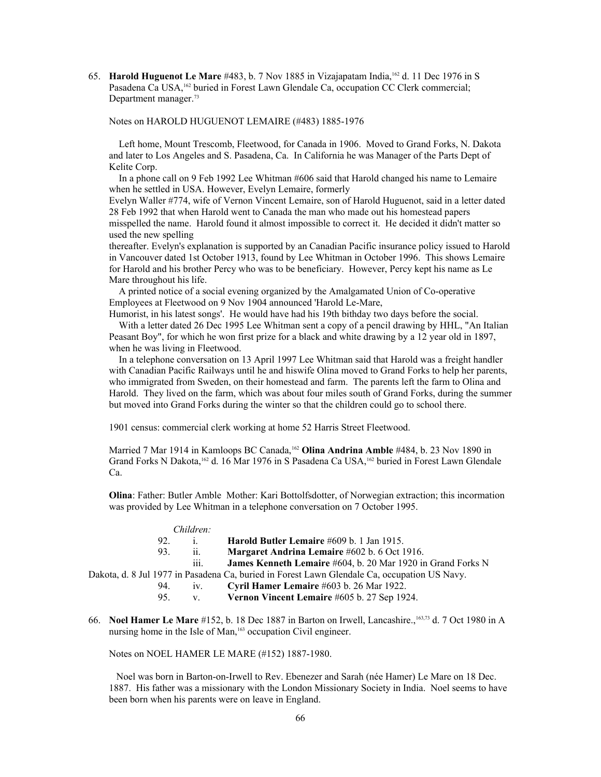65. **Harold Huguenot Le Mare** #483, b. 7 Nov 1885 in Vizajapatam India,[162](#page-107-44) d. 11 Dec 1976 in S Pasadena Ca USA,<sup>162</sup> buried in Forest Lawn Glendale Ca, occupation CC Clerk commercial; Department manager.<sup>73</sup>

### Notes on HAROLD HUGUENOT LEMAIRE (#483) 1885-1976

 Left home, Mount Trescomb, Fleetwood, for Canada in 1906. Moved to Grand Forks, N. Dakota and later to Los Angeles and S. Pasadena, Ca. In California he was Manager of the Parts Dept of Kelite Corp.

 In a phone call on 9 Feb 1992 Lee Whitman #606 said that Harold changed his name to Lemaire when he settled in USA. However, Evelyn Lemaire, formerly

Evelyn Waller #774, wife of Vernon Vincent Lemaire, son of Harold Huguenot, said in a letter dated 28 Feb 1992 that when Harold went to Canada the man who made out his homestead papers misspelled the name. Harold found it almost impossible to correct it. He decided it didn't matter so used the new spelling

thereafter. Evelyn's explanation is supported by an Canadian Pacific insurance policy issued to Harold in Vancouver dated 1st October 1913, found by Lee Whitman in October 1996. This shows Lemaire for Harold and his brother Percy who was to be beneficiary. However, Percy kept his name as Le Mare throughout his life.

 A printed notice of a social evening organized by the Amalgamated Union of Co-operative Employees at Fleetwood on 9 Nov 1904 announced 'Harold Le-Mare,

Humorist, in his latest songs'. He would have had his 19th bithday two days before the social. With a letter dated 26 Dec 1995 Lee Whitman sent a copy of a pencil drawing by HHL, "An Italian

Peasant Boy", for which he won first prize for a black and white drawing by a 12 year old in 1897, when he was living in Fleetwood.

 In a telephone conversation on 13 April 1997 Lee Whitman said that Harold was a freight handler with Canadian Pacific Railways until he and hiswife Olina moved to Grand Forks to help her parents, who immigrated from Sweden, on their homestead and farm. The parents left the farm to Olina and Harold. They lived on the farm, which was about four miles south of Grand Forks, during the summer but moved into Grand Forks during the winter so that the children could go to school there.

1901 census: commercial clerk working at home 52 Harris Street Fleetwood.

Married 7 Mar 1914 in Kamloops BC Canada,<sup>162</sup> **Olina Andrina Amble** #484, b. 23 Nov 1890 in Grand Forks N Dakota,<sup>162</sup> d. 16 Mar 1976 in S Pasadena Ca USA,<sup>162</sup> buried in Forest Lawn Glendale Ca.

**Olina**: Father: Butler Amble Mother: Kari Bottolfsdotter, of Norwegian extraction; this incormation was provided by Lee Whitman in a telephone conversation on 7 October 1995.

#### *Children:*

|     |   | Harold Butler Lemaire #609 b. 1 Jan 1915.                          |
|-----|---|--------------------------------------------------------------------|
| 93. |   | Margaret Andrina Lemaire #602 b. 6 Oct 1916.                       |
|     | . | <b>James Kenneth Lemaire</b> #604, b. 20 Mar 1920 in Grand Forks N |
|     |   | $1.0111077$ n $1.011$ n $1.011$ n $1.011$ n $1.011$ n $1.011$ n    |

Dakota, d. 8 Jul 1977 in Pasadena Ca, buried in Forest Lawn Glendale Ca, occupation US Navy.

- 94. iv. **Cyril Hamer Lemaire** #603 b. 26 Mar 1922.
- 95. v. **Vernon Vincent Lemaire** #605 b. 27 Sep 1924.
- 66. **Noel Hamer Le Mare** #152, b. 18 Dec 1887 in Barton on Irwell, Lancashire.,[163,](#page-107-45)73 d. 7 Oct 1980 in A nursing home in the Isle of Man,<sup>163</sup> occupation Civil engineer.

Notes on NOEL HAMER LE MARE (#152) 1887-1980.

 Noel was born in Barton-on-Irwell to Rev. Ebenezer and Sarah (née Hamer) Le Mare on 18 Dec. 1887. His father was a missionary with the London Missionary Society in India. Noel seems to have been born when his parents were on leave in England.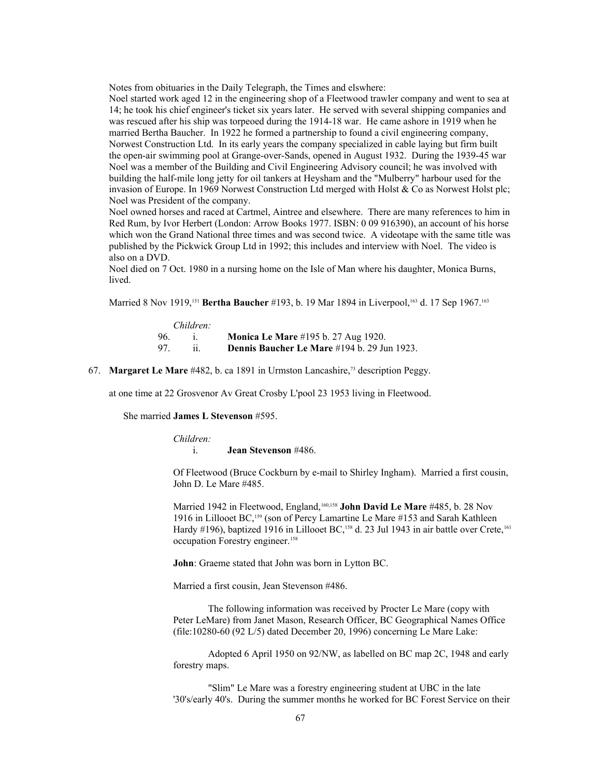Notes from obituaries in the Daily Telegraph, the Times and elswhere:

Noel started work aged 12 in the engineering shop of a Fleetwood trawler company and went to sea at 14; he took his chief engineer's ticket six years later. He served with several shipping companies and was rescued after his ship was torpeoed during the 1914-18 war. He came ashore in 1919 when he married Bertha Baucher. In 1922 he formed a partnership to found a civil engineering company, Norwest Construction Ltd. In its early years the company specialized in cable laying but firm built the open-air swimming pool at Grange-over-Sands, opened in August 1932. During the 1939-45 war Noel was a member of the Building and Civil Engineering Advisory council; he was involved with building the half-mile long jetty for oil tankers at Heysham and the "Mulberry" harbour used for the invasion of Europe. In 1969 Norwest Construction Ltd merged with Holst & Co as Norwest Holst plc; Noel was President of the company.

Noel owned horses and raced at Cartmel, Aintree and elsewhere. There are many references to him in Red Rum, by Ivor Herbert (London: Arrow Books 1977. ISBN: 0 09 916390), an account of his horse which won the Grand National three times and was second twice. A videotape with the same title was published by the Pickwick Group Ltd in 1992; this includes and interview with Noel. The video is also on a DVD.

Noel died on 7 Oct. 1980 in a nursing home on the Isle of Man where his daughter, Monica Burns, lived.

Married 8 Nov 1919,<sup>151</sup> **Bertha Baucher** #193, b. 19 Mar 1894 in Liverpool,<sup>163</sup> d. 17 Sep 1967.<sup>163</sup>

| Children: |  |                                                    |
|-----------|--|----------------------------------------------------|
| 96.       |  | <b>Monica Le Mare</b> #195 b. 27 Aug 1920.         |
| 97        |  | <b>Dennis Baucher Le Mare</b> #194 b. 29 Jun 1923. |

67. **Margaret Le Mare** #482, b. ca 1891 in Urmston Lancashire,73 description Peggy.

at one time at 22 Grosvenor Av Great Crosby L'pool 23 1953 living in Fleetwood.

She married **James L Stevenson** #595.

*Children:*

i. **Jean Stevenson** #486.

Of Fleetwood (Bruce Cockburn by e-mail to Shirley Ingham). Married a first cousin, John D. Le Mare #485.

Married 1942 in Fleetwood, England,160,158 **John David Le Mare** #485, b. 28 Nov 1916 in Lillooet BC,<sup>159</sup> (son of Percy Lamartine Le Mare #153 and Sarah Kathleen Hardy #196), baptized 1916 in Lillooet BC,<sup>158</sup> d. 23 Jul 1943 in air battle over Crete,<sup>161</sup> occupation Forestry engineer.<sup>158</sup>

**John**: Graeme stated that John was born in Lytton BC.

Married a first cousin, Jean Stevenson #486.

The following information was received by Procter Le Mare (copy with Peter LeMare) from Janet Mason, Research Officer, BC Geographical Names Office (file:10280-60 (92 L/5) dated December 20, 1996) concerning Le Mare Lake:

Adopted 6 April 1950 on 92/NW, as labelled on BC map 2C, 1948 and early forestry maps.

"Slim" Le Mare was a forestry engineering student at UBC in the late '30's/early 40's. During the summer months he worked for BC Forest Service on their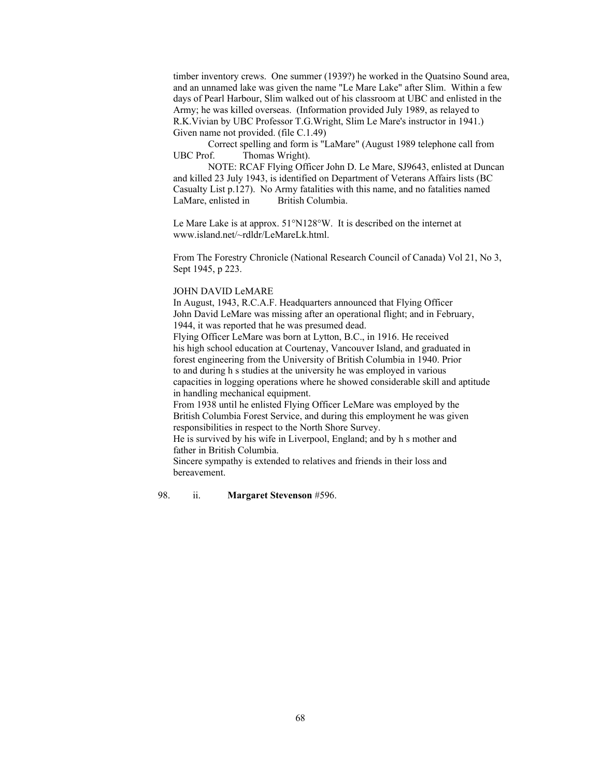timber inventory crews. One summer (1939?) he worked in the Quatsino Sound area, and an unnamed lake was given the name "Le Mare Lake" after Slim. Within a few days of Pearl Harbour, Slim walked out of his classroom at UBC and enlisted in the Army; he was killed overseas. (Information provided July 1989, as relayed to R.K.Vivian by UBC Professor T.G.Wright, Slim Le Mare's instructor in 1941.) Given name not provided. (file C.1.49)

Correct spelling and form is "LaMare" (August 1989 telephone call from UBC Prof. Thomas Wright).

NOTE: RCAF Flying Officer John D. Le Mare, SJ9643, enlisted at Duncan and killed 23 July 1943, is identified on Department of Veterans Affairs lists (BC Casualty List p.127). No Army fatalities with this name, and no fatalities named LaMare, enlisted in British Columbia.

Le Mare Lake is at approx. 51°N128°W. It is described on the internet at www.island.net/~rdldr/LeMareLk.html.

From The Forestry Chronicle (National Research Council of Canada) Vol 21, No 3, Sept 1945, p 223.

#### JOHN DAVID LeMARE

In August, 1943, R.C.A.F. Headquarters announced that Flying Officer John David LeMare was missing after an operational flight; and in February, 1944, it was reported that he was presumed dead.

Flying Officer LeMare was born at Lytton, B.C., in 1916. He received his high school education at Courtenay, Vancouver Island, and graduated in forest engineering from the University of British Columbia in 1940. Prior to and during h s studies at the university he was employed in various capacities in logging operations where he showed considerable skill and aptitude in handling mechanical equipment.

From 1938 until he enlisted Flying Officer LeMare was employed by the British Columbia Forest Service, and during this employment he was given responsibilities in respect to the North Shore Survey.

He is survived by his wife in Liverpool, England; and by h s mother and father in British Columbia.

Sincere sympathy is extended to relatives and friends in their loss and bereavement.

## 98. ii. **Margaret Stevenson** #596.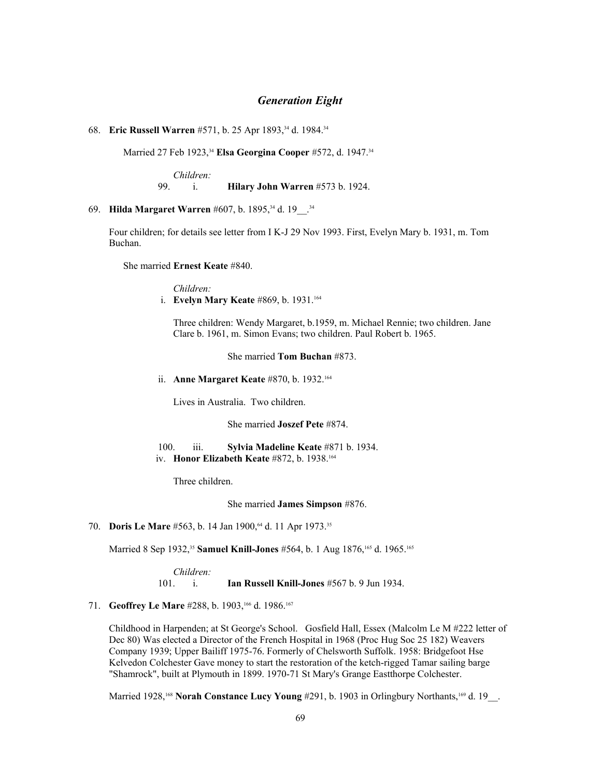## *Generation Eight*

68. **Eric Russell Warren** #571, b. 25 Apr 1893,34 d. 1984.<sup>34</sup>

Married 27 Feb 1923,<sup>34</sup> Elsa Georgina Cooper #572, d. 1947.<sup>34</sup>

*Children:* 99. i. **Hilary John Warren** #573 b. 1924.

69. **Hilda Margaret Warren** #607, b. 1895,34 d. 19\_\_.<sup>34</sup>

Four children; for details see letter from I K-J 29 Nov 1993. First, Evelyn Mary b. 1931, m. Tom Buchan.

She married **Ernest Keate** #840.

*Children:* i. **Evelyn Mary Keate** #869, b. 1931.[164](#page-107-46)

Three children: Wendy Margaret, b.1959, m. Michael Rennie; two children. Jane Clare b. 1961, m. Simon Evans; two children. Paul Robert b. 1965.

She married **Tom Buchan** #873.

ii. **Anne Margaret Keate** #870, b. 1932.<sup>164</sup>

Lives in Australia. Two children.

She married **Joszef Pete** #874.

 100. iii. **Sylvia Madeline Keate** #871 b. 1934. iv. **Honor Elizabeth Keate** #872, b. 1938.<sup>164</sup>

Three children.

She married **James Simpson** #876.

70. **Doris Le Mare** #563, b. 14 Jan 1900,<sup>64</sup> d. 11 Apr 1973.<sup>35</sup>

Married 8 Sep 1932,<sup>35</sup> Samuel Knill-Jones #564, b. 1 Aug 1876,<sup>[165](#page-107-47)</sup> d. 1965.<sup>165</sup>

*Children:* 101. i. **Ian Russell Knill-Jones** #567 b. 9 Jun 1934.

71. **Geoffrey Le Mare** #288, b. 1903,[166](#page-107-48) d. 1986.[167](#page-107-49)

Childhood in Harpenden; at St George's School. Gosfield Hall, Essex (Malcolm Le M #222 letter of Dec 80) Was elected a Director of the French Hospital in 1968 (Proc Hug Soc 25 182) Weavers Company 1939; Upper Bailiff 1975-76. Formerly of Chelsworth Suffolk. 1958: Bridgefoot Hse Kelvedon Colchester Gave money to start the restoration of the ketch-rigged Tamar sailing barge "Shamrock", built at Plymouth in 1899. 1970-71 St Mary's Grange Eastthorpe Colchester.

Married 1928,<sup>[168](#page-107-50)</sup> Norah Constance Lucy Young #291, b. 1903 in Orlingbury Northants,<sup>[169](#page-107-51)</sup> d. 19\_\_.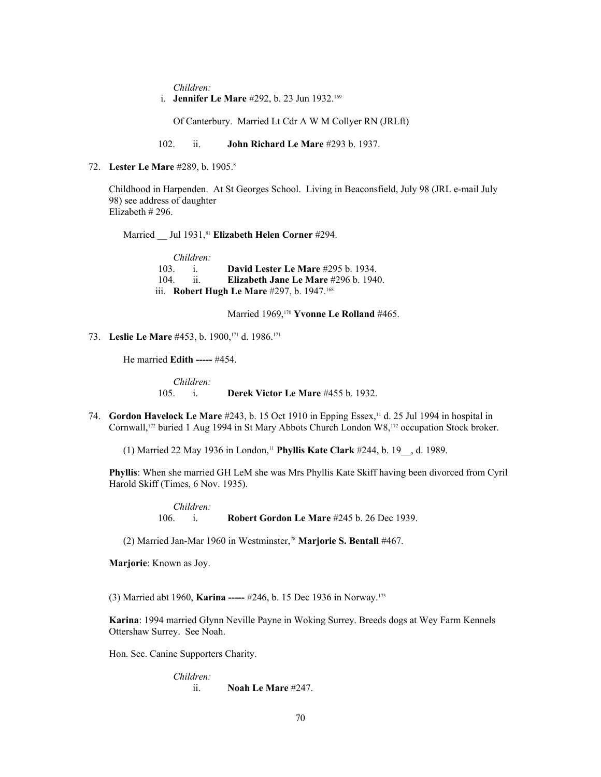*Children:*

i. **Jennifer Le Mare** #292, b. 23 Jun 1932.<sup>169</sup>

Of Canterbury. Married Lt Cdr A W M Collyer RN (JRLft)

102. ii. **John Richard Le Mare** #293 b. 1937.

72. **Lester Le Mare** #289, b. 1905.<sup>8</sup>

Childhood in Harpenden. At St Georges School. Living in Beaconsfield, July 98 (JRL e-mail July 98) see address of daughter Elizabeth # 296.

Married Jul 1931,<sup>81</sup> Elizabeth Helen Corner #294.

*Children:* 103. i. **David Lester Le Mare** #295 b. 1934. 104. ii. **Elizabeth Jane Le Mare** #296 b. 1940. iii. **Robert Hugh Le Mare** #297, b. 1947.<sup>168</sup>

Married 1969,[170](#page-107-52) **Yvonne Le Rolland** #465.

73. **Leslie Le Mare** #453, b. 1900,[171](#page-107-53) d. 1986.<sup>171</sup>

He married **Edith -----** #454.

*Children:* 105. i. **Derek Victor Le Mare** #455 b. 1932.

74. **Gordon Havelock Le Mare** #243, b. 15 Oct 1910 in Epping Essex,<sup>11</sup> d. 25 Jul 1994 in hospital in Cornwall,[172](#page-107-54) buried 1 Aug 1994 in St Mary Abbots Church London W8,172 occupation Stock broker.

(1) Married 22 May 1936 in London,<sup>11</sup> **Phyllis Kate Clark** #244, b. 19\_\_, d. 1989.

**Phyllis**: When she married GH LeM she was Mrs Phyllis Kate Skiff having been divorced from Cyril Harold Skiff (Times, 6 Nov. 1935).

> *Children:* 106. i. **Robert Gordon Le Mare** #245 b. 26 Dec 1939.

(2) Married Jan-Mar 1960 in Westminster,<sup>78</sup> **Marjorie S. Bentall** #467.

**Marjorie**: Known as Joy.

(3) Married abt 1960, **Karina -----** #246, b. 15 Dec 1936 in Norway.[173](#page-107-55)

**Karina**: 1994 married Glynn Neville Payne in Woking Surrey. Breeds dogs at Wey Farm Kennels Ottershaw Surrey. See Noah.

Hon. Sec. Canine Supporters Charity.

*Children:* ii. **Noah Le Mare** #247.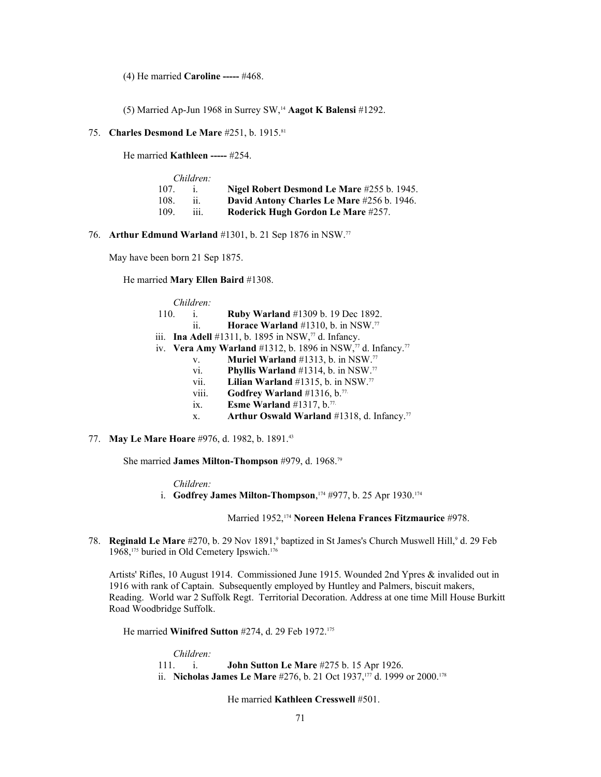(4) He married **Caroline -----** #468.

(5) Married Ap-Jun 1968 in Surrey SW,<sup>14</sup> **Aagot K Balensi** #1292.

75. **Charles Desmond Le Mare** #251, b. 1915.<sup>81</sup>

He married **Kathleen -----** #254.

|      | Children: |                                            |
|------|-----------|--------------------------------------------|
| 107. |           | Nigel Robert Desmond Le Mare #255 b. 1945. |
| 108. |           | David Antony Charles Le Mare #256 b. 1946. |
| 109. | 111.      | Roderick Hugh Gordon Le Mare #257.         |

76. **Arthur Edmund Warland** #1301, b. 21 Sep 1876 in NSW.<sup>77</sup>

May have been born 21 Sep 1875.

He married **Mary Ellen Baird** #1308.

| Children:  |                                                                                     |
|------------|-------------------------------------------------------------------------------------|
| 110.<br>i. | <b>Ruby Warland</b> #1309 b. 19 Dec 1892.                                           |
| 11.        | Horace Warland $#1310$ , b. in NSW. <sup>77</sup>                                   |
|            | iii. Ina Adell #1311, b. 1895 in NSW, $\frac{77}{4}$ d. Infancy.                    |
|            | iv. Vera Amy Warland #1312, b. 1896 in NSW, <sup>77</sup> d. Infancy. <sup>77</sup> |
| V.         | Muriel Warland #1313, b. in NSW.77                                                  |
| vi.        | Phyllis Warland #1314, b. in NSW.77                                                 |
| vii.       | Lilian Warland #1315, b. in NSW.77                                                  |
|            | viii.<br>Godfrey Warland #1316, b. <sup>77</sup>                                    |
| 1X.        | Esme Warland #1317, $b$ . <sup>77</sup>                                             |
| Х.         | Arthur Oswald Warland #1318, d. Infancy. <sup>77</sup>                              |
|            |                                                                                     |

77. **May Le Mare Hoare** #976, d. 1982, b. 1891.<sup>43</sup>

She married **James Milton-Thompson** #979, d. 1968.<sup>79</sup>

*Children:*

i. **Godfrey James Milton-Thompson**, [174](#page-107-56) #977, b. 25 Apr 1930.<sup>174</sup>

Married 1952,<sup>174</sup> **Noreen Helena Frances Fitzmaurice** #978.

78. **Reginald Le Mare** #270, b. 29 Nov 1891,<sup>9</sup> baptized in St James's Church Muswell Hill,<sup>9</sup> d. 29 Feb 1968,[175](#page-107-57) buried in Old Cemetery Ipswich.[176](#page-107-58)

Artists' Rifles, 10 August 1914. Commissioned June 1915. Wounded 2nd Ypres & invalided out in 1916 with rank of Captain. Subsequently employed by Huntley and Palmers, biscuit makers, Reading. World war 2 Suffolk Regt. Territorial Decoration. Address at one time Mill House Burkitt Road Woodbridge Suffolk.

He married **Winifred Sutton** #274, d. 29 Feb 1972.<sup>175</sup>

*Children:* 111. i. **John Sutton Le Mare** #275 b. 15 Apr 1926. ii. **Nicholas James Le Mare** #276, b. 21 Oct 1937,<sup>[177](#page-107-59)</sup> d. 1999 or 2000.<sup>[178](#page-107-60)</sup>

He married **Kathleen Cresswell** #501.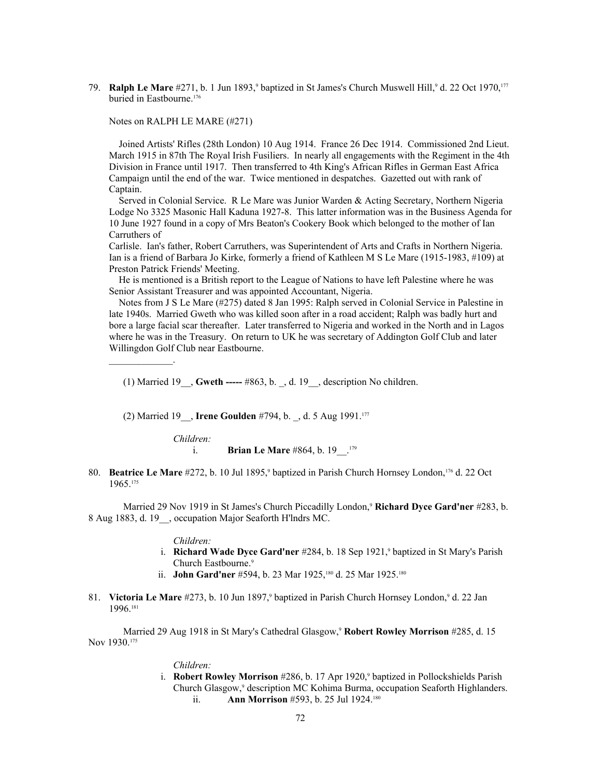79. **Ralph Le Mare** #271, b. 1 Jun 1893,<sup>9</sup> baptized in St James's Church Muswell Hill,<sup>9</sup> d. 22 Oct 1970,<sup>177</sup> buried in Eastbourne.<sup>176</sup>

Notes on RALPH LE MARE (#271)

 Joined Artists' Rifles (28th London) 10 Aug 1914. France 26 Dec 1914. Commissioned 2nd Lieut. March 1915 in 87th The Royal Irish Fusiliers. In nearly all engagements with the Regiment in the 4th Division in France until 1917. Then transferred to 4th King's African Rifles in German East Africa Campaign until the end of the war. Twice mentioned in despatches. Gazetted out with rank of Captain.

 Served in Colonial Service. R Le Mare was Junior Warden & Acting Secretary, Northern Nigeria Lodge No 3325 Masonic Hall Kaduna 1927-8. This latter information was in the Business Agenda for 10 June 1927 found in a copy of Mrs Beaton's Cookery Book which belonged to the mother of Ian Carruthers of

Carlisle. Ian's father, Robert Carruthers, was Superintendent of Arts and Crafts in Northern Nigeria. Ian is a friend of Barbara Jo Kirke, formerly a friend of Kathleen M S Le Mare (1915-1983, #109) at Preston Patrick Friends' Meeting.

 He is mentioned is a British report to the League of Nations to have left Palestine where he was Senior Assistant Treasurer and was appointed Accountant, Nigeria.

 Notes from J S Le Mare (#275) dated 8 Jan 1995: Ralph served in Colonial Service in Palestine in late 1940s. Married Gweth who was killed soon after in a road accident; Ralph was badly hurt and bore a large facial scar thereafter. Later transferred to Nigeria and worked in the North and in Lagos where he was in the Treasury. On return to UK he was secretary of Addington Golf Club and later Willingdon Golf Club near Eastbourne.

(1) Married 19\_\_, **Gweth -----** #863, b. \_, d. 19\_\_, description No children.

(2) Married 19\_\_, **Irene Goulden** #794, b. \_, d. 5 Aug 1991.<sup>177</sup>

*Children:*

 $\mathcal{L}_\text{max}$  and  $\mathcal{L}_\text{max}$ 

- i. **Brian Le Mare** #864, b. 19<sup>[179](#page-107-61)</sup>
- 80. **Beatrice Le Mare** #272, b. 10 Jul 1895,<sup>9</sup> baptized in Parish Church Hornsey London,<sup>176</sup> d. 22 Oct 1965.<sup>175</sup>

Married 29 Nov 1919 in St James's Church Piccadilly London,<sup>9</sup> **Richard Dyce Gard'ner** #283, b. 8 Aug 1883, d. 19\_\_, occupation Major Seaforth H'lndrs MC.

#### *Children:*

- i. **Richard Wade Dyce Gard'ner** #284, b. 18 Sep 1921,<sup>9</sup> baptized in St Mary's Parish Church Eastbourne.<sup>9</sup>
	- ii. **John Gard'ner** #594, b. 23 Mar 1925,<sup>[180](#page-107-62)</sup> d. 25 Mar 1925.<sup>180</sup>
- 81. Victoria Le Mare #273, b. 10 Jun 1897,<sup>9</sup> baptized in Parish Church Hornsey London,<sup>9</sup> d. 22 Jan 1996.<sup>[181](#page-107-63)</sup>

Married 29 Aug 1918 in St Mary's Cathedral Glasgow,<sup>9</sup> **Robert Rowley Morrison** #285, d. 15 Nov 1930.<sup>175</sup>

### *Children:*

i. **Robert Rowley Morrison** #286, b. 17 Apr 1920,<sup>9</sup> baptized in Pollockshields Parish Church Glasgow,<sup>9</sup> description MC Kohima Burma, occupation Seaforth Highlanders. ii. **Ann Morrison** #593, b. 25 Jul 1924.<sup>180</sup>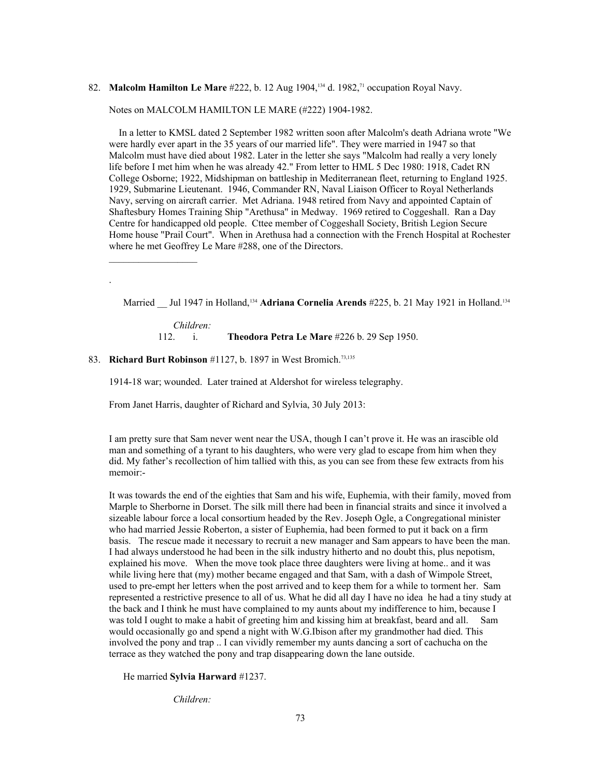# 82. **Malcolm Hamilton Le Mare** #222, b. 12 Aug 1904,134 d. 1982,71 occupation Royal Navy.

### Notes on MALCOLM HAMILTON LE MARE (#222) 1904-1982.

 In a letter to KMSL dated 2 September 1982 written soon after Malcolm's death Adriana wrote "We were hardly ever apart in the 35 years of our married life". They were married in 1947 so that Malcolm must have died about 1982. Later in the letter she says "Malcolm had really a very lonely life before I met him when he was already 42." From letter to HML 5 Dec 1980: 1918, Cadet RN College Osborne; 1922, Midshipman on battleship in Mediterranean fleet, returning to England 1925. 1929, Submarine Lieutenant. 1946, Commander RN, Naval Liaison Officer to Royal Netherlands Navy, serving on aircraft carrier. Met Adriana. 1948 retired from Navy and appointed Captain of Shaftesbury Homes Training Ship "Arethusa" in Medway. 1969 retired to Coggeshall. Ran a Day Centre for handicapped old people. Cttee member of Coggeshall Society, British Legion Secure Home house "Prail Court". When in Arethusa had a connection with the French Hospital at Rochester where he met Geoffrey Le Mare #288, one of the Directors.

Married Jul 1947 in Holland,<sup>134</sup> Adriana Cornelia Arends #225, b. 21 May 1921 in Holland.<sup>134</sup>

*Children:* 112. i. **Theodora Petra Le Mare** #226 b. 29 Sep 1950.

83. **Richard Burt Robinson** #1127, b. 1897 in West Bromich.<sup>73,135</sup>

 $\mathcal{L}_\text{max}$ 

.

1914-18 war; wounded. Later trained at Aldershot for wireless telegraphy.

From Janet Harris, daughter of Richard and Sylvia, 30 July 2013:

I am pretty sure that Sam never went near the USA, though I can't prove it. He was an irascible old man and something of a tyrant to his daughters, who were very glad to escape from him when they did. My father's recollection of him tallied with this, as you can see from these few extracts from his memoir:-

It was towards the end of the eighties that Sam and his wife, Euphemia, with their family, moved from Marple to Sherborne in Dorset. The silk mill there had been in financial straits and since it involved a sizeable labour force a local consortium headed by the Rev. Joseph Ogle, a Congregational minister who had married Jessie Roberton, a sister of Euphemia, had been formed to put it back on a firm basis. The rescue made it necessary to recruit a new manager and Sam appears to have been the man. I had always understood he had been in the silk industry hitherto and no doubt this, plus nepotism, explained his move. When the move took place three daughters were living at home.. and it was while living here that (my) mother became engaged and that Sam, with a dash of Wimpole Street, used to pre-empt her letters when the post arrived and to keep them for a while to torment her. Sam represented a restrictive presence to all of us. What he did all day I have no idea he had a tiny study at the back and I think he must have complained to my aunts about my indifference to him, because I was told I ought to make a habit of greeting him and kissing him at breakfast, beard and all. Sam would occasionally go and spend a night with W.G.Ibison after my grandmother had died. This involved the pony and trap .. I can vividly remember my aunts dancing a sort of cachucha on the terrace as they watched the pony and trap disappearing down the lane outside.

He married **Sylvia Harward** #1237.

*Children:*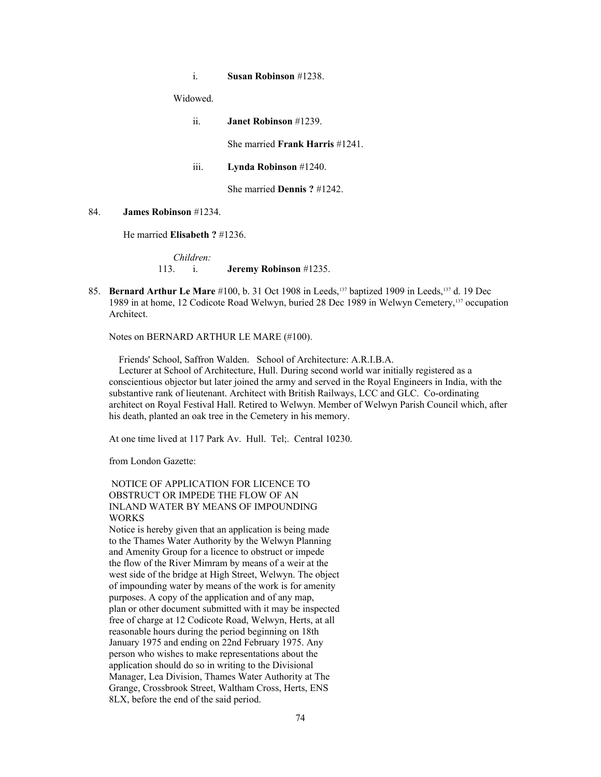i. **Susan Robinson** #1238.

Widowed.

| $\ddot{i}$          | <b>Janet Robinson</b> #1239.               |
|---------------------|--------------------------------------------|
|                     | She married <b>Frank Harris</b> $\#1241$ . |
| $\ddot{\mathbf{m}}$ | Lynda Robinson $#1240$ .                   |
|                     | She married <b>Dennis</b> $? \#1242$ .     |

### 84. **James Robinson** #1234.

He married **Elisabeth ?** #1236.

# *Children:* 113. i. **Jeremy Robinson** #1235.

85. **Bernard Arthur Le Mare** #100, b. 31 Oct 1908 in Leeds,<sup>137</sup> baptized 1909 in Leeds,<sup>137</sup> d. 19 Dec 1989 in at home, 12 Codicote Road Welwyn, buried 28 Dec 1989 in Welwyn Cemetery,137 occupation Architect.

Notes on BERNARD ARTHUR LE MARE (#100).

Friends' School, Saffron Walden. School of Architecture: A.R.I.B.A.

 Lecturer at School of Architecture, Hull. During second world war initially registered as a conscientious objector but later joined the army and served in the Royal Engineers in India, with the substantive rank of lieutenant. Architect with British Railways, LCC and GLC. Co-ordinating architect on Royal Festival Hall. Retired to Welwyn. Member of Welwyn Parish Council which, after his death, planted an oak tree in the Cemetery in his memory.

At one time lived at 117 Park Av. Hull. Tel;. Central 10230.

from London Gazette:

# NOTICE OF APPLICATION FOR LICENCE TO OBSTRUCT OR IMPEDE THE FLOW OF AN INLAND WATER BY MEANS OF IMPOUNDING WORKS

Notice is hereby given that an application is being made to the Thames Water Authority by the Welwyn Planning and Amenity Group for a licence to obstruct or impede the flow of the River Mimram by means of a weir at the west side of the bridge at High Street, Welwyn. The object of impounding water by means of the work is for amenity purposes. A copy of the application and of any map, plan or other document submitted with it may be inspected free of charge at 12 Codicote Road, Welwyn, Herts, at all reasonable hours during the period beginning on 18th January 1975 and ending on 22nd February 1975. Any person who wishes to make representations about the application should do so in writing to the Divisional Manager, Lea Division, Thames Water Authority at The Grange, Crossbrook Street, Waltham Cross, Herts, ENS 8LX, before the end of the said period.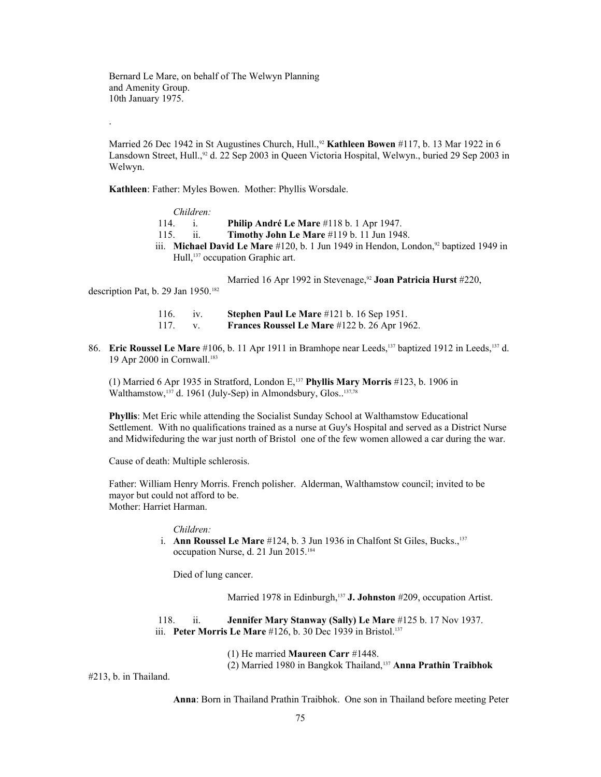Bernard Le Mare, on behalf of The Welwyn Planning and Amenity Group. 10th January 1975.

Married 26 Dec 1942 in St Augustines Church, Hull.,<sup>92</sup> **Kathleen Bowen** #117, b. 13 Mar 1922 in 6 Lansdown Street, Hull.,<sup>92</sup> d. 22 Sep 2003 in Queen Victoria Hospital, Welwyn., buried 29 Sep 2003 in Welwyn.

**Kathleen**: Father: Myles Bowen. Mother: Phyllis Worsdale.

*Children:* 114. i. **Philip André Le Mare** #118 b. 1 Apr 1947. 115. ii. **Timothy John Le Mare** #119 b. 11 Jun 1948. iii. **Michael David Le Mare** #120, b. 1 Jun 1949 in Hendon, London,<sup>92</sup> baptized 1949 in Hull,<sup>137</sup> occupation Graphic art.

Married 16 Apr 1992 in Stevenage,<sup>92</sup> Joan Patricia Hurst #220,

description Pat, b. 29 Jan 1950.<sup>[182](#page-108-0)</sup>

.

| 116.  | Stephen Paul Le Mare #121 b. 16 Sep 1951.           |
|-------|-----------------------------------------------------|
| -117. | <b>Frances Roussel Le Mare</b> #122 b. 26 Apr 1962. |

86. **Eric Roussel Le Mare** #106, b. 11 Apr 1911 in Bramhope near Leeds,<sup>137</sup> baptized 1912 in Leeds,<sup>137</sup> d. 19 Apr 2000 in Cornwall.[183](#page-108-1)

(1) Married 6 Apr 1935 in Stratford, London E,<sup>137</sup> **Phyllis Mary Morris** #123, b. 1906 in Walthamstow,<sup>137</sup> d. 1961 (July-Sep) in Almondsbury, Glos..<sup>137,78</sup>

**Phyllis**: Met Eric while attending the Socialist Sunday School at Walthamstow Educational Settlement. With no qualifications trained as a nurse at Guy's Hospital and served as a District Nurse and Midwifeduring the war just north of Bristol one of the few women allowed a car during the war.

Cause of death: Multiple schlerosis.

Father: William Henry Morris. French polisher. Alderman, Walthamstow council; invited to be mayor but could not afford to be. Mother: Harriet Harman.

### *Children:*

i. **Ann Roussel Le Mare** #124, b. 3 Jun 1936 in Chalfont St Giles, Bucks.,<sup>137</sup> occupation Nurse, d. 21 Jun 2015.[184](#page-108-2)

Died of lung cancer.

Married 1978 in Edinburgh,<sup>137</sup> J. Johnston #209, occupation Artist.

 118. ii. **Jennifer Mary Stanway (Sally) Le Mare** #125 b. 17 Nov 1937. iii. **Peter Morris Le Mare** #126, b. 30 Dec 1939 in Bristol.<sup>137</sup>

(1) He married **Maureen Carr** #1448.

(2) Married 1980 in Bangkok Thailand,<sup>137</sup> **Anna Prathin Traibhok**

#213, b. in Thailand.

**Anna**: Born in Thailand Prathin Traibhok. One son in Thailand before meeting Peter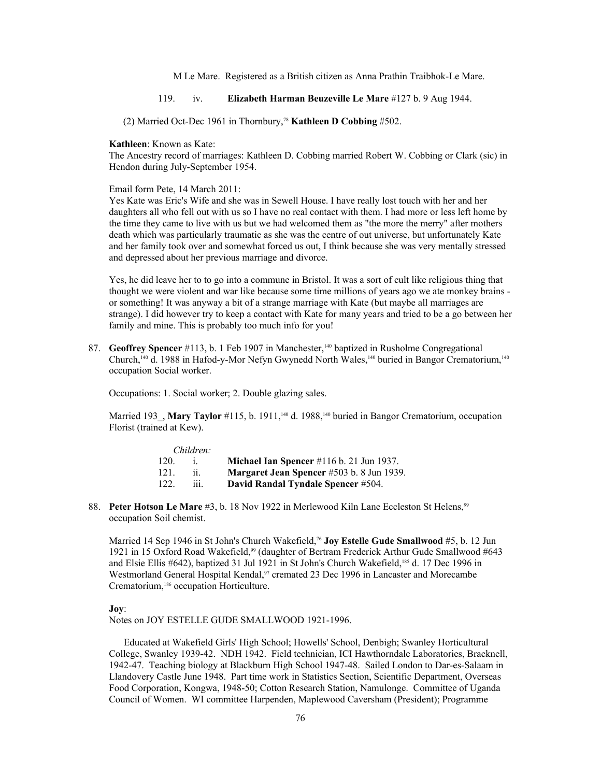M Le Mare. Registered as a British citizen as Anna Prathin Traibhok-Le Mare.

# 119. iv. **Elizabeth Harman Beuzeville Le Mare** #127 b. 9 Aug 1944.

(2) Married Oct-Dec 1961 in Thornbury,<sup>78</sup> **Kathleen D Cobbing** #502.

#### **Kathleen**: Known as Kate:

The Ancestry record of marriages: Kathleen D. Cobbing married Robert W. Cobbing or Clark (sic) in Hendon during July-September 1954.

Email form Pete, 14 March 2011:

Yes Kate was Eric's Wife and she was in Sewell House. I have really lost touch with her and her daughters all who fell out with us so I have no real contact with them. I had more or less left home by the time they came to live with us but we had welcomed them as "the more the merry" after mothers death which was particularly traumatic as she was the centre of out universe, but unfortunately Kate and her family took over and somewhat forced us out, I think because she was very mentally stressed and depressed about her previous marriage and divorce.

Yes, he did leave her to to go into a commune in Bristol. It was a sort of cult like religious thing that thought we were violent and war like because some time millions of years ago we ate monkey brains or something! It was anyway a bit of a strange marriage with Kate (but maybe all marriages are strange). I did however try to keep a contact with Kate for many years and tried to be a go between her family and mine. This is probably too much info for you!

87. **Geoffrey Spencer** #113, b. 1 Feb 1907 in Manchester,<sup>140</sup> baptized in Rusholme Congregational Church,140 d. 1988 in Hafod-y-Mor Nefyn Gwynedd North Wales,140 buried in Bangor Crematorium,<sup>140</sup> occupation Social worker.

Occupations: 1. Social worker; 2. Double glazing sales.

Married 193 , Mary Taylor #115, b. 1911,<sup>140</sup> d. 1988,<sup>140</sup> buried in Bangor Crematorium, occupation Florist (trained at Kew).

|      | Children: |                                                  |
|------|-----------|--------------------------------------------------|
| 120  |           | Michael Ian Spencer $\#116$ b. 21 Jun 1937.      |
| 121. |           | <b>Margaret Jean Spencer</b> #503 b. 8 Jun 1939. |
| 122. | 111       | David Randal Tyndale Spencer #504.               |

88. **Peter Hotson Le Mare** #3, b. 18 Nov 1922 in Merlewood Kiln Lane Eccleston St Helens,<sup>99</sup> occupation Soil chemist.

Married 14 Sep 1946 in St John's Church Wakefield,<sup>76</sup> **Joy Estelle Gude Smallwood** #5, b. 12 Jun 1921 in 15 Oxford Road Wakefield,99 (daughter of Bertram Frederick Arthur Gude Smallwood #643 and Elsie Ellis #642), baptized 31 Jul 1921 in St John's Church Wakefield,[185](#page-108-3) d. 17 Dec 1996 in Westmorland General Hospital Kendal,<sup>97</sup> cremated 23 Dec 1996 in Lancaster and Morecambe Crematorium,<sup>[186](#page-108-4)</sup> occupation Horticulture.

#### **Joy**:

Notes on JOY ESTELLE GUDE SMALLWOOD 1921-1996.

Educated at Wakefield Girls' High School; Howells' School, Denbigh; Swanley Horticultural College, Swanley 1939-42. NDH 1942. Field technician, ICI Hawthorndale Laboratories, Bracknell, 1942-47. Teaching biology at Blackburn High School 1947-48. Sailed London to Dar-es-Salaam in Llandovery Castle June 1948. Part time work in Statistics Section, Scientific Department, Overseas Food Corporation, Kongwa, 1948-50; Cotton Research Station, Namulonge. Committee of Uganda Council of Women. WI committee Harpenden, Maplewood Caversham (President); Programme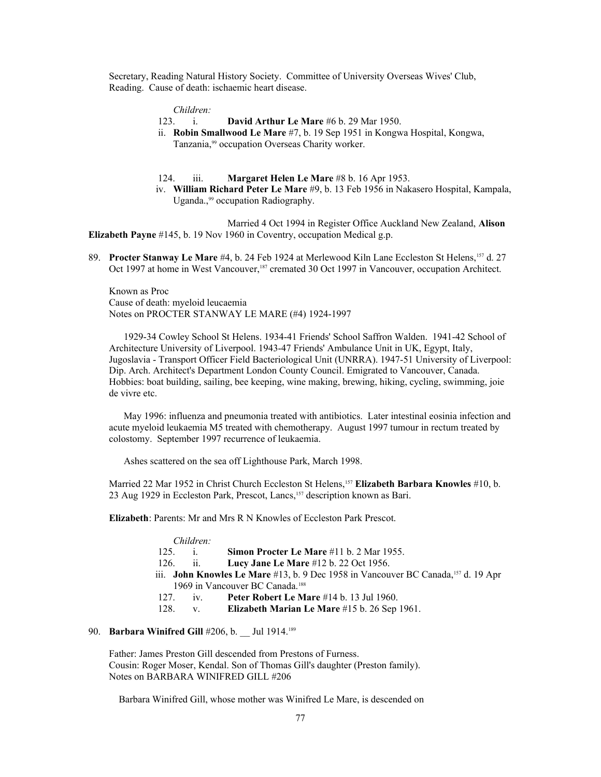Secretary, Reading Natural History Society. Committee of University Overseas Wives' Club, Reading. Cause of death: ischaemic heart disease.

*Children:*

- 123. i. **David Arthur Le Mare** #6 b. 29 Mar 1950.
- ii. **Robin Smallwood Le Mare** #7, b. 19 Sep 1951 in Kongwa Hospital, Kongwa, Tanzania,99 occupation Overseas Charity worker.

#### 124. iii. **Margaret Helen Le Mare** #8 b. 16 Apr 1953.

 iv. **William Richard Peter Le Mare** #9, b. 13 Feb 1956 in Nakasero Hospital, Kampala, Uganda.,<sup>99</sup> occupation Radiography.

Married 4 Oct 1994 in Register Office Auckland New Zealand, **Alison Elizabeth Payne** #145, b. 19 Nov 1960 in Coventry, occupation Medical g.p.

89. **Procter Stanway Le Mare** #4, b. 24 Feb 1924 at Merlewood Kiln Lane Eccleston St Helens, <sup>157</sup> d. 27 Oct 1997 at home in West Vancouver,<sup>[187](#page-108-5)</sup> cremated 30 Oct 1997 in Vancouver, occupation Architect.

Known as Proc Cause of death: myeloid leucaemia Notes on PROCTER STANWAY LE MARE (#4) 1924-1997

 1929-34 Cowley School St Helens. 1934-41 Friends' School Saffron Walden. 1941-42 School of Architecture University of Liverpool. 1943-47 Friends' Ambulance Unit in UK, Egypt, Italy, Jugoslavia - Transport Officer Field Bacteriological Unit (UNRRA). 1947-51 University of Liverpool: Dip. Arch. Architect's Department London County Council. Emigrated to Vancouver, Canada. Hobbies: boat building, sailing, bee keeping, wine making, brewing, hiking, cycling, swimming, joie de vivre etc.

May 1996: influenza and pneumonia treated with antibiotics. Later intestinal eosinia infection and acute myeloid leukaemia M5 treated with chemotherapy. August 1997 tumour in rectum treated by colostomy. September 1997 recurrence of leukaemia.

Ashes scattered on the sea off Lighthouse Park, March 1998.

Married 22 Mar 1952 in Christ Church Eccleston St Helens,<sup>157</sup> **Elizabeth Barbara Knowles** #10, b. 23 Aug 1929 in Eccleston Park, Prescot, Lancs,<sup>157</sup> description known as Bari.

**Elizabeth**: Parents: Mr and Mrs R N Knowles of Eccleston Park Prescot.

|     | Children:    |                                                                                    |
|-----|--------------|------------------------------------------------------------------------------------|
| 125 | $\mathbf{1}$ | <b>Simon Procter Le Mare</b> $\#11$ b. 2 Mar 1955.                                 |
|     | 126. ii.     | Lucy Jane Le Mare #12 b. 22 Oct 1956.                                              |
|     |              | iii. John Knowles Le Mare #13, b. 9 Dec 1958 in Vancouver BC Canada, 157 d. 19 Apr |
|     |              | 1969 in Vancouver BC Canada. <sup>188</sup>                                        |
| 127 | $\mathbf{v}$ | Peter Robert Le Mare #14 b. 13 Jul 1960.                                           |
| 128 | $V_{\rm c}$  | Elizabeth Marian Le Mare #15 b. 26 Sep 1961.                                       |
|     |              |                                                                                    |

# 90. **Barbara Winifred Gill** #206, b. \_\_ Jul 1914.[189](#page-108-7)

Father: James Preston Gill descended from Prestons of Furness. Cousin: Roger Moser, Kendal. Son of Thomas Gill's daughter (Preston family). Notes on BARBARA WINIFRED GILL #206

Barbara Winifred Gill, whose mother was Winifred Le Mare, is descended on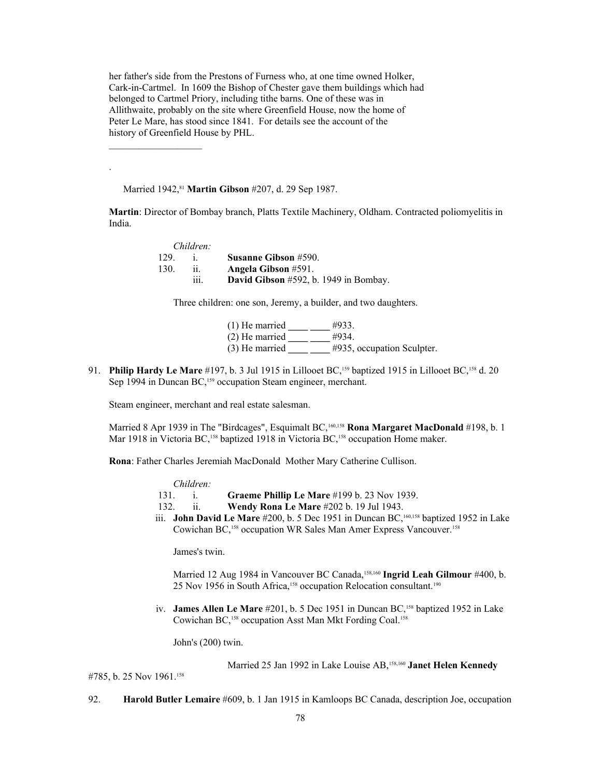her father's side from the Prestons of Furness who, at one time owned Holker, Cark-in-Cartmel. In 1609 the Bishop of Chester gave them buildings which had belonged to Cartmel Priory, including tithe barns. One of these was in Allithwaite, probably on the site where Greenfield House, now the home of Peter Le Mare, has stood since 1841. For details see the account of the history of Greenfield House by PHL.

Married 1942,<sup>81</sup> Martin Gibson #207, d. 29 Sep 1987.

 $\mathcal{L}_\text{max}$ 

.

**Martin**: Director of Bombay branch, Platts Textile Machinery, Oldham. Contracted poliomyelitis in India.

|      | Children: |                                       |
|------|-----------|---------------------------------------|
| 129. |           | <b>Susanne Gibson #590.</b>           |
| 130. |           | <b>Angela Gibson #591.</b>            |
|      | .<br>111. | David Gibson #592, b. 1949 in Bombay. |

Three children: one son, Jeremy, a builder, and two daughters.

(1) He married **\_\_\_\_ \_\_\_\_** #933. (2) He married **\_\_\_\_ \_\_\_\_** #934. (3) He married **\_\_\_\_ \_\_\_\_** #935, occupation Sculpter.

91. **Philip Hardy Le Mare** #197, b. 3 Jul 1915 in Lillooet BC,159 baptized 1915 in Lillooet BC,158 d. 20 Sep 1994 in Duncan BC,<sup>159</sup> occupation Steam engineer, merchant.

Steam engineer, merchant and real estate salesman.

Married 8 Apr 1939 in The "Birdcages", Esquimalt BC,160,158 **Rona Margaret MacDonald** #198, b. 1 Mar 1918 in Victoria BC,<sup>158</sup> baptized 1918 in Victoria BC,<sup>158</sup> occupation Home maker.

**Rona**: Father Charles Jeremiah MacDonald Mother Mary Catherine Cullison.

*Children:*

131. i. **Graeme Phillip Le Mare** #199 b. 23 Nov 1939.

- 132. ii. **Wendy Rona Le Mare** #202 b. 19 Jul 1943.
- iii. **John David Le Mare** #200, b. 5 Dec 1951 in Duncan BC,<sup>160,158</sup> baptized 1952 in Lake Cowichan BC,158 occupation WR Sales Man Amer Express Vancouver.<sup>158</sup>

James's twin.

Married 12 Aug 1984 in Vancouver BC Canada,<sup>158,160</sup> Ingrid Leah Gilmour #400, b. 25 Nov 1956 in South Africa,<sup>158</sup> occupation Relocation consultant.<sup>[190](#page-108-8)</sup>

iv. **James Allen Le Mare** #201, b. 5 Dec 1951 in Duncan BC,<sup>158</sup> baptized 1952 in Lake Cowichan BC,158 occupation Asst Man Mkt Fording Coal.<sup>158</sup>

John's (200) twin.

Married 25 Jan 1992 in Lake Louise AB,<sup>158,160</sup> Janet Helen Kennedy

#785, b. 25 Nov 1961.<sup>158</sup>

92. **Harold Butler Lemaire** #609, b. 1 Jan 1915 in Kamloops BC Canada, description Joe, occupation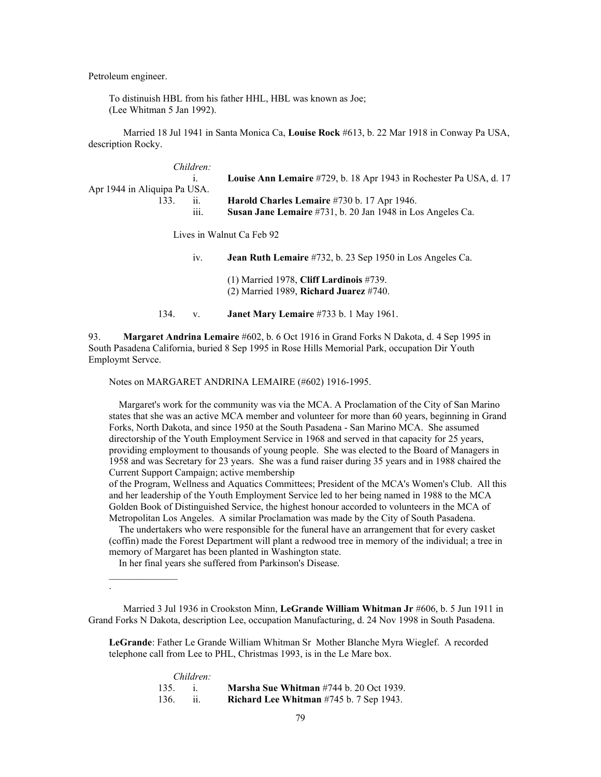Petroleum engineer.

To distinuish HBL from his father HHL, HBL was known as Joe; (Lee Whitman 5 Jan 1992).

Married 18 Jul 1941 in Santa Monica Ca, **Louise Rock** #613, b. 22 Mar 1918 in Conway Pa USA, description Rocky.

| Children:                    |      |                                                                    |
|------------------------------|------|--------------------------------------------------------------------|
|                              |      | Louise Ann Lemaire #729, b. 18 Apr 1943 in Rochester Pa USA, d. 17 |
| Apr 1944 in Aliquipa Pa USA. |      |                                                                    |
| 133                          |      | Harold Charles Lemaire #730 b. 17 Apr 1946.                        |
| $\cdots$                     | 111. | Susan Jane Lemaire #731, b. 20 Jan 1948 in Los Angeles Ca.         |
|                              |      |                                                                    |
|                              |      | $L_{\text{max}}$ in Walant $C_2$ Esk 00                            |

Lives in Walnut Ca Feb 92

| 1V   | <b>Jean Ruth Lemaire</b> #732, b. 23 Sep 1950 in Los Angeles Ca.                      |
|------|---------------------------------------------------------------------------------------|
|      | $(1)$ Married 1978, Cliff Lardinois #739.<br>$(2)$ Married 1989, Richard Juarez #740. |
| 134. | <b>Janet Mary Lemaire</b> #733 b. 1 May 1961.                                         |

93. **Margaret Andrina Lemaire** #602, b. 6 Oct 1916 in Grand Forks N Dakota, d. 4 Sep 1995 in South Pasadena California, buried 8 Sep 1995 in Rose Hills Memorial Park, occupation Dir Youth Employmt Servce.

Notes on MARGARET ANDRINA LEMAIRE (#602) 1916-1995.

 Margaret's work for the community was via the MCA. A Proclamation of the City of San Marino states that she was an active MCA member and volunteer for more than 60 years, beginning in Grand Forks, North Dakota, and since 1950 at the South Pasadena - San Marino MCA. She assumed directorship of the Youth Employment Service in 1968 and served in that capacity for 25 years, providing employment to thousands of young people. She was elected to the Board of Managers in 1958 and was Secretary for 23 years. She was a fund raiser during 35 years and in 1988 chaired the Current Support Campaign; active membership

of the Program, Wellness and Aquatics Committees; President of the MCA's Women's Club. All this and her leadership of the Youth Employment Service led to her being named in 1988 to the MCA Golden Book of Distinguished Service, the highest honour accorded to volunteers in the MCA of Metropolitan Los Angeles. A similar Proclamation was made by the City of South Pasadena.

 The undertakers who were responsible for the funeral have an arrangement that for every casket (coffin) made the Forest Department will plant a redwood tree in memory of the individual; a tree in memory of Margaret has been planted in Washington state.

In her final years she suffered from Parkinson's Disease.

 $\frac{1}{2}$ 

.

Married 3 Jul 1936 in Crookston Minn, **LeGrande William Whitman Jr** #606, b. 5 Jun 1911 in Grand Forks N Dakota, description Lee, occupation Manufacturing, d. 24 Nov 1998 in South Pasadena.

**LeGrande**: Father Le Grande William Whitman Sr Mother Blanche Myra Wieglef. A recorded telephone call from Lee to PHL, Christmas 1993, is in the Le Mare box.

|       | Children: |                                                   |
|-------|-----------|---------------------------------------------------|
| 135.  |           | <b>Marsha Sue Whitman</b> $\#744$ b. 20 Oct 1939. |
| 136 - |           | Richard Lee Whitman $#745$ b. 7 Sep 1943.         |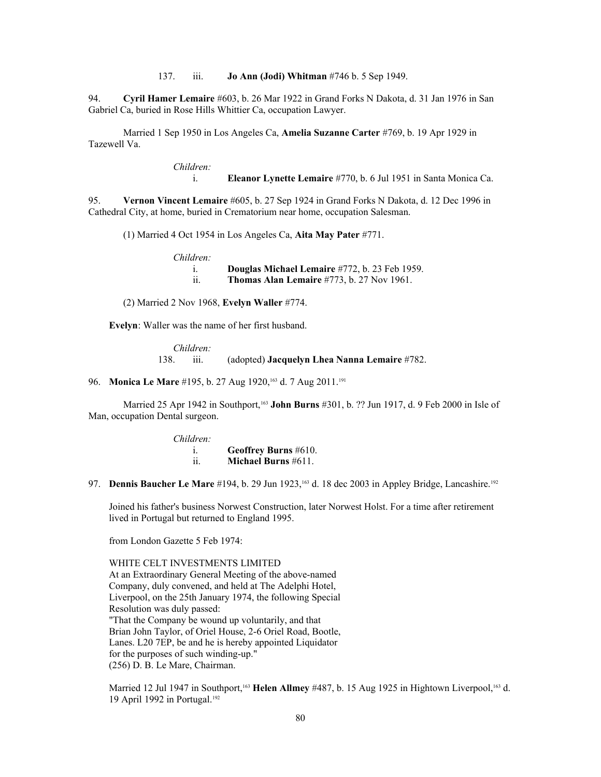137. iii. **Jo Ann (Jodi) Whitman** #746 b. 5 Sep 1949.

94. **Cyril Hamer Lemaire** #603, b. 26 Mar 1922 in Grand Forks N Dakota, d. 31 Jan 1976 in San Gabriel Ca, buried in Rose Hills Whittier Ca, occupation Lawyer.

Married 1 Sep 1950 in Los Angeles Ca, **Amelia Suzanne Carter** #769, b. 19 Apr 1929 in Tazewell Va.

*Children:*

i. **Eleanor Lynette Lemaire** #770, b. 6 Jul 1951 in Santa Monica Ca.

95. **Vernon Vincent Lemaire** #605, b. 27 Sep 1924 in Grand Forks N Dakota, d. 12 Dec 1996 in Cathedral City, at home, buried in Crematorium near home, occupation Salesman.

(1) Married 4 Oct 1954 in Los Angeles Ca, **Aita May Pater** #771.

*Children:*

 i. **Douglas Michael Lemaire** #772, b. 23 Feb 1959. ii. **Thomas Alan Lemaire** #773, b. 27 Nov 1961.

(2) Married 2 Nov 1968, **Evelyn Waller** #774.

**Evelyn**: Waller was the name of her first husband.

*Children:* 138. iii. (adopted) **Jacquelyn Lhea Nanna Lemaire** #782.

96. **Monica Le Mare** #195, b. 27 Aug 1920,<sup>163</sup> d. 7 Aug 2011.<sup>[191](#page-108-9)</sup>

Married 25 Apr 1942 in Southport,<sup>163</sup> **John Burns** #301, b. ?? Jun 1917, d. 9 Feb 2000 in Isle of Man, occupation Dental surgeon.

> *Children:* i. **Geoffrey Burns** #610. ii. **Michael Burns** #611.

97. **Dennis Baucher Le Mare** #194, b. 29 Jun [192](#page-108-10)3,<sup>163</sup> d. 18 dec 2003 in Appley Bridge, Lancashire.<sup>192</sup>

Joined his father's business Norwest Construction, later Norwest Holst. For a time after retirement lived in Portugal but returned to England 1995.

from London Gazette 5 Feb 1974:

WHITE CELT INVESTMENTS LIMITED

At an Extraordinary General Meeting of the above-named Company, duly convened, and held at The Adelphi Hotel, Liverpool, on the 25th January 1974, the following Special Resolution was duly passed: "That the Company be wound up voluntarily, and that Brian John Taylor, of Oriel House, 2-6 Oriel Road, Bootle, Lanes. L20 7EP, be and he is hereby appointed Liquidator for the purposes of such winding-up." (256) D. B. Le Mare, Chairman.

Married 12 Jul 1947 in Southport,<sup>163</sup> Helen Allmey #487, b. 15 Aug 1925 in Hightown Liverpool,<sup>163</sup> d. 19 April 1992 in Portugal.<sup>192</sup>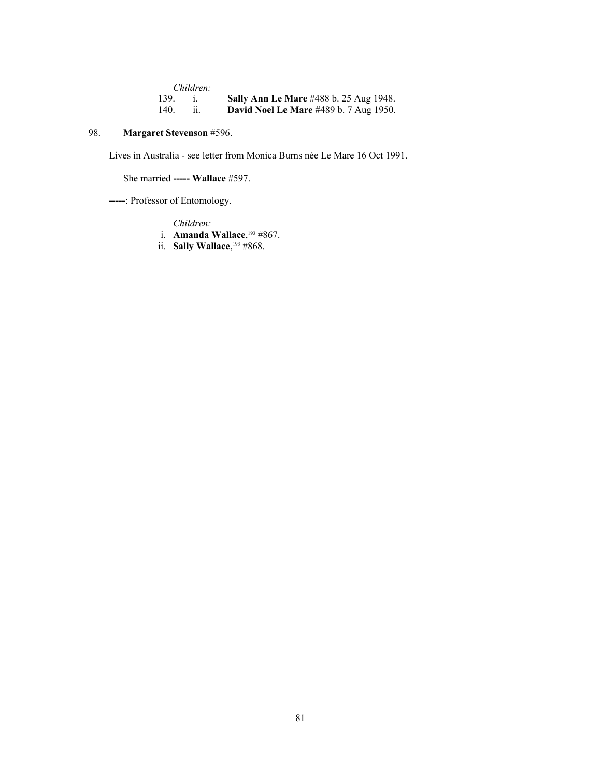|      | Children: |                                               |
|------|-----------|-----------------------------------------------|
| 139. |           | <b>Sally Ann Le Mare #488 b. 25 Aug 1948.</b> |
| 140. |           | <b>David Noel Le Mare</b> #489 b. 7 Aug 1950. |

# 98. **Margaret Stevenson** #596.

Lives in Australia - see letter from Monica Burns née Le Mare 16 Oct 1991.

She married **----- Wallace** #597.

**-----**: Professor of Entomology.

*Children:*

- i. **Amanda Wallace**, [193](#page-108-11) #867.
- ii. **Sally Wallace**, <sup>193</sup> #868.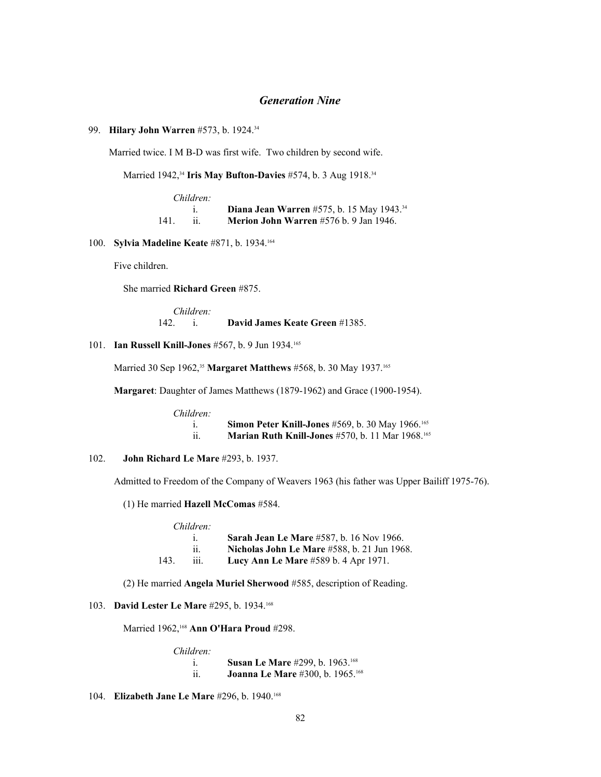# *Generation Nine*

# 99. **Hilary John Warren** #573, b. 1924.<sup>34</sup>

Married twice. I M B-D was first wife. Two children by second wife.

Married 1942,<sup>34</sup> **Iris May Bufton-Davies** #574, b. 3 Aug 1918.<sup>34</sup>

|     | Children: |                                                              |
|-----|-----------|--------------------------------------------------------------|
|     |           | <b>Diana Jean Warren</b> #575, b. 15 May 1943. <sup>34</sup> |
| 141 |           | Merion John Warren #576 b. 9 Jan 1946.                       |

### 100. **Sylvia Madeline Keate** #871, b. 1934.<sup>164</sup>

Five children.

She married **Richard Green** #875.

*Children:* 142. i. **David James Keate Green** #1385.

# 101. **Ian Russell Knill-Jones** #567, b. 9 Jun 1934.<sup>165</sup>

Married 30 Sep 1962,<sup>35</sup> **Margaret Matthews** #568, b. 30 May 1937.<sup>165</sup>

**Margaret**: Daughter of James Matthews (1879-1962) and Grace (1900-1954).

| Children:            |                                                                     |
|----------------------|---------------------------------------------------------------------|
|                      | <b>Simon Peter Knill-Jones</b> #569, b. 30 May 1966. <sup>165</sup> |
| $\ddot{\phantom{0}}$ | <b>Marian Ruth Knill-Jones</b> #570, b. 11 Mar $1968.^{165}$        |

### 102. **John Richard Le Mare** #293, b. 1937.

Admitted to Freedom of the Company of Weavers 1963 (his father was Upper Bailiff 1975-76).

(1) He married **Hazell McComas** #584.

| Children:                   |                                                    |
|-----------------------------|----------------------------------------------------|
|                             | <b>Sarah Jean Le Mare #587, b. 16 Nov 1966.</b>    |
| $\ddot{\phantom{a}}$<br>11. | <b>Nicholas John Le Mare</b> #588, b. 21 Jun 1968. |
| 143.<br>111.                | Lucy Ann Le Mare #589 b. 4 Apr 1971.               |

(2) He married **Angela Muriel Sherwood** #585, description of Reading.

# 103. **David Lester Le Mare** #295, b. 1934.<sup>168</sup>

Married 1962,<sup>168</sup> **Ann O'Hara Proud** #298.

*Children:*

| <b>Susan Le Mare #299, b. 1963.</b> <sup>168</sup> |
|----------------------------------------------------|
| <b>Joanna Le Mare #300, b. 1965.</b> 168           |

104. **Elizabeth Jane Le Mare** #296, b. 1940.<sup>168</sup>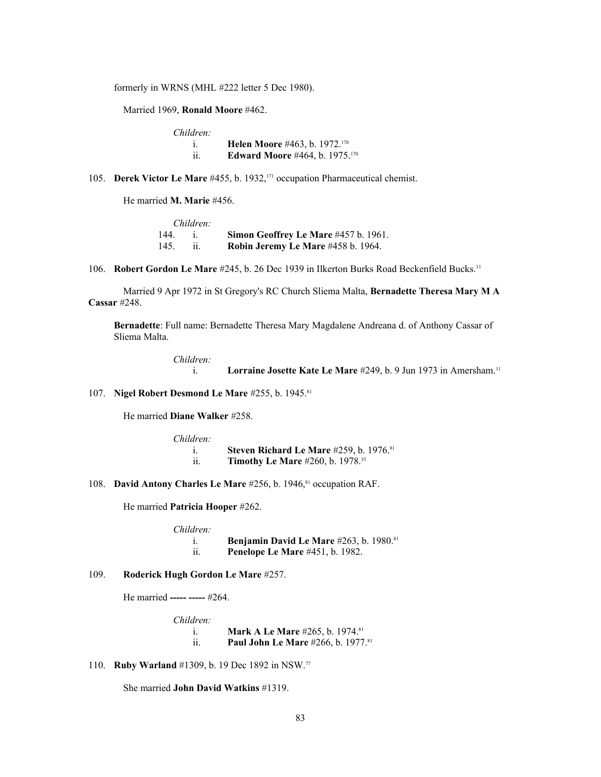formerly in WRNS (MHL #222 letter 5 Dec 1980).

Married 1969, **Ronald Moore** #462.

| Children:  |                                                  |
|------------|--------------------------------------------------|
|            | <b>Helen Moore</b> #463, b. 1972. <sup>170</sup> |
| . .<br>11. | <b>Edward Moore #464, b. 1975.</b> 170           |

105. **Derek Victor Le Mare** #455, b. 1932,<sup>171</sup> occupation Pharmaceutical chemist.

He married **M. Marie** #456.

|           | Children: |                                      |
|-----------|-----------|--------------------------------------|
| $144 - i$ |           | Simon Geoffrey Le Mare #457 b. 1961. |
| 145       |           | Robin Jeremy Le Mare #458 b. 1964.   |

106. **Robert Gordon Le Mare** #245, b. 26 Dec 1939 in Ilkerton Burks Road Beckenfield Bucks.<sup>11</sup>

Married 9 Apr 1972 in St Gregory's RC Church Sliema Malta, **Bernadette Theresa Mary M A Cassar** #248.

**Bernadette**: Full name: Bernadette Theresa Mary Magdalene Andreana d. of Anthony Cassar of Sliema Malta.

> *Children:* i. **Lorraine Josette Kate Le Mare** #249, b. 9 Jun 1973 in Amersham.<sup>11</sup>

107. **Nigel Robert Desmond Le Mare** #255, b. 1945.<sup>81</sup>

He married **Diane Walker** #258.

*Children:* i. **Steven Richard Le Mare** #259, b. 1976.<sup>81</sup> ii. **Timothy Le Mare** #260, b. 1978.<sup>35</sup>

108. **David Antony Charles Le Mare** #256, b. 1946,<sup>81</sup> occupation RAF.

He married **Patricia Hooper** #262.

*Children:*

 i. **Benjamin David Le Mare** #263, b. 1980.<sup>81</sup> ii. **Penelope Le Mare** #451, b. 1982.

# 109. **Roderick Hugh Gordon Le Mare** #257.

He married **----- -----** #264.

*Children:*

i. **Mark A Le Mare** #265, b. 1974.<sup>81</sup> ii. **Paul John Le Mare** #266, b. 1977.<sup>81</sup>

110. **Ruby Warland** #1309, b. 19 Dec 1892 in NSW.<sup>77</sup>

She married **John David Watkins** #1319.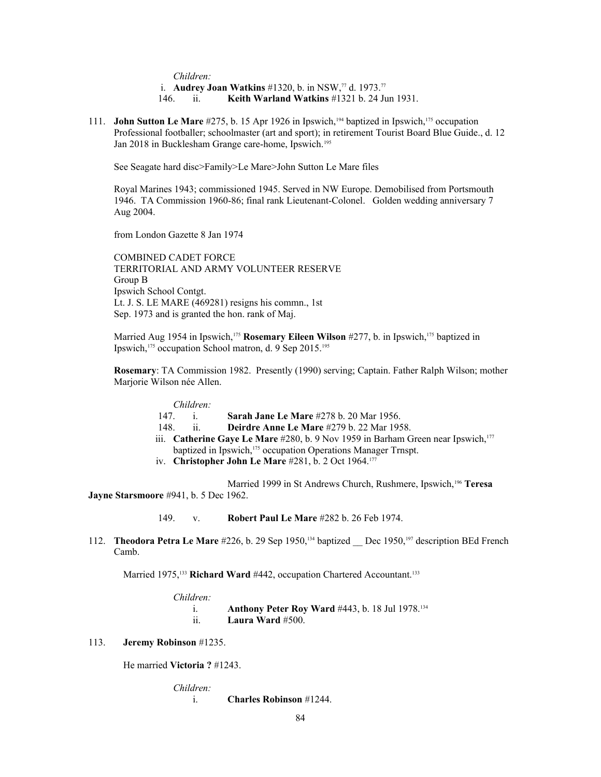*Children:*

i. **Audrey Joan Watkins** #1320, b. in NSW,<sup>77</sup> d. 1973.<sup>77</sup>

146. ii. **Keith Warland Watkins** #1321 b. 24 Jun 1931.

111. **John Sutton Le Mare** #275, b. 15 Apr 1926 in Ipswich,[194](#page-108-12) baptized in Ipswich,175 occupation Professional footballer; schoolmaster (art and sport); in retirement Tourist Board Blue Guide., d. 12 Jan 2018 in Bucklesham Grange care-home, Ipswich.<sup>[195](#page-108-13)</sup>

See Seagate hard disc>Family>Le Mare>John Sutton Le Mare files

Royal Marines 1943; commissioned 1945. Served in NW Europe. Demobilised from Portsmouth 1946. TA Commission 1960-86; final rank Lieutenant-Colonel. Golden wedding anniversary 7 Aug 2004.

from London Gazette 8 Jan 1974

COMBINED CADET FORCE TERRITORIAL AND ARMY VOLUNTEER RESERVE Group B Ipswich School Contgt. Lt. J. S. LE MARE (469281) resigns his commn., 1st Sep. 1973 and is granted the hon. rank of Maj.

Married Aug 1954 in Ipswich,<sup>175</sup> Rosemary Eileen Wilson #277, b. in Ipswich,<sup>175</sup> baptized in Ipswich,<sup>175</sup> occupation School matron, d. 9 Sep 2015.<sup>195</sup>

**Rosemary**: TA Commission 1982. Presently (1990) serving; Captain. Father Ralph Wilson; mother Marjorie Wilson née Allen.

|      | Children: |                                                                                              |
|------|-----------|----------------------------------------------------------------------------------------------|
|      |           |                                                                                              |
| 147  |           | <b>Sarah Jane Le Mare #278 b. 20 Mar 1956.</b>                                               |
| 148. | 11        | Deirdre Anne Le Mare #279 b. 22 Mar 1958.                                                    |
|      |           | iii. Catherine Gaye Le Mare #280, b. 9 Nov 1959 in Barham Green near Ipswich, <sup>177</sup> |
|      |           | baptized in Ipswich, <sup>175</sup> occupation Operations Manager Trnspt.                    |
|      |           |                                                                                              |

iv. **Christopher John Le Mare** #281, b. 2 Oct 1964.<sup>177</sup>

Married 1999 in St Andrews Church, Rushmere, Ipswich,<sup>[196](#page-108-14)</sup> Teresa **Jayne Starsmoore** #941, b. 5 Dec 1962.

149. v. **Robert Paul Le Mare** #282 b. 26 Feb 1974.

112. **Theodora Petra Le Mare** #226, b. 29 Sep 1950,134 baptized \_\_ Dec 1950,[197](#page-108-15) description BEd French Camb.

Married 1975,<sup>133</sup> Richard Ward #442, occupation Chartered Accountant.<sup>133</sup>

| Children:            |                                                         |
|----------------------|---------------------------------------------------------|
|                      | <b>Anthony Peter Roy Ward #443, b. 18 Jul 1978.</b> 134 |
| $\ddot{\phantom{a}}$ | Laura Ward $#500$ .                                     |

### 113. **Jeremy Robinson** #1235.

He married **Victoria ?** #1243.

*Children:*

i. **Charles Robinson** #1244.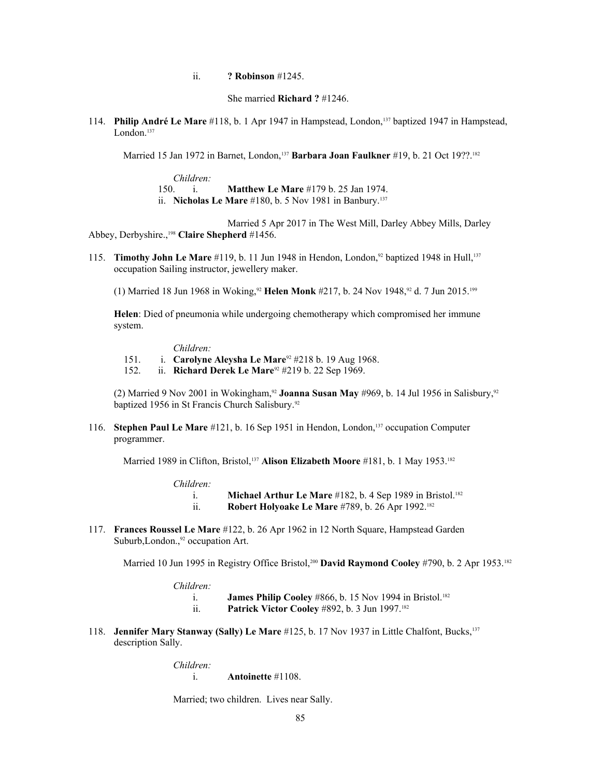ii. **? Robinson** #1245.

She married **Richard ?** #1246.

114. **Philip André Le Mare** #118, b. 1 Apr 1947 in Hampstead, London,137 baptized 1947 in Hampstead, London.<sup>137</sup>

Married 15 Jan 1972 in Barnet, London,<sup>137</sup> Barbara Joan Faulkner #19, b. 21 Oct 19??.<sup>182</sup>

*Children:* 150. i. **Matthew Le Mare** #179 b. 25 Jan 1974. ii. **Nicholas Le Mare** #180, b. 5 Nov 1981 in Banbury.<sup>137</sup>

Married 5 Apr 2017 in The West Mill, Darley Abbey Mills, Darley Abbey, Derbyshire.,[198](#page-108-16) **Claire Shepherd** #1456.

115. **Timothy John Le Mare** #119, b. 11 Jun 1948 in Hendon, London,<sup>92</sup> baptized 1948 in Hull,<sup>137</sup> occupation Sailing instructor, jewellery maker.

(1) Married 18 Jun 1968 in Woking,<sup>92</sup> Helen Monk #217, b. 24 Nov 1948,<sup>92</sup> d. 7 Jun 2015.<sup>[199](#page-108-17)</sup>

**Helen**: Died of pneumonia while undergoing chemotherapy which compromised her immune system.

*Children:*

- 151. i. **Carolyne Aleysha Le Mare**92 #218 b. 19 Aug 1968.
- 152. ii. **Richard Derek Le Mare**92 #219 b. 22 Sep 1969.

(2) Married 9 Nov 2001 in Wokingham,<sup>92</sup> **Joanna Susan May** #969, b. 14 Jul 1956 in Salisbury,<sup>92</sup> baptized 1956 in St Francis Church Salisbury.<sup>92</sup>

116. **Stephen Paul Le Mare** #121, b. 16 Sep 1951 in Hendon, London,137 occupation Computer programmer.

Married 1989 in Clifton, Bristol,<sup>137</sup> Alison Elizabeth Moore #181, b. 1 May 1953.<sup>182</sup>

*Children:*

i. **Michael Arthur Le Mare** #182, b. 4 Sep 1989 in Bristol.<sup>182</sup> ii. **Robert Holyoake Le Mare** #789, b. 26 Apr 1992.<sup>182</sup>

117. **Frances Roussel Le Mare** #122, b. 26 Apr 1962 in 12 North Square, Hampstead Garden Suburb, London.,<sup>92</sup> occupation Art.

Married 10 Jun 1995 in Registry Office Bristol,<sup>[200](#page-108-18)</sup> David Raymond Cooley #790, b. 2 Apr 1953.<sup>182</sup>

*Children:*

i. **James Philip Cooley** #866, b. 15 Nov 1994 in Bristol.<sup>182</sup>

- ii. **Patrick Victor Cooley** #892, b. 3 Jun 1997.<sup>182</sup>
- 118. **Jennifer Mary Stanway (Sally) Le Mare** #125, b. 17 Nov 1937 in Little Chalfont, Bucks,<sup>137</sup> description Sally.

*Children:*

i. **Antoinette** #1108.

Married; two children. Lives near Sally.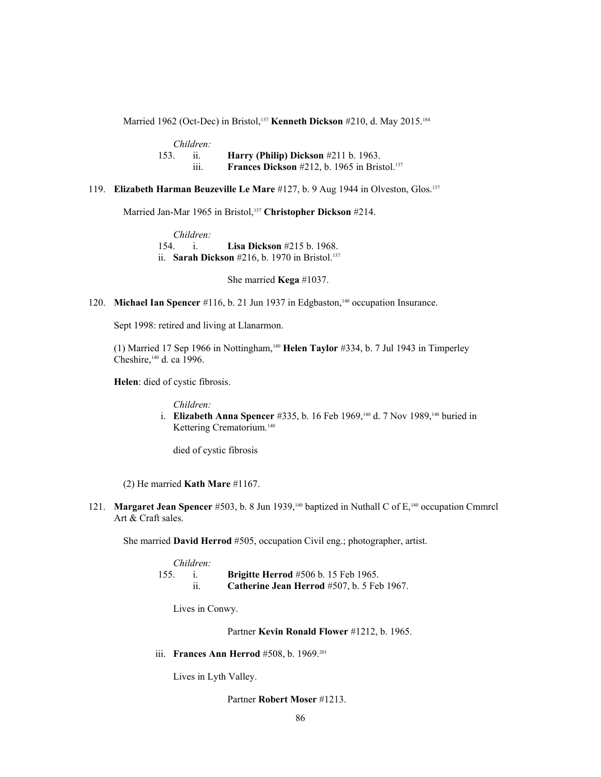Married 1962 (Oct-Dec) in Bristol,<sup>137</sup> **Kenneth Dickson** #210, d. May 2015.<sup>184</sup>

|      | Children: |                                                                 |
|------|-----------|-----------------------------------------------------------------|
| 153. |           | Harry (Philip) Dickson $#211$ b. 1963.                          |
|      | .<br>111. | <b>Frances Dickson</b> #212, b. 1965 in Bristol. <sup>137</sup> |

# 119. **Elizabeth Harman Beuzeville Le Mare** #127, b. 9 Aug 1944 in Olveston, Glos.<sup>137</sup>

Married Jan-Mar 1965 in Bristol,<sup>137</sup> **Christopher Dickson** #214.

*Children:* 154. i. **Lisa Dickson** #215 b. 1968. ii. **Sarah Dickson** #216, b. 1970 in Bristol.<sup>137</sup>

She married **Kega** #1037.

120. **Michael Ian Spencer** #116, b. 21 Jun 1937 in Edgbaston,<sup>140</sup> occupation Insurance.

Sept 1998: retired and living at Llanarmon.

(1) Married 17 Sep 1966 in Nottingham,<sup>140</sup> **Helen Taylor** #334, b. 7 Jul 1943 in Timperley Cheshire,<sup>140</sup> d. ca 1996.

**Helen**: died of cystic fibrosis.

*Children:*

 i. **Elizabeth Anna Spencer** #335, b. 16 Feb 1969,140 d. 7 Nov 1989,140 buried in Kettering Crematorium.<sup>140</sup>

died of cystic fibrosis

(2) He married **Kath Mare** #1167.

121. **Margaret Jean Spencer** #503, b. 8 Jun 1939,<sup>140</sup> baptized in Nuthall C of E,<sup>140</sup> occupation Cmmrcl Art & Craft sales.

She married **David Herrod** #505, occupation Civil eng.; photographer, artist.

|      | Children: |                                               |
|------|-----------|-----------------------------------------------|
| 155. |           | <b>Brigitte Herrod</b> #506 b. 15 Feb 1965.   |
|      |           | Catherine Jean Herrod $#507$ , b. 5 Feb 1967. |

Lives in Conwy.

Partner **Kevin Ronald Flower** #1212, b. 1965.

iii. **Frances Ann Herrod** #508, b. 1969.<sup>[201](#page-108-19)</sup>

Lives in Lyth Valley.

Partner **Robert Moser** #1213.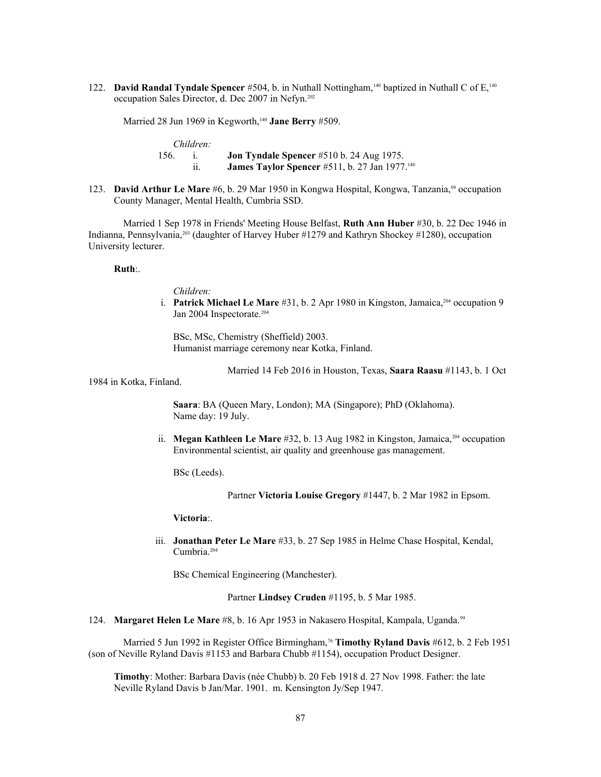122. **David Randal Tyndale Spencer** #504, b. in Nuthall Nottingham,140 baptized in Nuthall C of E,<sup>140</sup> occupation Sales Director, d. Dec 2007 in Nefyn.[202](#page-108-20)

Married 28 Jun 1969 in Kegworth,<sup>140</sup> Jane Berry #509.

*Children:* 156. i. **Jon Tyndale Spencer** #510 b. 24 Aug 1975. ii. **James Taylor Spencer** #511, b. 27 Jan 1977.<sup>140</sup>

123. **David Arthur Le Mare** #6, b. 29 Mar 1950 in Kongwa Hospital, Kongwa, Tanzania,<sup>99</sup> occupation County Manager, Mental Health, Cumbria SSD.

Married 1 Sep 1978 in Friends' Meeting House Belfast, **Ruth Ann Huber** #30, b. 22 Dec 1946 in Indianna, Pennsylvania,[203](#page-108-21) (daughter of Harvey Huber #1279 and Kathryn Shockey #1280), occupation University lecturer.

### **Ruth**:.

*Children:*

i. **Patrick Michael Le Mare** #31, b. 2 Apr 1980 in Kingston, Jamaica,<sup>[204](#page-108-22)</sup> occupation 9 Jan 2004 Inspectorate.<sup>204</sup>

BSc, MSc, Chemistry (Sheffield) 2003. Humanist marriage ceremony near Kotka, Finland.

Married 14 Feb 2016 in Houston, Texas, **Saara Raasu** #1143, b. 1 Oct

1984 in Kotka, Finland.

**Saara**: BA (Queen Mary, London); MA (Singapore); PhD (Oklahoma). Name day: 19 July.

ii. **Megan Kathleen Le Mare** #32, b. 13 Aug 1982 in Kingston, Jamaica,<sup>204</sup> occupation Environmental scientist, air quality and greenhouse gas management.

BSc (Leeds).

Partner **Victoria Louise Gregory** #1447, b. 2 Mar 1982 in Epsom.

**Victoria**:.

 iii. **Jonathan Peter Le Mare** #33, b. 27 Sep 1985 in Helme Chase Hospital, Kendal, Cumbria.<sup>204</sup>

BSc Chemical Engineering (Manchester).

Partner **Lindsey Cruden** #1195, b. 5 Mar 1985.

124. **Margaret Helen Le Mare** #8, b. 16 Apr 1953 in Nakasero Hospital, Kampala, Uganda.<sup>99</sup>

Married 5 Jun 1992 in Register Office Birmingham,<sup>76</sup> **Timothy Ryland Davis** #612, b. 2 Feb 1951 (son of Neville Ryland Davis #1153 and Barbara Chubb #1154), occupation Product Designer.

**Timothy**: Mother: Barbara Davis (née Chubb) b. 20 Feb 1918 d. 27 Nov 1998. Father: the late Neville Ryland Davis b Jan/Mar. 1901. m. Kensington Jy/Sep 1947.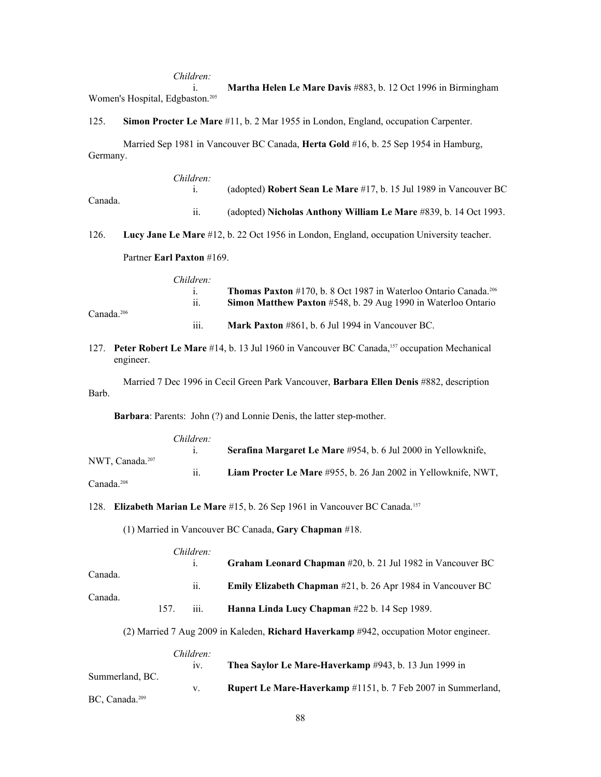#### *Children:*

 i. **Martha Helen Le Mare Davis** #883, b. 12 Oct 1996 in Birmingham Women's Hospital, Edgbaston.<sup>[205](#page-108-23)</sup>

125. **Simon Procter Le Mare** #11, b. 2 Mar 1955 in London, England, occupation Carpenter.

Married Sep 1981 in Vancouver BC Canada, **Herta Gold** #16, b. 25 Sep 1954 in Hamburg, Germany.

| Children: |                                                                          |
|-----------|--------------------------------------------------------------------------|
|           | (adopted) <b>Robert Sean Le Mare</b> #17, b. 15 Jul 1989 in Vancouver BC |
|           | (adopted) Nicholas Anthony William Le Mare #839, b. 14 Oct 1993.         |
|           |                                                                          |

126. **Lucy Jane Le Mare** #12, b. 22 Oct 1956 in London, England, occupation University teacher.

## Partner **Earl Paxton** #169.

Canada.<sup>206</sup>

| Children: |                                                                                     |
|-----------|-------------------------------------------------------------------------------------|
|           | <b>Thomas Paxton</b> #170, b. 8 Oct 1987 in Waterloo Ontario Canada. <sup>206</sup> |
| 11.       | <b>Simon Matthew Paxton</b> #548, b. 29 Aug 1990 in Waterloo Ontario                |
| .<br>111. | Mark Paxton #861, b. 6 Jul 1994 in Vancouver BC.                                    |

# 127. **Peter Robert Le Mare** #14, b. 13 Jul 1960 in Vancouver BC Canada,157 occupation Mechanical engineer.

Married 7 Dec 1996 in Cecil Green Park Vancouver, **Barbara Ellen Denis** #882, description Barb.

**Barbara**: Parents: John (?) and Lonnie Denis, the latter step-mother.

|                    | Children: |                                                                |
|--------------------|-----------|----------------------------------------------------------------|
|                    |           | Serafina Margaret Le Mare #954, b. 6 Jul 2000 in Yellowknife,  |
| NWT. Canada. $207$ |           |                                                                |
|                    | 11.       | Liam Procter Le Mare #955, b. 26 Jan 2002 in Yellowknife, NWT, |
| Canada. $208$      |           |                                                                |

### 128. **Elizabeth Marian Le Mare** #15, b. 26 Sep 1961 in Vancouver BC Canada.<sup>157</sup>

(1) Married in Vancouver BC Canada, **Gary Chapman** #18.

|         |     | Children:          |                                                                        |
|---------|-----|--------------------|------------------------------------------------------------------------|
|         |     |                    | Graham Leonard Chapman #20, b. 21 Jul 1982 in Vancouver BC             |
| Canada. |     |                    |                                                                        |
|         |     | 11.                | <b>Emily Elizabeth Chapman</b> $\#21$ , b. 26 Apr 1984 in Vancouver BC |
| Canada. |     |                    |                                                                        |
|         | 157 | $\overline{111}$ . | Hanna Linda Lucy Chapman #22 b. 14 Sep 1989.                           |
|         |     |                    |                                                                        |

(2) Married 7 Aug 2009 in Kaleden, **Richard Haverkamp** #942, occupation Motor engineer.

#### *Children:*

|                               | $1V_{\odot}$ | Thea Saylor Le Mare-Haverkamp #943, b. 13 Jun 1999 in               |
|-------------------------------|--------------|---------------------------------------------------------------------|
| Summerland, BC.               |              | <b>Rupert Le Mare-Haverkamp</b> #1151, b. 7 Feb 2007 in Summerland, |
| $BC$ , Canada. <sup>209</sup> |              |                                                                     |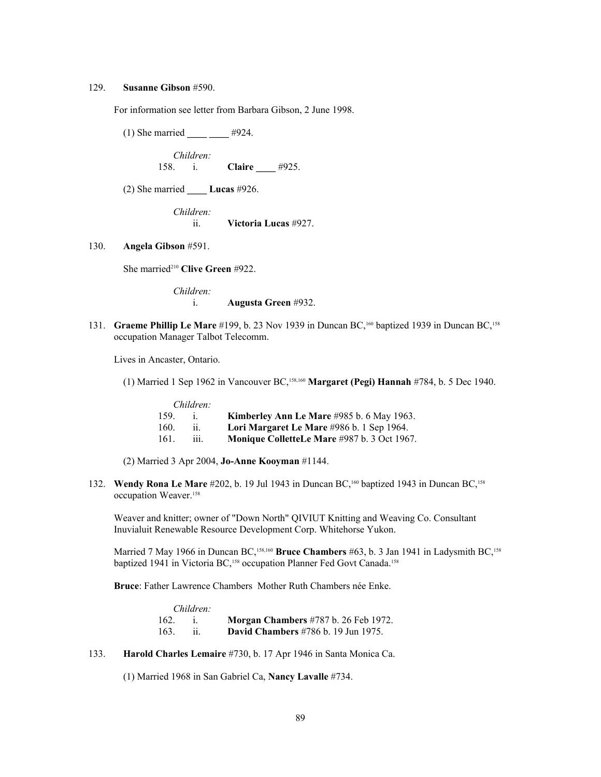#### 129. **Susanne Gibson** #590.

For information see letter from Barbara Gibson, 2 June 1998.

(1) She married **\_\_\_\_ \_\_\_\_** #924.

*Children:* 158. i. **Claire \_\_\_\_** #925.

(2) She married **\_\_\_\_ Lucas** #926.

*Children:* ii. **Victoria Lucas** #927.

130. **Angela Gibson** #591.

She married<sup>[210](#page-108-28)</sup> Clive Green #922.

*Children:* i. **Augusta Green** #932.

131. **Graeme Phillip Le Mare** #199, b. 23 Nov 1939 in Duncan BC,<sup>160</sup> baptized 1939 in Duncan BC,<sup>158</sup> occupation Manager Talbot Telecomm.

Lives in Ancaster, Ontario.

(1) Married 1 Sep 1962 in Vancouver BC,158,160 **Margaret (Pegi) Hannah** #784, b. 5 Dec 1940.

|      | Children: |                                                    |
|------|-----------|----------------------------------------------------|
| 159. |           | Kimberley Ann Le Mare $\#985$ b. 6 May 1963.       |
| 160. |           | Lori Margaret Le Mare #986 b. 1 Sep 1964.          |
| 161. | 111.      | <b>Monique ColletteLe Mare #987 b. 3 Oct 1967.</b> |

(2) Married 3 Apr 2004, **Jo-Anne Kooyman** #1144.

132. **Wendy Rona Le Mare** #202, b. 19 Jul 1943 in Duncan BC,<sup>160</sup> baptized 1943 in Duncan BC,<sup>158</sup> occupation Weaver.<sup>158</sup>

Weaver and knitter; owner of "Down North" QIVIUT Knitting and Weaving Co. Consultant Inuvialuit Renewable Resource Development Corp. Whitehorse Yukon.

Married 7 May 1966 in Duncan BC,<sup>158,160</sup> Bruce Chambers #63, b. 3 Jan 1941 in Ladysmith BC,<sup>158</sup> baptized 1941 in Victoria BC,<sup>158</sup> occupation Planner Fed Govt Canada.<sup>158</sup>

**Bruce**: Father Lawrence Chambers Mother Ruth Chambers née Enke.

|      | Children: |                                               |
|------|-----------|-----------------------------------------------|
| 162. |           | <b>Morgan Chambers</b> #787 b. 26 Feb 1972.   |
| 163. |           | <b>David Chambers</b> $\#786$ b. 19 Jun 1975. |

133. **Harold Charles Lemaire** #730, b. 17 Apr 1946 in Santa Monica Ca.

(1) Married 1968 in San Gabriel Ca, **Nancy Lavalle** #734.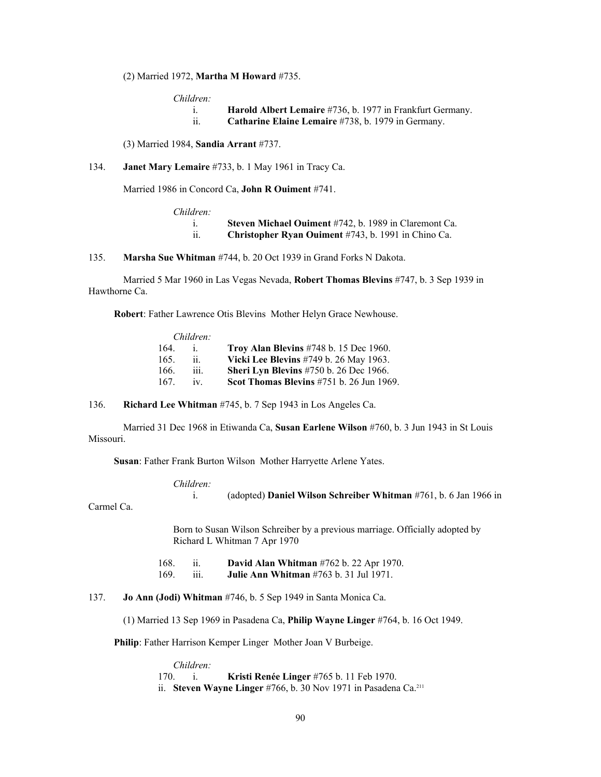## (2) Married 1972, **Martha M Howard** #735.

*Children:*

| <b>Harold Albert Lemaire</b> #736, b. 1977 in Frankfurt Germany. |  |
|------------------------------------------------------------------|--|
|------------------------------------------------------------------|--|

ii. **Catharine Elaine Lemaire** #738, b. 1979 in Germany.

(3) Married 1984, **Sandia Arrant** #737.

## 134. **Janet Mary Lemaire** #733, b. 1 May 1961 in Tracy Ca.

Married 1986 in Concord Ca, **John R Ouiment** #741.

*Children:*

i. **Steven Michael Ouiment** #742, b. 1989 in Claremont Ca.

ii. **Christopher Ryan Ouiment** #743, b. 1991 in Chino Ca.

135. **Marsha Sue Whitman** #744, b. 20 Oct 1939 in Grand Forks N Dakota.

Married 5 Mar 1960 in Las Vegas Nevada, **Robert Thomas Blevins** #747, b. 3 Sep 1939 in Hawthorne Ca.

**Robert**: Father Lawrence Otis Blevins Mother Helyn Grace Newhouse.

|      | Children:                  |                                               |
|------|----------------------------|-----------------------------------------------|
| 164  |                            | Troy Alan Blevins #748 b. 15 Dec 1960.        |
| 165. | $\overline{\mathbf{11}}$ . | Vicki Lee Blevins #749 b. 26 May 1963.        |
| 166. | iii.                       | <b>Sheri Lyn Blevins</b> #750 b. 26 Dec 1966. |
| 167  | iv                         | Scot Thomas Blevins #751 b. 26 Jun 1969.      |

136. **Richard Lee Whitman** #745, b. 7 Sep 1943 in Los Angeles Ca.

Married 31 Dec 1968 in Etiwanda Ca, **Susan Earlene Wilson** #760, b. 3 Jun 1943 in St Louis Missouri.

**Susan**: Father Frank Burton Wilson Mother Harryette Arlene Yates.

*Children:*

```
 i. (adopted) Daniel Wilson Schreiber Whitman #761, b. 6 Jan 1966 in
```
Carmel Ca.

Born to Susan Wilson Schreiber by a previous marriage. Officially adopted by Richard L Whitman 7 Apr 1970

 168. ii. **David Alan Whitman** #762 b. 22 Apr 1970. 169. iii. **Julie Ann Whitman** #763 b. 31 Jul 1971.

### 137. **Jo Ann (Jodi) Whitman** #746, b. 5 Sep 1949 in Santa Monica Ca.

(1) Married 13 Sep 1969 in Pasadena Ca, **Philip Wayne Linger** #764, b. 16 Oct 1949.

**Philip**: Father Harrison Kemper Linger Mother Joan V Burbeige.

*Children:* 170. i. **Kristi Renée Linger** #765 b. 11 Feb 1970. ii. **Steven Wayne Linger** #766, b. 30 Nov 1971 in Pasadena Ca.<sup>[211](#page-108-29)</sup>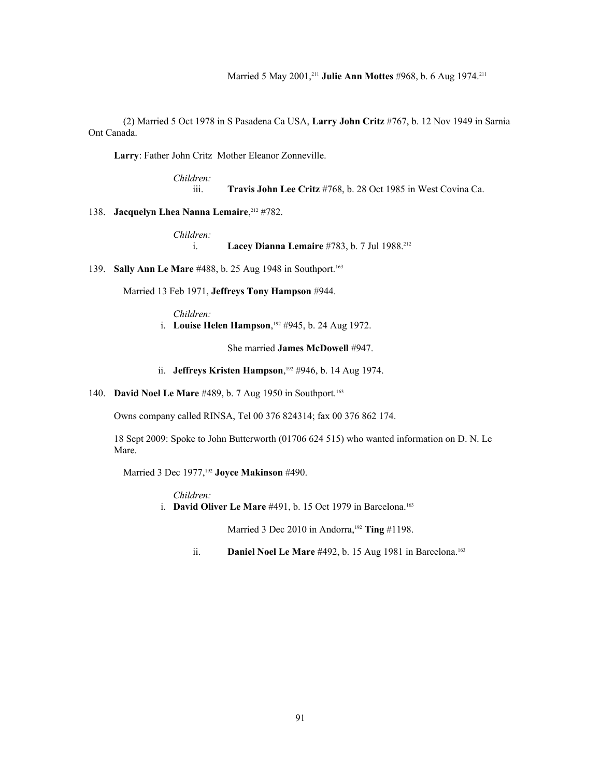Married 5 May 2001,<sup>211</sup> **Julie Ann Mottes** #968, b. 6 Aug 1974.<sup>211</sup>

(2) Married 5 Oct 1978 in S Pasadena Ca USA, **Larry John Critz** #767, b. 12 Nov 1949 in Sarnia Ont Canada.

**Larry**: Father John Critz Mother Eleanor Zonneville.

*Children:*

iii. **Travis John Lee Critz** #768, b. 28 Oct 1985 in West Covina Ca.

138. **Jacquelyn Lhea Nanna Lemaire**,<sup>[212](#page-108-30)</sup> #782.

*Children:*

i. **Lacey Dianna Lemaire** #783, b. 7 Jul 1988.<sup>212</sup>

139. **Sally Ann Le Mare** #488, b. 25 Aug 1948 in Southport.<sup>163</sup>

Married 13 Feb 1971, **Jeffreys Tony Hampson** #944.

*Children:* i. **Louise Helen Hampson**,<sup>192</sup> #945, b. 24 Aug 1972.

She married **James McDowell** #947.

ii. **Jeffreys Kristen Hampson**,<sup>192</sup> #946, b. 14 Aug 1974.

140. **David Noel Le Mare** #489, b. 7 Aug 1950 in Southport.<sup>163</sup>

Owns company called RINSA, Tel 00 376 824314; fax 00 376 862 174.

18 Sept 2009: Spoke to John Butterworth (01706 624 515) who wanted information on D. N. Le Mare.

Married 3 Dec 1977,<sup>192</sup> **Joyce Makinson** #490.

*Children:*

i. **David Oliver Le Mare** #491, b. 15 Oct 1979 in Barcelona.<sup>163</sup>

Married 3 Dec 2010 in Andorra,<sup>192</sup> Ting #1198.

ii. **Daniel Noel Le Mare** #492, b. 15 Aug 1981 in Barcelona.<sup>163</sup>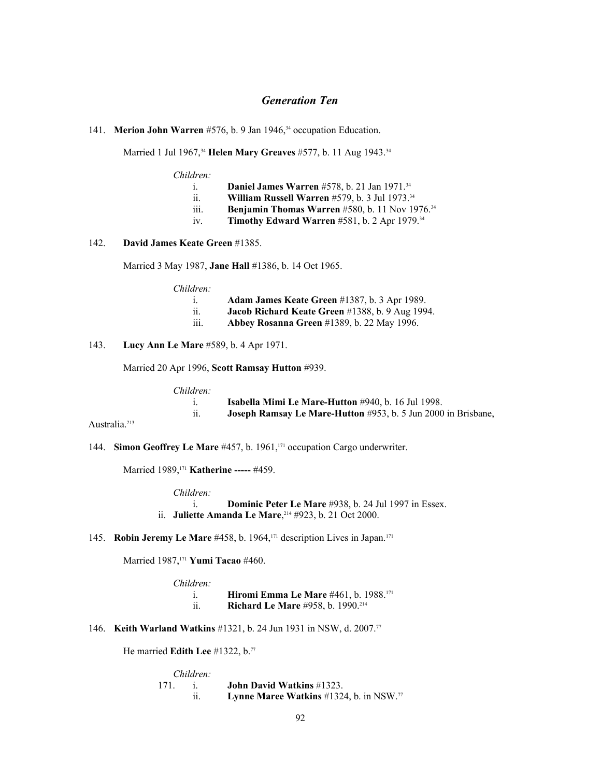# *Generation Ten*

141. **Merion John Warren** #576, b. 9 Jan 1946,<sup>34</sup> occupation Education.

Married 1 Jul 1967,<sup>34</sup> Helen Mary Greaves #577, b. 11 Aug 1943.<sup>34</sup>

*Children:*

i. **Daniel James Warren** #578, b. 21 Jan 1971.<sup>34</sup>

- ii. **William Russell Warren** #579, b. 3 Jul 1973.<sup>34</sup>
- iii. **Benjamin Thomas Warren** #580, b. 11 Nov 1976.<sup>34</sup>
- iv. **Timothy Edward Warren** #581, b. 2 Apr 1979.<sup>34</sup>

142. **David James Keate Green** #1385.

Married 3 May 1987, **Jane Hall** #1386, b. 14 Oct 1965.

*Children:*

- i. **Adam James Keate Green** #1387, b. 3 Apr 1989.
- ii. **Jacob Richard Keate Green** #1388, b. 9 Aug 1994.
- iii. **Abbey Rosanna Green** #1389, b. 22 May 1996.
- 143. **Lucy Ann Le Mare** #589, b. 4 Apr 1971.

Married 20 Apr 1996, **Scott Ramsay Hutton** #939.

*Children:*

|                             | <b>Isabella Mimi Le Mare-Hutton</b> #940, b. 16 Jul 1998.     |
|-----------------------------|---------------------------------------------------------------|
| $\ddot{\phantom{0}}$<br>11. | Joseph Ramsay Le Mare-Hutton #953, b. 5 Jun 2000 in Brisbane, |

Australia.<sup>[213](#page-108-31)</sup>

144. **Simon Geoffrey Le Mare** #457, b. 1961,<sup>171</sup> occupation Cargo underwriter.

Married 1989,<sup>171</sup> **Katherine -----** #459.

*Children:*

 i. **Dominic Peter Le Mare** #938, b. 24 Jul 1997 in Essex. ii. **Juliette Amanda Le Mare**,<sup>[214](#page-108-32)</sup> #923, b. 21 Oct 2000.

145. **Robin Jeremy Le Mare** #458, b. 1964,171 description Lives in Japan.<sup>171</sup>

Married 1987,<sup>171</sup> **Yumi Tacao** #460.

| Children: |                                                          |
|-----------|----------------------------------------------------------|
|           | <b>Hiromi Emma Le Mare</b> #461, b. 1988. <sup>171</sup> |
| <br>11.   | <b>Richard Le Mare #958, b. 1990.</b> <sup>214</sup>     |

146. **Keith Warland Watkins** #1321, b. 24 Jun 1931 in NSW, d. 2007.<sup>77</sup>

He married **Edith Lee** #1322, b.<sup>77</sup>

| Children: |                                                            |
|-----------|------------------------------------------------------------|
|           | <b>John David Watkins #1323.</b>                           |
|           | <b>Lynne Maree Watkins</b> #1324, b. in NSW. <sup>77</sup> |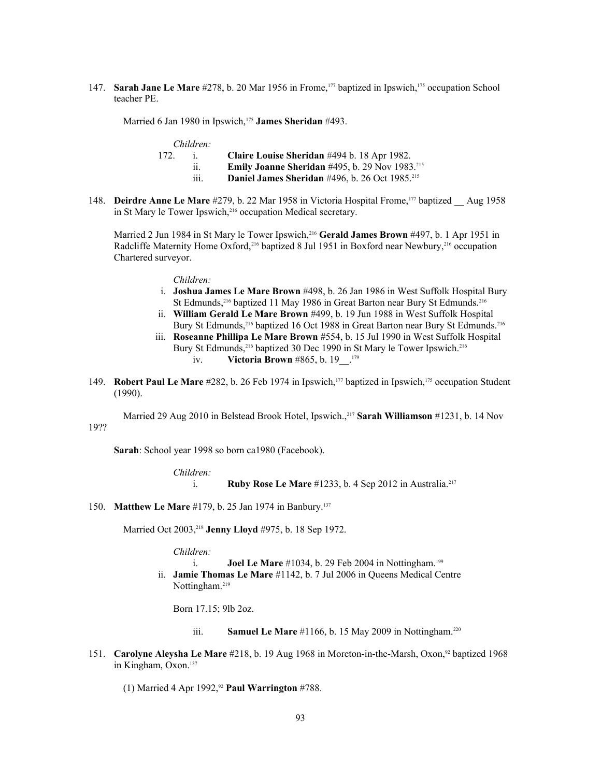147. **Sarah Jane Le Mare** #278, b. 20 Mar 1956 in Frome,177 baptized in Ipswich,175 occupation School teacher PE.

Married 6 Jan 1980 in Ipswich,<sup>175</sup> **James Sheridan** #493.

| Children: |            |
|-----------|------------|
|           | Claire Lou |

- 172. i. **Claire Louise Sheridan** #494 b. 18 Apr 1982. ii. **Emily Joanne Sheridan** #495, b. 29 Nov 1983.[215](#page-108-33)
	- iii. **Daniel James Sheridan** #496, b. 26 Oct 1985.<sup>215</sup>
- 148. **Deirdre Anne Le Mare** #279, b. 22 Mar 1958 in Victoria Hospital Frome,177 baptized \_\_ Aug 1958 in St Mary le Tower Ipswich,<sup>[216](#page-108-34)</sup> occupation Medical secretary.

Married 2 Jun 1984 in St Mary le Tower Ipswich,<sup>216</sup> Gerald James Brown #497, b. 1 Apr 1951 in Radcliffe Maternity Home Oxford,<sup>216</sup> baptized 8 Jul 1951 in Boxford near Newbury,<sup>216</sup> occupation Chartered surveyor.

### *Children:*

- i. **Joshua James Le Mare Brown** #498, b. 26 Jan 1986 in West Suffolk Hospital Bury St Edmunds,<sup>216</sup> baptized 11 May 1986 in Great Barton near Bury St Edmunds.<sup>216</sup>
- ii. **William Gerald Le Mare Brown** #499, b. 19 Jun 1988 in West Suffolk Hospital Bury St Edmunds,<sup>216</sup> baptized 16 Oct 1988 in Great Barton near Bury St Edmunds.<sup>216</sup>
- iii. **Roseanne Phillipa Le Mare Brown** #554, b. 15 Jul 1990 in West Suffolk Hospital Bury St Edmunds,<sup>216</sup> baptized 30 Dec 1990 in St Mary le Tower Ipswich.<sup>216</sup> iv. **Victoria Brown** #865, b. 19\_\_.<sup>179</sup>
- 149. **Robert Paul Le Mare** #282, b. 26 Feb 1974 in Ipswich,<sup>177</sup> baptized in Ipswich,<sup>175</sup> occupation Student (1990).

Married 29 Aug 2010 in Belstead Brook Hotel, Ipswich.,[217](#page-108-35) **Sarah Williamson** #1231, b. 14 Nov 19??

**Sarah**: School year 1998 so born ca1980 (Facebook).

*Children:* i. **Ruby Rose Le Mare** #1233, b. 4 Sep 2012 in Australia.<sup>217</sup>

150. **Matthew Le Mare** #179, b. 25 Jan 1974 in Banbury.<sup>137</sup>

Married Oct 2003,[218](#page-108-36) **Jenny Lloyd** #975, b. 18 Sep 1972.

*Children:*

i. **Joel Le Mare** #1034, b. 29 Feb 2004 in Nottingham.<sup>199</sup>

 ii. **Jamie Thomas Le Mare** #1142, b. 7 Jul 2006 in Queens Medical Centre Nottingham.<sup>[219](#page-108-37)</sup>

Born 17.15; 9lb 2oz.

- iii. **Samuel Le Mare** #1166, b. 15 May 2009 in Nottingham.<sup>[220](#page-108-38)</sup>
- 151. **Carolyne Aleysha Le Mare** #218, b. 19 Aug 1968 in Moreton-in-the-Marsh, Oxon,<sup>92</sup> baptized 1968 in Kingham, Oxon.<sup>137</sup>

(1) Married 4 Apr 1992,<sup>92</sup> **Paul Warrington** #788.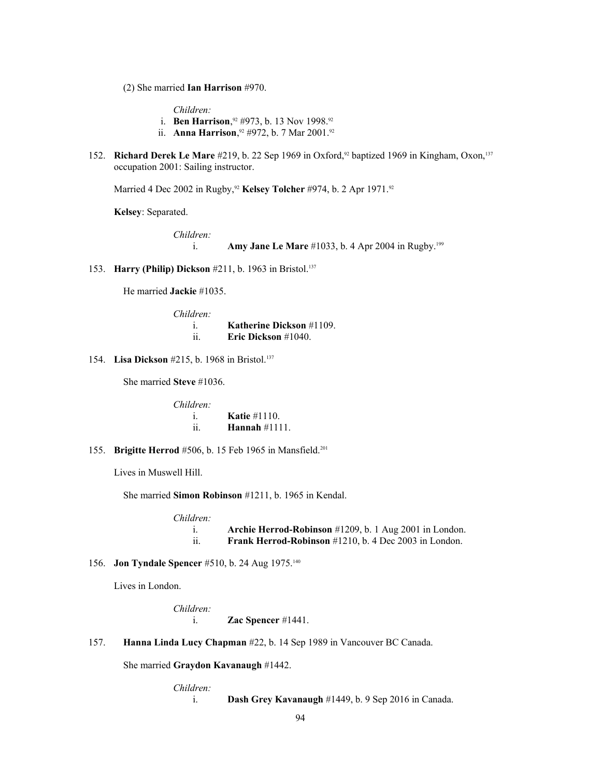(2) She married **Ian Harrison** #970.

*Children:*

- i. **Ben Harrison**,<sup>92</sup> #973, b. 13 Nov 1998.<sup>92</sup>
- ii. **Anna Harrison**,<sup>92</sup> #972, b. 7 Mar 2001.<sup>92</sup>
- 152. **Richard Derek Le Mare** #219, b. 22 Sep 1969 in Oxford,<sup>92</sup> baptized 1969 in Kingham, Oxon,<sup>137</sup> occupation 2001: Sailing instructor.

Married 4 Dec 2002 in Rugby,<sup>92</sup> Kelsey Tolcher #974, b. 2 Apr 1971.<sup>92</sup>

**Kelsey**: Separated.

*Children:*

- i. **Amy Jane Le Mare** #1033, b. 4 Apr 2004 in Rugby.<sup>199</sup>
- 153. **Harry (Philip) Dickson** #211, b. 1963 in Bristol.<sup>137</sup>

He married **Jackie** #1035.

| Children:  |                                 |
|------------|---------------------------------|
|            | <b>Katherine Dickson</b> #1109. |
| . .<br>-11 | Eric Dickson $#1040$ .          |

154. **Lisa Dickson** #215, b. 1968 in Bristol.<sup>137</sup>

She married **Steve** #1036.

| Children: |                   |
|-----------|-------------------|
|           | Katie $#1110$ .   |
| . .<br>11 | Hannah $\#1111$ . |

155. **Brigitte Herrod** #506, b. 15 Feb 1965 in Mansfield.<sup>201</sup>

Lives in Muswell Hill.

She married **Simon Robinson** #1211, b. 1965 in Kendal.

*Children:* i. **Archie Herrod-Robinson** #1209, b. 1 Aug 2001 in London. ii. **Frank Herrod-Robinson** #1210, b. 4 Dec 2003 in London.

# 156. **Jon Tyndale Spencer** #510, b. 24 Aug 1975.<sup>140</sup>

Lives in London.

*Children:* i. **Zac Spencer** #1441.

157. **Hanna Linda Lucy Chapman** #22, b. 14 Sep 1989 in Vancouver BC Canada.

She married **Graydon Kavanaugh** #1442.

*Children:*

i. **Dash Grey Kavanaugh** #1449, b. 9 Sep 2016 in Canada.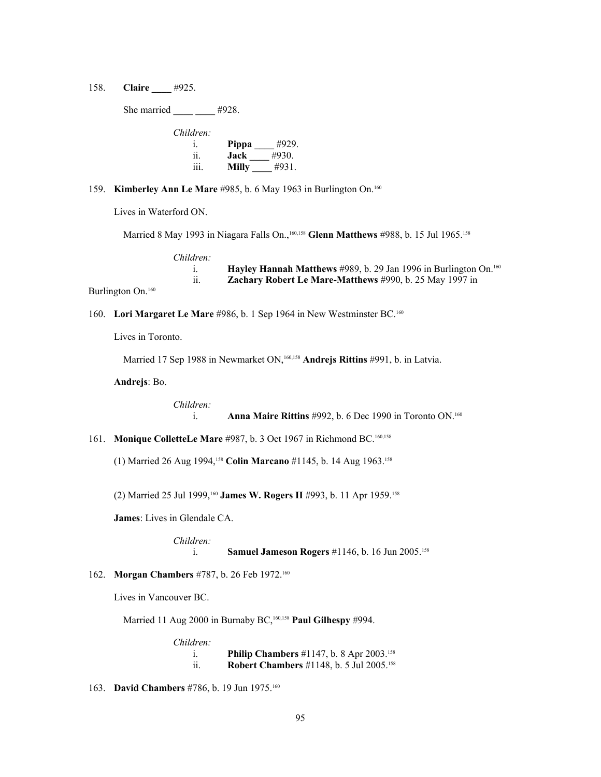158. **Claire \_\_\_\_** #925.

She married **#928.** *Children:* i. **Pippa \_\_\_\_** #929. ii. **Jack \_\_\_\_** #930. iii. **Milly** #931.

### 159. **Kimberley Ann Le Mare** #985, b. 6 May 1963 in Burlington On.<sup>160</sup>

Lives in Waterford ON.

Married 8 May 1993 in Niagara Falls On.,<sup>160,158</sup> Glenn Matthews #988, b. 15 Jul 1965.<sup>158</sup>

*Children:*

| Hayley Hannah Matthews #989, b. 29 Jan 1996 in Burlington On. <sup>160</sup> |
|------------------------------------------------------------------------------|
| <b>Zachary Robert Le Mare-Matthews</b> #990, b. 25 May 1997 in               |
|                                                                              |

Burlington On.<sup>160</sup>

# 160. **Lori Margaret Le Mare** #986, b. 1 Sep 1964 in New Westminster BC.<sup>160</sup>

Lives in Toronto.

Married 17 Sep 1988 in Newmarket ON,<sup>160,158</sup> Andrejs Rittins #991, b. in Latvia.

**Andrejs**: Bo.

*Children:*

i. **Anna Maire Rittins** #992, b. 6 Dec 1990 in Toronto ON.<sup>160</sup>

161. **Monique ColletteLe Mare** #987, b. 3 Oct 1967 in Richmond BC.160,158

(1) Married 26 Aug 1994,<sup>158</sup> **Colin Marcano** #1145, b. 14 Aug 1963.<sup>158</sup>

(2) Married 25 Jul 1999,<sup>160</sup> James W. Rogers II #993, b. 11 Apr 1959.<sup>158</sup>

**James**: Lives in Glendale CA.

*Children:*

i. **Samuel Jameson Rogers** #1146, b. 16 Jun 2005.<sup>158</sup>

162. **Morgan Chambers** #787, b. 26 Feb 1972.<sup>160</sup>

Lives in Vancouver BC.

Married 11 Aug 2000 in Burnaby BC,<sup>160,158</sup> Paul Gilhespy #994.

*Children:*

 i. **Philip Chambers** #1147, b. 8 Apr 2003.<sup>158</sup> ii. **Robert Chambers** #1148, b. 5 Jul 2005.<sup>158</sup>

163. **David Chambers** #786, b. 19 Jun 1975.<sup>160</sup>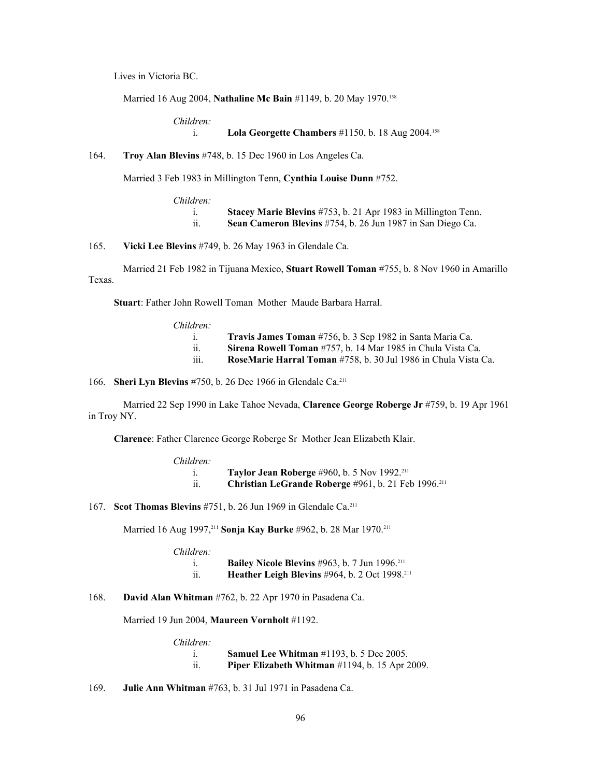Lives in Victoria BC.

Married 16 Aug 2004, **Nathaline Mc Bain** #1149, b. 20 May 1970.<sup>158</sup>

*Children:*

i. **Lola Georgette Chambers** #1150, b. 18 Aug 2004.<sup>158</sup>

### 164. **Troy Alan Blevins** #748, b. 15 Dec 1960 in Los Angeles Ca.

Married 3 Feb 1983 in Millington Tenn, **Cynthia Louise Dunn** #752.

| $Children$ : |                                                               |
|--------------|---------------------------------------------------------------|
|              | Stacey Marie Blevins #753, b. 21 Apr 1983 in Millington Tenn. |
|              | Sean Cameron Blevins #754, b. 26 Jun 1987 in San Diego Ca.    |

165. **Vicki Lee Blevins** #749, b. 26 May 1963 in Glendale Ca.

Married 21 Feb 1982 in Tijuana Mexico, **Stuart Rowell Toman** #755, b. 8 Nov 1960 in Amarillo Texas.

**Stuart**: Father John Rowell Toman Mother Maude Barbara Harral.

*Children:*

|           | Travis James Toman #756, b. 3 Sep 1982 in Santa Maria Ca.             |
|-----------|-----------------------------------------------------------------------|
| . .       | Sirena Rowell Toman #757, b. 14 Mar 1985 in Chula Vista Ca.           |
| .<br>111. | <b>RoseMarie Harral Toman</b> #758, b. 30 Jul 1986 in Chula Vista Ca. |
|           |                                                                       |

166. **Sheri Lyn Blevins** #750, b. 26 Dec 1966 in Glendale Ca.<sup>211</sup>

Married 22 Sep 1990 in Lake Tahoe Nevada, **Clarence George Roberge Jr** #759, b. 19 Apr 1961 in Troy NY.

**Clarence**: Father Clarence George Roberge Sr Mother Jean Elizabeth Klair.

| <b>Taylor Jean Roberge</b> #960, b. 5 Nov 1992. <sup>211</sup>  |
|-----------------------------------------------------------------|
| Christian LeGrande Roberge #961, b. 21 Feb 1996. <sup>211</sup> |

167. **Scot Thomas Blevins** #751, b. 26 Jun 1969 in Glendale Ca.<sup>211</sup>

Married 16 Aug 1997,<sup>211</sup> **Sonja Kay Burke** #962, b. 28 Mar 1970.<sup>211</sup>

| Children: |                                                                  |
|-----------|------------------------------------------------------------------|
|           | <b>Bailey Nicole Blevins</b> #963, b. 7 Jun 1996. <sup>211</sup> |
| . .       | Heather Leigh Blevins #964, b. 2 Oct 1998. <sup>211</sup>        |

168. **David Alan Whitman** #762, b. 22 Apr 1970 in Pasadena Ca.

Married 19 Jun 2004, **Maureen Vornholt** #1192.

| Children: |                                                           |
|-----------|-----------------------------------------------------------|
|           | <b>Samuel Lee Whitman</b> $\#1193$ , b. 5 Dec 2005.       |
| . .       | <b>Piper Elizabeth Whitman</b> $\#1194$ , b. 15 Apr 2009. |

169. **Julie Ann Whitman** #763, b. 31 Jul 1971 in Pasadena Ca.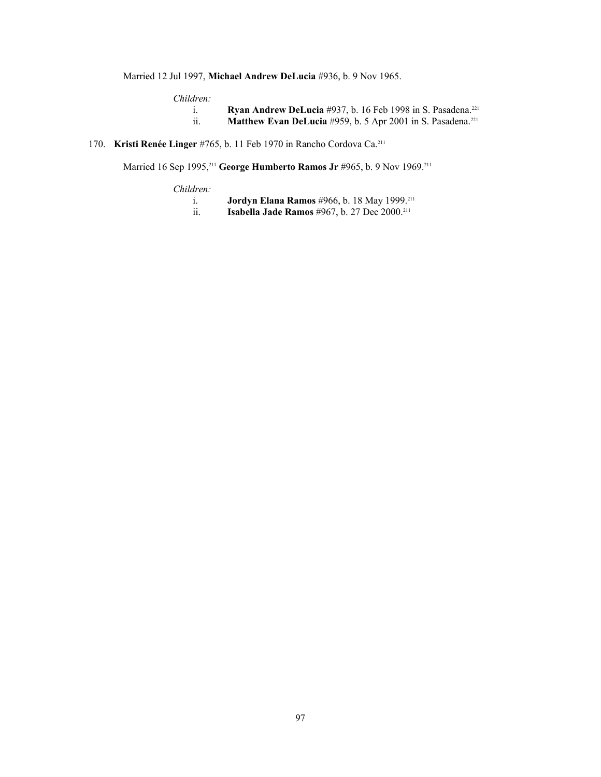Married 12 Jul 1997, **Michael Andrew DeLucia** #936, b. 9 Nov 1965.

*Children:*

- i. **Ryan Andrew DeLucia** #937, b. 16 Feb 1998 in S. Pasadena.<sup>[221](#page-108-39)</sup><br>ii. **Matthew Evan DeLucia** #959, b. 5 Apr 2001 in S. Pasadena.<sup>221</sup>
- Matthew Evan DeLucia #959, b. 5 Apr 2001 in S. Pasadena.<sup>221</sup>
- 170. **Kristi Renée Linger** #765, b. 11 Feb 1970 in Rancho Cordova Ca.<sup>211</sup>

Married 16 Sep 1995,<sup>211</sup> **George Humberto Ramos Jr** #965, b. 9 Nov 1969.<sup>211</sup>

*Children:*

|     | <b>Jordyn Elana Ramos</b> #966, b. 18 May 1999. <sup>211</sup> |
|-----|----------------------------------------------------------------|
| . . | <b>Isabella Jade Ramos</b> #967, b. 27 Dec $2000.^{211}$       |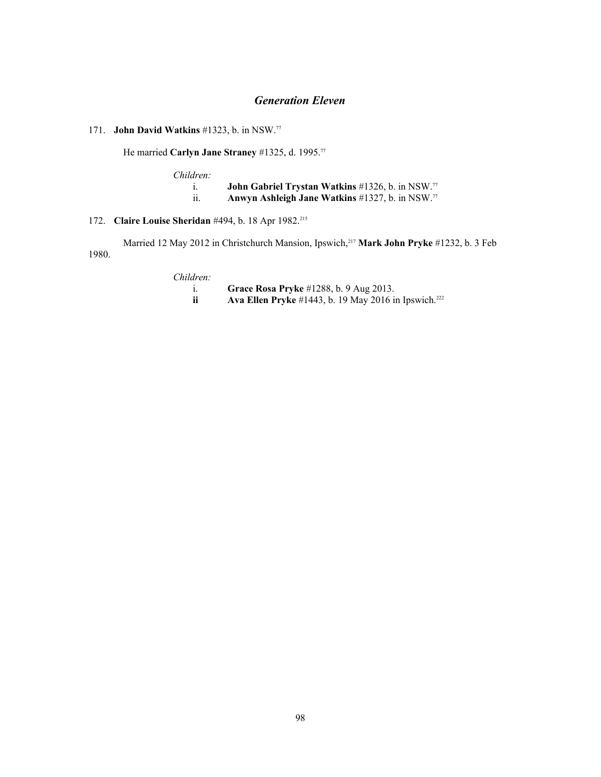# *Generation Eleven*

# 171. **John David Watkins** #1323, b. in NSW.<sup>77</sup>

He married **Carlyn Jane Straney** #1325, d. 1995.<sup>77</sup>

*Children:* i. **John Gabriel Trystan Watkins** #1326, b. in NSW.<sup>77</sup> ii. **Anwyn Ashleigh Jane Watkins** #1327, b. in NSW.<sup>77</sup>

# 172. **Claire Louise Sheridan** #494, b. 18 Apr 1982.<sup>215</sup>

Married 12 May 2012 in Christchurch Mansion, Ipswich,<sup>217</sup> **Mark John Pryke** #1232, b. 3 Feb 1980.

*Children:*

- i. **Grace Rosa Pryke** #1288, b. 9 Aug 2013.
- **Ava Ellen Pryke** #1443, b. 19 May 2016 in Ipswich.<sup>[222](#page-108-40)</sup>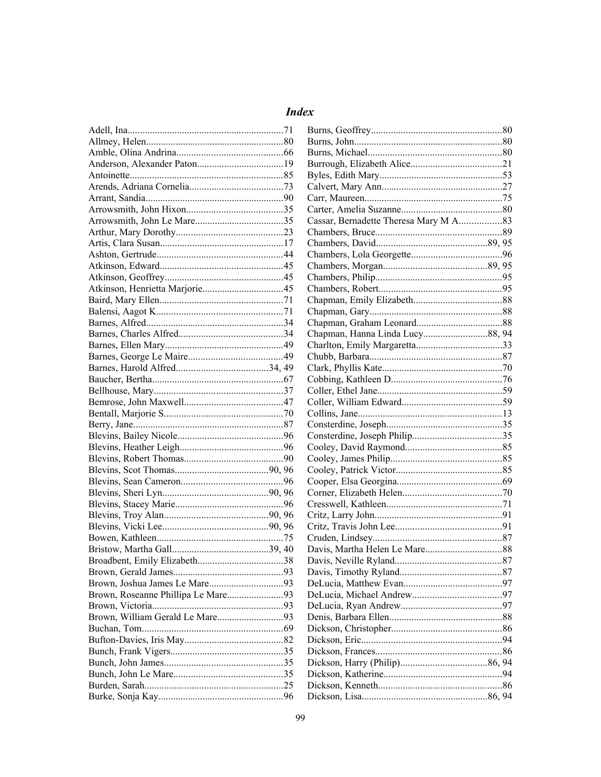# **Index**

| Brown, Roseanne Phillipa Le Mare93 |
|------------------------------------|
|                                    |
| Brown, William Gerald Le Mare93    |
|                                    |
|                                    |
|                                    |
|                                    |
|                                    |
|                                    |

| Cassar, Bernadette Theresa Mary M A83 |  |
|---------------------------------------|--|
|                                       |  |
|                                       |  |
|                                       |  |
|                                       |  |
|                                       |  |
|                                       |  |
|                                       |  |
|                                       |  |
|                                       |  |
|                                       |  |
|                                       |  |
|                                       |  |
|                                       |  |
|                                       |  |
|                                       |  |
|                                       |  |
|                                       |  |
|                                       |  |
|                                       |  |
|                                       |  |
|                                       |  |
|                                       |  |
|                                       |  |
|                                       |  |
|                                       |  |
|                                       |  |
|                                       |  |
|                                       |  |
|                                       |  |
|                                       |  |
|                                       |  |
|                                       |  |
|                                       |  |
|                                       |  |
|                                       |  |
|                                       |  |
|                                       |  |
|                                       |  |
|                                       |  |
|                                       |  |
|                                       |  |
|                                       |  |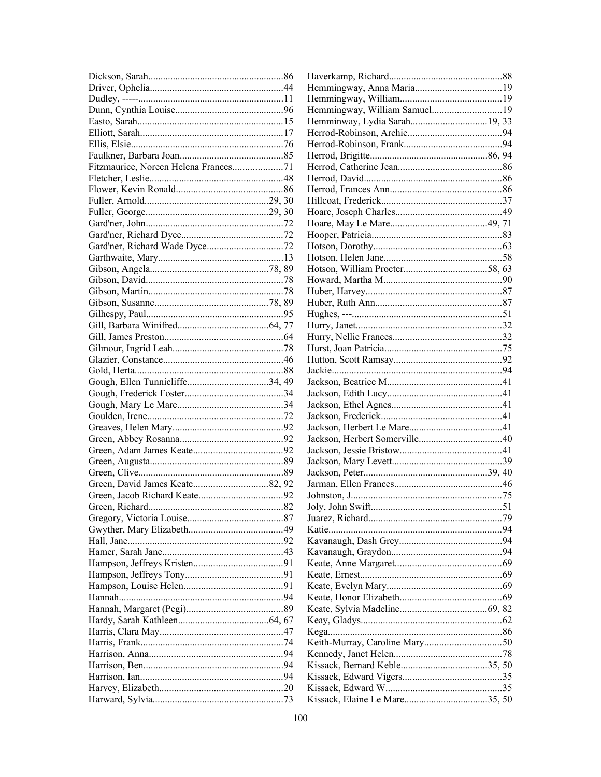|                                      | Hemmingway, William Samuel19 |  |
|--------------------------------------|------------------------------|--|
|                                      |                              |  |
|                                      |                              |  |
|                                      |                              |  |
|                                      |                              |  |
| Fitzmaurice, Noreen Helena Frances71 |                              |  |
|                                      |                              |  |
|                                      |                              |  |
|                                      |                              |  |
|                                      |                              |  |
|                                      |                              |  |
|                                      |                              |  |
|                                      |                              |  |
|                                      |                              |  |
|                                      |                              |  |
|                                      |                              |  |
|                                      |                              |  |
|                                      |                              |  |
|                                      |                              |  |
|                                      |                              |  |
|                                      |                              |  |
|                                      |                              |  |
|                                      |                              |  |
|                                      |                              |  |
|                                      |                              |  |
|                                      |                              |  |
|                                      |                              |  |
|                                      |                              |  |
|                                      |                              |  |
|                                      |                              |  |
|                                      |                              |  |
|                                      |                              |  |
|                                      |                              |  |
|                                      |                              |  |
|                                      |                              |  |
|                                      |                              |  |
|                                      |                              |  |
|                                      |                              |  |
|                                      |                              |  |
|                                      |                              |  |
|                                      |                              |  |
|                                      |                              |  |
|                                      |                              |  |
|                                      |                              |  |
|                                      |                              |  |
|                                      |                              |  |
|                                      |                              |  |
|                                      |                              |  |
|                                      |                              |  |
|                                      |                              |  |
|                                      |                              |  |
|                                      |                              |  |
|                                      |                              |  |
|                                      |                              |  |
|                                      |                              |  |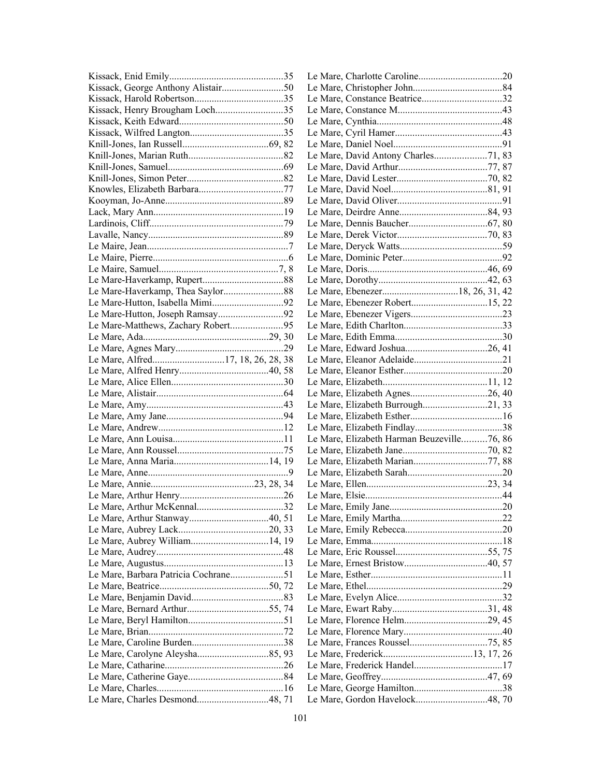|                                      | Le Mare, Constance Beatrice32              |  |
|--------------------------------------|--------------------------------------------|--|
| Kissack, Henry Brougham Loch35       |                                            |  |
|                                      |                                            |  |
|                                      |                                            |  |
|                                      |                                            |  |
|                                      | Le Mare, David Antony Charles71, 83        |  |
|                                      |                                            |  |
|                                      |                                            |  |
|                                      |                                            |  |
|                                      |                                            |  |
|                                      |                                            |  |
|                                      |                                            |  |
|                                      |                                            |  |
|                                      |                                            |  |
|                                      |                                            |  |
|                                      |                                            |  |
|                                      |                                            |  |
|                                      |                                            |  |
|                                      |                                            |  |
|                                      |                                            |  |
| Le Mare-Hutton, Joseph Ramsay92      |                                            |  |
|                                      |                                            |  |
|                                      |                                            |  |
|                                      |                                            |  |
|                                      |                                            |  |
|                                      |                                            |  |
|                                      |                                            |  |
|                                      |                                            |  |
|                                      | Le Mare, Elizabeth Burrough21, 33          |  |
|                                      |                                            |  |
|                                      |                                            |  |
|                                      | Le Mare, Elizabeth Harman Beuzeville76, 86 |  |
|                                      |                                            |  |
|                                      |                                            |  |
|                                      |                                            |  |
|                                      |                                            |  |
|                                      |                                            |  |
|                                      |                                            |  |
|                                      |                                            |  |
|                                      |                                            |  |
|                                      |                                            |  |
|                                      |                                            |  |
|                                      |                                            |  |
| Le Mare, Barbara Patricia Cochrane51 |                                            |  |
|                                      |                                            |  |
|                                      |                                            |  |
|                                      |                                            |  |
|                                      |                                            |  |
|                                      |                                            |  |
|                                      |                                            |  |
|                                      |                                            |  |
|                                      |                                            |  |
|                                      |                                            |  |
|                                      |                                            |  |
|                                      |                                            |  |
|                                      |                                            |  |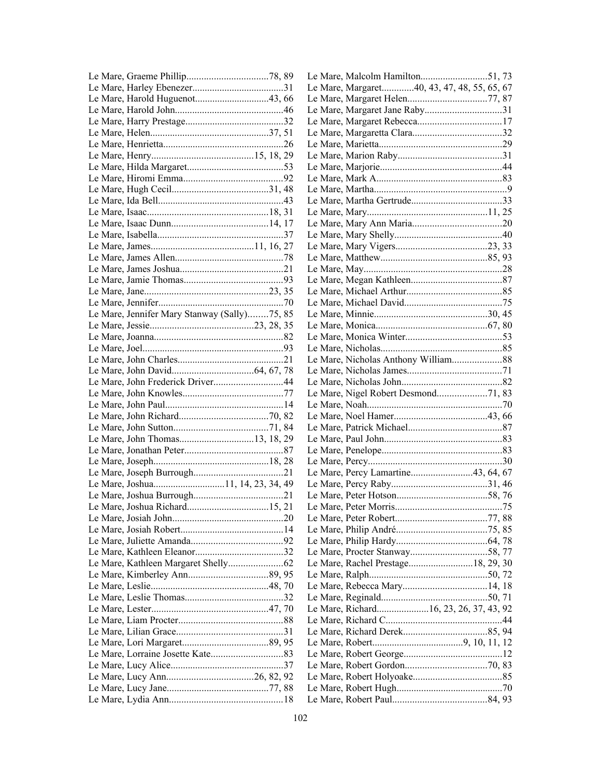|                                              | Le Mare, Margaret40, 43, 47, 48, 55, 65, 67 |  |
|----------------------------------------------|---------------------------------------------|--|
| Le Mare, Harold Huguenot43, 66               |                                             |  |
|                                              |                                             |  |
|                                              |                                             |  |
|                                              |                                             |  |
|                                              |                                             |  |
|                                              |                                             |  |
|                                              |                                             |  |
|                                              |                                             |  |
|                                              |                                             |  |
|                                              |                                             |  |
|                                              |                                             |  |
|                                              |                                             |  |
|                                              |                                             |  |
|                                              |                                             |  |
|                                              |                                             |  |
|                                              |                                             |  |
|                                              |                                             |  |
|                                              |                                             |  |
|                                              |                                             |  |
|                                              |                                             |  |
| Le Mare, Jennifer Mary Stanway (Sally)75, 85 |                                             |  |
|                                              |                                             |  |
|                                              |                                             |  |
|                                              |                                             |  |
|                                              | Le Mare, Nicholas Anthony William88         |  |
|                                              |                                             |  |
|                                              |                                             |  |
|                                              |                                             |  |
|                                              |                                             |  |
|                                              |                                             |  |
|                                              |                                             |  |
|                                              |                                             |  |
|                                              |                                             |  |
|                                              |                                             |  |
|                                              | Le Mare, Percy Lamartine43, 64, 67          |  |
|                                              |                                             |  |
|                                              |                                             |  |
|                                              |                                             |  |
|                                              |                                             |  |
|                                              |                                             |  |
|                                              |                                             |  |
|                                              |                                             |  |
|                                              | Le Mare, Rachel Prestage18, 29, 30          |  |
|                                              |                                             |  |
|                                              |                                             |  |
|                                              |                                             |  |
|                                              | Le Mare, Richard16, 23, 26, 37, 43, 92      |  |
|                                              |                                             |  |
|                                              |                                             |  |
|                                              |                                             |  |
|                                              |                                             |  |
|                                              |                                             |  |
|                                              |                                             |  |
|                                              |                                             |  |
|                                              |                                             |  |
|                                              |                                             |  |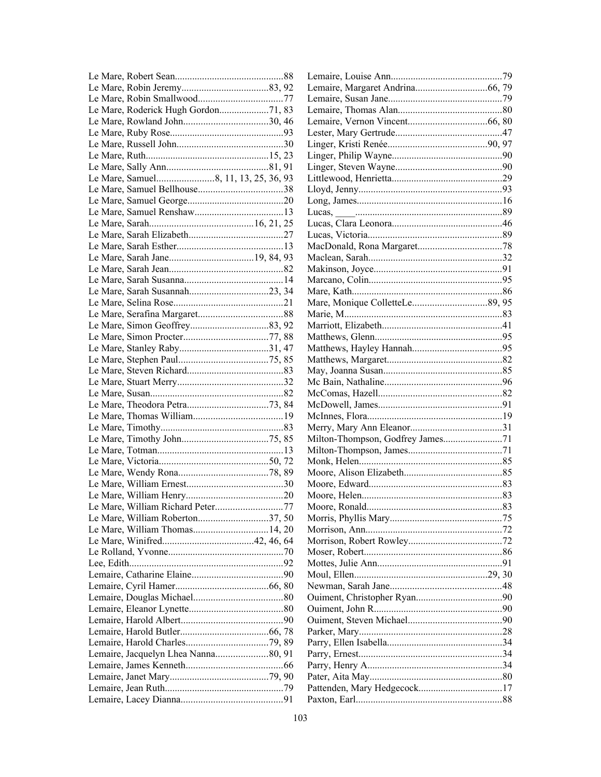| Le Mare, Roderick Hugh Gordon71, 83 |  |
|-------------------------------------|--|
|                                     |  |
|                                     |  |
|                                     |  |
|                                     |  |
|                                     |  |
|                                     |  |
|                                     |  |
|                                     |  |
|                                     |  |
|                                     |  |
|                                     |  |
|                                     |  |
|                                     |  |
|                                     |  |
|                                     |  |
|                                     |  |
|                                     |  |
|                                     |  |
|                                     |  |
|                                     |  |
|                                     |  |
|                                     |  |
|                                     |  |
|                                     |  |
|                                     |  |
|                                     |  |
|                                     |  |
|                                     |  |
|                                     |  |
|                                     |  |
|                                     |  |
|                                     |  |
|                                     |  |
|                                     |  |
| Le Mare, William Richard Peter77    |  |
| Le Mare, William Roberton37, 50     |  |
| Le Mare, William Thomas14, 20       |  |
|                                     |  |
|                                     |  |
|                                     |  |
|                                     |  |
|                                     |  |
|                                     |  |
|                                     |  |
|                                     |  |
|                                     |  |
|                                     |  |
|                                     |  |
|                                     |  |
|                                     |  |
|                                     |  |
|                                     |  |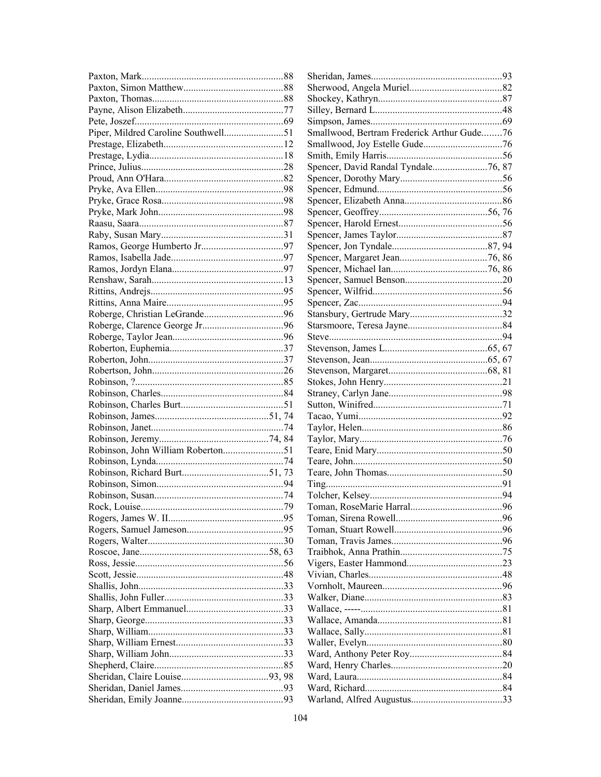|  | Smallwood, Bertram Frederick Arthur Gude76 |  |
|--|--------------------------------------------|--|
|  |                                            |  |
|  |                                            |  |
|  | Spencer, David Randal Tyndale76, 87        |  |
|  |                                            |  |
|  |                                            |  |
|  |                                            |  |
|  |                                            |  |
|  |                                            |  |
|  |                                            |  |
|  |                                            |  |
|  |                                            |  |
|  |                                            |  |
|  |                                            |  |
|  |                                            |  |
|  |                                            |  |
|  |                                            |  |
|  |                                            |  |
|  |                                            |  |
|  |                                            |  |
|  |                                            |  |
|  |                                            |  |
|  |                                            |  |
|  |                                            |  |
|  |                                            |  |
|  |                                            |  |
|  |                                            |  |
|  |                                            |  |
|  |                                            |  |
|  |                                            |  |
|  |                                            |  |
|  |                                            |  |
|  |                                            |  |
|  |                                            |  |
|  |                                            |  |
|  |                                            |  |
|  |                                            |  |
|  |                                            |  |
|  |                                            |  |
|  |                                            |  |
|  |                                            |  |
|  |                                            |  |
|  |                                            |  |
|  |                                            |  |
|  |                                            |  |
|  |                                            |  |
|  |                                            |  |
|  |                                            |  |
|  |                                            |  |
|  |                                            |  |
|  |                                            |  |
|  |                                            |  |
|  |                                            |  |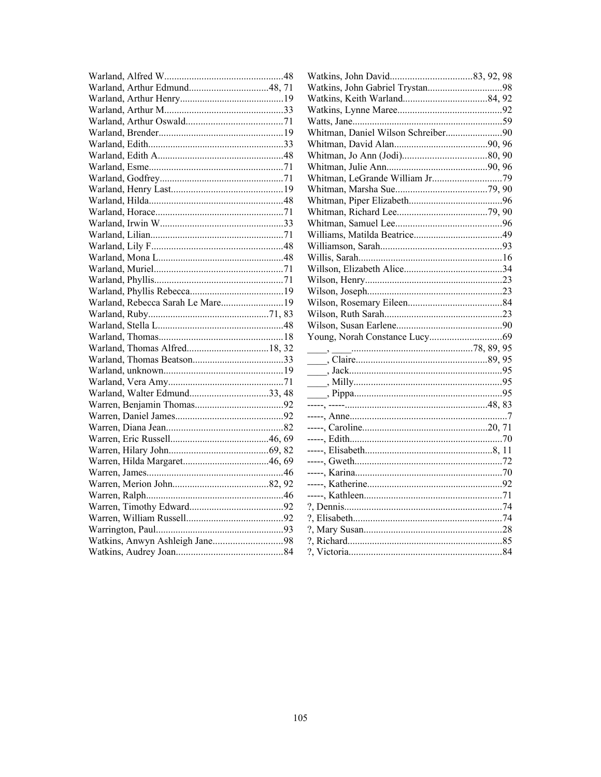| Warland, Rebecca Sarah Le Mare19 |
|----------------------------------|
|                                  |
|                                  |
|                                  |
|                                  |
|                                  |
|                                  |
|                                  |
|                                  |
| Warland, Walter Edmund33, 48     |
|                                  |
|                                  |
|                                  |
|                                  |
|                                  |
|                                  |
|                                  |
|                                  |
|                                  |
|                                  |
|                                  |
|                                  |
|                                  |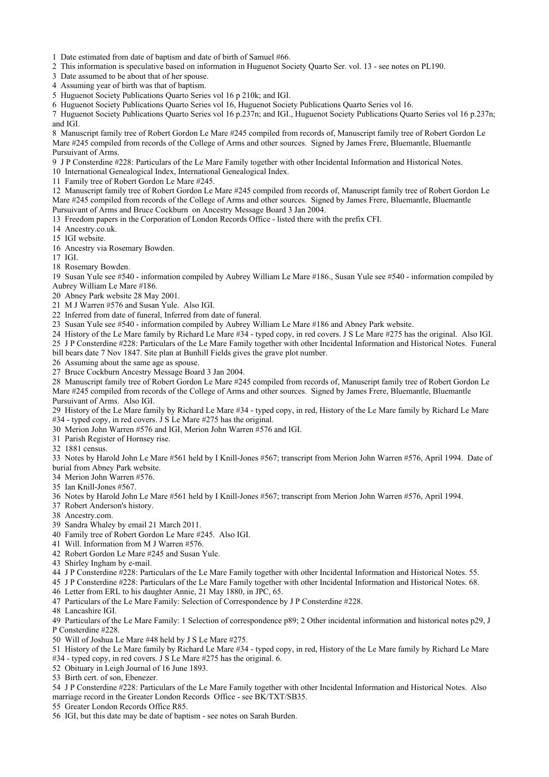1 Date estimated from date of baptism and date of birth of Samuel #66.

2 This information is speculative based on information in Huguenot Society Quarto Ser. vol. 13 - see notes on PL190.

3 Date assumed to be about that of her spouse.

4 Assuming year of birth was that of baptism.

5 Huguenot Society Publications Quarto Series vol 16 p 210k; and IGI.

6 Huguenot Society Publications Quarto Series vol 16, Huguenot Society Publications Quarto Series vol 16.

7 Huguenot Society Publications Quarto Series vol 16 p.237n; and IGI., Huguenot Society Publications Quarto Series vol 16 p.237n; and IGI.

8 Manuscript family tree of Robert Gordon Le Mare #245 compiled from records of, Manuscript family tree of Robert Gordon Le Mare #245 compiled from records of the College of Arms and other sources. Signed by James Frere, Bluemantle, Bluemantle Pursuivant of Arms.

9 J P Consterdine #228: Particulars of the Le Mare Family together with other Incidental Information and Historical Notes.

10 International Genealogical Index, International Genealogical Index.

11 Family tree of Robert Gordon Le Mare #245.

12 Manuscript family tree of Robert Gordon Le Mare #245 compiled from records of, Manuscript family tree of Robert Gordon Le Mare #245 compiled from records of the College of Arms and other sources. Signed by James Frere, Bluemantle, Bluemantle Pursuivant of Arms and Bruce Cockburn on Ancestry Message Board 3 Jan 2004.

13 Freedom papers in the Corporation of London Records Office - listed there with the prefix CFI.

14 Ancestry.co.uk.

15 IGI website.

16 Ancestry via Rosemary Bowden.

17 IGI.

18 Rosemary Bowden.

19 Susan Yule see #540 - information compiled by Aubrey William Le Mare #186., Susan Yule see #540 - information compiled by Aubrey William Le Mare #186.

20 Abney Park website 28 May 2001.

21 M J Warren #576 and Susan Yule. Also IGI.

22 Inferred from date of funeral, Inferred from date of funeral.

23 Susan Yule see #540 - information compiled by Aubrey William Le Mare #186 and Abney Park website.

24 History of the Le Mare family by Richard Le Mare #34 - typed copy, in red covers. J S Le Mare #275 has the original. Also IGI.

25 J P Consterdine #228: Particulars of the Le Mare Family together with other Incidental Information and Historical Notes. Funeral bill bears date 7 Nov 1847. Site plan at Bunhill Fields gives the grave plot number.

26 Assuming about the same age as spouse.

27 Bruce Cockburn Ancestry Message Board 3 Jan 2004.

28 Manuscript family tree of Robert Gordon Le Mare #245 compiled from records of, Manuscript family tree of Robert Gordon Le Mare #245 compiled from records of the College of Arms and other sources. Signed by James Frere, Bluemantle, Bluemantle Pursuivant of Arms. Also IGI.

29 History of the Le Mare family by Richard Le Mare #34 - typed copy, in red, History of the Le Mare family by Richard Le Mare #34 - typed copy, in red covers. J S Le Mare #275 has the original.

30 Merion John Warren #576 and IGI, Merion John Warren #576 and IGI.

31 Parish Register of Hornsey rise.

32 1881 census.

33 Notes by Harold John Le Mare #561 held by I Knill-Jones #567; transcript from Merion John Warren #576, April 1994. Date of burial from Abney Park website.

34 Merion John Warren #576.

35 Ian Knill-Jones #567.

36 Notes by Harold John Le Mare #561 held by I Knill-Jones #567; transcript from Merion John Warren #576, April 1994.

37 Robert Anderson's history.

38 Ancestry.com.

39 Sandra Whaley by email 21 March 2011.

40 Family tree of Robert Gordon Le Mare #245. Also IGI.

41 Will. Information from M J Warren #576.

42 Robert Gordon Le Mare #245 and Susan Yule.

43 Shirley Ingham by e-mail.

44 J P Consterdine #228: Particulars of the Le Mare Family together with other Incidental Information and Historical Notes. 55.

45 J P Consterdine #228: Particulars of the Le Mare Family together with other Incidental Information and Historical Notes. 68.

46 Letter from ERL to his daughter Annie, 21 May 1880, in JPC, 65.

47 Particulars of the Le Mare Family: Selection of Correspondence by J P Consterdine #228.

48 Lancashire IGI.

49 Particulars of the Le Mare Family: 1 Selection of correspondence p89; 2 Other incidental information and historical notes p29, J P Consterdine #228.

50 Will of Joshua Le Mare #48 held by J S Le Mare #275.

51 History of the Le Mare family by Richard Le Mare #34 - typed copy, in red, History of the Le Mare family by Richard Le Mare #34 - typed copy, in red covers. J S Le Mare #275 has the original. 6.

52 Obituary in Leigh Journal of 16 June 1893.

53 Birth cert. of son, Ebenezer.

54 J P Consterdine #228: Particulars of the Le Mare Family together with other Incidental Information and Historical Notes. Also marriage record in the Greater London Records Office - see BK/TXT/SB35.

55 Greater London Records Office R85.

56 IGI, but this date may be date of baptism - see notes on Sarah Burden.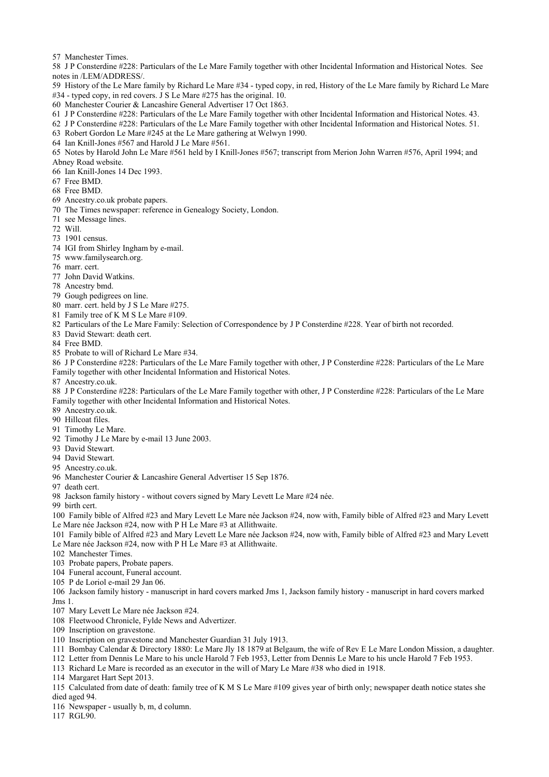57 Manchester Times.

58 J P Consterdine #228: Particulars of the Le Mare Family together with other Incidental Information and Historical Notes. See notes in /LEM/ADDRESS/.

59 History of the Le Mare family by Richard Le Mare #34 - typed copy, in red, History of the Le Mare family by Richard Le Mare #34 - typed copy, in red covers. J S Le Mare #275 has the original. 10.

- 60 Manchester Courier & Lancashire General Advertiser 17 Oct 1863.
- 61 J P Consterdine #228: Particulars of the Le Mare Family together with other Incidental Information and Historical Notes. 43.

62 J P Consterdine #228: Particulars of the Le Mare Family together with other Incidental Information and Historical Notes. 51.

- 63 Robert Gordon Le Mare #245 at the Le Mare gathering at Welwyn 1990.
- 64 Ian Knill-Jones #567 and Harold J Le Mare #561.

65 Notes by Harold John Le Mare #561 held by I Knill-Jones #567; transcript from Merion John Warren #576, April 1994; and Abney Road website.

66 Ian Knill-Jones 14 Dec 1993.

67 Free BMD.

68 Free BMD.

- 69 Ancestry.co.uk probate papers.
- 70 The Times newspaper: reference in Genealogy Society, London.
- 71 see Message lines.
- 72 Will.
- 73 1901 census.
- 74 IGI from Shirley Ingham by e-mail.
- 75 www.familysearch.org.
- 76 marr. cert.
- 77 John David Watkins.
- 78 Ancestry bmd.
- 79 Gough pedigrees on line.
- 80 marr. cert. held by J S Le Mare #275.
- 81 Family tree of K M S Le Mare #109.
- 82 Particulars of the Le Mare Family: Selection of Correspondence by J P Consterdine #228. Year of birth not recorded.
- 83 David Stewart: death cert.
- 84 Free BMD.
- 85 Probate to will of Richard Le Mare #34.

86 J P Consterdine #228: Particulars of the Le Mare Family together with other, J P Consterdine #228: Particulars of the Le Mare Family together with other Incidental Information and Historical Notes.

87 Ancestry.co.uk.

88 J P Consterdine #228: Particulars of the Le Mare Family together with other, J P Consterdine #228: Particulars of the Le Mare Family together with other Incidental Information and Historical Notes.

89 Ancestry.co.uk.

- 90 Hillcoat files.
- 91 Timothy Le Mare.
- 92 Timothy J Le Mare by e-mail 13 June 2003.
- 93 David Stewart.
- 94 David Stewart.
- 95 Ancestry.co.uk.
- 96 Manchester Courier & Lancashire General Advertiser 15 Sep 1876.
- 97 death cert.
- 98 Jackson family history without covers signed by Mary Levett Le Mare #24 née.
- 99 birth cert.

100 Family bible of Alfred #23 and Mary Levett Le Mare née Jackson #24, now with, Family bible of Alfred #23 and Mary Levett Le Mare née Jackson #24, now with P H Le Mare #3 at Allithwaite.

101 Family bible of Alfred #23 and Mary Levett Le Mare née Jackson #24, now with, Family bible of Alfred #23 and Mary Levett Le Mare née Jackson #24, now with P H Le Mare #3 at Allithwaite.

- 102 Manchester Times.
- 103 Probate papers, Probate papers.
- 104 Funeral account, Funeral account.
- 105 P de Loriol e-mail 29 Jan 06.
- 106 Jackson family history manuscript in hard covers marked Jms 1, Jackson family history manuscript in hard covers marked Jms 1.
- 107 Mary Levett Le Mare née Jackson #24.
- 108 Fleetwood Chronicle, Fylde News and Advertizer.
- 109 Inscription on gravestone.
- 110 Inscription on gravestone and Manchester Guardian 31 July 1913.
- 111 Bombay Calendar & Directory 1880: Le Mare Jly 18 1879 at Belgaum, the wife of Rev E Le Mare London Mission, a daughter.
- 112 Letter from Dennis Le Mare to his uncle Harold 7 Feb 1953, Letter from Dennis Le Mare to his uncle Harold 7 Feb 1953.
- 113 Richard Le Mare is recorded as an executor in the will of Mary Le Mare #38 who died in 1918.
- 114 Margaret Hart Sept 2013.
- 115 Calculated from date of death: family tree of K M S Le Mare #109 gives year of birth only; newspaper death notice states she died aged 94.
- 116 Newspaper usually b, m, d column.
- 117 RGL90.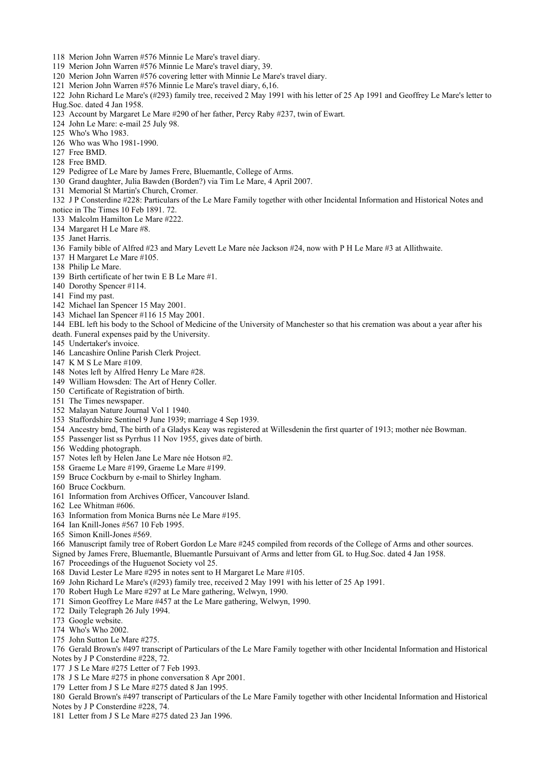- 118 Merion John Warren #576 Minnie Le Mare's travel diary.
- 119 Merion John Warren #576 Minnie Le Mare's travel diary, 39.
- 120 Merion John Warren #576 covering letter with Minnie Le Mare's travel diary.
- 121 Merion John Warren #576 Minnie Le Mare's travel diary, 6,16.
- 122 John Richard Le Mare's (#293) family tree, received 2 May 1991 with his letter of 25 Ap 1991 and Geoffrey Le Mare's letter to Hug.Soc. dated 4 Jan 1958.
- 123 Account by Margaret Le Mare #290 of her father, Percy Raby #237, twin of Ewart.
- 124 John Le Mare: e-mail 25 July 98.
- 125 Who's Who 1983.
- 126 Who was Who 1981-1990.
- 127 Free BMD.
- 128 Free BMD.
- 129 Pedigree of Le Mare by James Frere, Bluemantle, College of Arms.
- 130 Grand daughter, Julia Bawden (Borden?) via Tim Le Mare, 4 April 2007.
- 131 Memorial St Martin's Church, Cromer.
- 132 J P Consterdine #228: Particulars of the Le Mare Family together with other Incidental Information and Historical Notes and
- notice in The Times 10 Feb 1891. 72.
- 133 Malcolm Hamilton Le Mare #222.
- 134 Margaret H Le Mare #8.
- 135 Janet Harris.
- 136 Family bible of Alfred #23 and Mary Levett Le Mare née Jackson #24, now with P H Le Mare #3 at Allithwaite.
- 137 H Margaret Le Mare #105.
- 138 Philip Le Mare.
- 139 Birth certificate of her twin E B Le Mare #1.
- 140 Dorothy Spencer #114.
- 141 Find my past.
- 142 Michael Ian Spencer 15 May 2001.
- 143 Michael Ian Spencer #116 15 May 2001.

144 EBL left his body to the School of Medicine of the University of Manchester so that his cremation was about a year after his death. Funeral expenses paid by the University.

- 145 Undertaker's invoice.
- 146 Lancashire Online Parish Clerk Project.
- 147 K M S Le Mare #109.
- 148 Notes left by Alfred Henry Le Mare #28.
- 149 William Howsden: The Art of Henry Coller.
- 150 Certificate of Registration of birth.
- 151 The Times newspaper.
- 152 Malayan Nature Journal Vol 1 1940.
- 153 Staffordshire Sentinel 9 June 1939; marriage 4 Sep 1939.
- 154 Ancestry bmd, The birth of a Gladys Keay was registered at Willesdenin the first quarter of 1913; mother née Bowman.
- 155 Passenger list ss Pyrrhus 11 Nov 1955, gives date of birth.
- 156 Wedding photograph.
- 157 Notes left by Helen Jane Le Mare née Hotson #2.
- 158 Graeme Le Mare #199, Graeme Le Mare #199.
- 159 Bruce Cockburn by e-mail to Shirley Ingham.
- 160 Bruce Cockburn.
- 161 Information from Archives Officer, Vancouver Island.
- 162 Lee Whitman #606.
- 163 Information from Monica Burns née Le Mare #195.
- 164 Ian Knill-Jones #567 10 Feb 1995.
- 165 Simon Knill-Jones #569.
- 166 Manuscript family tree of Robert Gordon Le Mare #245 compiled from records of the College of Arms and other sources.
- Signed by James Frere, Bluemantle, Bluemantle Pursuivant of Arms and letter from GL to Hug.Soc. dated 4 Jan 1958.
- 167 Proceedings of the Huguenot Society vol 25.
- 168 David Lester Le Mare #295 in notes sent to H Margaret Le Mare #105.
- 169 John Richard Le Mare's (#293) family tree, received 2 May 1991 with his letter of 25 Ap 1991.
- 170 Robert Hugh Le Mare #297 at Le Mare gathering, Welwyn, 1990.
- 171 Simon Geoffrey Le Mare #457 at the Le Mare gathering, Welwyn, 1990.
- 172 Daily Telegraph 26 July 1994.
- 173 Google website.
- 174 Who's Who 2002.
- 175 John Sutton Le Mare #275.
- 176 Gerald Brown's #497 transcript of Particulars of the Le Mare Family together with other Incidental Information and Historical Notes by J P Consterdine #228, 72.
- 177 J S Le Mare #275 Letter of 7 Feb 1993.
- 178 J S Le Mare #275 in phone conversation 8 Apr 2001.
- 179 Letter from J S Le Mare #275 dated 8 Jan 1995.

180 Gerald Brown's #497 transcript of Particulars of the Le Mare Family together with other Incidental Information and Historical Notes by J P Consterdine #228, 74.

181 Letter from J S Le Mare #275 dated 23 Jan 1996.